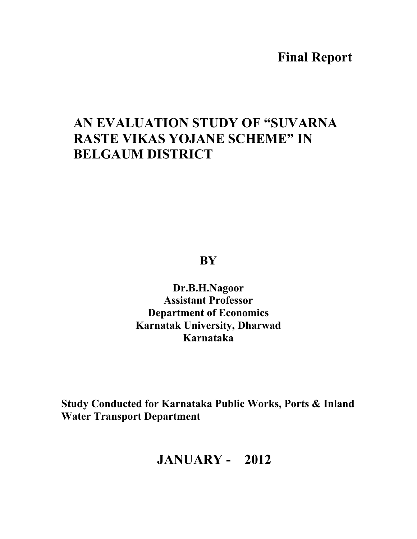# **Final Report**

# **AN EVALUATION STUDY OF "SUVARNA RASTE VIKAS YOJANE SCHEME" IN BELGAUM DISTRICT**

**BY** 

**Dr.B.H.Nagoor Assistant Professor Department of Economics Karnatak University, Dharwad Karnataka** 

**Study Conducted for Karnataka Public Works, Ports & Inland Water Transport Department** 

# **JANUARY - 2012**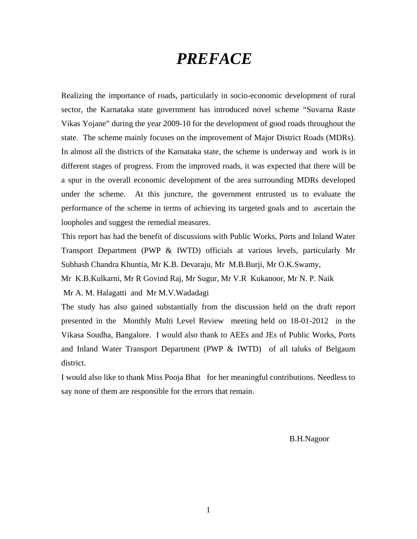# *PREFACE*

Realizing the importance of roads, particularly in socio-economic development of rural sector, the Karnataka state government has introduced novel scheme "Suvarna Raste Vikas Yojane" during the year 2009-10 for the development of good roads throughout the state. The scheme mainly focuses on the improvement of Major District Roads (MDRs). In almost all the districts of the Karnataka state, the scheme is underway and work is in different stages of progress. From the improved roads, it was expected that there will be a spur in the overall economic development of the area surrounding MDRs developed under the scheme. At this juncture, the government entrusted us to evaluate the performance of the scheme in terms of achieving its targeted goals and to ascertain the loopholes and suggest the remedial measures.

This report has had the benefit of discussions with Public Works, Ports and Inland Water Transport Department (PWP & IWTD) officials at various levels, particularly Mr Subhash Chandra Khuntia, Mr K.B. Devaraju, Mr M.B.Burji, Mr O.K.Swamy,

Mr K.B.Kulkarni, Mr R Govind Raj, Mr Sugur, Mr V.R Kukanoor, Mr N. P. Naik

Mr A. M. Halagatti and Mr M.V.Wadadagi

The study has also gained substantially from the discussion held on the draft report presented in the Monthly Multi Level Review meeting held on 18-01-2012 in the Vikasa Soudha, Bangalore. I would also thank to AEEs and JEs of Public Works, Ports and Inland Water Transport Department (PWP & IWTD) of all taluks of Belgaum district.

I would also like to thank Miss Pooja Bhat for her meaningful contributions. Needless to say none of them are responsible for the errors that remain.

B.H.Nagoor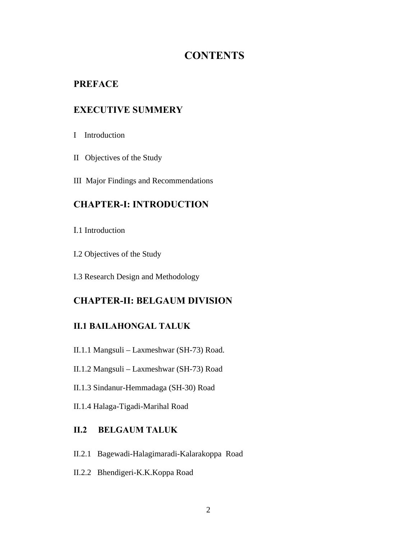# **CONTENTS**

# **PREFACE**

# **EXECUTIVE SUMMERY**

- I Introduction
- II Objectives of the Study
- III Major Findings and Recommendations

# **CHAPTER-I: INTRODUCTION**

- I.1 Introduction
- I.2 Objectives of the Study
- I.3 Research Design and Methodology

# **CHAPTER-II: BELGAUM DIVISION**

## **II.1 BAILAHONGAL TALUK**

- II.1.1 Mangsuli Laxmeshwar (SH-73) Road.
- II.1.2 Mangsuli Laxmeshwar (SH-73) Road
- II.1.3 Sindanur-Hemmadaga (SH-30) Road
- II.1.4 Halaga-Tigadi-Marihal Road

## **II.2 BELGAUM TALUK**

- II.2.1 Bagewadi-Halagimaradi-Kalarakoppa Road
- II.2.2 Bhendigeri-K.K.Koppa Road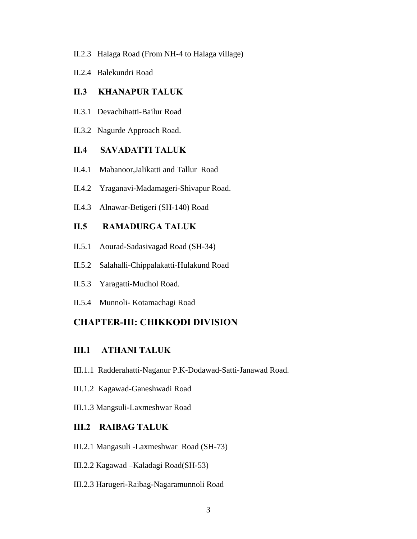- II.2.3 Halaga Road (From NH-4 to Halaga village)
- II.2.4 Balekundri Road

#### **II.3 KHANAPUR TALUK**

- II.3.1 Devachihatti-Bailur Road
- II.3.2 Nagurde Approach Road.

#### **II.4 SAVADATTI TALUK**

- II.4.1 Mabanoor,Jalikatti and Tallur Road
- II.4.2 Yraganavi-Madamageri-Shivapur Road.
- II.4.3 Alnawar-Betigeri (SH-140) Road

# **II.5 RAMADURGA TALUK**

- II.5.1 Aourad-Sadasivagad Road (SH-34)
- II.5.2 Salahalli-Chippalakatti-Hulakund Road
- II.5.3 Yaragatti-Mudhol Road.
- II.5.4 Munnoli- Kotamachagi Road

### **CHAPTER-III: CHIKKODI DIVISION**

# **III.1 ATHANI TALUK**

- III.1.1 Radderahatti-Naganur P.K-Dodawad-Satti-Janawad Road.
- III.1.2 Kagawad-Ganeshwadi Road
- III.1.3 Mangsuli-Laxmeshwar Road

#### **III.2 RAIBAG TALUK**

- III.2.1 Mangasuli -Laxmeshwar Road (SH-73)
- III.2.2 Kagawad –Kaladagi Road(SH-53)
- III.2.3 Harugeri-Raibag-Nagaramunnoli Road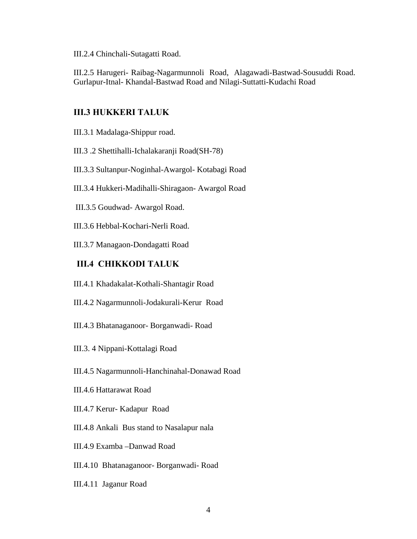III.2.4 Chinchali-Sutagatti Road.

III.2.5 Harugeri- Raibag-Nagarmunnoli Road, Alagawadi-Bastwad-Sousuddi Road. Gurlapur-Itnal- Khandal-Bastwad Road and Nilagi-Suttatti-Kudachi Road

## **III.3 HUKKERI TALUK**

III.3.1 Madalaga-Shippur road.

III.3 .2 Shettihalli-Ichalakaranji Road(SH-78)

III.3.3 Sultanpur-Noginhal-Awargol- Kotabagi Road

III.3.4 Hukkeri-Madihalli-Shiragaon- Awargol Road

III.3.5 Goudwad- Awargol Road.

III.3.6 Hebbal-Kochari-Nerli Road.

III.3.7 Managaon-Dondagatti Road

#### **III.4 CHIKKODI TALUK**

III.4.1 Khadakalat-Kothali-Shantagir Road

III.4.2 Nagarmunnoli-Jodakurali-Kerur Road

III.4.3 Bhatanaganoor- Borganwadi- Road

III.3. 4 Nippani-Kottalagi Road

III.4.5 Nagarmunnoli-Hanchinahal-Donawad Road

III.4.6 Hattarawat Road

III.4.7 Kerur- Kadapur Road

III.4.8 Ankali Bus stand to Nasalapur nala

III.4.9 Examba –Danwad Road

III.4.10 Bhatanaganoor- Borganwadi- Road

III.4.11 Jaganur Road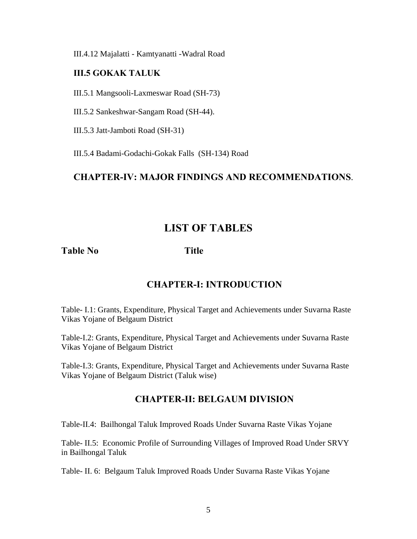III.4.12 Majalatti - Kamtyanatti -Wadral Road

### **III.5 GOKAK TALUK**

III.5.1 Mangsooli-Laxmeswar Road (SH-73)

III.5.2 Sankeshwar-Sangam Road (SH-44).

III.5.3 Jatt-Jamboti Road (SH-31)

III.5.4 Badami-Godachi-Gokak Falls (SH-134) Road

# **CHAPTER-IV: MAJOR FINDINGS AND RECOMMENDATIONS**.

# **LIST OF TABLES**

**Table No Title**

# **CHAPTER-I: INTRODUCTION**

Table- I.1: Grants, Expenditure, Physical Target and Achievements under Suvarna Raste Vikas Yojane of Belgaum District

Table-I.2: Grants, Expenditure, Physical Target and Achievements under Suvarna Raste Vikas Yojane of Belgaum District

Table-I.3: Grants, Expenditure, Physical Target and Achievements under Suvarna Raste Vikas Yojane of Belgaum District (Taluk wise)

# **CHAPTER-II: BELGAUM DIVISION**

Table-II.4: Bailhongal Taluk Improved Roads Under Suvarna Raste Vikas Yojane

Table- II.5: Economic Profile of Surrounding Villages of Improved Road Under SRVY in Bailhongal Taluk

Table- II. 6: Belgaum Taluk Improved Roads Under Suvarna Raste Vikas Yojane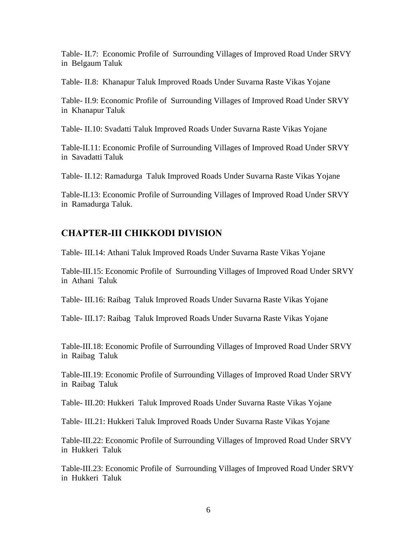Table- II.7: Economic Profile of Surrounding Villages of Improved Road Under SRVY in Belgaum Taluk

Table- II.8: Khanapur Taluk Improved Roads Under Suvarna Raste Vikas Yojane

Table- II.9: Economic Profile of Surrounding Villages of Improved Road Under SRVY in Khanapur Taluk

Table- II.10: Svadatti Taluk Improved Roads Under Suvarna Raste Vikas Yojane

Table-II.11: Economic Profile of Surrounding Villages of Improved Road Under SRVY in Savadatti Taluk

Table- II.12: Ramadurga Taluk Improved Roads Under Suvarna Raste Vikas Yojane

Table-II.13: Economic Profile of Surrounding Villages of Improved Road Under SRVY in Ramadurga Taluk.

# **CHAPTER-III CHIKKODI DIVISION**

Table- III.14: Athani Taluk Improved Roads Under Suvarna Raste Vikas Yojane

Table-III.15: Economic Profile of Surrounding Villages of Improved Road Under SRVY in Athani Taluk

Table- III.16: Raibag Taluk Improved Roads Under Suvarna Raste Vikas Yojane

Table- III.17: Raibag Taluk Improved Roads Under Suvarna Raste Vikas Yojane

Table-III.18: Economic Profile of Surrounding Villages of Improved Road Under SRVY in Raibag Taluk

Table-III.19: Economic Profile of Surrounding Villages of Improved Road Under SRVY in Raibag Taluk

Table- III.20: Hukkeri Taluk Improved Roads Under Suvarna Raste Vikas Yojane

Table- III.21: Hukkeri Taluk Improved Roads Under Suvarna Raste Vikas Yojane

Table-III.22: Economic Profile of Surrounding Villages of Improved Road Under SRVY in Hukkeri Taluk

Table-III.23: Economic Profile of Surrounding Villages of Improved Road Under SRVY in Hukkeri Taluk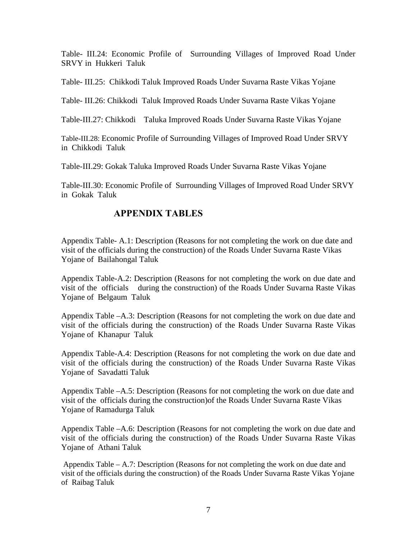Table- III.24: Economic Profile of Surrounding Villages of Improved Road Under SRVY in Hukkeri Taluk

Table- III.25: Chikkodi Taluk Improved Roads Under Suvarna Raste Vikas Yojane

Table- III.26: Chikkodi Taluk Improved Roads Under Suvarna Raste Vikas Yojane

Table-III.27: Chikkodi Taluka Improved Roads Under Suvarna Raste Vikas Yojane

Table-III.28: Economic Profile of Surrounding Villages of Improved Road Under SRVY in Chikkodi Taluk

Table-III.29: Gokak Taluka Improved Roads Under Suvarna Raste Vikas Yojane

Table-III.30: Economic Profile of Surrounding Villages of Improved Road Under SRVY in Gokak Taluk

# **APPENDIX TABLES**

Appendix Table- A.1: Description (Reasons for not completing the work on due date and visit of the officials during the construction) of the Roads Under Suvarna Raste Vikas Yojane of Bailahongal Taluk

Appendix Table-A.2: Description (Reasons for not completing the work on due date and visit of the officials during the construction) of the Roads Under Suvarna Raste Vikas Yojane of Belgaum Taluk

Appendix Table –A.3: Description (Reasons for not completing the work on due date and visit of the officials during the construction) of the Roads Under Suvarna Raste Vikas Yojane of Khanapur Taluk

Appendix Table-A.4: Description (Reasons for not completing the work on due date and visit of the officials during the construction) of the Roads Under Suvarna Raste Vikas Yojane of Savadatti Taluk

Appendix Table –A.5: Description (Reasons for not completing the work on due date and visit of the officials during the construction)of the Roads Under Suvarna Raste Vikas Yojane of Ramadurga Taluk

Appendix Table –A.6: Description (Reasons for not completing the work on due date and visit of the officials during the construction) of the Roads Under Suvarna Raste Vikas Yojane of Athani Taluk

Appendix Table – A.7: Description (Reasons for not completing the work on due date and visit of the officials during the construction) of the Roads Under Suvarna Raste Vikas Yojane of Raibag Taluk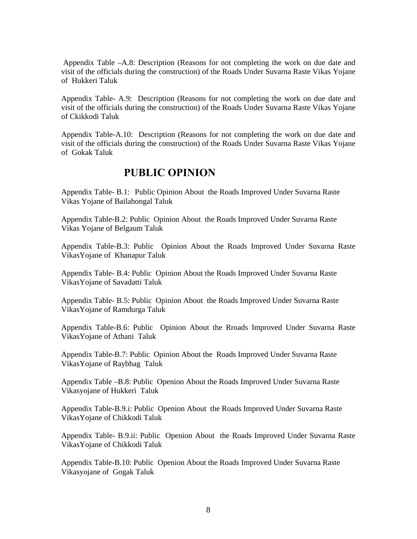Appendix Table –A.8: Description (Reasons for not completing the work on due date and visit of the officials during the construction) of the Roads Under Suvarna Raste Vikas Yojane of Hukkeri Taluk

Appendix Table- A.9: Description (Reasons for not completing the work on due date and visit of the officials during the construction) of the Roads Under Suvarna Raste Vikas Yojane of Ckikkodi Taluk

Appendix Table-A.10: Description (Reasons for not completing the work on due date and visit of the officials during the construction) of the Roads Under Suvarna Raste Vikas Yojane of Gokak Taluk

# **PUBLIC OPINION**

Appendix Table- B.1: Public Opinion About the Roads Improved Under Suvarna Raste Vikas Yojane of Bailahongal Taluk

Appendix Table-B.2: Public Opinion About the Roads Improved Under Suvarna Raste Vikas Yojane of Belgaum Taluk

Appendix Table-B.3: Public Opinion About the Roads Improved Under Suvarna Raste VikasYojane of Khanapur Taluk

Appendix Table- B.4: Public Opinion About the Roads Improved Under Suvarna Raste VikasYojane of Savadatti Taluk

Appendix Table- B.5: Public Opinion About the Roads Improved Under Suvarna Raste VikasYojane of Ramdurga Taluk

Appendix Table-B.6: Public Opinion About the Rroads Improved Under Suvarna Raste VikasYojane of Athani Taluk

Appendix Table-B.7: Public Opinion About the Roads Improved Under Suvarna Raste VikasYojane of Raybhag Taluk

Appendix Table –B.8: Public Openion About the Roads Improved Under Suvarna Raste Vikasyojane of Hukkeri Taluk

Appendix Table-B.9.i: Public Openion About the Roads Improved Under Suvarna Raste VikasYojane of Chikkodi Taluk

Appendix Table- B.9.ii: Public Openion About the Roads Improved Under Suvarna Raste VikasYojane of Chikkodi Taluk

Appendix Table-B.10: Public Openion About the Roads Improved Under Suvarna Raste Vikasyojane of Gogak Taluk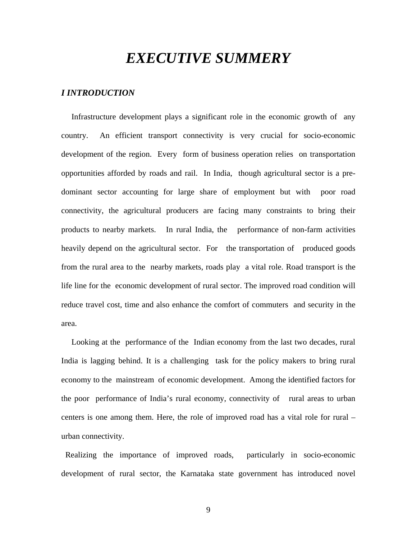# *EXECUTIVE SUMMERY*

#### *I INTRODUCTION*

 Infrastructure development plays a significant role in the economic growth of any country. An efficient transport connectivity is very crucial for socio-economic development of the region. Every form of business operation relies on transportation opportunities afforded by roads and rail. In India, though agricultural sector is a predominant sector accounting for large share of employment but with poor road connectivity, the agricultural producers are facing many constraints to bring their products to nearby markets. In rural India, the performance of non-farm activities heavily depend on the agricultural sector. For the transportation of produced goods from the rural area to the nearby markets, roads play a vital role. Road transport is the life line for the economic development of rural sector. The improved road condition will reduce travel cost, time and also enhance the comfort of commuters and security in the area.

 Looking at the performance of the Indian economy from the last two decades, rural India is lagging behind. It is a challenging task for the policy makers to bring rural economy to the mainstream of economic development. Among the identified factors for the poor performance of India's rural economy, connectivity of rural areas to urban centers is one among them. Here, the role of improved road has a vital role for rural – urban connectivity.

 Realizing the importance of improved roads, particularly in socio-economic development of rural sector, the Karnataka state government has introduced novel

9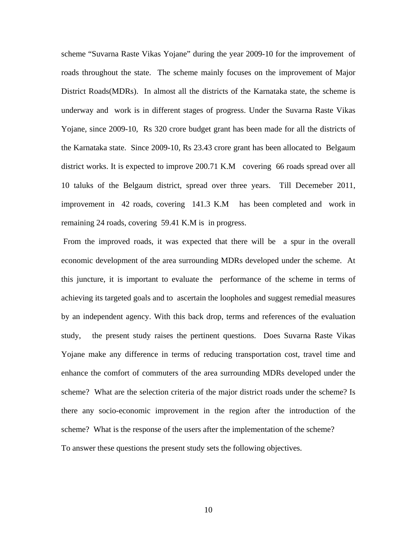scheme "Suvarna Raste Vikas Yojane" during the year 2009-10 for the improvement of roads throughout the state. The scheme mainly focuses on the improvement of Major District Roads(MDRs). In almost all the districts of the Karnataka state, the scheme is underway and work is in different stages of progress. Under the Suvarna Raste Vikas Yojane, since 2009-10, Rs 320 crore budget grant has been made for all the districts of the Karnataka state. Since 2009-10, Rs 23.43 crore grant has been allocated to Belgaum district works. It is expected to improve 200.71 K.M covering 66 roads spread over all 10 taluks of the Belgaum district, spread over three years. Till Decemeber 2011, improvement in 42 roads, covering 141.3 K.M has been completed and work in remaining 24 roads, covering 59.41 K.M is in progress.

 From the improved roads, it was expected that there will be a spur in the overall economic development of the area surrounding MDRs developed under the scheme. At this juncture, it is important to evaluate the performance of the scheme in terms of achieving its targeted goals and to ascertain the loopholes and suggest remedial measures by an independent agency. With this back drop, terms and references of the evaluation study, the present study raises the pertinent questions. Does Suvarna Raste Vikas Yojane make any difference in terms of reducing transportation cost, travel time and enhance the comfort of commuters of the area surrounding MDRs developed under the scheme? What are the selection criteria of the major district roads under the scheme? Is there any socio-economic improvement in the region after the introduction of the scheme? What is the response of the users after the implementation of the scheme? To answer these questions the present study sets the following objectives.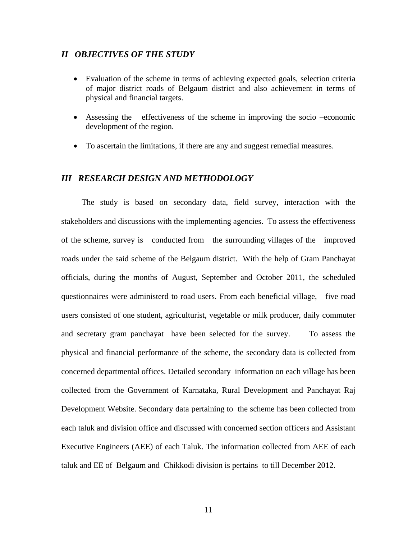#### *II OBJECTIVES OF THE STUDY*

- Evaluation of the scheme in terms of achieving expected goals, selection criteria of major district roads of Belgaum district and also achievement in terms of physical and financial targets.
- Assessing the effectiveness of the scheme in improving the socio –economic development of the region.
- To ascertain the limitations, if there are any and suggest remedial measures.

#### *III RESEARCH DESIGN AND METHODOLOGY*

 The study is based on secondary data, field survey, interaction with the stakeholders and discussions with the implementing agencies. To assess the effectiveness of the scheme, survey is conducted from the surrounding villages of the improved roads under the said scheme of the Belgaum district. With the help of Gram Panchayat officials, during the months of August, September and October 2011, the scheduled questionnaires were administerd to road users. From each beneficial village, five road users consisted of one student, agriculturist, vegetable or milk producer, daily commuter and secretary gram panchayat have been selected for the survey. To assess the physical and financial performance of the scheme, the secondary data is collected from concerned departmental offices. Detailed secondary information on each village has been collected from the Government of Karnataka, Rural Development and Panchayat Raj Development Website. Secondary data pertaining to the scheme has been collected from each taluk and division office and discussed with concerned section officers and Assistant Executive Engineers (AEE) of each Taluk. The information collected from AEE of each taluk and EE of Belgaum and Chikkodi division is pertains to till December 2012.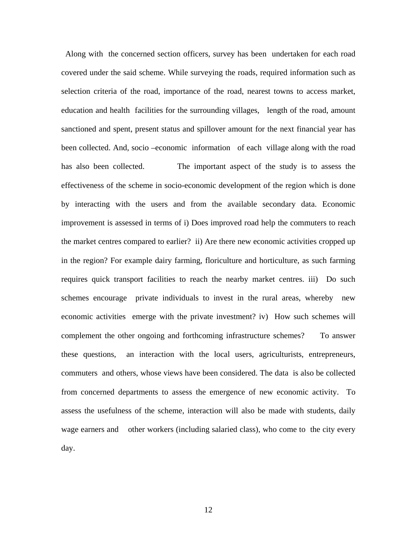Along with the concerned section officers, survey has been undertaken for each road covered under the said scheme. While surveying the roads, required information such as selection criteria of the road, importance of the road, nearest towns to access market, education and health facilities for the surrounding villages, length of the road, amount sanctioned and spent, present status and spillover amount for the next financial year has been collected. And, socio –economic information of each village along with the road has also been collected. The important aspect of the study is to assess the effectiveness of the scheme in socio-economic development of the region which is done by interacting with the users and from the available secondary data. Economic improvement is assessed in terms of i) Does improved road help the commuters to reach the market centres compared to earlier? ii) Are there new economic activities cropped up in the region? For example dairy farming, floriculture and horticulture, as such farming requires quick transport facilities to reach the nearby market centres. iii) Do such schemes encourage private individuals to invest in the rural areas, whereby new economic activities emerge with the private investment? iv) How such schemes will complement the other ongoing and forthcoming infrastructure schemes? To answer these questions, an interaction with the local users, agriculturists, entrepreneurs, commuters and others, whose views have been considered. The data is also be collected from concerned departments to assess the emergence of new economic activity. To assess the usefulness of the scheme, interaction will also be made with students, daily wage earners and other workers (including salaried class), who come to the city every day.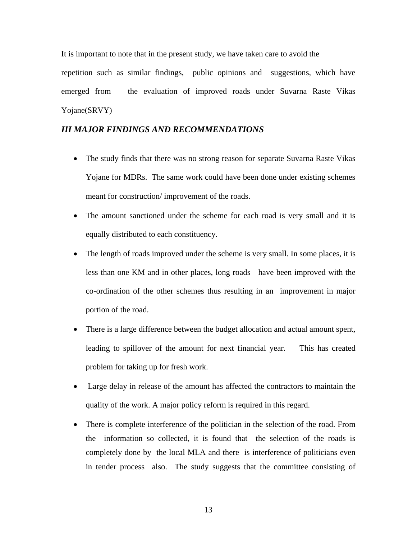It is important to note that in the present study, we have taken care to avoid the

repetition such as similar findings, public opinions and suggestions, which have emerged from the evaluation of improved roads under Suvarna Raste Vikas Yojane(SRVY)

#### *III MAJOR FINDINGS AND RECOMMENDATIONS*

- The study finds that there was no strong reason for separate Suvarna Raste Vikas Yojane for MDRs. The same work could have been done under existing schemes meant for construction/ improvement of the roads.
- The amount sanctioned under the scheme for each road is very small and it is equally distributed to each constituency.
- The length of roads improved under the scheme is very small. In some places, it is less than one KM and in other places, long roads have been improved with the co-ordination of the other schemes thus resulting in an improvement in major portion of the road.
- There is a large difference between the budget allocation and actual amount spent, leading to spillover of the amount for next financial year. This has created problem for taking up for fresh work.
- Large delay in release of the amount has affected the contractors to maintain the quality of the work. A major policy reform is required in this regard.
- There is complete interference of the politician in the selection of the road. From the information so collected, it is found that the selection of the roads is completely done by the local MLA and there is interference of politicians even in tender process also. The study suggests that the committee consisting of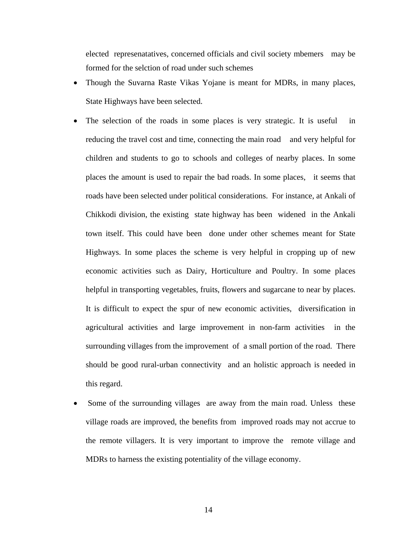elected represenatatives, concerned officials and civil society mbemers may be formed for the selction of road under such schemes

- Though the Suvarna Raste Vikas Yojane is meant for MDRs, in many places, State Highways have been selected.
- The selection of the roads in some places is very strategic. It is useful in reducing the travel cost and time, connecting the main road and very helpful for children and students to go to schools and colleges of nearby places. In some places the amount is used to repair the bad roads. In some places, it seems that roads have been selected under political considerations. For instance, at Ankali of Chikkodi division, the existing state highway has been widened in the Ankali town itself. This could have been done under other schemes meant for State Highways. In some places the scheme is very helpful in cropping up of new economic activities such as Dairy, Horticulture and Poultry. In some places helpful in transporting vegetables, fruits, flowers and sugarcane to near by places. It is difficult to expect the spur of new economic activities, diversification in agricultural activities and large improvement in non-farm activities in the surrounding villages from the improvement of a small portion of the road. There should be good rural-urban connectivity and an holistic approach is needed in this regard.
- Some of the surrounding villages are away from the main road. Unless these village roads are improved, the benefits from improved roads may not accrue to the remote villagers. It is very important to improve the remote village and MDRs to harness the existing potentiality of the village economy.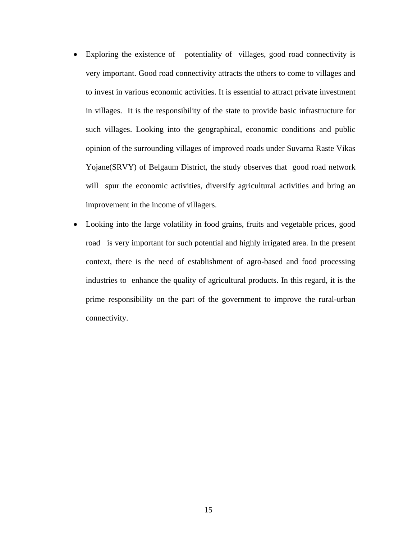- Exploring the existence of potentiality of villages, good road connectivity is very important. Good road connectivity attracts the others to come to villages and to invest in various economic activities. It is essential to attract private investment in villages. It is the responsibility of the state to provide basic infrastructure for such villages. Looking into the geographical, economic conditions and public opinion of the surrounding villages of improved roads under Suvarna Raste Vikas Yojane(SRVY) of Belgaum District, the study observes that good road network will spur the economic activities, diversify agricultural activities and bring an improvement in the income of villagers.
- Looking into the large volatility in food grains, fruits and vegetable prices, good road is very important for such potential and highly irrigated area. In the present context, there is the need of establishment of agro-based and food processing industries to enhance the quality of agricultural products. In this regard, it is the prime responsibility on the part of the government to improve the rural-urban connectivity.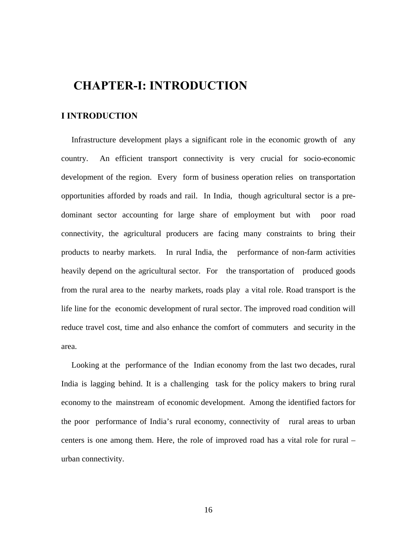# **CHAPTER-I: INTRODUCTION**

#### **I INTRODUCTION**

 Infrastructure development plays a significant role in the economic growth of any country. An efficient transport connectivity is very crucial for socio-economic development of the region. Every form of business operation relies on transportation opportunities afforded by roads and rail. In India, though agricultural sector is a predominant sector accounting for large share of employment but with poor road connectivity, the agricultural producers are facing many constraints to bring their products to nearby markets. In rural India, the performance of non-farm activities heavily depend on the agricultural sector. For the transportation of produced goods from the rural area to the nearby markets, roads play a vital role. Road transport is the life line for the economic development of rural sector. The improved road condition will reduce travel cost, time and also enhance the comfort of commuters and security in the area.

 Looking at the performance of the Indian economy from the last two decades, rural India is lagging behind. It is a challenging task for the policy makers to bring rural economy to the mainstream of economic development. Among the identified factors for the poor performance of India's rural economy, connectivity of rural areas to urban centers is one among them. Here, the role of improved road has a vital role for rural – urban connectivity.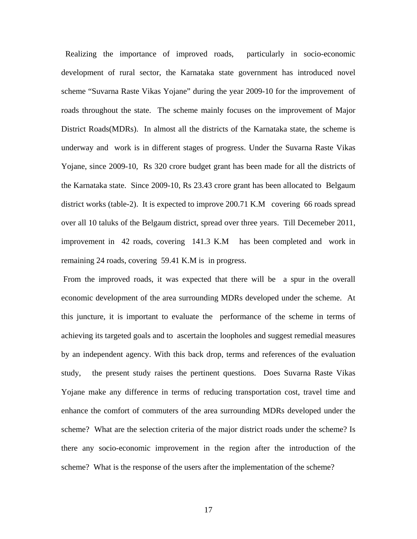Realizing the importance of improved roads, particularly in socio-economic development of rural sector, the Karnataka state government has introduced novel scheme "Suvarna Raste Vikas Yojane" during the year 2009-10 for the improvement of roads throughout the state. The scheme mainly focuses on the improvement of Major District Roads(MDRs). In almost all the districts of the Karnataka state, the scheme is underway and work is in different stages of progress. Under the Suvarna Raste Vikas Yojane, since 2009-10, Rs 320 crore budget grant has been made for all the districts of the Karnataka state. Since 2009-10, Rs 23.43 crore grant has been allocated to Belgaum district works (table-2). It is expected to improve 200.71 K.M covering 66 roads spread over all 10 taluks of the Belgaum district, spread over three years. Till Decemeber 2011, improvement in 42 roads, covering 141.3 K.M has been completed and work in remaining 24 roads, covering 59.41 K.M is in progress.

 From the improved roads, it was expected that there will be a spur in the overall economic development of the area surrounding MDRs developed under the scheme. At this juncture, it is important to evaluate the performance of the scheme in terms of achieving its targeted goals and to ascertain the loopholes and suggest remedial measures by an independent agency. With this back drop, terms and references of the evaluation study, the present study raises the pertinent questions. Does Suvarna Raste Vikas Yojane make any difference in terms of reducing transportation cost, travel time and enhance the comfort of commuters of the area surrounding MDRs developed under the scheme? What are the selection criteria of the major district roads under the scheme? Is there any socio-economic improvement in the region after the introduction of the scheme? What is the response of the users after the implementation of the scheme?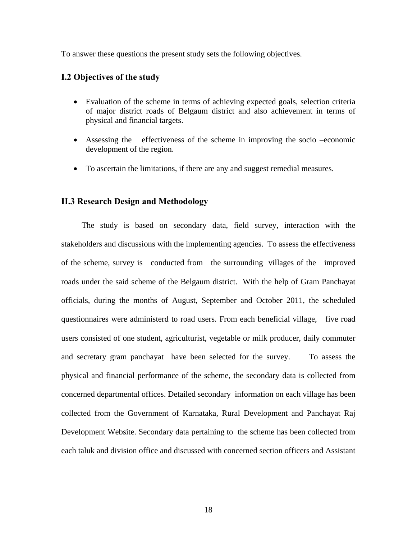To answer these questions the present study sets the following objectives.

#### **I.2 Objectives of the study**

- Evaluation of the scheme in terms of achieving expected goals, selection criteria of major district roads of Belgaum district and also achievement in terms of physical and financial targets.
- Assessing the effectiveness of the scheme in improving the socio –economic development of the region.
- To ascertain the limitations, if there are any and suggest remedial measures.

#### **II.3 Research Design and Methodology**

 The study is based on secondary data, field survey, interaction with the stakeholders and discussions with the implementing agencies. To assess the effectiveness of the scheme, survey is conducted from the surrounding villages of the improved roads under the said scheme of the Belgaum district. With the help of Gram Panchayat officials, during the months of August, September and October 2011, the scheduled questionnaires were administerd to road users. From each beneficial village, five road users consisted of one student, agriculturist, vegetable or milk producer, daily commuter and secretary gram panchayat have been selected for the survey. To assess the physical and financial performance of the scheme, the secondary data is collected from concerned departmental offices. Detailed secondary information on each village has been collected from the Government of Karnataka, Rural Development and Panchayat Raj Development Website. Secondary data pertaining to the scheme has been collected from each taluk and division office and discussed with concerned section officers and Assistant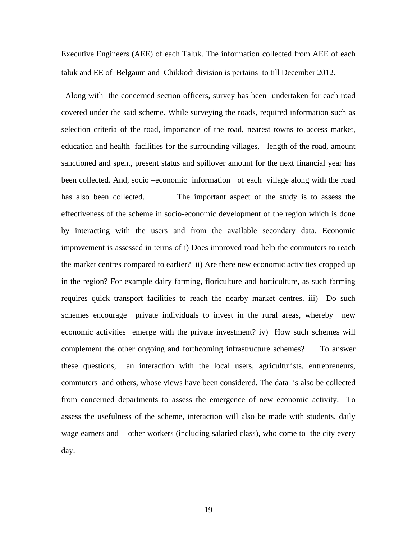Executive Engineers (AEE) of each Taluk. The information collected from AEE of each taluk and EE of Belgaum and Chikkodi division is pertains to till December 2012.

 Along with the concerned section officers, survey has been undertaken for each road covered under the said scheme. While surveying the roads, required information such as selection criteria of the road, importance of the road, nearest towns to access market, education and health facilities for the surrounding villages, length of the road, amount sanctioned and spent, present status and spillover amount for the next financial year has been collected. And, socio –economic information of each village along with the road has also been collected. The important aspect of the study is to assess the effectiveness of the scheme in socio-economic development of the region which is done by interacting with the users and from the available secondary data. Economic improvement is assessed in terms of i) Does improved road help the commuters to reach the market centres compared to earlier? ii) Are there new economic activities cropped up in the region? For example dairy farming, floriculture and horticulture, as such farming requires quick transport facilities to reach the nearby market centres. iii) Do such schemes encourage private individuals to invest in the rural areas, whereby new economic activities emerge with the private investment? iv) How such schemes will complement the other ongoing and forthcoming infrastructure schemes? To answer these questions, an interaction with the local users, agriculturists, entrepreneurs, commuters and others, whose views have been considered. The data is also be collected from concerned departments to assess the emergence of new economic activity. To assess the usefulness of the scheme, interaction will also be made with students, daily wage earners and other workers (including salaried class), who come to the city every day.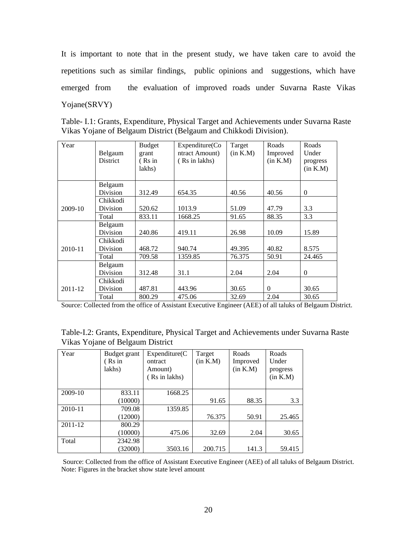It is important to note that in the present study, we have taken care to avoid the repetitions such as similar findings, public opinions and suggestions, which have emerged from the evaluation of improved roads under Suvarna Raste Vikas Yojane(SRVY)

Table- I.1: Grants, Expenditure, Physical Target and Achievements under Suvarna Raste Vikas Yojane of Belgaum District (Belgaum and Chikkodi Division).

| Year    | Belgaum<br>District | <b>Budget</b><br>grant<br>(Rs in<br>lakhs) | Expenditure(Co<br>ntract Amount)<br>(Rs in lakhs) | Target<br>(in K.M) | Roads<br>Improved<br>(in K.M) | Roads<br>Under<br>progress<br>(in K.M) |
|---------|---------------------|--------------------------------------------|---------------------------------------------------|--------------------|-------------------------------|----------------------------------------|
|         | Belgaum             |                                            |                                                   |                    |                               |                                        |
|         | Division            | 312.49                                     | 654.35                                            | 40.56              | 40.56                         | $\theta$                               |
|         | Chikkodi            |                                            |                                                   |                    |                               |                                        |
| 2009-10 | Division            | 520.62                                     | 1013.9                                            | 51.09              | 47.79                         | 3.3                                    |
|         | Total               | 833.11                                     | 1668.25                                           | 91.65              | 88.35                         | 3.3                                    |
|         | Belgaum             |                                            |                                                   |                    |                               |                                        |
|         | Division            | 240.86                                     | 419.11                                            | 26.98              | 10.09                         | 15.89                                  |
|         | Chikkodi            |                                            |                                                   |                    |                               |                                        |
| 2010-11 | Division            | 468.72                                     | 940.74                                            | 49.395             | 40.82                         | 8.575                                  |
|         | Total               | 709.58                                     | 1359.85                                           | 76.375             | 50.91                         | 24.465                                 |
|         | Belgaum             |                                            |                                                   |                    |                               |                                        |
|         | Division            | 312.48                                     | 31.1                                              | 2.04               | 2.04                          | $\mathbf{0}$                           |
|         | Chikkodi            |                                            |                                                   |                    |                               |                                        |
| 2011-12 | Division            | 487.81                                     | 443.96                                            | 30.65              | $\Omega$                      | 30.65                                  |
|         | Total               | 800.29                                     | 475.06                                            | 32.69              | 2.04                          | 30.65                                  |

Source: Collected from the office of Assistant Executive Engineer (AEE) of all taluks of Belgaum District.

|                                  | Table-I.2: Grants, Expenditure, Physical Target and Achievements under Suvarna Raste |
|----------------------------------|--------------------------------------------------------------------------------------|
| Vikas Yojane of Belgaum District |                                                                                      |

| Year    | Budget grant<br>(Rs in | Expenditure(C)<br>ontract | Target<br>(in K.M) | Roads<br>Improved | Roads<br>Under |
|---------|------------------------|---------------------------|--------------------|-------------------|----------------|
|         | lakhs)                 | Amount)                   |                    | (in K.M)          | progress       |
|         |                        | Rs in lakhs)              |                    |                   | (in K.M)       |
| 2009-10 | 833.11                 | 1668.25                   |                    |                   |                |
|         | (10000)                |                           | 91.65              | 88.35             | 3.3            |
| 2010-11 | 709.08                 | 1359.85                   |                    |                   |                |
|         | (12000)                |                           | 76.375             | 50.91             | 25.465         |
| 2011-12 | 800.29                 |                           |                    |                   |                |
|         | (10000)                | 475.06                    | 32.69              | 2.04              | 30.65          |
| Total   | 2342.98                |                           |                    |                   |                |
|         | (32000)                | 3503.16                   | 200.715            | 141.3             | 59.415         |

 Source: Collected from the office of Assistant Executive Engineer (AEE) of all taluks of Belgaum District. Note: Figures in the bracket show state level amount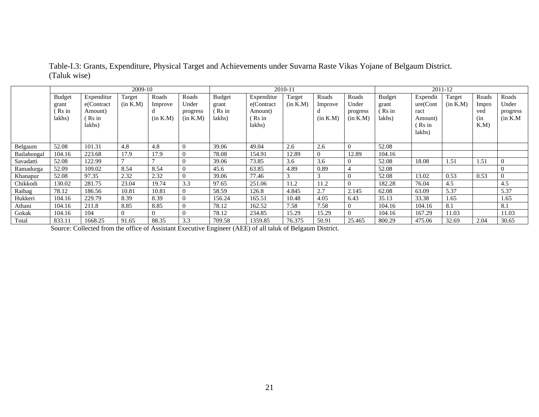|             | 2009-10       |            |          |          |          | 2010-11       |            |          |          |                | 2011-12 |          |          |       |                |
|-------------|---------------|------------|----------|----------|----------|---------------|------------|----------|----------|----------------|---------|----------|----------|-------|----------------|
|             | <b>Budget</b> | Expenditur | Target   | Roads    | Roads    | <b>Budget</b> | Expenditur | Target   | Roads    | Roads          | Budget  | Expendit | Target   | Roads | Roads          |
|             | grant         | e(Contract | (in K.M) | Improve  | Under    | grant         | e(Contract | (in K.M) | Improve  | Under          | grant   | ure(Cont | (in K.M) | Impro | Under          |
|             | Rs in         | Amount)    |          |          | progress | (Rs in        | Amount)    |          | u        | progress       | Rs in   | ract     |          | ved   | progress       |
|             | lakhs)        | Rs in      |          | (in K.M) | (in K.M) | lakhs)        | Rs in      |          | (in K.M) | (in K.M)       | lakhs)  | Amount)  |          | (in)  | (in K.M)       |
|             |               | lakhs)     |          |          |          |               | lakhs)     |          |          |                |         | Rs in    |          | K.M   |                |
|             |               |            |          |          |          |               |            |          |          |                |         | lakhs)   |          |       |                |
|             |               |            |          |          |          |               |            |          |          |                |         |          |          |       |                |
| Belgaum     | 52.08         | 101.31     | 4.8      | 4.8      | 0        | 39.06         | 49.04      | 2.6      | 2.6      | $\Omega$       | 52.08   |          |          |       |                |
| Bailahongal | 104.16        | 223.68     | 17.9     | 17.9     |          | 78.08         | 154.91     | 12.89    | $\theta$ | 12.89          | 104.16  |          |          |       |                |
| Savadatti   | 52.08         | 122.99     |          |          |          | 39.06         | 73.85      | 3.6      | 3.6      | $\theta$       | 52.08   | 18.08    | 1.51     | 1.51  | $\theta$       |
| Ramadurga   | 52.09         | 109.02     | 8.54     | 8.54     | 0        | 45.6          | 63.85      | 4.89     | 0.89     | 4              | 52.08   |          |          |       |                |
| Khanapur    | 52.08         | 97.35      | 2.32     | 2.32     | 0        | 39.06         | 77.46      |          | 3        | $\theta$       | 52.08   | 13.02    | 0.53     | 0.53  | $\overline{0}$ |
| Chikkodi    | 130.02        | 281.75     | 23.04    | 19.74    | 3.3      | 97.65         | 251.06     | 11.2     | 11.2     | $\overline{0}$ | 182.28  | 76.04    | 4.5      |       | 4.5            |
| Raibag      | 78.12         | 186.56     | 10.81    | 10.81    | 0        | 58.59         | 126.8      | 4.845    | 2.7      | 2.145          | 62.08   | 63.09    | 5.37     |       | 5.37           |
| Hukkeri     | 104.16        | 229.79     | 8.39     | 8.39     | 0        | 156.24        | 165.51     | 10.48    | 4.05     | 6.43           | 35.13   | 33.38    | 1.65     |       | 1.65           |
| Athani      | 104.16        | 211.8      | 8.85     | 8.85     |          | 78.12         | 162.52     | 7.58     | 7.58     |                | 104.16  | 104.16   | 8.1      |       | 8.1            |
| Gokak       | 104.16        | 104        |          | $\Omega$ |          | 78.12         | 234.85     | 15.29    | 15.29    |                | 104.16  | 167.29   | 11.03    |       | 11.03          |
| Total       | 833.11        | 1668.25    | 91.65    | 88.35    | 3.3      | 709.58        | 1359.85    | 76.375   | 50.91    | 25.465         | 800.29  | 475.06   | 32.69    | 2.04  | 30.65          |

Table-I.3: Grants, Expenditure, Physical Target and Achievements under Suvarna Raste Vikas Yojane of Belgaum District. (Taluk wise)

Source: Collected from the office of Assistant Executive Engineer (AEE) of all taluk of Belgaum District.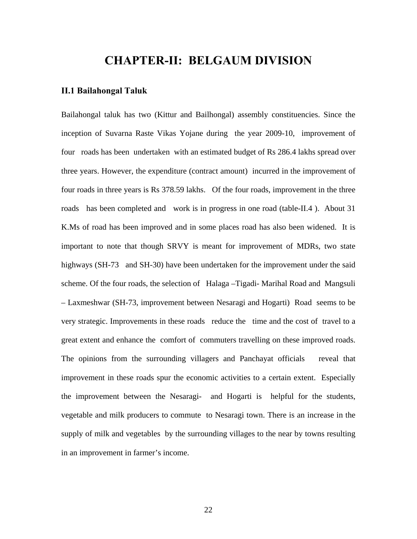# **CHAPTER-II: BELGAUM DIVISION**

#### **II.1 Bailahongal Taluk**

Bailahongal taluk has two (Kittur and Bailhongal) assembly constituencies. Since the inception of Suvarna Raste Vikas Yojane during the year 2009-10, improvement of four roads has been undertaken with an estimated budget of Rs 286.4 lakhs spread over three years. However, the expenditure (contract amount) incurred in the improvement of four roads in three years is Rs 378.59 lakhs. Of the four roads, improvement in the three roads has been completed and work is in progress in one road (table-II.4 ). About 31 K.Ms of road has been improved and in some places road has also been widened. It is important to note that though SRVY is meant for improvement of MDRs, two state highways (SH-73 and SH-30) have been undertaken for the improvement under the said scheme. Of the four roads, the selection of Halaga –Tigadi- Marihal Road and Mangsuli – Laxmeshwar (SH-73, improvement between Nesaragi and Hogarti) Road seems to be very strategic. Improvements in these roads reduce the time and the cost of travel to a great extent and enhance the comfort of commuters travelling on these improved roads. The opinions from the surrounding villagers and Panchayat officials reveal that improvement in these roads spur the economic activities to a certain extent. Especially the improvement between the Nesaragi- and Hogarti is helpful for the students, vegetable and milk producers to commute to Nesaragi town. There is an increase in the supply of milk and vegetables by the surrounding villages to the near by towns resulting in an improvement in farmer's income.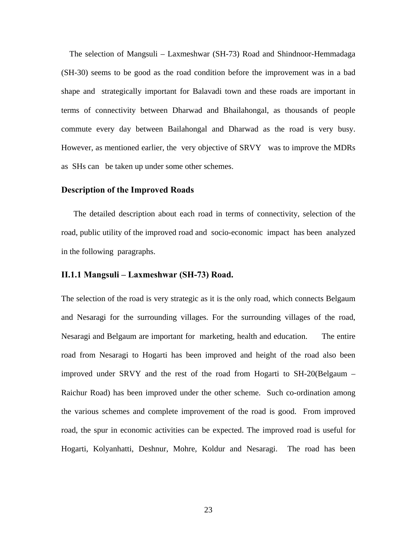The selection of Mangsuli – Laxmeshwar (SH-73) Road and Shindnoor-Hemmadaga (SH-30) seems to be good as the road condition before the improvement was in a bad shape and strategically important for Balavadi town and these roads are important in terms of connectivity between Dharwad and Bhailahongal, as thousands of people commute every day between Bailahongal and Dharwad as the road is very busy. However, as mentioned earlier, the very objective of SRVY was to improve the MDRs as SHs can be taken up under some other schemes.

#### **Description of the Improved Roads**

The detailed description about each road in terms of connectivity, selection of the road, public utility of the improved road and socio-economic impact has been analyzed in the following paragraphs.

#### **II.1.1 Mangsuli – Laxmeshwar (SH-73) Road.**

The selection of the road is very strategic as it is the only road, which connects Belgaum and Nesaragi for the surrounding villages. For the surrounding villages of the road, Nesaragi and Belgaum are important for marketing, health and education. The entire road from Nesaragi to Hogarti has been improved and height of the road also been improved under SRVY and the rest of the road from Hogarti to SH-20(Belgaum – Raichur Road) has been improved under the other scheme. Such co-ordination among the various schemes and complete improvement of the road is good. From improved road, the spur in economic activities can be expected. The improved road is useful for Hogarti, Kolyanhatti, Deshnur, Mohre, Koldur and Nesaragi. The road has been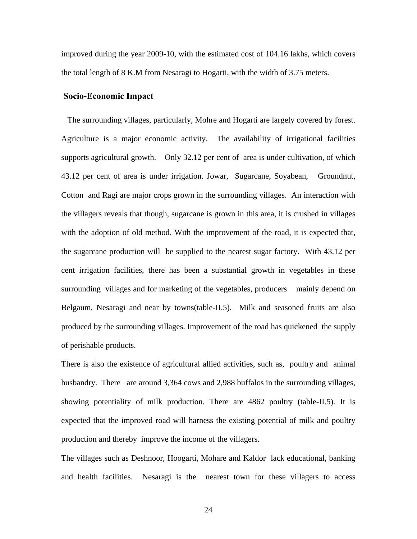improved during the year 2009-10, with the estimated cost of 104.16 lakhs, which covers the total length of 8 K.M from Nesaragi to Hogarti, with the width of 3.75 meters.

#### **Socio-Economic Impact**

 The surrounding villages, particularly, Mohre and Hogarti are largely covered by forest. Agriculture is a major economic activity. The availability of irrigational facilities supports agricultural growth. Only 32.12 per cent of area is under cultivation, of which 43.12 per cent of area is under irrigation. Jowar, Sugarcane, Soyabean, Groundnut, Cotton and Ragi are major crops grown in the surrounding villages. An interaction with the villagers reveals that though, sugarcane is grown in this area, it is crushed in villages with the adoption of old method. With the improvement of the road, it is expected that, the sugarcane production will be supplied to the nearest sugar factory. With 43.12 per cent irrigation facilities, there has been a substantial growth in vegetables in these surrounding villages and for marketing of the vegetables, producers mainly depend on Belgaum, Nesaragi and near by towns(table-II.5). Milk and seasoned fruits are also produced by the surrounding villages. Improvement of the road has quickened the supply of perishable products.

There is also the existence of agricultural allied activities, such as, poultry and animal husbandry. There are around 3,364 cows and 2,988 buffalos in the surrounding villages, showing potentiality of milk production. There are 4862 poultry (table-II.5). It is expected that the improved road will harness the existing potential of milk and poultry production and thereby improve the income of the villagers.

The villages such as Deshnoor, Hoogarti, Mohare and Kaldor lack educational, banking and health facilities. Nesaragi is the nearest town for these villagers to access

24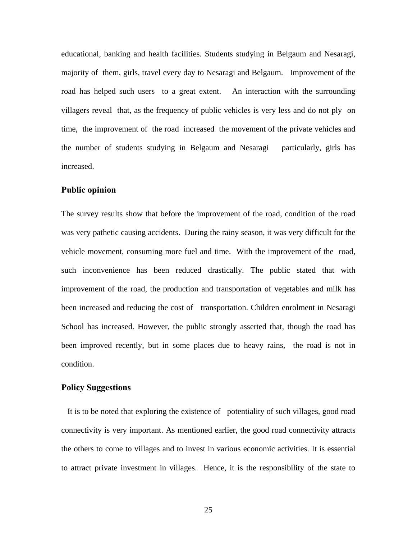educational, banking and health facilities. Students studying in Belgaum and Nesaragi, majority of them, girls, travel every day to Nesaragi and Belgaum. Improvement of the road has helped such users to a great extent. An interaction with the surrounding villagers reveal that, as the frequency of public vehicles is very less and do not ply on time, the improvement of the road increased the movement of the private vehicles and the number of students studying in Belgaum and Nesaragi particularly, girls has increased.

#### **Public opinion**

The survey results show that before the improvement of the road, condition of the road was very pathetic causing accidents. During the rainy season, it was very difficult for the vehicle movement, consuming more fuel and time. With the improvement of the road, such inconvenience has been reduced drastically. The public stated that with improvement of the road, the production and transportation of vegetables and milk has been increased and reducing the cost of transportation. Children enrolment in Nesaragi School has increased. However, the public strongly asserted that, though the road has been improved recently, but in some places due to heavy rains, the road is not in condition.

#### **Policy Suggestions**

 It is to be noted that exploring the existence of potentiality of such villages, good road connectivity is very important. As mentioned earlier, the good road connectivity attracts the others to come to villages and to invest in various economic activities. It is essential to attract private investment in villages. Hence, it is the responsibility of the state to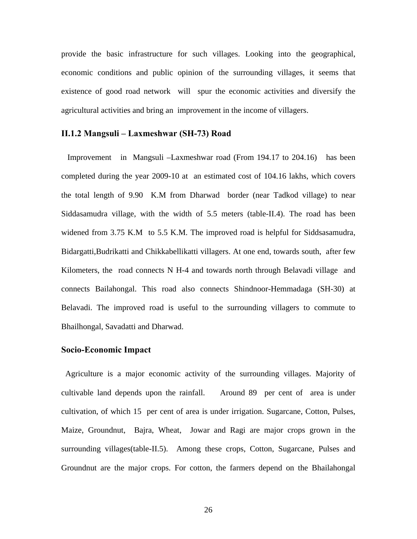provide the basic infrastructure for such villages. Looking into the geographical, economic conditions and public opinion of the surrounding villages, it seems that existence of good road network will spur the economic activities and diversify the agricultural activities and bring an improvement in the income of villagers.

#### **II.1.2 Mangsuli – Laxmeshwar (SH-73) Road**

 Improvement in Mangsuli –Laxmeshwar road (From 194.17 to 204.16) has been completed during the year 2009-10 at an estimated cost of 104.16 lakhs, which covers the total length of 9.90 K.M from Dharwad border (near Tadkod village) to near Siddasamudra village, with the width of 5.5 meters (table-II.4). The road has been widened from 3.75 K.M to 5.5 K.M. The improved road is helpful for Siddsasamudra, Bidargatti,Budrikatti and Chikkabellikatti villagers. At one end, towards south, after few Kilometers, the road connects N H-4 and towards north through Belavadi village and connects Bailahongal. This road also connects Shindnoor-Hemmadaga (SH-30) at Belavadi. The improved road is useful to the surrounding villagers to commute to Bhailhongal, Savadatti and Dharwad.

#### **Socio-Economic Impact**

 Agriculture is a major economic activity of the surrounding villages. Majority of cultivable land depends upon the rainfall. Around 89 per cent of area is under cultivation, of which 15 per cent of area is under irrigation. Sugarcane, Cotton, Pulses, Maize, Groundnut, Bajra, Wheat, Jowar and Ragi are major crops grown in the surrounding villages(table-II.5). Among these crops, Cotton, Sugarcane, Pulses and Groundnut are the major crops. For cotton, the farmers depend on the Bhailahongal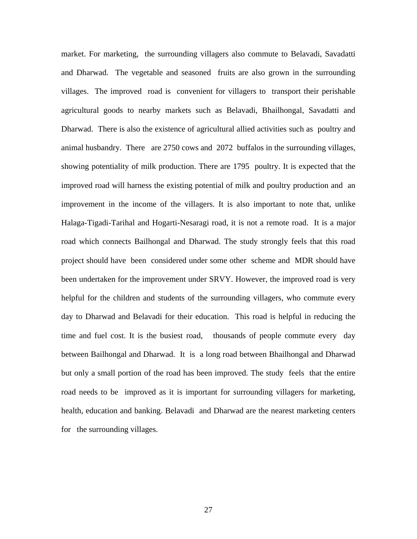market. For marketing, the surrounding villagers also commute to Belavadi, Savadatti and Dharwad. The vegetable and seasoned fruits are also grown in the surrounding villages. The improved road is convenient for villagers to transport their perishable agricultural goods to nearby markets such as Belavadi, Bhailhongal, Savadatti and Dharwad. There is also the existence of agricultural allied activities such as poultry and animal husbandry. There are 2750 cows and 2072 buffalos in the surrounding villages, showing potentiality of milk production. There are 1795 poultry. It is expected that the improved road will harness the existing potential of milk and poultry production and an improvement in the income of the villagers. It is also important to note that, unlike Halaga-Tigadi-Tarihal and Hogarti-Nesaragi road, it is not a remote road. It is a major road which connects Bailhongal and Dharwad. The study strongly feels that this road project should have been considered under some other scheme and MDR should have been undertaken for the improvement under SRVY. However, the improved road is very helpful for the children and students of the surrounding villagers, who commute every day to Dharwad and Belavadi for their education. This road is helpful in reducing the time and fuel cost. It is the busiest road, thousands of people commute every day between Bailhongal and Dharwad. It is a long road between Bhailhongal and Dharwad but only a small portion of the road has been improved. The study feels that the entire road needs to be improved as it is important for surrounding villagers for marketing, health, education and banking. Belavadi and Dharwad are the nearest marketing centers for the surrounding villages.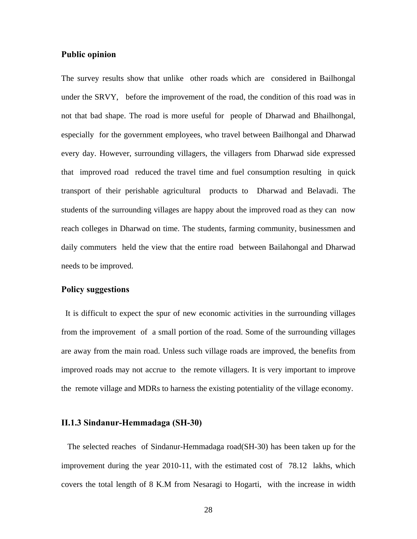#### **Public opinion**

The survey results show that unlike other roads which are considered in Bailhongal under the SRVY, before the improvement of the road, the condition of this road was in not that bad shape. The road is more useful for people of Dharwad and Bhailhongal, especially for the government employees, who travel between Bailhongal and Dharwad every day. However, surrounding villagers, the villagers from Dharwad side expressed that improved road reduced the travel time and fuel consumption resulting in quick transport of their perishable agricultural products to Dharwad and Belavadi. The students of the surrounding villages are happy about the improved road as they can now reach colleges in Dharwad on time. The students, farming community, businessmen and daily commuters held the view that the entire road between Bailahongal and Dharwad needs to be improved.

#### **Policy suggestions**

 It is difficult to expect the spur of new economic activities in the surrounding villages from the improvement of a small portion of the road. Some of the surrounding villages are away from the main road. Unless such village roads are improved, the benefits from improved roads may not accrue to the remote villagers. It is very important to improve the remote village and MDRs to harness the existing potentiality of the village economy.

#### **II.1.3 Sindanur-Hemmadaga (SH-30)**

 The selected reaches of Sindanur-Hemmadaga road(SH-30) has been taken up for the improvement during the year 2010-11, with the estimated cost of 78.12 lakhs, which covers the total length of 8 K.M from Nesaragi to Hogarti, with the increase in width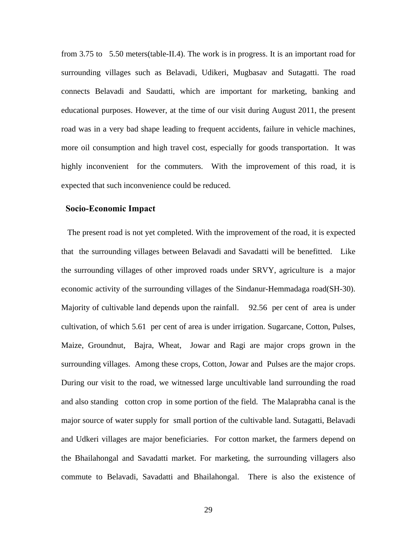from 3.75 to 5.50 meters(table-II.4). The work is in progress. It is an important road for surrounding villages such as Belavadi, Udikeri, Mugbasav and Sutagatti. The road connects Belavadi and Saudatti, which are important for marketing, banking and educational purposes. However, at the time of our visit during August 2011, the present road was in a very bad shape leading to frequent accidents, failure in vehicle machines, more oil consumption and high travel cost, especially for goods transportation. It was highly inconvenient for the commuters. With the improvement of this road, it is expected that such inconvenience could be reduced.

#### **Socio-Economic Impact**

 The present road is not yet completed. With the improvement of the road, it is expected that the surrounding villages between Belavadi and Savadatti will be benefitted. Like the surrounding villages of other improved roads under SRVY, agriculture is a major economic activity of the surrounding villages of the Sindanur-Hemmadaga road(SH-30). Majority of cultivable land depends upon the rainfall. 92.56 per cent of area is under cultivation, of which 5.61 per cent of area is under irrigation. Sugarcane, Cotton, Pulses, Maize, Groundnut, Bajra, Wheat, Jowar and Ragi are major crops grown in the surrounding villages. Among these crops, Cotton, Jowar and Pulses are the major crops. During our visit to the road, we witnessed large uncultivable land surrounding the road and also standing cotton crop in some portion of the field. The Malaprabha canal is the major source of water supply for small portion of the cultivable land. Sutagatti, Belavadi and Udkeri villages are major beneficiaries. For cotton market, the farmers depend on the Bhailahongal and Savadatti market. For marketing, the surrounding villagers also commute to Belavadi, Savadatti and Bhailahongal. There is also the existence of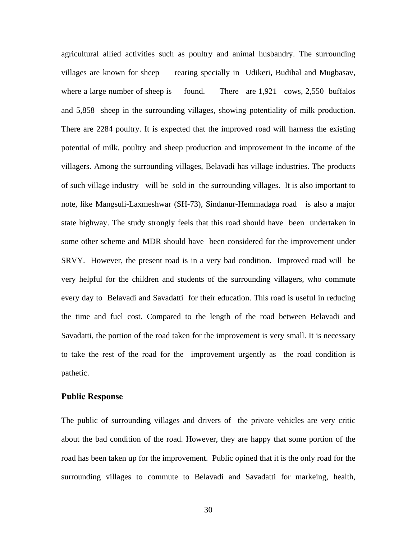agricultural allied activities such as poultry and animal husbandry. The surrounding villages are known for sheep rearing specially in Udikeri, Budihal and Mugbasav, where a large number of sheep is found. There are 1,921 cows, 2,550 buffalos and 5,858 sheep in the surrounding villages, showing potentiality of milk production. There are 2284 poultry. It is expected that the improved road will harness the existing potential of milk, poultry and sheep production and improvement in the income of the villagers. Among the surrounding villages, Belavadi has village industries. The products of such village industry will be sold in the surrounding villages. It is also important to note, like Mangsuli-Laxmeshwar (SH-73), Sindanur-Hemmadaga road is also a major state highway. The study strongly feels that this road should have been undertaken in some other scheme and MDR should have been considered for the improvement under SRVY. However, the present road is in a very bad condition. Improved road will be very helpful for the children and students of the surrounding villagers, who commute every day to Belavadi and Savadatti for their education. This road is useful in reducing the time and fuel cost. Compared to the length of the road between Belavadi and Savadatti, the portion of the road taken for the improvement is very small. It is necessary to take the rest of the road for the improvement urgently as the road condition is pathetic.

#### **Public Response**

The public of surrounding villages and drivers of the private vehicles are very critic about the bad condition of the road. However, they are happy that some portion of the road has been taken up for the improvement. Public opined that it is the only road for the surrounding villages to commute to Belavadi and Savadatti for markeing, health,

30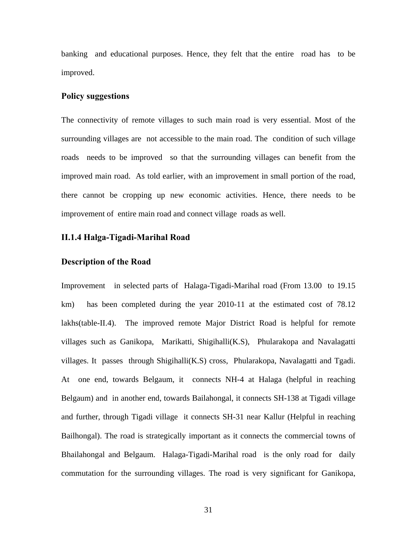banking and educational purposes. Hence, they felt that the entire road has to be improved.

#### **Policy suggestions**

The connectivity of remote villages to such main road is very essential. Most of the surrounding villages are not accessible to the main road. The condition of such village roads needs to be improved so that the surrounding villages can benefit from the improved main road. As told earlier, with an improvement in small portion of the road, there cannot be cropping up new economic activities. Hence, there needs to be improvement of entire main road and connect village roads as well.

# **II.1.4 Halga-Tigadi-Marihal Road**

#### **Description of the Road**

Improvement in selected parts of Halaga-Tigadi-Marihal road (From 13.00 to 19.15 km) has been completed during the year 2010-11 at the estimated cost of 78.12 lakhs(table-II.4). The improved remote Major District Road is helpful for remote villages such as Ganikopa, Marikatti, Shigihalli(K.S), Phularakopa and Navalagatti villages. It passes through Shigihalli(K.S) cross, Phularakopa, Navalagatti and Tgadi. At one end, towards Belgaum, it connects NH-4 at Halaga (helpful in reaching Belgaum) and in another end, towards Bailahongal, it connects SH-138 at Tigadi village and further, through Tigadi village it connects SH-31 near Kallur (Helpful in reaching Bailhongal). The road is strategically important as it connects the commercial towns of Bhailahongal and Belgaum. Halaga-Tigadi-Marihal road is the only road for daily commutation for the surrounding villages. The road is very significant for Ganikopa,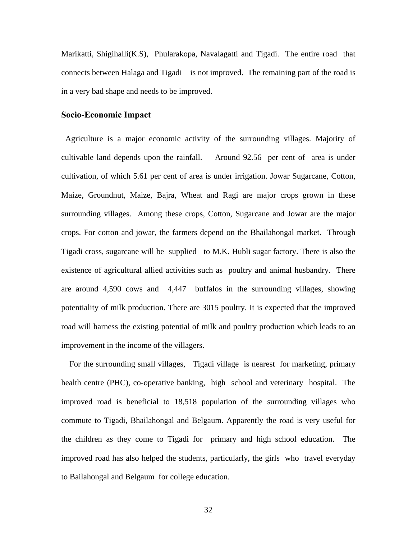Marikatti, Shigihalli(K.S), Phularakopa, Navalagatti and Tigadi. The entire road that connects between Halaga and Tigadi is not improved. The remaining part of the road is in a very bad shape and needs to be improved.

#### **Socio-Economic Impact**

 Agriculture is a major economic activity of the surrounding villages. Majority of cultivable land depends upon the rainfall. Around 92.56 per cent of area is under cultivation, of which 5.61 per cent of area is under irrigation. Jowar Sugarcane, Cotton, Maize, Groundnut, Maize, Bajra, Wheat and Ragi are major crops grown in these surrounding villages. Among these crops, Cotton, Sugarcane and Jowar are the major crops. For cotton and jowar, the farmers depend on the Bhailahongal market. Through Tigadi cross, sugarcane will be supplied to M.K. Hubli sugar factory. There is also the existence of agricultural allied activities such as poultry and animal husbandry. There are around 4,590 cows and 4,447 buffalos in the surrounding villages, showing potentiality of milk production. There are 3015 poultry. It is expected that the improved road will harness the existing potential of milk and poultry production which leads to an improvement in the income of the villagers.

 For the surrounding small villages, Tigadi village is nearest for marketing, primary health centre (PHC), co-operative banking, high school and veterinary hospital. The improved road is beneficial to 18,518 population of the surrounding villages who commute to Tigadi, Bhailahongal and Belgaum. Apparently the road is very useful for the children as they come to Tigadi for primary and high school education. The improved road has also helped the students, particularly, the girls who travel everyday to Bailahongal and Belgaum for college education.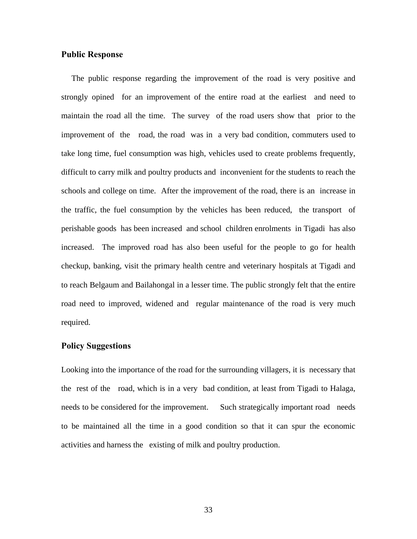#### **Public Response**

 The public response regarding the improvement of the road is very positive and strongly opined for an improvement of the entire road at the earliest and need to maintain the road all the time. The survey of the road users show that prior to the improvement of the road, the road was in a very bad condition, commuters used to take long time, fuel consumption was high, vehicles used to create problems frequently, difficult to carry milk and poultry products and inconvenient for the students to reach the schools and college on time. After the improvement of the road, there is an increase in the traffic, the fuel consumption by the vehicles has been reduced, the transport of perishable goods has been increased and school children enrolments in Tigadi has also increased. The improved road has also been useful for the people to go for health checkup, banking, visit the primary health centre and veterinary hospitals at Tigadi and to reach Belgaum and Bailahongal in a lesser time. The public strongly felt that the entire road need to improved, widened and regular maintenance of the road is very much required.

#### **Policy Suggestions**

Looking into the importance of the road for the surrounding villagers, it is necessary that the rest of the road, which is in a very bad condition, at least from Tigadi to Halaga, needs to be considered for the improvement. Such strategically important road needs to be maintained all the time in a good condition so that it can spur the economic activities and harness the existing of milk and poultry production.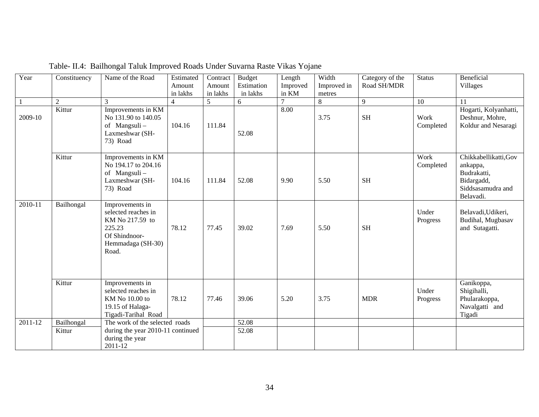| Year    | Constituency         | Name of the Road                                                                                                   | Estimated<br>Amount<br>in lakhs | Contract<br>Amount<br>in lakhs | <b>Budget</b><br>Estimation<br>in lakhs | Length<br>Improved<br>in KM | Width<br>Improved in<br>metres | Category of the<br>Road SH/MDR | <b>Status</b>     | Beneficial<br><b>Villages</b>                                                                    |
|---------|----------------------|--------------------------------------------------------------------------------------------------------------------|---------------------------------|--------------------------------|-----------------------------------------|-----------------------------|--------------------------------|--------------------------------|-------------------|--------------------------------------------------------------------------------------------------|
|         | $\overline{2}$       | 3                                                                                                                  | $\overline{4}$                  | 5                              | 6                                       |                             | 8                              | 9                              | 10                | 11                                                                                               |
| 2009-10 | Kittur               | Improvements in KM<br>No 131.90 to 140.05<br>of Mangsuli-<br>Laxmeshwar (SH-<br>73) Road                           | 104.16                          | 111.84                         | 52.08                                   | 8.00                        | 3.75                           | <b>SH</b>                      | Work<br>Completed | Hogarti, Kolyanhatti,<br>Deshnur, Mohre,<br>Koldur and Nesaragi                                  |
|         | Kittur               | Improvements in KM<br>No 194.17 to 204.16<br>of Mangsuli-<br>Laxmeshwar (SH-<br>73) Road                           | 104.16                          | 111.84                         | 52.08                                   | 9.90                        | 5.50                           | <b>SH</b>                      | Work<br>Completed | Chikkabellikatti, Gov<br>ankappa,<br>Budrakatti,<br>Bidargadd,<br>Siddsasamudra and<br>Belavadi. |
| 2010-11 | Bailhongal           | Improvements in<br>selected reaches in<br>KM No 217.59 to<br>225.23<br>Of Shindnoor-<br>Hemmadaga (SH-30)<br>Road. | 78.12                           | 77.45                          | 39.02                                   | 7.69                        | 5.50                           | <b>SH</b>                      | Under<br>Progress | Belavadi, Udikeri,<br>Budihal, Mugbasav<br>and Sutagatti.                                        |
|         | Kittur               | Improvements in<br>selected reaches in<br>KM No 10.00 to<br>19.15 of Halaga-<br>Tigadi-Tarihal Road                | 78.12                           | 77.46                          | 39.06                                   | 5.20                        | 3.75                           | <b>MDR</b>                     | Under<br>Progress | Ganikoppa,<br>Shigihalli,<br>Phularakoppa,<br>Navalgatti and<br>Tigadi                           |
| 2011-12 | Bailhongal<br>Kittur | The work of the selected roads<br>during the year 2010-11 continued<br>during the year<br>2011-12                  |                                 |                                | 52.08<br>52.08                          |                             |                                |                                |                   |                                                                                                  |

Table- II.4: Bailhongal Taluk Improved Roads Under Suvarna Raste Vikas Yojane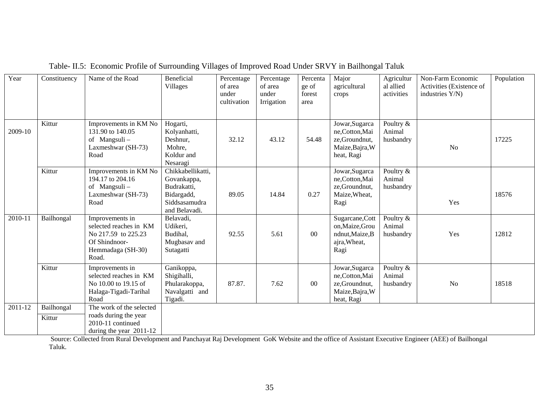| Year    | Constituency                   | Name of the Road                                                                                                | Beneficial<br><b>Villages</b>                                                                   | Percentage<br>of area<br>under<br>cultivation | Percentage<br>of area<br>under<br>Irrigation | Percenta<br>ge of<br>forest<br>area | Major<br>agricultural<br>crops                                                    | Agricultur<br>al allied<br>activities | Non-Farm Economic<br>Activities (Existence of<br>industries Y/N) | Population |
|---------|--------------------------------|-----------------------------------------------------------------------------------------------------------------|-------------------------------------------------------------------------------------------------|-----------------------------------------------|----------------------------------------------|-------------------------------------|-----------------------------------------------------------------------------------|---------------------------------------|------------------------------------------------------------------|------------|
| 2009-10 | Kittur                         | Improvements in KM No<br>131.90 to 140.05<br>of Mangsuli-<br>Laxmeshwar (SH-73)<br>Road                         | Hogarti,<br>Kolyanhatti,<br>Deshnur,<br>Mohre,<br>Koldur and<br>Nesaragi                        | 32.12                                         | 43.12                                        | 54.48                               | Jowar, Sugarca<br>ne,Cotton,Mai<br>ze,Groundnut,<br>Maize, Bajra, W<br>heat, Ragi | Poultry &<br>Animal<br>husbandry      | No                                                               | 17225      |
|         | Kittur                         | Improvements in KM No<br>194.17 to 204.16<br>of Mangsuli-<br>Laxmeshwar (SH-73)<br>Road                         | Chikkabellikatti,<br>Govankappa,<br>Budrakatti,<br>Bidargadd,<br>Siddsasamudra<br>and Belavadi. | 89.05                                         | 14.84                                        | 0.27                                | Jowar, Sugarca<br>ne,Cotton,Mai<br>ze,Groundnut,<br>Maize, Wheat,<br>Ragi         | Poultry &<br>Animal<br>husbandry      | Yes                                                              | 18576      |
| 2010-11 | Bailhongal                     | Improvements in<br>selected reaches in KM<br>No 217.59 to 225.23<br>Of Shindnoor-<br>Hemmadaga (SH-30)<br>Road. | Belavadi,<br>Udikeri,<br>Budihal,<br>Mugbasav and<br>Sutagatti                                  | 92.55                                         | 5.61                                         | $00\,$                              | Sugarcane, Cott<br>on,Maize,Grou<br>ndnut, Maize, B<br>ajra, Wheat,<br>Ragi       | Poultry &<br>Animal<br>husbandry      | Yes                                                              | 12812      |
|         | Kittur                         | Improvements in<br>selected reaches in KM<br>No 10.00 to 19.15 of<br>Halaga-Tigadi-Tarihal<br>Road              | Ganikoppa,<br>Shigihalli,<br>Phularakoppa,<br>Navalgatti and<br>Tigadi.                         | 87.87.                                        | 7.62                                         | $00\,$                              | Jowar, Sugarca<br>ne,Cotton,Mai<br>ze,Groundnut,<br>Maize, Bajra, W<br>heat, Ragi | Poultry &<br>Animal<br>husbandry      | N <sub>o</sub>                                                   | 18518      |
| 2011-12 | Bailhongal<br>Kittur<br>$\sim$ | The work of the selected<br>roads during the year<br>2010-11 continued<br>during the year 2011-12               | $\sim$                                                                                          | $\mathbf{r}$ $\mathbf{r}$                     | $\alpha$ <i>xxxxx</i> $\alpha$ $\beta$       |                                     |                                                                                   |                                       | $\overline{1}$<br>$2.77 \times 10^{-1}$                          |            |

Table- II.5: Economic Profile of Surrounding Villages of Improved Road Under SRVY in Bailhongal Taluk

 Source: Collected from Rural Development and Panchayat Raj Development GoK Website and the office of Assistant Executive Engineer (AEE) of Bailhongal Taluk.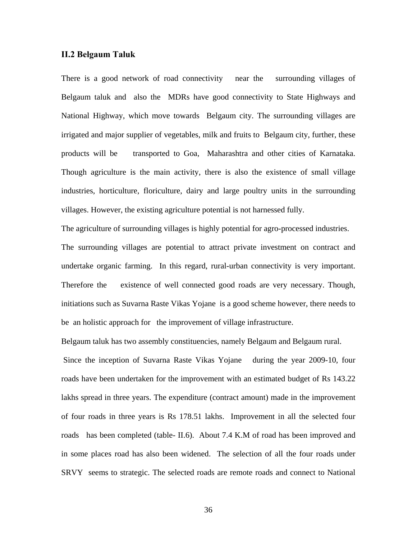#### **II.2 Belgaum Taluk**

There is a good network of road connectivity near the surrounding villages of Belgaum taluk and also the MDRs have good connectivity to State Highways and National Highway, which move towards Belgaum city. The surrounding villages are irrigated and major supplier of vegetables, milk and fruits to Belgaum city, further, these products will be transported to Goa, Maharashtra and other cities of Karnataka. Though agriculture is the main activity, there is also the existence of small village industries, horticulture, floriculture, dairy and large poultry units in the surrounding villages. However, the existing agriculture potential is not harnessed fully.

The agriculture of surrounding villages is highly potential for agro-processed industries. The surrounding villages are potential to attract private investment on contract and undertake organic farming. In this regard, rural-urban connectivity is very important. Therefore the existence of well connected good roads are very necessary. Though, initiations such as Suvarna Raste Vikas Yojane is a good scheme however, there needs to be an holistic approach for the improvement of village infrastructure.

Belgaum taluk has two assembly constituencies, namely Belgaum and Belgaum rural.

 Since the inception of Suvarna Raste Vikas Yojane during the year 2009-10, four roads have been undertaken for the improvement with an estimated budget of Rs 143.22 lakhs spread in three years. The expenditure (contract amount) made in the improvement of four roads in three years is Rs 178.51 lakhs. Improvement in all the selected four roads has been completed (table- II.6). About 7.4 K.M of road has been improved and in some places road has also been widened. The selection of all the four roads under SRVY seems to strategic. The selected roads are remote roads and connect to National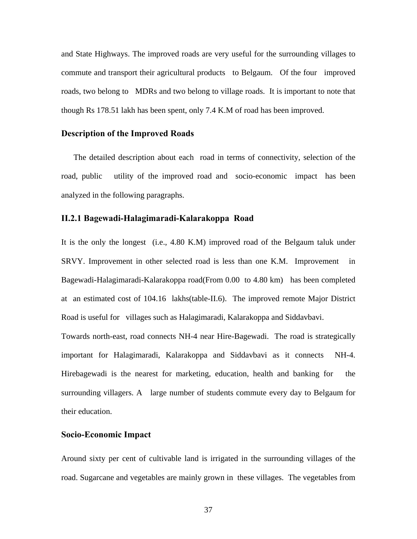and State Highways. The improved roads are very useful for the surrounding villages to commute and transport their agricultural products to Belgaum. Of the four improved roads, two belong to MDRs and two belong to village roads. It is important to note that though Rs 178.51 lakh has been spent, only 7.4 K.M of road has been improved.

#### **Description of the Improved Roads**

The detailed description about each road in terms of connectivity, selection of the road, public utility of the improved road and socio-economic impact has been analyzed in the following paragraphs.

#### **II.2.1 Bagewadi-Halagimaradi-Kalarakoppa Road**

It is the only the longest (i.e., 4.80 K.M) improved road of the Belgaum taluk under SRVY. Improvement in other selected road is less than one K.M. Improvement in Bagewadi-Halagimaradi-Kalarakoppa road(From 0.00 to 4.80 km) has been completed at an estimated cost of 104.16 lakhs(table-II.6). The improved remote Major District Road is useful for villages such as Halagimaradi, Kalarakoppa and Siddavbavi.

Towards north-east, road connects NH-4 near Hire-Bagewadi. The road is strategically important for Halagimaradi, Kalarakoppa and Siddavbavi as it connects NH-4. Hirebagewadi is the nearest for marketing, education, health and banking for the surrounding villagers. A large number of students commute every day to Belgaum for their education.

#### **Socio-Economic Impact**

Around sixty per cent of cultivable land is irrigated in the surrounding villages of the road. Sugarcane and vegetables are mainly grown in these villages. The vegetables from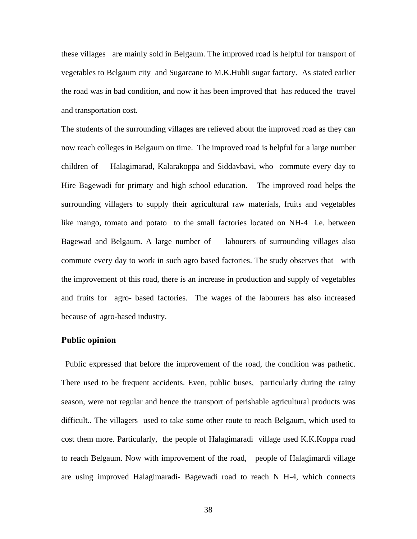these villages are mainly sold in Belgaum. The improved road is helpful for transport of vegetables to Belgaum city and Sugarcane to M.K.Hubli sugar factory. As stated earlier the road was in bad condition, and now it has been improved that has reduced the travel and transportation cost.

The students of the surrounding villages are relieved about the improved road as they can now reach colleges in Belgaum on time. The improved road is helpful for a large number children of Halagimarad, Kalarakoppa and Siddavbavi, who commute every day to Hire Bagewadi for primary and high school education. The improved road helps the surrounding villagers to supply their agricultural raw materials, fruits and vegetables like mango, tomato and potato to the small factories located on NH-4 i.e. between Bagewad and Belgaum. A large number of labourers of surrounding villages also commute every day to work in such agro based factories. The study observes that with the improvement of this road, there is an increase in production and supply of vegetables and fruits for agro- based factories. The wages of the labourers has also increased because of agro-based industry.

#### **Public opinion**

 Public expressed that before the improvement of the road, the condition was pathetic. There used to be frequent accidents. Even, public buses, particularly during the rainy season, were not regular and hence the transport of perishable agricultural products was difficult.. The villagers used to take some other route to reach Belgaum, which used to cost them more. Particularly, the people of Halagimaradi village used K.K.Koppa road to reach Belgaum. Now with improvement of the road, people of Halagimardi village are using improved Halagimaradi- Bagewadi road to reach N H-4, which connects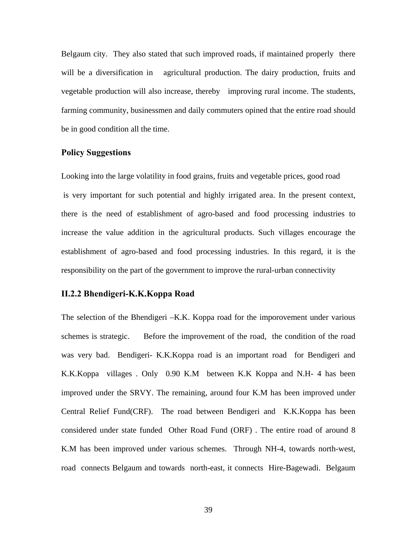Belgaum city. They also stated that such improved roads, if maintained properly there will be a diversification in agricultural production. The dairy production, fruits and vegetable production will also increase, thereby improving rural income. The students, farming community, businessmen and daily commuters opined that the entire road should be in good condition all the time.

# **Policy Suggestions**

Looking into the large volatility in food grains, fruits and vegetable prices, good road is very important for such potential and highly irrigated area. In the present context, there is the need of establishment of agro-based and food processing industries to increase the value addition in the agricultural products. Such villages encourage the establishment of agro-based and food processing industries. In this regard, it is the responsibility on the part of the government to improve the rural-urban connectivity

# **II.2.2 Bhendigeri-K.K.Koppa Road**

The selection of the Bhendigeri –K.K. Koppa road for the imporovement under various schemes is strategic. Before the improvement of the road, the condition of the road was very bad. Bendigeri- K.K.Koppa road is an important road for Bendigeri and K.K.Koppa villages . Only 0.90 K.M between K.K Koppa and N.H- 4 has been improved under the SRVY. The remaining, around four K.M has been improved under Central Relief Fund(CRF). The road between Bendigeri and K.K.Koppa has been considered under state funded Other Road Fund (ORF) . The entire road of around 8 K.M has been improved under various schemes. Through NH-4, towards north-west, road connects Belgaum and towards north-east, it connects Hire-Bagewadi. Belgaum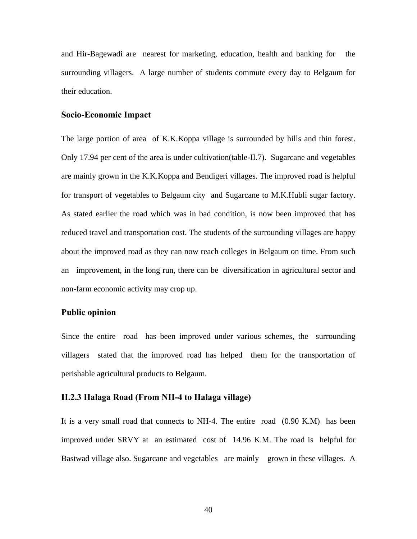and Hir-Bagewadi are nearest for marketing, education, health and banking for the surrounding villagers. A large number of students commute every day to Belgaum for their education.

#### **Socio-Economic Impact**

The large portion of area of K.K.Koppa village is surrounded by hills and thin forest. Only 17.94 per cent of the area is under cultivation(table-II.7). Sugarcane and vegetables are mainly grown in the K.K.Koppa and Bendigeri villages. The improved road is helpful for transport of vegetables to Belgaum city and Sugarcane to M.K.Hubli sugar factory. As stated earlier the road which was in bad condition, is now been improved that has reduced travel and transportation cost. The students of the surrounding villages are happy about the improved road as they can now reach colleges in Belgaum on time. From such an improvement, in the long run, there can be diversification in agricultural sector and non-farm economic activity may crop up.

# **Public opinion**

Since the entire road has been improved under various schemes, the surrounding villagers stated that the improved road has helped them for the transportation of perishable agricultural products to Belgaum.

# **II.2.3 Halaga Road (From NH-4 to Halaga village)**

It is a very small road that connects to NH-4. The entire road (0.90 K.M) has been improved under SRVY at an estimated cost of 14.96 K.M. The road is helpful for Bastwad village also. Sugarcane and vegetables are mainly grown in these villages. A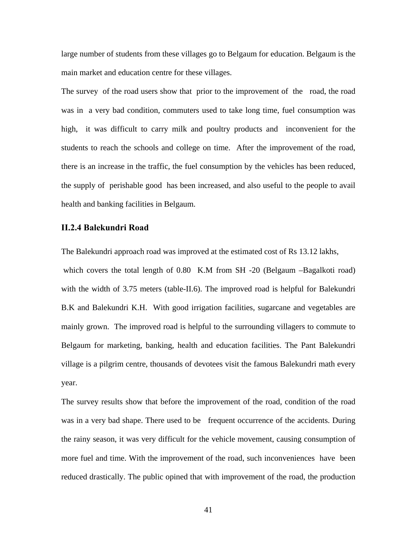large number of students from these villages go to Belgaum for education. Belgaum is the main market and education centre for these villages.

The survey of the road users show that prior to the improvement of the road, the road was in a very bad condition, commuters used to take long time, fuel consumption was high, it was difficult to carry milk and poultry products and inconvenient for the students to reach the schools and college on time. After the improvement of the road, there is an increase in the traffic, the fuel consumption by the vehicles has been reduced, the supply of perishable good has been increased, and also useful to the people to avail health and banking facilities in Belgaum.

#### **II.2.4 Balekundri Road**

The Balekundri approach road was improved at the estimated cost of Rs 13.12 lakhs, which covers the total length of 0.80 K.M from SH -20 (Belgaum –Bagalkoti road) with the width of 3.75 meters (table-II.6). The improved road is helpful for Balekundri B.K and Balekundri K.H. With good irrigation facilities, sugarcane and vegetables are mainly grown. The improved road is helpful to the surrounding villagers to commute to Belgaum for marketing, banking, health and education facilities. The Pant Balekundri village is a pilgrim centre, thousands of devotees visit the famous Balekundri math every year.

The survey results show that before the improvement of the road, condition of the road was in a very bad shape. There used to be frequent occurrence of the accidents. During the rainy season, it was very difficult for the vehicle movement, causing consumption of more fuel and time. With the improvement of the road, such inconveniences have been reduced drastically. The public opined that with improvement of the road, the production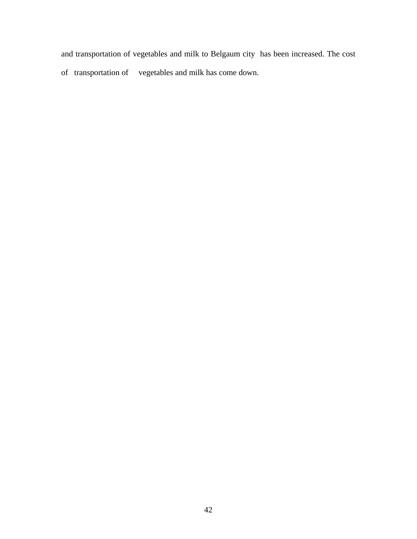and transportation of vegetables and milk to Belgaum city has been increased. The cost of transportation of vegetables and milk has come down.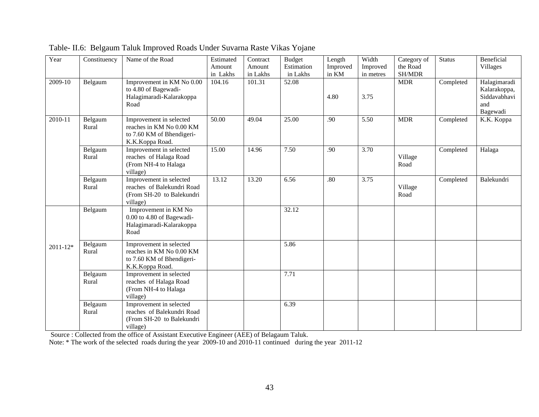| Year         | Constituency     | Name of the Road                                                                                    | Estimated<br>Amount<br>in Lakhs | Contract<br>Amount<br>in Lakhs | <b>Budget</b><br>Estimation<br>in Lakhs | Length<br>Improved<br>in KM | Width<br>Improved<br>in metres | Category of<br>the Road<br>SH/MDR | <b>Status</b> | Beneficial<br><b>Villages</b>                                   |
|--------------|------------------|-----------------------------------------------------------------------------------------------------|---------------------------------|--------------------------------|-----------------------------------------|-----------------------------|--------------------------------|-----------------------------------|---------------|-----------------------------------------------------------------|
| 2009-10      | Belgaum          | Improvement in KM No 0.00<br>to 4.80 of Bagewadi-<br>Halagimaradi-Kalarakoppa<br>Road               | 104.16                          | 101.31                         | 52.08                                   | 4.80                        | 3.75                           | <b>MDR</b>                        | Completed     | Halagimaradi<br>Kalarakoppa,<br>Siddavabhavi<br>and<br>Bagewadi |
| $2010 - 11$  | Belgaum<br>Rural | Improvement in selected<br>reaches in KM No 0.00 KM<br>to 7.60 KM of Bhendigeri-<br>K.K.Koppa Road. | 50.00                           | 49.04                          | 25.00                                   | .90                         | 5.50                           | <b>MDR</b>                        | Completed     | K.K. Koppa                                                      |
|              | Belgaum<br>Rural | Improvement in selected<br>reaches of Halaga Road<br>(From NH-4 to Halaga<br>village)               | 15.00                           | 14.96                          | 7.50                                    | .90                         | 3.70                           | Village<br>Road                   | Completed     | Halaga                                                          |
|              | Belgaum<br>Rural | Improvement in selected<br>reaches of Balekundri Road<br>(From SH-20 to Balekundri<br>village)      | 13.12                           | 13.20                          | 6.56                                    | .80                         | 3.75                           | Village<br>Road                   | Completed     | Balekundri                                                      |
|              | Belgaum          | Improvement in KM No<br>0.00 to 4.80 of Bagewadi-<br>Halagimaradi-Kalarakoppa<br>Road               |                                 |                                | 32.12                                   |                             |                                |                                   |               |                                                                 |
| $2011 - 12*$ | Belgaum<br>Rural | Improvement in selected<br>reaches in KM No 0.00 KM<br>to 7.60 KM of Bhendigeri-<br>K.K.Koppa Road. |                                 |                                | 5.86                                    |                             |                                |                                   |               |                                                                 |
|              | Belgaum<br>Rural | Improvement in selected<br>reaches of Halaga Road<br>(From NH-4 to Halaga<br>village)               |                                 |                                | 7.71                                    |                             |                                |                                   |               |                                                                 |
|              | Belgaum<br>Rural | Improvement in selected<br>reaches of Balekundri Road<br>(From SH-20 to Balekundri<br>village)      |                                 |                                | 6.39                                    |                             |                                |                                   |               |                                                                 |

Table- II.6: Belgaum Taluk Improved Roads Under Suvarna Raste Vikas Yojane

Source : Collected from the office of Assistant Executive Engineer (AEE) of Belagaum Taluk.

Note: \* The work of the selected roads during the year 2009-10 and 2010-11 continued during the year 2011-12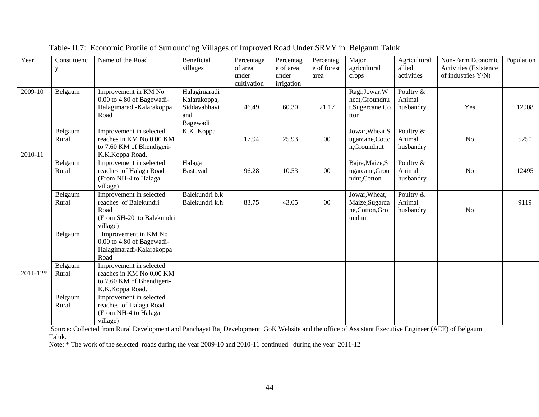| Year         | Constituenc<br>y | Name of the Road                                                                                    | Beneficial<br>villages                                          | Percentage<br>of area<br>under<br>cultivation | Percentag<br>e of area<br>under<br>irrigation | Percentag<br>e of forest<br>area | Major<br>agricultural<br>crops                               | Agricultural<br>allied<br>activities | Non-Farm Economic<br><b>Activities</b> (Existence<br>of industries Y/N) | Population |
|--------------|------------------|-----------------------------------------------------------------------------------------------------|-----------------------------------------------------------------|-----------------------------------------------|-----------------------------------------------|----------------------------------|--------------------------------------------------------------|--------------------------------------|-------------------------------------------------------------------------|------------|
| 2009-10      | Belgaum          | Improvement in KM No<br>0.00 to 4.80 of Bagewadi-<br>Halagimaradi-Kalarakoppa<br>Road               | Halagimaradi<br>Kalarakoppa,<br>Siddavabhavi<br>and<br>Bagewadi | 46.49                                         | 60.30                                         | 21.17                            | Ragi, Jowar, W<br>heat, Groundnu<br>t,Sugercane,Co<br>tton   | Poultry $&$<br>Animal<br>husbandry   | Yes                                                                     | 12908      |
| 2010-11      | Belgaum<br>Rural | Improvement in selected<br>reaches in KM No 0.00 KM<br>to 7.60 KM of Bhendigeri-<br>K.K.Koppa Road. | K.K. Koppa                                                      | 17.94                                         | 25.93                                         | $00\,$                           | Jowar, Wheat, S<br>ugarcane, Cotto<br>n,Groundnut            | Poultry &<br>Animal<br>husbandry     | N <sub>o</sub>                                                          | 5250       |
|              | Belgaum<br>Rural | Improvement in selected<br>reaches of Halaga Road<br>(From NH-4 to Halaga<br>village)               | Halaga<br>Bastavad                                              | 96.28                                         | 10.53                                         | $00\,$                           | Bajra, Maize, S<br>ugarcane, Grou<br>ndnt,Cotton             | Poultry &<br>Animal<br>husbandry     | N <sub>o</sub>                                                          | 12495      |
|              | Belgaum<br>Rural | Improvement in selected<br>reaches of Balekundri<br>Road<br>(From SH-20 to Balekundri<br>village)   | Balekundri b.k<br>Balekundri k.h                                | 83.75                                         | 43.05                                         | $00\,$                           | Jowar, Wheat,<br>Maize, Sugarca<br>ne, Cotton, Gro<br>undnut | Poultry &<br>Animal<br>husbandry     | N <sub>o</sub>                                                          | 9119       |
|              | Belgaum          | Improvement in KM No<br>0.00 to 4.80 of Bagewadi-<br>Halagimaradi-Kalarakoppa<br>Road               |                                                                 |                                               |                                               |                                  |                                                              |                                      |                                                                         |            |
| $2011 - 12*$ | Belgaum<br>Rural | Improvement in selected<br>reaches in KM No 0.00 KM<br>to 7.60 KM of Bhendigeri-<br>K.K.Koppa Road. |                                                                 |                                               |                                               |                                  |                                                              |                                      |                                                                         |            |
|              | Belgaum<br>Rural | Improvement in selected<br>reaches of Halaga Road<br>(From NH-4 to Halaga<br>village)               |                                                                 |                                               |                                               |                                  |                                                              |                                      |                                                                         |            |

Table- II.7: Economic Profile of Surrounding Villages of Improved Road Under SRVY in Belgaum Taluk

 Source: Collected from Rural Development and Panchayat Raj Development GoK Website and the office of Assistant Executive Engineer (AEE) of Belgaum Taluk.

Note: \* The work of the selected roads during the year 2009-10 and 2010-11 continued during the year 2011-12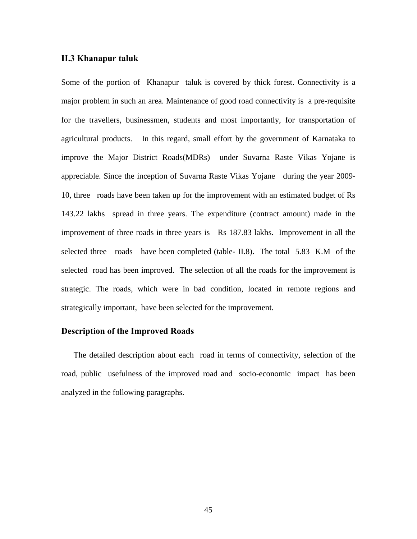#### **II.3 Khanapur taluk**

Some of the portion of Khanapur taluk is covered by thick forest. Connectivity is a major problem in such an area. Maintenance of good road connectivity is a pre-requisite for the travellers, businessmen, students and most importantly, for transportation of agricultural products. In this regard, small effort by the government of Karnataka to improve the Major District Roads(MDRs) under Suvarna Raste Vikas Yojane is appreciable. Since the inception of Suvarna Raste Vikas Yojane during the year 2009- 10, three roads have been taken up for the improvement with an estimated budget of Rs 143.22 lakhs spread in three years. The expenditure (contract amount) made in the improvement of three roads in three years is Rs 187.83 lakhs. Improvement in all the selected three roads have been completed (table- II.8). The total 5.83 K.M of the selected road has been improved. The selection of all the roads for the improvement is strategic. The roads, which were in bad condition, located in remote regions and strategically important, have been selected for the improvement.

# **Description of the Improved Roads**

The detailed description about each road in terms of connectivity, selection of the road, public usefulness of the improved road and socio-economic impact has been analyzed in the following paragraphs.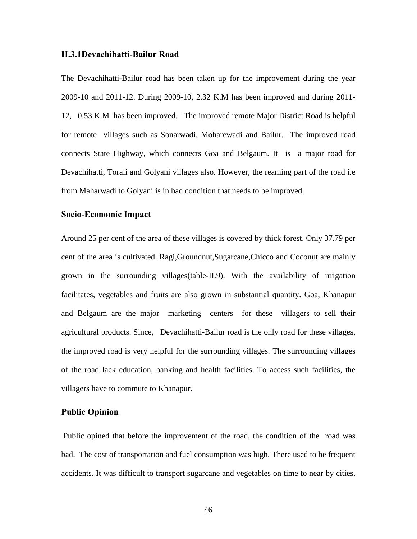#### **II.3.1Devachihatti-Bailur Road**

The Devachihatti-Bailur road has been taken up for the improvement during the year 2009-10 and 2011-12. During 2009-10, 2.32 K.M has been improved and during 2011- 12, 0.53 K.M has been improved. The improved remote Major District Road is helpful for remote villages such as Sonarwadi, Moharewadi and Bailur. The improved road connects State Highway, which connects Goa and Belgaum. It is a major road for Devachihatti, Torali and Golyani villages also. However, the reaming part of the road i.e from Maharwadi to Golyani is in bad condition that needs to be improved.

#### **Socio-Economic Impact**

Around 25 per cent of the area of these villages is covered by thick forest. Only 37.79 per cent of the area is cultivated. Ragi,Groundnut,Sugarcane,Chicco and Coconut are mainly grown in the surrounding villages(table-II.9). With the availability of irrigation facilitates, vegetables and fruits are also grown in substantial quantity. Goa, Khanapur and Belgaum are the major marketing centers for these villagers to sell their agricultural products. Since, Devachihatti-Bailur road is the only road for these villages, the improved road is very helpful for the surrounding villages. The surrounding villages of the road lack education, banking and health facilities. To access such facilities, the villagers have to commute to Khanapur.

## **Public Opinion**

 Public opined that before the improvement of the road, the condition of the road was bad. The cost of transportation and fuel consumption was high. There used to be frequent accidents. It was difficult to transport sugarcane and vegetables on time to near by cities.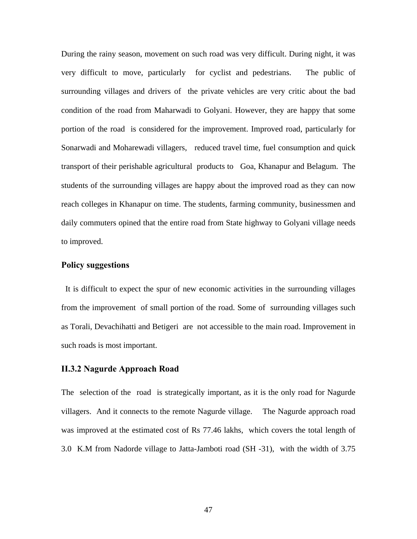During the rainy season, movement on such road was very difficult. During night, it was very difficult to move, particularly for cyclist and pedestrians. The public of surrounding villages and drivers of the private vehicles are very critic about the bad condition of the road from Maharwadi to Golyani. However, they are happy that some portion of the road is considered for the improvement. Improved road, particularly for Sonarwadi and Moharewadi villagers, reduced travel time, fuel consumption and quick transport of their perishable agricultural products to Goa, Khanapur and Belagum. The students of the surrounding villages are happy about the improved road as they can now reach colleges in Khanapur on time. The students, farming community, businessmen and daily commuters opined that the entire road from State highway to Golyani village needs to improved.

# **Policy suggestions**

 It is difficult to expect the spur of new economic activities in the surrounding villages from the improvement of small portion of the road. Some of surrounding villages such as Torali, Devachihatti and Betigeri are not accessible to the main road. Improvement in such roads is most important.

# **II.3.2 Nagurde Approach Road**

Theselection of the road is strategically important, as it is the only road for Nagurde villagers. And it connects to the remote Nagurde village. The Nagurde approach road was improved at the estimated cost of Rs 77.46 lakhs, which covers the total length of 3.0 K.M from Nadorde village to Jatta-Jamboti road (SH -31), with the width of 3.75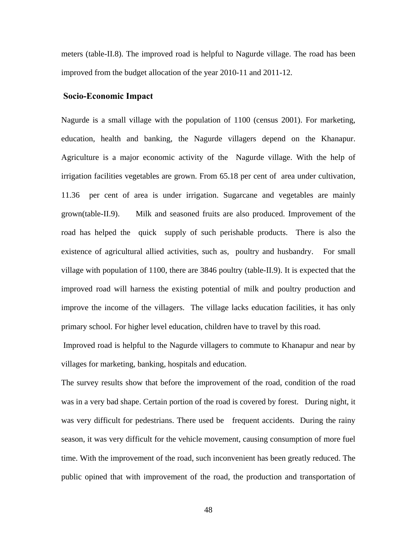meters (table-II.8). The improved road is helpful to Nagurde village. The road has been improved from the budget allocation of the year 2010-11 and 2011-12.

#### **Socio-Economic Impact**

Nagurde is a small village with the population of 1100 (census 2001). For marketing, education, health and banking, the Nagurde villagers depend on the Khanapur. Agriculture is a major economic activity of the Nagurde village. With the help of irrigation facilities vegetables are grown. From 65.18 per cent of area under cultivation, 11.36 per cent of area is under irrigation. Sugarcane and vegetables are mainly grown(table-II.9). Milk and seasoned fruits are also produced. Improvement of the road has helped the quick supply of such perishable products. There is also the existence of agricultural allied activities, such as, poultry and husbandry. For small village with population of 1100, there are 3846 poultry (table-II.9). It is expected that the improved road will harness the existing potential of milk and poultry production and improve the income of the villagers. The village lacks education facilities, it has only primary school. For higher level education, children have to travel by this road.

 Improved road is helpful to the Nagurde villagers to commute to Khanapur and near by villages for marketing, banking, hospitals and education.

The survey results show that before the improvement of the road, condition of the road was in a very bad shape. Certain portion of the road is covered by forest. During night, it was very difficult for pedestrians. There used be frequent accidents. During the rainy season, it was very difficult for the vehicle movement, causing consumption of more fuel time. With the improvement of the road, such inconvenient has been greatly reduced. The public opined that with improvement of the road, the production and transportation of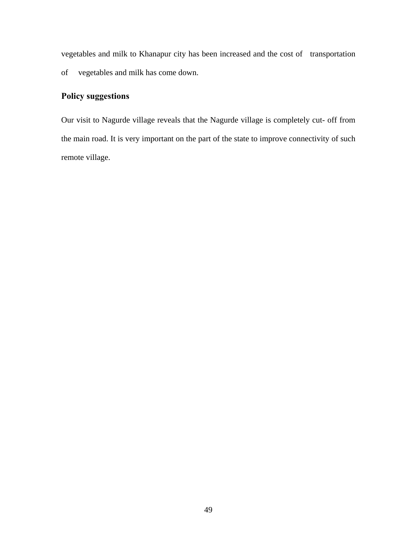vegetables and milk to Khanapur city has been increased and the cost of transportation of vegetables and milk has come down.

# **Policy suggestions**

Our visit to Nagurde village reveals that the Nagurde village is completely cut- off from the main road. It is very important on the part of the state to improve connectivity of such remote village.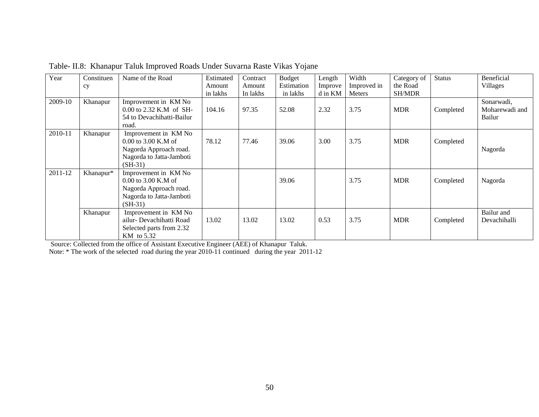| Year    | Constituen | Name of the Road          | Estimated | Contract | <b>Budget</b> | Length  | Width       | Category of   | <b>Status</b> | Beneficial     |
|---------|------------|---------------------------|-----------|----------|---------------|---------|-------------|---------------|---------------|----------------|
|         | cy         |                           | Amount    | Amount   | Estimation    | Improve | Improved in | the Road      |               | Villages       |
|         |            |                           | in lakhs  | In lakhs | in lakhs      | d in KM | Meters      | <b>SH/MDR</b> |               |                |
| 2009-10 | Khanapur   | Improvement in KM No      |           |          |               |         |             |               |               | Sonarwadi,     |
|         |            | 0.00 to 2.32 K.M of SH-   | 104.16    | 97.35    | 52.08         | 2.32    | 3.75        | <b>MDR</b>    | Completed     | Moharewadi and |
|         |            | 54 to Devachihatti-Bailur |           |          |               |         |             |               |               | Bailur         |
|         |            | road.                     |           |          |               |         |             |               |               |                |
| 2010-11 | Khanapur   | Improvement in KM No      |           |          |               |         |             |               |               |                |
|         |            | $0.00$ to 3.00 K.M of     | 78.12     | 77.46    | 39.06         | 3.00    | 3.75        | <b>MDR</b>    | Completed     |                |
|         |            | Nagorda Approach road.    |           |          |               |         |             |               |               | Nagorda        |
|         |            | Nagorda to Jatta-Jamboti  |           |          |               |         |             |               |               |                |
|         |            | $(SH-31)$                 |           |          |               |         |             |               |               |                |
| 2011-12 | Khanapur*  | Improvement in KM No      |           |          |               |         |             |               |               |                |
|         |            | $0.00$ to 3.00 K.M of     |           |          | 39.06         |         | 3.75        | <b>MDR</b>    | Completed     | Nagorda        |
|         |            | Nagorda Approach road.    |           |          |               |         |             |               |               |                |
|         |            | Nagorda to Jatta-Jamboti  |           |          |               |         |             |               |               |                |
|         |            | $(SH-31)$                 |           |          |               |         |             |               |               |                |
|         | Khanapur   | Improvement in KM No      |           |          |               |         |             |               |               | Bailur and     |
|         |            | ailur- Devachihatti Road  | 13.02     | 13.02    | 13.02         | 0.53    | 3.75        | <b>MDR</b>    | Completed     | Devachihalli   |
|         |            | Selected parts from 2.32  |           |          |               |         |             |               |               |                |
|         |            | KM to 5.32                |           |          |               |         |             |               |               |                |

Table- II.8: Khanapur Taluk Improved Roads Under Suvarna Raste Vikas Yojane

Source: Collected from the office of Assistant Executive Engineer (AEE) of Khanapur Taluk.

Note: \* The work of the selected road during the year 2010-11 continued during the year 2011-12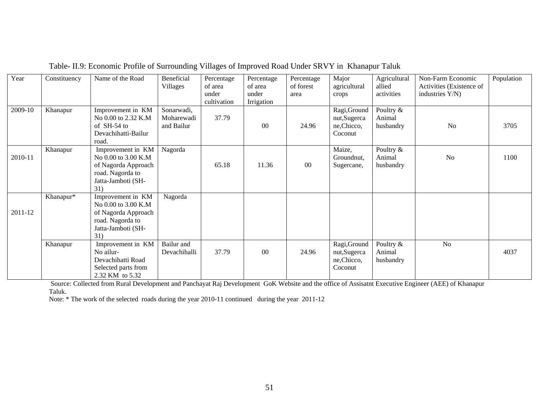| Year    | Constituency | Name of the Road    | Beneficial   | Percentage  | Percentage     | Percentage | Major        | Agricultural | Non-Farm Economic        | Population |
|---------|--------------|---------------------|--------------|-------------|----------------|------------|--------------|--------------|--------------------------|------------|
|         |              |                     | Villages     | of area     | of area        | of forest  | agricultural | allied       | Activities (Existence of |            |
|         |              |                     |              | under       | under          | area       | crops        | activities   | industries Y/N)          |            |
|         |              |                     |              | cultivation | Irrigation     |            |              |              |                          |            |
| 2009-10 | Khanapur     | Improvement in KM   | Sonarwadi,   |             |                |            | Ragi, Ground | Poultry &    |                          |            |
|         |              | No 0.00 to 2.32 K.M | Moharewadi   | 37.79       |                |            | nut,Sugerca  | Animal       |                          |            |
|         |              | of SH-54 to         | and Bailur   |             | 0 <sup>0</sup> | 24.96      | ne, Chicco,  | husbandry    | No                       | 3705       |
|         |              | Devachihatti-Bailur |              |             |                |            | Coconut      |              |                          |            |
|         |              | road.               |              |             |                |            |              |              |                          |            |
|         | Khanapur     | Improvement in KM   | Nagorda      |             |                |            | Maize,       | Poultry $&$  |                          |            |
| 2010-11 |              | No 0.00 to 3.00 K.M |              |             |                |            | Groundnut,   | Animal       | N <sub>o</sub>           | 1100       |
|         |              | of Nagorda Approach |              | 65.18       | 11.36          | $00\,$     | Sugercane,   | husbandry    |                          |            |
|         |              | road. Nagorda to    |              |             |                |            |              |              |                          |            |
|         |              | Jatta-Jamboti (SH-  |              |             |                |            |              |              |                          |            |
|         |              | 31)                 |              |             |                |            |              |              |                          |            |
|         | Khanapur*    | Improvement in KM   | Nagorda      |             |                |            |              |              |                          |            |
|         |              | No 0.00 to 3.00 K.M |              |             |                |            |              |              |                          |            |
| 2011-12 |              | of Nagorda Approach |              |             |                |            |              |              |                          |            |
|         |              | road. Nagorda to    |              |             |                |            |              |              |                          |            |
|         |              | Jatta-Jamboti (SH-  |              |             |                |            |              |              |                          |            |
|         |              | 31)                 |              |             |                |            |              |              |                          |            |
|         | Khanapur     | Improvement in KM   | Bailur and   |             |                |            | Ragi, Ground | Poultry &    | N <sub>o</sub>           |            |
|         |              | No ailur-           | Devachihalli | 37.79       | 00             | 24.96      | nut,Sugerca  | Animal       |                          | 4037       |
|         |              | Devachihatti Road   |              |             |                |            | ne, Chicco,  | husbandry    |                          |            |
|         |              | Selected parts from |              |             |                |            | Coconut      |              |                          |            |
|         |              | 2.32 KM to 5.32     |              |             |                |            |              |              |                          |            |

# Table- II.9: Economic Profile of Surrounding Villages of Improved Road Under SRVY in Khanapur Taluk

 Source: Collected from Rural Development and Panchayat Raj Development GoK Website and the office of Assisatnt Executive Engineer (AEE) of Khanapur Taluk.

Note: \* The work of the selected roads during the year 2010-11 continued during the year 2011-12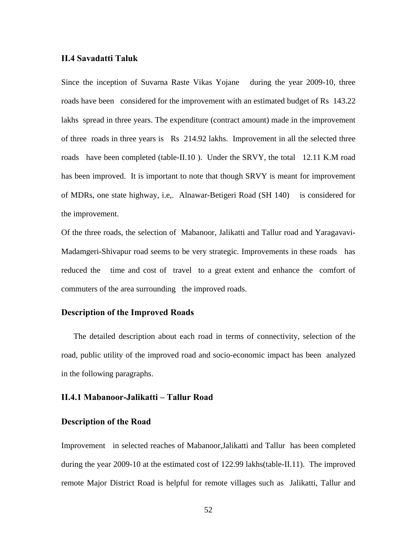# **II.4 Savadatti Taluk**

Since the inception of Suvarna Raste Vikas Yojane during the year 2009-10, three roads have been considered for the improvement with an estimated budget of Rs 143.22 lakhs spread in three years. The expenditure (contract amount) made in the improvement of three roads in three years is Rs 214.92 lakhs. Improvement in all the selected three roads have been completed (table-II.10 ). Under the SRVY, the total 12.11 K.M road has been improved. It is important to note that though SRVY is meant for improvement of MDRs, one state highway, i.e,. Alnawar-Betigeri Road (SH 140) is considered for the improvement.

Of the three roads, the selection of Mabanoor, Jalikatti and Tallur road and Yaragavavi-Madamgeri-Shivapur road seems to be very strategic. Improvements in these roads has reduced the time and cost of travel to a great extent and enhance the comfort of commuters of the area surrounding the improved roads.

# **Description of the Improved Roads**

The detailed description about each road in terms of connectivity, selection of the road, public utility of the improved road and socio-economic impact has been analyzed in the following paragraphs.

# **II.4.1 Mabanoor-Jalikatti – Tallur Road**

# **Description of the Road**

Improvement in selected reaches of Mabanoor,Jalikatti and Tallur has been completed during the year 2009-10 at the estimated cost of 122.99 lakhs(table-II.11). The improved remote Major District Road is helpful for remote villages such as Jalikatti, Tallur and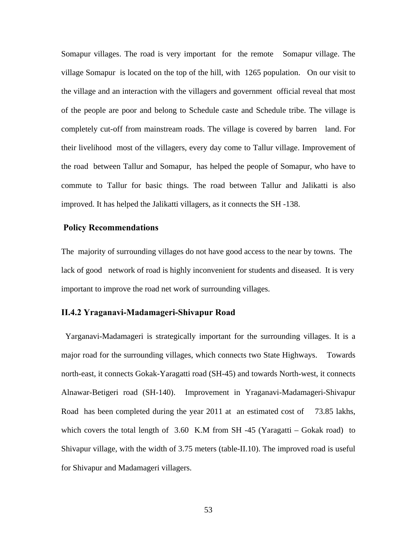Somapur villages. The road is very important for the remote Somapur village. The village Somapur is located on the top of the hill, with 1265 population. On our visit to the village and an interaction with the villagers and government official reveal that most of the people are poor and belong to Schedule caste and Schedule tribe. The village is completely cut-off from mainstream roads. The village is covered by barren land. For their livelihood most of the villagers, every day come to Tallur village. Improvement of the road between Tallur and Somapur, has helped the people of Somapur, who have to commute to Tallur for basic things. The road between Tallur and Jalikatti is also improved. It has helped the Jalikatti villagers, as it connects the SH -138.

#### **Policy Recommendations**

The majority of surrounding villages do not have good access to the near by towns. The lack of good network of road is highly inconvenient for students and diseased. It is very important to improve the road net work of surrounding villages.

#### **II.4.2 Yraganavi-Madamageri-Shivapur Road**

 Yarganavi-Madamageri is strategically important for the surrounding villages. It is a major road for the surrounding villages, which connects two State Highways. Towards north-east, it connects Gokak-Yaragatti road (SH-45) and towards North-west, it connects Alnawar-Betigeri road (SH-140). Improvement in Yraganavi-Madamageri-Shivapur Road has been completed during the year 2011 at an estimated cost of 73.85 lakhs, which covers the total length of  $3.60$  K.M from SH -45 (Yaragatti – Gokak road) to Shivapur village, with the width of 3.75 meters (table-II.10). The improved road is useful for Shivapur and Madamageri villagers.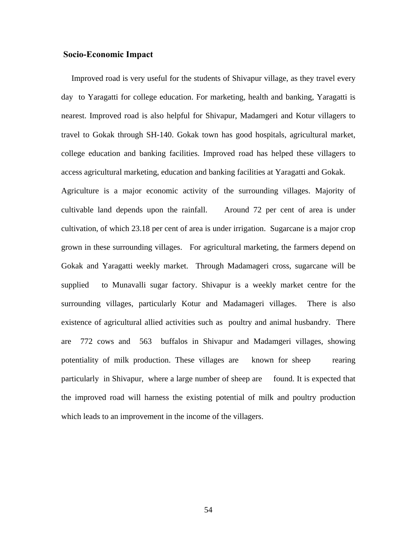# **Socio-Economic Impact**

 Improved road is very useful for the students of Shivapur village, as they travel every day to Yaragatti for college education. For marketing, health and banking, Yaragatti is nearest. Improved road is also helpful for Shivapur, Madamgeri and Kotur villagers to travel to Gokak through SH-140. Gokak town has good hospitals, agricultural market, college education and banking facilities. Improved road has helped these villagers to access agricultural marketing, education and banking facilities at Yaragatti and Gokak. Agriculture is a major economic activity of the surrounding villages. Majority of cultivable land depends upon the rainfall. Around 72 per cent of area is under cultivation, of which 23.18 per cent of area is under irrigation. Sugarcane is a major crop grown in these surrounding villages. For agricultural marketing, the farmers depend on Gokak and Yaragatti weekly market. Through Madamageri cross, sugarcane will be supplied to Munavalli sugar factory. Shivapur is a weekly market centre for the surrounding villages, particularly Kotur and Madamageri villages. There is also existence of agricultural allied activities such as poultry and animal husbandry. There are 772 cows and 563 buffalos in Shivapur and Madamgeri villages, showing potentiality of milk production. These villages are known for sheep rearing particularly in Shivapur, where a large number of sheep are found. It is expected that the improved road will harness the existing potential of milk and poultry production which leads to an improvement in the income of the villagers.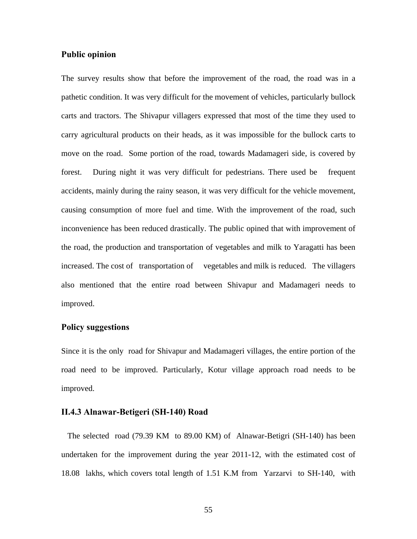### **Public opinion**

The survey results show that before the improvement of the road, the road was in a pathetic condition. It was very difficult for the movement of vehicles, particularly bullock carts and tractors. The Shivapur villagers expressed that most of the time they used to carry agricultural products on their heads, as it was impossible for the bullock carts to move on the road. Some portion of the road, towards Madamageri side, is covered by forest. During night it was very difficult for pedestrians. There used be frequent accidents, mainly during the rainy season, it was very difficult for the vehicle movement, causing consumption of more fuel and time. With the improvement of the road, such inconvenience has been reduced drastically. The public opined that with improvement of the road, the production and transportation of vegetables and milk to Yaragatti has been increased. The cost of transportation of vegetables and milk is reduced. The villagers also mentioned that the entire road between Shivapur and Madamageri needs to improved.

# **Policy suggestions**

Since it is the only road for Shivapur and Madamageri villages, the entire portion of the road need to be improved. Particularly, Kotur village approach road needs to be improved.

# **II.4.3 Alnawar-Betigeri (SH-140) Road**

 The selected road (79.39 KM to 89.00 KM) of Alnawar-Betigri (SH-140) has been undertaken for the improvement during the year 2011-12, with the estimated cost of 18.08 lakhs, which covers total length of 1.51 K.M from Yarzarvi to SH-140, with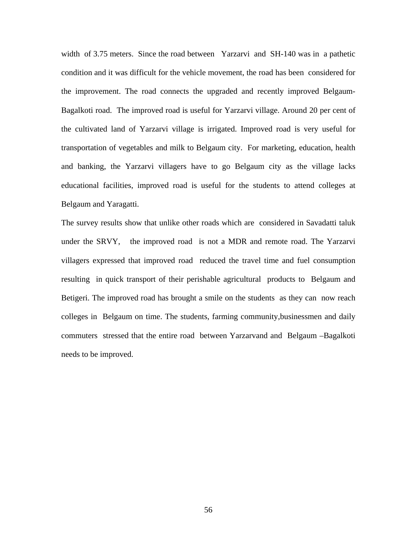width of 3.75 meters. Since the road between Yarzarvi and SH-140 was in a pathetic condition and it was difficult for the vehicle movement, the road has been considered for the improvement. The road connects the upgraded and recently improved Belgaum-Bagalkoti road. The improved road is useful for Yarzarvi village. Around 20 per cent of the cultivated land of Yarzarvi village is irrigated. Improved road is very useful for transportation of vegetables and milk to Belgaum city. For marketing, education, health and banking, the Yarzarvi villagers have to go Belgaum city as the village lacks educational facilities, improved road is useful for the students to attend colleges at Belgaum and Yaragatti.

The survey results show that unlike other roads which are considered in Savadatti taluk under the SRVY, the improved road is not a MDR and remote road. The Yarzarvi villagers expressed that improved road reduced the travel time and fuel consumption resulting in quick transport of their perishable agricultural products to Belgaum and Betigeri. The improved road has brought a smile on the students as they can now reach colleges in Belgaum on time. The students, farming community,businessmen and daily commuters stressed that the entire road between Yarzarvand and Belgaum –Bagalkoti needs to be improved.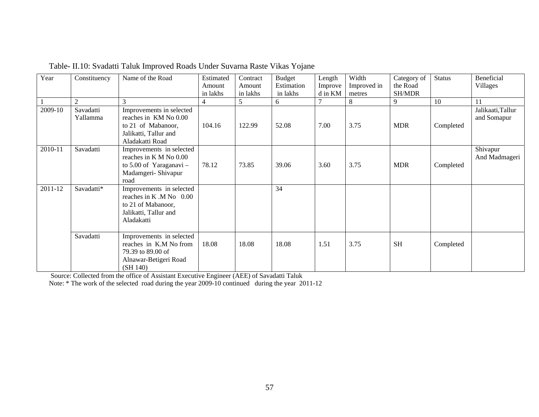| Year    | Constituency          | Name of the Road                                                                                                    | Estimated | Contract | <b>Budget</b> | Length  | Width       | Category of   | <b>Status</b> | Beneficial                       |
|---------|-----------------------|---------------------------------------------------------------------------------------------------------------------|-----------|----------|---------------|---------|-------------|---------------|---------------|----------------------------------|
|         |                       |                                                                                                                     | Amount    | Amount   | Estimation    | Improve | Improved in | the Road      |               | Villages                         |
|         |                       |                                                                                                                     | in lakhs  | in lakhs | in lakhs      | d in KM | metres      | <b>SH/MDR</b> |               |                                  |
|         | 2                     | 3                                                                                                                   | 4         | 5        | 6             |         | 8           | 9             | 10            | 11                               |
| 2009-10 | Savadatti<br>Yallamma | Improvements in selected<br>reaches in KM No 0.00<br>to 21 of Mabanoor,<br>Jalikatti, Tallur and<br>Aladakatti Road | 104.16    | 122.99   | 52.08         | 7.00    | 3.75        | <b>MDR</b>    | Completed     | Jalikaati, Tallur<br>and Somapur |
| 2010-11 | Savadatti             | Improvements in selected<br>reaches in K M No 0.00<br>to $5.00$ of Yaraganavi -<br>Madamgeri- Shivapur<br>road      | 78.12     | 73.85    | 39.06         | 3.60    | 3.75        | <b>MDR</b>    | Completed     | Shivapur<br>And Madmageri        |
| 2011-12 | Savadatti*            | Improvements in selected<br>reaches in K.M No 0.00<br>to 21 of Mabanoor,<br>Jalikatti, Tallur and<br>Aladakatti     |           |          | 34            |         |             |               |               |                                  |
|         | Savadatti             | Improvements in selected<br>reaches in K.M No from<br>79.39 to 89.00 of<br>Alnawar-Betigeri Road<br>(SH 140)        | 18.08     | 18.08    | 18.08         | 1.51    | 3.75        | <b>SH</b>     | Completed     |                                  |

| Table- II.10: Svadatti Taluk Improved Roads Under Suvarna Raste Vikas Yojane |  |  |
|------------------------------------------------------------------------------|--|--|
|                                                                              |  |  |

Source: Collected from the office of Assistant Executive Engineer (AEE) of Savadatti Taluk

Note: \* The work of the selected road during the year 2009-10 continued during the year 2011-12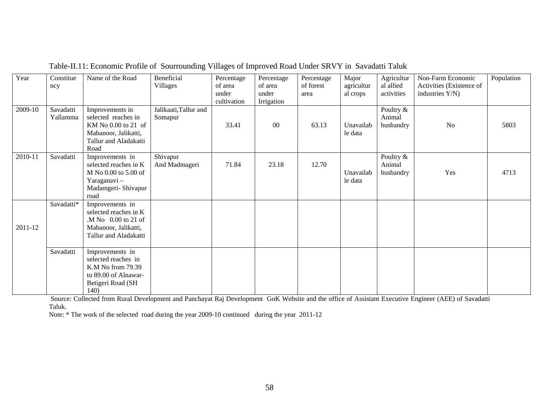| Year    | Constitue<br>ncy      | Name of the Road                                                                                                       | Beneficial<br>Villages           | Percentage<br>of area<br>under<br>cultivation | Percentage<br>of area<br>under<br>Irrigation | Percentage<br>of forest<br>area | Major<br>agricultur<br>al crops | Agricultur<br>al allied<br>activities | Non-Farm Economic<br>Activities (Existence of<br>industries Y/N) | Population |
|---------|-----------------------|------------------------------------------------------------------------------------------------------------------------|----------------------------------|-----------------------------------------------|----------------------------------------------|---------------------------------|---------------------------------|---------------------------------------|------------------------------------------------------------------|------------|
| 2009-10 | Savadatti<br>Yallamma | Improvements in<br>selected reaches in<br>KM No 0.00 to 21 of<br>Mabanoor, Jalikatti,<br>Tallur and Aladakatti<br>Road | Jalikaati, Tallur and<br>Somapur | 33.41                                         | $00\,$                                       | 63.13                           | Unavailab<br>le data            | Poultry &<br>Animal<br>husbandry      | N <sub>o</sub>                                                   | 5803       |
| 2010-11 | Savadatti             | Improvements in<br>selected reaches in K<br>M No 0.00 to 5.00 of<br>Yaraganavi-<br>Madamgeri- Shivapur<br>road         | Shivapur<br>And Madmageri        | 71.84                                         | 23.18                                        | 12.70                           | Unavailab<br>le data            | Poultry &<br>Animal<br>husbandry      | Yes                                                              | 4713       |
| 2011-12 | Savadatti*            | Improvements in<br>selected reaches in K<br>.M No 0.00 to 21 of<br>Mabanoor, Jalikatti,<br>Tallur and Aladakatti       |                                  |                                               |                                              |                                 |                                 |                                       |                                                                  |            |
|         | Savadatti             | Improvements in<br>selected reaches in<br>K.M No from 79.39<br>to 89.00 of Alnawar-<br>Betigeri Road (SH<br>140)       |                                  |                                               |                                              |                                 |                                 |                                       |                                                                  |            |

Table-II.11: Economic Profile of Sourrounding Villages of Improved Road Under SRVY in Savadatti Taluk

 Source: Collected from Rural Development and Panchayat Raj Development GoK Website and the office of Assistant Executive Engineer (AEE) of Savadatti Taluk.

Note: \* The work of the selected road during the year 2009-10 continued during the year 2011-12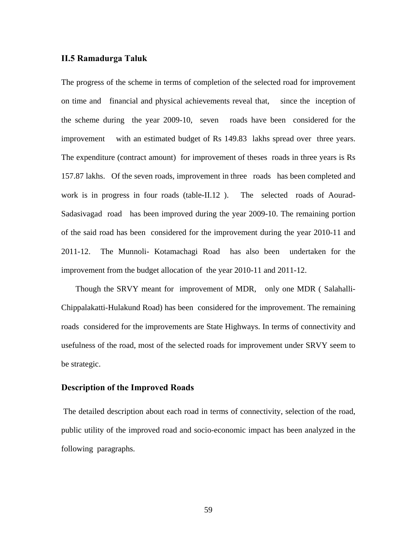#### **II.5 Ramadurga Taluk**

The progress of the scheme in terms of completion of the selected road for improvement on time and financial and physical achievements reveal that, since the inception of the scheme during the year 2009-10, seven roads have been considered for the improvement with an estimated budget of Rs 149.83 lakhs spread over three years. The expenditure (contract amount) for improvement of theses roads in three years is Rs 157.87 lakhs. Of the seven roads, improvement in three roads has been completed and work is in progress in four roads (table-II.12). The selected roads of Aourad-Sadasivagad road has been improved during the year 2009-10. The remaining portion of the said road has been considered for the improvement during the year 2010-11 and 2011-12. The Munnoli- Kotamachagi Road has also been undertaken for the improvement from the budget allocation of the year 2010-11 and 2011-12.

 Though the SRVY meant for improvement of MDR, only one MDR ( Salahalli-Chippalakatti-Hulakund Road) has been considered for the improvement. The remaining roads considered for the improvements are State Highways. In terms of connectivity and usefulness of the road, most of the selected roads for improvement under SRVY seem to be strategic.

# **Description of the Improved Roads**

The detailed description about each road in terms of connectivity, selection of the road, public utility of the improved road and socio-economic impact has been analyzed in the following paragraphs.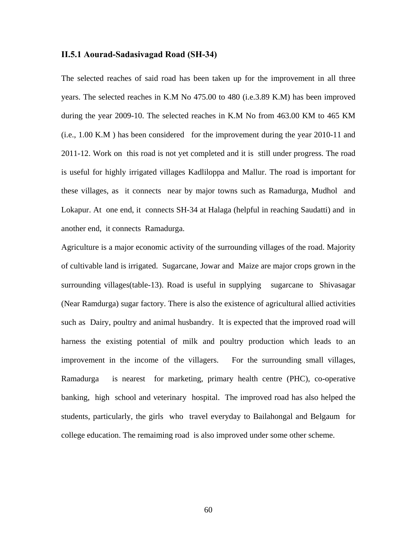#### **II.5.1 Aourad-Sadasivagad Road (SH-34)**

The selected reaches of said road has been taken up for the improvement in all three years. The selected reaches in K.M No 475.00 to 480 (i.e.3.89 K.M) has been improved during the year 2009-10. The selected reaches in K.M No from 463.00 KM to 465 KM (i.e., 1.00 K.M ) has been considered for the improvement during the year 2010-11 and 2011-12. Work on this road is not yet completed and it is still under progress. The road is useful for highly irrigated villages Kadliloppa and Mallur. The road is important for these villages, as it connects near by major towns such as Ramadurga, Mudhol and Lokapur. At one end, it connects SH-34 at Halaga (helpful in reaching Saudatti) and in another end, it connects Ramadurga.

Agriculture is a major economic activity of the surrounding villages of the road. Majority of cultivable land is irrigated. Sugarcane, Jowar and Maize are major crops grown in the surrounding villages(table-13). Road is useful in supplying sugarcane to Shivasagar (Near Ramdurga) sugar factory. There is also the existence of agricultural allied activities such as Dairy, poultry and animal husbandry. It is expected that the improved road will harness the existing potential of milk and poultry production which leads to an improvement in the income of the villagers. For the surrounding small villages, Ramadurga is nearest for marketing, primary health centre (PHC), co-operative banking, high school and veterinary hospital. The improved road has also helped the students, particularly, the girls who travel everyday to Bailahongal and Belgaum for college education. The remaiming road is also improved under some other scheme.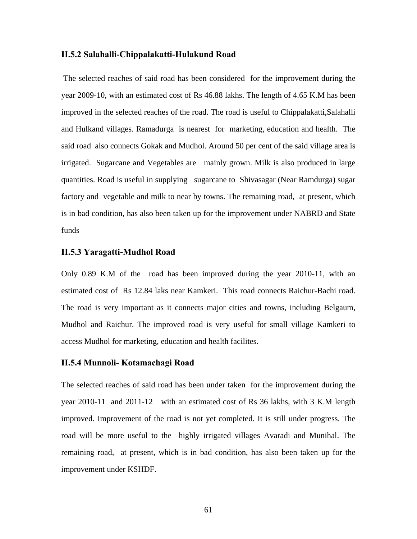#### **II.5.2 Salahalli-Chippalakatti-Hulakund Road**

 The selected reaches of said road has been considered for the improvement during the year 2009-10, with an estimated cost of Rs 46.88 lakhs. The length of 4.65 K.M has been improved in the selected reaches of the road. The road is useful to Chippalakatti,Salahalli and Hulkand villages. Ramadurga is nearest for marketing, education and health. The said road also connects Gokak and Mudhol. Around 50 per cent of the said village area is irrigated. Sugarcane and Vegetables are mainly grown. Milk is also produced in large quantities. Road is useful in supplying sugarcane to Shivasagar (Near Ramdurga) sugar factory and vegetable and milk to near by towns. The remaining road, at present, which is in bad condition, has also been taken up for the improvement under NABRD and State funds

# **II.5.3 Yaragatti-Mudhol Road**

Only 0.89 K.M of the road has been improved during the year 2010-11, with an estimated cost of Rs 12.84 laks near Kamkeri. This road connects Raichur-Bachi road. The road is very important as it connects major cities and towns, including Belgaum, Mudhol and Raichur. The improved road is very useful for small village Kamkeri to access Mudhol for marketing, education and health facilites.

# **II.5.4 Munnoli- Kotamachagi Road**

The selected reaches of said road has been under taken for the improvement during the year 2010-11 and 2011-12 with an estimated cost of Rs 36 lakhs, with 3 K.M length improved. Improvement of the road is not yet completed. It is still under progress. The road will be more useful to the highly irrigated villages Avaradi and Munihal. The remaining road, at present, which is in bad condition, has also been taken up for the improvement under KSHDF.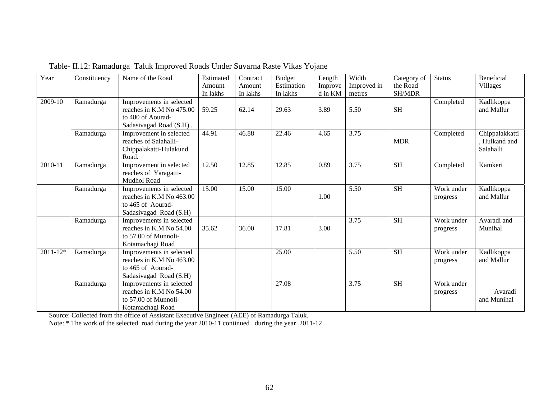| Year         | Constituency | Name of the Road                                                                                     | Estimated<br>Amount<br>In lakhs | Contract<br>Amount<br>In lakhs | <b>Budget</b><br>Estimation<br>In lakhs | Length<br>Improve<br>d in KM | Width<br>Improved in<br>metres | Category of<br>the Road<br><b>SH/MDR</b> | <b>Status</b>          | <b>Beneficial</b><br>Villages                |
|--------------|--------------|------------------------------------------------------------------------------------------------------|---------------------------------|--------------------------------|-----------------------------------------|------------------------------|--------------------------------|------------------------------------------|------------------------|----------------------------------------------|
| 2009-10      | Ramadurga    | Improvements in selected<br>reaches in K.M No 475.00<br>to 480 of Aourad-<br>Sadasivagad Road (S.H). | 59.25                           | 62.14                          | 29.63                                   | 3.89                         | 5.50                           | <b>SH</b>                                | Completed              | Kadlikoppa<br>and Mallur                     |
|              | Ramadurga    | Improvement in selected<br>reaches of Salahalli-<br>Chippalakatti-Hulakund<br>Road.                  | 44.91                           | 46.88                          | 22.46                                   | 4.65                         | 3.75                           | <b>MDR</b>                               | Completed              | Chippalakkatti<br>, Hulkand and<br>Salahalli |
| 2010-11      | Ramadurga    | Improvement in selected<br>reaches of Yaragatti-<br><b>Mudhol Road</b>                               | 12.50                           | 12.85                          | 12.85                                   | 0.89                         | 3.75                           | <b>SH</b>                                | Completed              | Kamkeri                                      |
|              | Ramadurga    | Improvements in selected<br>reaches in K.M No 463.00<br>to 465 of Aourad-<br>Sadasiyagad Road (S.H)  | 15.00                           | 15.00                          | 15.00                                   | 1.00                         | 5.50                           | <b>SH</b>                                | Work under<br>progress | Kadlikoppa<br>and Mallur                     |
|              | Ramadurga    | Improvements in selected<br>reaches in K.M No 54.00<br>to 57.00 of Munnoli-<br>Kotamachagi Road      | 35.62                           | 36.00                          | 17.81                                   | 3.00                         | 3.75                           | <b>SH</b>                                | Work under<br>progress | Avaradi and<br>Munihal                       |
| $2011 - 12*$ | Ramadurga    | Improvements in selected<br>reaches in K.M No 463.00<br>to 465 of Aourad-<br>Sadasivagad Road (S.H)  |                                 |                                | 25.00                                   |                              | 5.50                           | <b>SH</b>                                | Work under<br>progress | Kadlikoppa<br>and Mallur                     |
|              | Ramadurga    | Improvements in selected<br>reaches in K.M No 54.00<br>to 57.00 of Munnoli-<br>Kotamachagi Road      |                                 |                                | 27.08                                   |                              | 3.75                           | <b>SH</b>                                | Work under<br>progress | Avaradi<br>and Munihal                       |

Table- II.12: Ramadurga Taluk Improved Roads Under Suvarna Raste Vikas Yojane

Source: Collected from the office of Assistant Executive Engineer (AEE) of Ramadurga Taluk.

Note: \* The work of the selected road during the year 2010-11 continued during the year 2011-12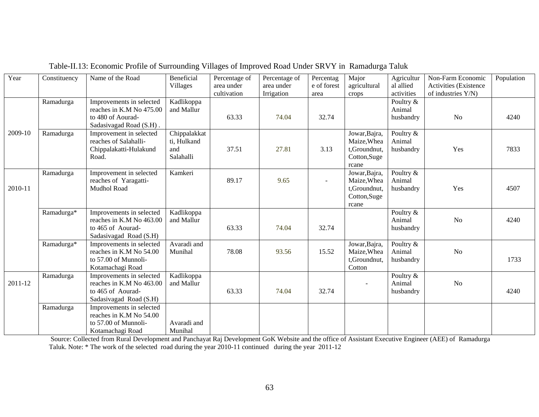| Year    | Constituency | Name of the Road                                                                                     | <b>Beneficial</b><br>Villages                   | Percentage of<br>area under | Percentage of<br>area under | Percentag<br>e of forest | Major<br>agricultural                                                 | Agricultur<br>al allied          | Non-Farm Economic<br>Activities (Existence | Population |
|---------|--------------|------------------------------------------------------------------------------------------------------|-------------------------------------------------|-----------------------------|-----------------------------|--------------------------|-----------------------------------------------------------------------|----------------------------------|--------------------------------------------|------------|
|         |              |                                                                                                      |                                                 | cultivation                 | Irrigation                  | area                     | crops                                                                 | activities                       | of industries Y/N)                         |            |
|         | Ramadurga    | Improvements in selected<br>reaches in K.M No 475.00<br>to 480 of Aourad-<br>Sadasivagad Road (S.H). | Kadlikoppa<br>and Mallur                        | 63.33                       | 74.04                       | 32.74                    |                                                                       | Poultry &<br>Animal<br>husbandry | <b>No</b>                                  | 4240       |
| 2009-10 | Ramadurga    | Improvement in selected<br>reaches of Salahalli-<br>Chippalakatti-Hulakund<br>Road.                  | Chippalakkat<br>ti, Hulkand<br>and<br>Salahalli | 37.51                       | 27.81                       | 3.13                     | Jowar, Bajra,<br>Maize, Whea<br>t,Groundnut,<br>Cotton, Suge<br>rcane | Poultry &<br>Animal<br>husbandry | Yes                                        | 7833       |
| 2010-11 | Ramadurga    | Improvement in selected<br>reaches of Yaragatti-<br>Mudhol Road                                      | Kamkeri                                         | 89.17                       | 9.65                        | $\blacksquare$           | Jowar, Bajra,<br>Maize, Whea<br>t,Groundnut,<br>Cotton, Suge<br>rcane | Poultry &<br>Animal<br>husbandry | Yes                                        | 4507       |
|         | Ramadurga*   | Improvements in selected<br>reaches in K.M No 463.00<br>to 465 of Aourad-<br>Sadasiyagad Road (S.H)  | Kadlikoppa<br>and Mallur                        | 63.33                       | 74.04                       | 32.74                    |                                                                       | Poultry &<br>Animal<br>husbandry | N <sub>o</sub>                             | 4240       |
|         | Ramadurga*   | Improvements in selected<br>reaches in K.M No 54.00<br>to 57.00 of Munnoli-<br>Kotamachagi Road      | Avaradi and<br>Munihal                          | 78.08                       | 93.56                       | 15.52                    | Jowar, Bajra,<br>Maize, Whea<br>t,Groundnut,<br>Cotton                | Poultry &<br>Animal<br>husbandry | No                                         | 1733       |
| 2011-12 | Ramadurga    | Improvements in selected<br>reaches in K.M No 463.00<br>to 465 of Aourad-<br>Sadasivagad Road (S.H)  | Kadlikoppa<br>and Mallur                        | 63.33                       | 74.04                       | 32.74                    | $\overline{\phantom{a}}$                                              | Poultry &<br>Animal<br>husbandry | N <sub>o</sub>                             | 4240       |
|         | Ramadurga    | Improvements in selected<br>reaches in K.M No 54.00<br>to 57.00 of Munnoli-<br>Kotamachagi Road      | Avaradi and<br>Munihal                          |                             |                             |                          |                                                                       |                                  |                                            |            |

Table-II.13: Economic Profile of Surrounding Villages of Improved Road Under SRVY in Ramadurga Taluk

 Source: Collected from Rural Development and Panchayat Raj Development GoK Website and the office of Assistant Executive Engineer (AEE) of Ramadurga Taluk. Note: \* The work of the selected road during the year 2010-11 continued during the year 2011-12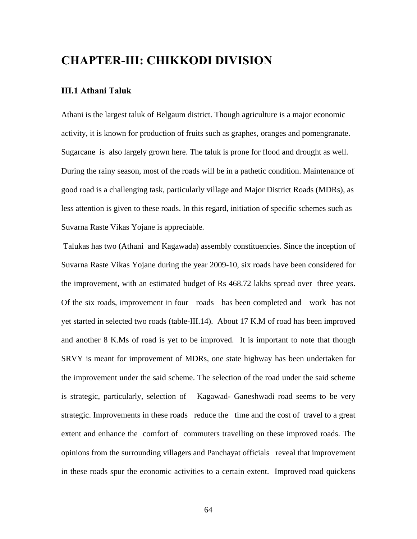# **CHAPTER-III: CHIKKODI DIVISION**

# **III.1 Athani Taluk**

Athani is the largest taluk of Belgaum district. Though agriculture is a major economic activity, it is known for production of fruits such as graphes, oranges and pomengranate. Sugarcane is also largely grown here. The taluk is prone for flood and drought as well. During the rainy season, most of the roads will be in a pathetic condition. Maintenance of good road is a challenging task, particularly village and Major District Roads (MDRs), as less attention is given to these roads. In this regard, initiation of specific schemes such as Suvarna Raste Vikas Yojane is appreciable.

 Talukas has two (Athani and Kagawada) assembly constituencies. Since the inception of Suvarna Raste Vikas Yojane during the year 2009-10, six roads have been considered for the improvement, with an estimated budget of Rs 468.72 lakhs spread over three years. Of the six roads, improvement in four roads has been completed and work has not yet started in selected two roads (table-III.14). About 17 K.M of road has been improved and another 8 K.Ms of road is yet to be improved. It is important to note that though SRVY is meant for improvement of MDRs, one state highway has been undertaken for the improvement under the said scheme. The selection of the road under the said scheme is strategic, particularly, selection of Kagawad- Ganeshwadi road seems to be very strategic. Improvements in these roads reduce the time and the cost of travel to a great extent and enhance the comfort of commuters travelling on these improved roads. The opinions from the surrounding villagers and Panchayat officials reveal that improvement in these roads spur the economic activities to a certain extent. Improved road quickens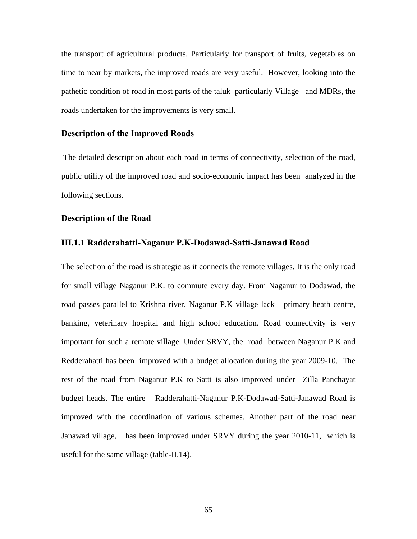the transport of agricultural products. Particularly for transport of fruits, vegetables on time to near by markets, the improved roads are very useful. However, looking into the pathetic condition of road in most parts of the taluk particularly Village and MDRs, the roads undertaken for the improvements is very small.

#### **Description of the Improved Roads**

The detailed description about each road in terms of connectivity, selection of the road, public utility of the improved road and socio-economic impact has been analyzed in the following sections.

# **Description of the Road**

#### **III.1.1 Radderahatti-Naganur P.K-Dodawad-Satti-Janawad Road**

The selection of the road is strategic as it connects the remote villages. It is the only road for small village Naganur P.K. to commute every day. From Naganur to Dodawad, the road passes parallel to Krishna river. Naganur P.K village lack primary heath centre, banking, veterinary hospital and high school education. Road connectivity is very important for such a remote village. Under SRVY, the road between Naganur P.K and Redderahatti has been improved with a budget allocation during the year 2009-10. The rest of the road from Naganur P.K to Satti is also improved under Zilla Panchayat budget heads. The entire Radderahatti-Naganur P.K-Dodawad-Satti-Janawad Road is improved with the coordination of various schemes. Another part of the road near Janawad village, has been improved under SRVY during the year 2010-11, which is useful for the same village (table-II.14).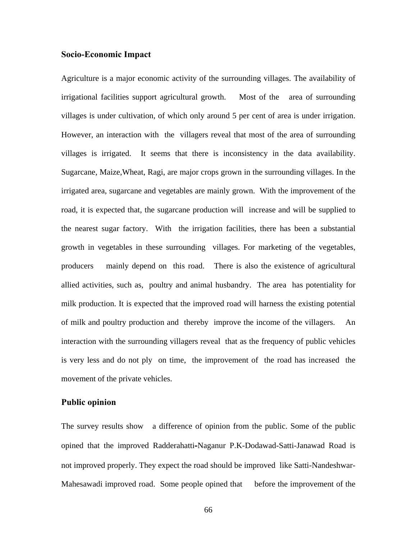### **Socio-Economic Impact**

Agriculture is a major economic activity of the surrounding villages. The availability of irrigational facilities support agricultural growth. Most of the area of surrounding villages is under cultivation, of which only around 5 per cent of area is under irrigation. However, an interaction with the villagers reveal that most of the area of surrounding villages is irrigated. It seems that there is inconsistency in the data availability. Sugarcane, Maize,Wheat, Ragi, are major crops grown in the surrounding villages. In the irrigated area, sugarcane and vegetables are mainly grown. With the improvement of the road, it is expected that, the sugarcane production will increase and will be supplied to the nearest sugar factory. With the irrigation facilities, there has been a substantial growth in vegetables in these surrounding villages. For marketing of the vegetables, producers mainly depend on this road. There is also the existence of agricultural allied activities, such as, poultry and animal husbandry. The area has potentiality for milk production. It is expected that the improved road will harness the existing potential of milk and poultry production and thereby improve the income of the villagers. An interaction with the surrounding villagers reveal that as the frequency of public vehicles is very less and do not ply on time, the improvement of the road has increased the movement of the private vehicles.

# **Public opinion**

The survey results show a difference of opinion from the public. Some of the public opined that the improved Radderahatti**-**Naganur P.K-Dodawad-Satti-Janawad Road is not improved properly. They expect the road should be improved like Satti-Nandeshwar-Mahesawadi improved road. Some people opined that before the improvement of the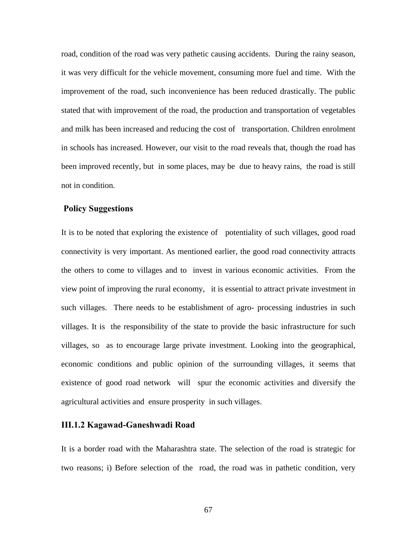road, condition of the road was very pathetic causing accidents. During the rainy season, it was very difficult for the vehicle movement, consuming more fuel and time. With the improvement of the road, such inconvenience has been reduced drastically. The public stated that with improvement of the road, the production and transportation of vegetables and milk has been increased and reducing the cost of transportation. Children enrolment in schools has increased. However, our visit to the road reveals that, though the road has been improved recently, but in some places, may be due to heavy rains, the road is still not in condition.

# **Policy Suggestions**

It is to be noted that exploring the existence of potentiality of such villages, good road connectivity is very important. As mentioned earlier, the good road connectivity attracts the others to come to villages and to invest in various economic activities. From the view point of improving the rural economy, it is essential to attract private investment in such villages. There needs to be establishment of agro- processing industries in such villages. It is the responsibility of the state to provide the basic infrastructure for such villages, so as to encourage large private investment. Looking into the geographical, economic conditions and public opinion of the surrounding villages, it seems that existence of good road network will spur the economic activities and diversify the agricultural activities and ensure prosperity in such villages.

# **III.1.2 Kagawad-Ganeshwadi Road**

It is a border road with the Maharashtra state. The selection of the road is strategic for two reasons; i) Before selection of the road, the road was in pathetic condition, very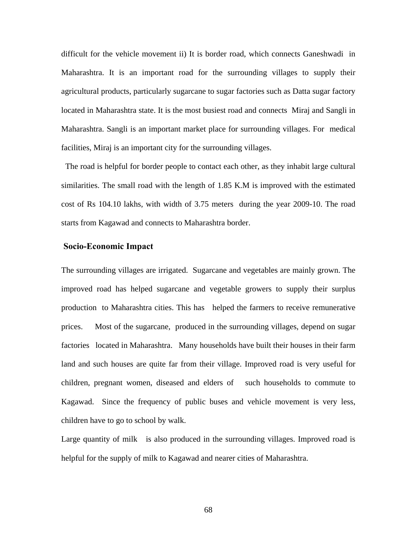difficult for the vehicle movement ii) It is border road, which connects Ganeshwadi in Maharashtra. It is an important road for the surrounding villages to supply their agricultural products, particularly sugarcane to sugar factories such as Datta sugar factory located in Maharashtra state. It is the most busiest road and connects Miraj and Sangli in Maharashtra. Sangli is an important market place for surrounding villages. For medical facilities, Miraj is an important city for the surrounding villages.

 The road is helpful for border people to contact each other, as they inhabit large cultural similarities. The small road with the length of 1.85 K.M is improved with the estimated cost of Rs 104.10 lakhs, with width of 3.75 meters during the year 2009-10. The road starts from Kagawad and connects to Maharashtra border.

# **Socio-Economic Impact**

The surrounding villages are irrigated. Sugarcane and vegetables are mainly grown. The improved road has helped sugarcane and vegetable growers to supply their surplus production to Maharashtra cities. This has helped the farmers to receive remunerative prices. Most of the sugarcane, produced in the surrounding villages, depend on sugar factories located in Maharashtra. Many households have built their houses in their farm land and such houses are quite far from their village. Improved road is very useful for children, pregnant women, diseased and elders of such households to commute to Kagawad. Since the frequency of public buses and vehicle movement is very less, children have to go to school by walk.

Large quantity of milk is also produced in the surrounding villages. Improved road is helpful for the supply of milk to Kagawad and nearer cities of Maharashtra.

68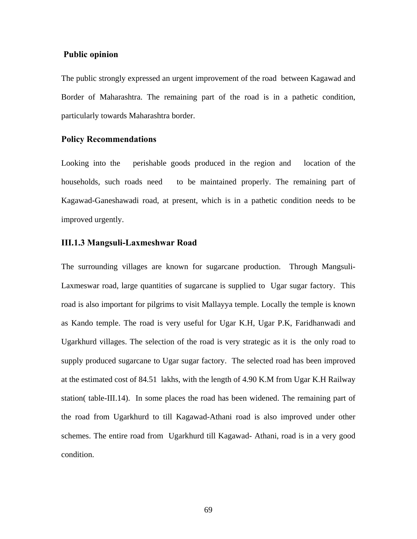# **Public opinion**

The public strongly expressed an urgent improvement of the road between Kagawad and Border of Maharashtra. The remaining part of the road is in a pathetic condition, particularly towards Maharashtra border.

# **Policy Recommendations**

Looking into the perishable goods produced in the region and location of the households, such roads need to be maintained properly. The remaining part of Kagawad-Ganeshawadi road, at present, which is in a pathetic condition needs to be improved urgently.

## **III.1.3 Mangsuli-Laxmeshwar Road**

The surrounding villages are known for sugarcane production. Through Mangsuli-Laxmeswar road, large quantities of sugarcane is supplied to Ugar sugar factory. This road is also important for pilgrims to visit Mallayya temple. Locally the temple is known as Kando temple. The road is very useful for Ugar K.H, Ugar P.K, Faridhanwadi and Ugarkhurd villages. The selection of the road is very strategic as it is the only road to supply produced sugarcane to Ugar sugar factory. The selected road has been improved at the estimated cost of 84.51 lakhs, with the length of 4.90 K.M from Ugar K.H Railway station( table-III.14). In some places the road has been widened. The remaining part of the road from Ugarkhurd to till Kagawad-Athani road is also improved under other schemes. The entire road from Ugarkhurd till Kagawad- Athani, road is in a very good condition.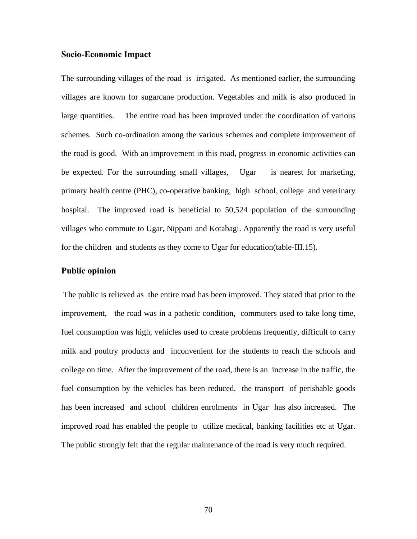### **Socio-Economic Impact**

The surrounding villages of the road is irrigated. As mentioned earlier, the surrounding villages are known for sugarcane production. Vegetables and milk is also produced in large quantities. The entire road has been improved under the coordination of various schemes. Such co-ordination among the various schemes and complete improvement of the road is good. With an improvement in this road, progress in economic activities can be expected. For the surrounding small villages, Ugar is nearest for marketing, primary health centre (PHC), co-operative banking, high school, college and veterinary hospital. The improved road is beneficial to 50,524 population of the surrounding villages who commute to Ugar, Nippani and Kotabagi. Apparently the road is very useful for the children and students as they come to Ugar for education(table-III.15).

# **Public opinion**

 The public is relieved as the entire road has been improved. They stated that prior to the improvement, the road was in a pathetic condition, commuters used to take long time, fuel consumption was high, vehicles used to create problems frequently, difficult to carry milk and poultry products and inconvenient for the students to reach the schools and college on time. After the improvement of the road, there is an increase in the traffic, the fuel consumption by the vehicles has been reduced, the transport of perishable goods has been increased and school children enrolments in Ugar has also increased. The improved road has enabled the people to utilize medical, banking facilities etc at Ugar. The public strongly felt that the regular maintenance of the road is very much required.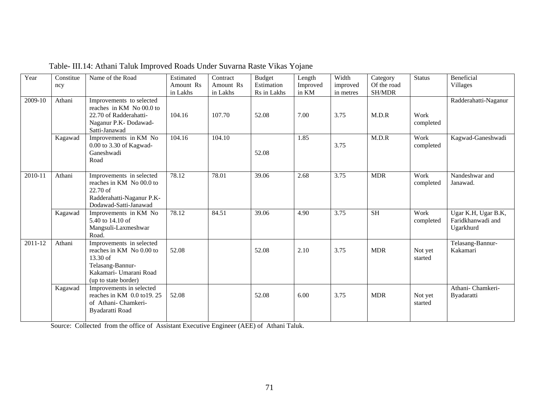| Year    | Constitue<br>ncy | Name of the Road                                                                                                                       | Estimated<br>Amount Rs<br>in Lakhs | Contract<br>Amount Rs<br>in Lakhs | <b>Budget</b><br>Estimation<br>Rs in Lakhs | Length<br>Improved<br>in KM | Width<br>improved<br>in metres | Category<br>Of the road<br>SH/MDR | <b>Status</b>      | Beneficial<br><b>Villages</b>                         |
|---------|------------------|----------------------------------------------------------------------------------------------------------------------------------------|------------------------------------|-----------------------------------|--------------------------------------------|-----------------------------|--------------------------------|-----------------------------------|--------------------|-------------------------------------------------------|
| 2009-10 | Athani           | Improvements to selected<br>reaches in KM No 00.0 to<br>22.70 of Radderahatti-<br>Naganur P.K-Dodawad-<br>Satti-Janawad                | 104.16                             | 107.70                            | 52.08                                      | 7.00                        | 3.75                           | M.D.R                             | Work<br>completed  | Radderahatti-Naganur                                  |
|         | Kagawad          | Improvements in KM No<br>0.00 to 3.30 of Kagwad-<br>Ganeshwadi<br>Road                                                                 | 104.16                             | 104.10                            | 52.08                                      | 1.85                        | 3.75                           | M.D.R                             | Work<br>completed  | Kagwad-Ganeshwadi                                     |
| 2010-11 | Athani           | Improvements in selected<br>reaches in KM No 00.0 to<br>22.70 of<br>Radderahatti-Naganur P.K-<br>Dodawad-Satti-Janawad                 | 78.12                              | 78.01                             | 39.06                                      | 2.68                        | 3.75                           | <b>MDR</b>                        | Work<br>completed  | Nandeshwar and<br>Janawad.                            |
|         | Kagawad          | Improvements in KM No<br>5.40 to 14.10 of<br>Mangsuli-Laxmeshwar<br>Road.                                                              | 78.12                              | 84.51                             | 39.06                                      | 4.90                        | 3.75                           | <b>SH</b>                         | Work<br>completed  | Ugar K.H, Ugar B.K,<br>Faridkhanwadi and<br>Ugarkhurd |
| 2011-12 | Athani           | Improvements in selected<br>reaches in KM No 0.00 to<br>13.30 of<br>Telasang-Bannur-<br>Kakamari- Umarani Road<br>(up to state border) | 52.08                              |                                   | 52.08                                      | 2.10                        | 3.75                           | <b>MDR</b>                        | Not yet<br>started | Telasang-Bannur-<br>Kakamari                          |
|         | Kagawad          | Improvements in selected<br>reaches in KM 0.0 to19.25<br>of Athani-Chamkeri-<br>Byadaratti Road                                        | 52.08                              |                                   | 52.08                                      | 6.00                        | 3.75                           | <b>MDR</b>                        | Not yet<br>started | Athani- Chamkeri-<br>Byadaratti                       |

Table- III.14: Athani Taluk Improved Roads Under Suvarna Raste Vikas Yojane

Source: Collected from the office of Assistant Executive Engineer (AEE) of Athani Taluk.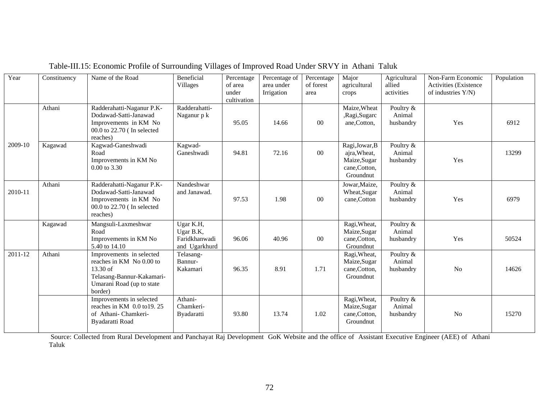| Year        | Constituency | Name of the Road                                                                                                                        | Beneficial<br><b>Villages</b>                            | Percentage<br>of area<br>under<br>cultivation | Percentage of<br>area under<br>Irrigation | Percentage<br>of forest<br>area | Major<br>agricultural<br>crops                                               | Agricultural<br>allied<br>activities | Non-Farm Economic<br><b>Activities</b> (Existence<br>of industries Y/N) | Population |
|-------------|--------------|-----------------------------------------------------------------------------------------------------------------------------------------|----------------------------------------------------------|-----------------------------------------------|-------------------------------------------|---------------------------------|------------------------------------------------------------------------------|--------------------------------------|-------------------------------------------------------------------------|------------|
|             | Athani       | Radderahatti-Naganur P.K-<br>Dodawad-Satti-Janawad<br>Improvements in KM No<br>00.0 to 22.70 (In selected<br>reaches)                   | Radderahatti-<br>Naganur p k                             | 95.05                                         | 14.66                                     | $00\,$                          | Maize, Wheat<br>,Ragi,Sugarc<br>ane,Cotton,                                  | Poultry &<br>Animal<br>husbandry     | Yes                                                                     | 6912       |
| 2009-10     | Kagawad      | Kagwad-Ganeshwadi<br>Road<br>Improvements in KM No<br>0.00 to 3.30                                                                      | Kagwad-<br>Ganeshwadi                                    | 94.81                                         | 72.16                                     | $00\,$                          | Ragi, Jowar, B<br>ajra, Wheat,<br>Maize, Sugar<br>cane, Cotton,<br>Groundnut | Poultry &<br>Animal<br>husbandry     | Yes                                                                     | 13299      |
| 2010-11     | Athani       | Radderahatti-Naganur P.K-<br>Dodawad-Satti-Janawad<br>Improvements in KM No<br>00.0 to 22.70 ( In selected<br>reaches)                  | Nandeshwar<br>and Janawad.                               | 97.53                                         | 1.98                                      | 00                              | Jowar, Maize,<br>Wheat, Sugar<br>cane, Cotton                                | Poultry &<br>Animal<br>husbandry     | Yes                                                                     | 6979       |
|             | Kagawad      | Mangsuli-Laxmeshwar<br>Road<br>Improvements in KM No<br>5.40 to 14.10                                                                   | Ugar K.H,<br>Ugar B.K,<br>Faridkhanwadi<br>and Ugarkhurd | 96.06                                         | 40.96                                     | 00                              | Ragi, Wheat,<br>Maize, Sugar<br>cane, Cotton,<br>Groundnut                   | Poultry &<br>Animal<br>husbandry     | Yes                                                                     | 50524      |
| $2011 - 12$ | Athani       | Improvements in selected<br>reaches in KM No 0.00 to<br>$13.30$ of<br>Telasang-Bannur-Kakamari-<br>Umarani Road (up to state<br>border) | Telasang-<br>Bannur-<br>Kakamari                         | 96.35                                         | 8.91                                      | 1.71                            | Ragi, Wheat,<br>Maize, Sugar<br>cane, Cotton,<br>Groundnut                   | Poultry &<br>Animal<br>husbandry     | No                                                                      | 14626      |
|             |              | Improvements in selected<br>reaches in KM 0.0 to 19.25<br>of Athani-Chamkeri-<br>Byadaratti Road                                        | Athani-<br>Chamkeri-<br>Byadaratti                       | 93.80                                         | 13.74                                     | 1.02                            | Ragi, Wheat,<br>Maize, Sugar<br>cane, Cotton,<br>Groundnut                   | Poultry &<br>Animal<br>husbandry     | N <sub>o</sub>                                                          | 15270      |

Table-III.15: Economic Profile of Surrounding Villages of Improved Road Under SRVY in Athani Taluk

 Source: Collected from Rural Development and Panchayat Raj Development GoK Website and the office of Assistant Executive Engineer (AEE) of Athani Taluk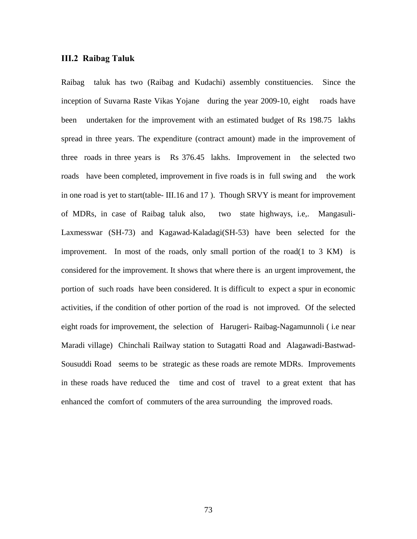#### **III.2 Raibag Taluk**

Raibag taluk has two (Raibag and Kudachi) assembly constituencies. Since the inception of Suvarna Raste Vikas Yojane during the year 2009-10, eight roads have been undertaken for the improvement with an estimated budget of Rs 198.75 lakhs spread in three years. The expenditure (contract amount) made in the improvement of three roads in three years is Rs 376.45 lakhs. Improvement in the selected two roads have been completed, improvement in five roads is in full swing and the work in one road is yet to start(table- III.16 and 17 ). Though SRVY is meant for improvement of MDRs, in case of Raibag taluk also, two state highways, i.e,. Mangasuli-Laxmesswar (SH-73) and Kagawad-Kaladagi(SH-53) have been selected for the improvement. In most of the roads, only small portion of the road $(1 \text{ to } 3 \text{ KM})$  is considered for the improvement. It shows that where there is an urgent improvement, the portion of such roads have been considered. It is difficult to expect a spur in economic activities, if the condition of other portion of the road is not improved. Of the selected eight roads for improvement, the selection of Harugeri- Raibag-Nagamunnoli ( i.e near Maradi village) Chinchali Railway station to Sutagatti Road and Alagawadi-Bastwad-Sousuddi Road seems to be strategic as these roads are remote MDRs. Improvements in these roads have reduced the time and cost of travel to a great extent that has enhanced the comfort of commuters of the area surrounding the improved roads.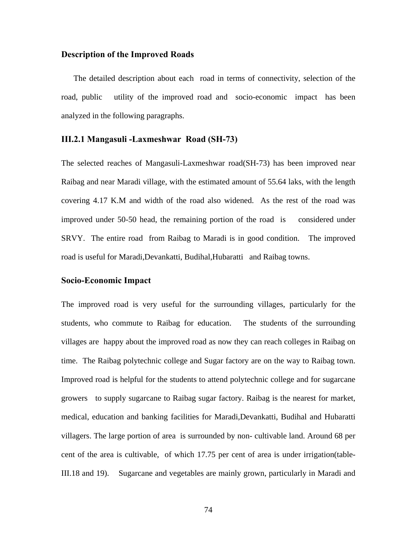#### **Description of the Improved Roads**

The detailed description about each road in terms of connectivity, selection of the road, public utility of the improved road and socio-economic impact has been analyzed in the following paragraphs.

#### **III.2.1 Mangasuli -Laxmeshwar Road (SH-73)**

The selected reaches of Mangasuli-Laxmeshwar road(SH-73) has been improved near Raibag and near Maradi village, with the estimated amount of 55.64 laks, with the length covering 4.17 K.M and width of the road also widened. As the rest of the road was improved under 50-50 head, the remaining portion of the road is considered under SRVY. The entire road from Raibag to Maradi is in good condition. The improved road is useful for Maradi,Devankatti, Budihal,Hubaratti and Raibag towns.

#### **Socio-Economic Impact**

The improved road is very useful for the surrounding villages, particularly for the students, who commute to Raibag for education. The students of the surrounding villages are happy about the improved road as now they can reach colleges in Raibag on time. The Raibag polytechnic college and Sugar factory are on the way to Raibag town. Improved road is helpful for the students to attend polytechnic college and for sugarcane growers to supply sugarcane to Raibag sugar factory. Raibag is the nearest for market, medical, education and banking facilities for Maradi,Devankatti, Budihal and Hubaratti villagers. The large portion of area is surrounded by non- cultivable land. Around 68 per cent of the area is cultivable, of which 17.75 per cent of area is under irrigation(table-III.18 and 19). Sugarcane and vegetables are mainly grown, particularly in Maradi and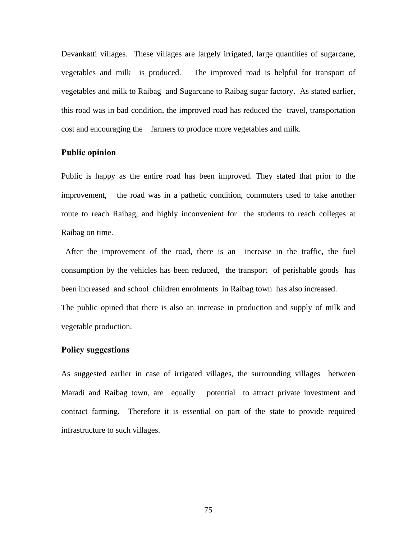Devankatti villages. These villages are largely irrigated, large quantities of sugarcane, vegetables and milk is produced. The improved road is helpful for transport of vegetables and milk to Raibag and Sugarcane to Raibag sugar factory. As stated earlier, this road was in bad condition, the improved road has reduced the travel, transportation cost and encouraging the farmers to produce more vegetables and milk.

#### **Public opinion**

Public is happy as the entire road has been improved. They stated that prior to the improvement, the road was in a pathetic condition, commuters used to take another route to reach Raibag, and highly inconvenient for the students to reach colleges at Raibag on time.

 After the improvement of the road, there is an increase in the traffic, the fuel consumption by the vehicles has been reduced, the transport of perishable goods has been increased and school children enrolments in Raibag town has also increased. The public opined that there is also an increase in production and supply of milk and vegetable production.

#### **Policy suggestions**

As suggested earlier in case of irrigated villages, the surrounding villages between Maradi and Raibag town, are equally potential to attract private investment and contract farming. Therefore it is essential on part of the state to provide required infrastructure to such villages.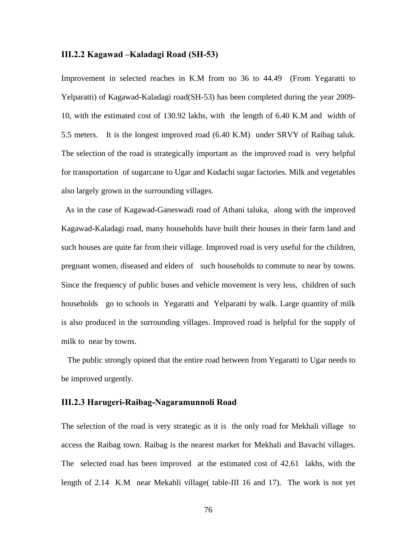#### **III.2.2 Kagawad –Kaladagi Road (SH-53)**

Improvement in selected reaches in K.M from no 36 to 44.49 (From Yegaratti to Yelparatti) of Kagawad-Kaladagi road(SH-53) has been completed during the year 2009- 10, with the estimated cost of 130.92 lakhs, with the length of 6.40 K.M and width of 5.5 meters. It is the longest improved road (6.40 K.M) under SRVY of Raibag taluk. The selection of the road is strategically important as the improved road is very helpful for transportation of sugarcane to Ugar and Kudachi sugar factories. Milk and vegetables also largely grown in the surrounding villages.

 As in the case of Kagawad-Ganeswadi road of Athani taluka, along with the improved Kagawad-Kaladagi road, many households have built their houses in their farm land and such houses are quite far from their village. Improved road is very useful for the children, pregnant women, diseased and elders of such households to commute to near by towns. Since the frequency of public buses and vehicle movement is very less, children of such households go to schools in Yegaratti and Yelparatti by walk. Large quantity of milk is also produced in the surrounding villages. Improved road is helpful for the supply of milk to near by towns.

 The public strongly opined that the entire road between from Yegaratti to Ugar needs to be improved urgently.

#### **III.2.3 Harugeri-Raibag-Nagaramunnoli Road**

The selection of the road is very strategic as it is the only road for Mekhali village to access the Raibag town. Raibag is the nearest market for Mekhali and Bavachi villages. The selected road has been improved at the estimated cost of 42.61 lakhs, with the length of 2.14 K.M near Mekahli village( table-III 16 and 17). The work is not yet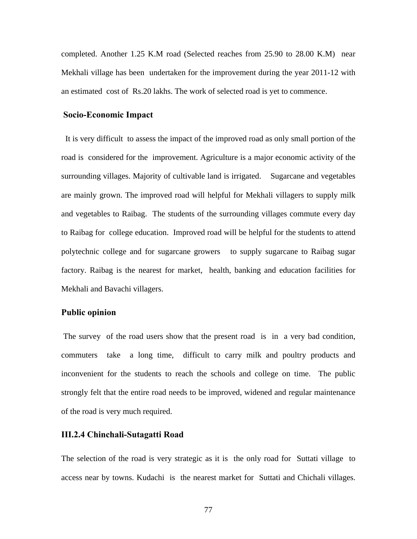completed. Another 1.25 K.M road (Selected reaches from 25.90 to 28.00 K.M) near Mekhali village has been undertaken for the improvement during the year 2011-12 with an estimated cost of Rs.20 lakhs. The work of selected road is yet to commence.

#### **Socio-Economic Impact**

 It is very difficult to assess the impact of the improved road as only small portion of the road is considered for the improvement. Agriculture is a major economic activity of the surrounding villages. Majority of cultivable land is irrigated. Sugarcane and vegetables are mainly grown. The improved road will helpful for Mekhali villagers to supply milk and vegetables to Raibag. The students of the surrounding villages commute every day to Raibag for college education. Improved road will be helpful for the students to attend polytechnic college and for sugarcane growers to supply sugarcane to Raibag sugar factory. Raibag is the nearest for market, health, banking and education facilities for Mekhali and Bavachi villagers.

#### **Public opinion**

 The survey of the road users show that the present road is in a very bad condition, commuters take a long time, difficult to carry milk and poultry products and inconvenient for the students to reach the schools and college on time. The public strongly felt that the entire road needs to be improved, widened and regular maintenance of the road is very much required.

#### **III.2.4 Chinchali-Sutagatti Road**

The selection of the road is very strategic as it is the only road for Suttati village to access near by towns. Kudachi is the nearest market for Suttati and Chichali villages.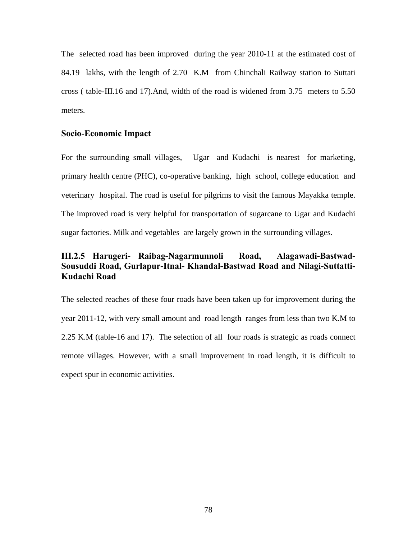The selected road has been improved during the year 2010-11 at the estimated cost of 84.19 lakhs, with the length of 2.70 K.M from Chinchali Railway station to Suttati cross ( table-III.16 and 17).And, width of the road is widened from 3.75 meters to 5.50 meters.

#### **Socio-Economic Impact**

For the surrounding small villages, Ugar and Kudachi is nearest for marketing, primary health centre (PHC), co-operative banking, high school, college education and veterinary hospital. The road is useful for pilgrims to visit the famous Mayakka temple. The improved road is very helpful for transportation of sugarcane to Ugar and Kudachi sugar factories. Milk and vegetables are largely grown in the surrounding villages.

### **III.2.5 Harugeri- Raibag-Nagarmunnoli Road, Alagawadi-Bastwad-Sousuddi Road, Gurlapur-Itnal- Khandal-Bastwad Road and Nilagi-Suttatti-Kudachi Road**

The selected reaches of these four roads have been taken up for improvement during the year 2011-12, with very small amount and road length ranges from less than two K.M to 2.25 K.M (table-16 and 17). The selection of all four roads is strategic as roads connect remote villages. However, with a small improvement in road length, it is difficult to expect spur in economic activities.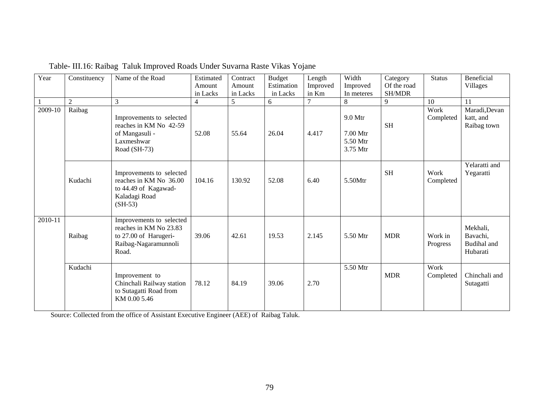| Year<br>$2009 - 10$ | Constituency<br>$\overline{2}$<br>Raibag | Name of the Road<br>3                                                                                        | Estimated<br>Amount<br>in Lacks<br>$\overline{4}$ | Contract<br>Amount<br>in Lacks<br>5 | <b>Budget</b><br>Estimation<br>in Lacks<br>6 | Length<br>Improved<br>in Km | Width<br>Improved<br>In meteres<br>8          | Category<br>Of the road<br>SH/MDR<br>9 | <b>Status</b><br>10<br>Work | <b>Beneficial</b><br>Villages<br>11<br>Maradi, Devan |
|---------------------|------------------------------------------|--------------------------------------------------------------------------------------------------------------|---------------------------------------------------|-------------------------------------|----------------------------------------------|-----------------------------|-----------------------------------------------|----------------------------------------|-----------------------------|------------------------------------------------------|
|                     |                                          | Improvements to selected<br>reaches in KM No 42-59<br>of Mangasuli -<br>Laxmeshwar<br>Road (SH-73)           | 52.08                                             | 55.64                               | 26.04                                        | 4.417                       | 9.0 Mtr<br>$7.00$ Mtr<br>5.50 Mtr<br>3.75 Mtr | <b>SH</b>                              | Completed                   | katt, and<br>Raibag town                             |
|                     | Kudachi                                  | Improvements to selected<br>reaches in KM No 36.00<br>to 44.49 of Kagawad-<br>Kaladagi Road<br>$(SH-53)$     | 104.16                                            | 130.92                              | 52.08                                        | 6.40                        | 5.50Mtr                                       | <b>SH</b>                              | Work<br>Completed           | Yelaratti and<br>Yegaratti                           |
| 2010-11             | Raibag                                   | Improvements to selected<br>reaches in KM No 23.83<br>to 27.00 of Harugeri-<br>Raibag-Nagaramunnoli<br>Road. | 39.06                                             | 42.61                               | 19.53                                        | 2.145                       | 5.50 Mtr                                      | <b>MDR</b>                             | Work in<br>Progress         | Mekhali,<br>Bavachi,<br>Budihal and<br>Hubarati      |
|                     | Kudachi                                  | Improvement to<br>Chinchali Railway station<br>to Sutagatti Road from<br>KM 0.00 5.46                        | 78.12                                             | 84.19                               | 39.06                                        | 2.70                        | 5.50 Mtr                                      | <b>MDR</b>                             | Work<br>Completed           | Chinchali and<br>Sutagatti                           |

Table- III.16: Raibag Taluk Improved Roads Under Suvarna Raste Vikas Yojane

Source: Collected from the office of Assistant Executive Engineer (AEE) of Raibag Taluk.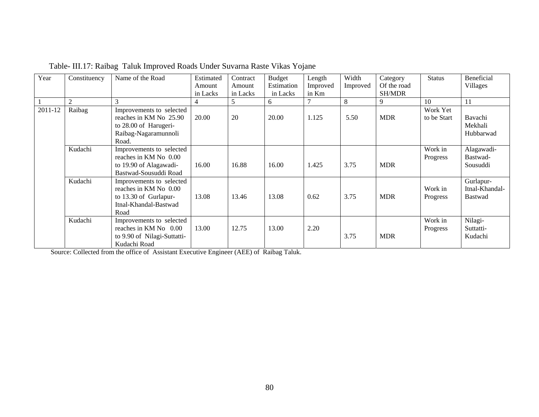| Year    | Constituency   | Name of the Road                                                                                             | Estimated | Contract | <b>Budget</b> | Length   | Width    | Category      | <b>Status</b>           | Beneficial                                    |
|---------|----------------|--------------------------------------------------------------------------------------------------------------|-----------|----------|---------------|----------|----------|---------------|-------------------------|-----------------------------------------------|
|         |                |                                                                                                              | Amount    | Amount   | Estimation    | Improved | Improved | Of the road   |                         | Villages                                      |
|         |                |                                                                                                              | in Lacks  | in Lacks | in Lacks      | in Km    |          | <b>SH/MDR</b> |                         |                                               |
|         | $\overline{2}$ | 3                                                                                                            | 4         | 5        | 6             |          | 8        | 9             | 10                      | 11                                            |
| 2011-12 | Raibag         | Improvements to selected<br>reaches in KM No 25.90<br>to 28.00 of Harugeri-<br>Raibag-Nagaramunnoli<br>Road. | 20.00     | 20       | 20.00         | 1.125    | 5.50     | <b>MDR</b>    | Work Yet<br>to be Start | Bavachi<br>Mekhali<br>Hubbarwad               |
|         | Kudachi        | Improvements to selected<br>reaches in KM No 0.00<br>to 19.90 of Alagawadi-<br>Bastwad-Sousuddi Road         | 16.00     | 16.88    | 16.00         | 1.425    | 3.75     | <b>MDR</b>    | Work in<br>Progress     | Alagawadi-<br>Bastwad-<br>Sousuddi            |
|         | Kudachi        | Improvements to selected<br>reaches in KM No 0.00<br>to 13.30 of Gurlapur-<br>Itnal-Khandal-Bastwad<br>Road  | 13.08     | 13.46    | 13.08         | 0.62     | 3.75     | <b>MDR</b>    | Work in<br>Progress     | Gurlapur-<br>Itnal-Khandal-<br><b>Bastwad</b> |
|         | Kudachi        | Improvements to selected<br>reaches in KM No 0.00<br>to 9.90 of Nilagi-Suttatti-<br>Kudachi Road             | 13.00     | 12.75    | 13.00         | 2.20     | 3.75     | <b>MDR</b>    | Work in<br>Progress     | Nilagi-<br>Suttatti-<br>Kudachi               |

Table- III.17: Raibag Taluk Improved Roads Under Suvarna Raste Vikas Yojane

Source: Collected from the office of Assistant Executive Engineer (AEE) of Raibag Taluk.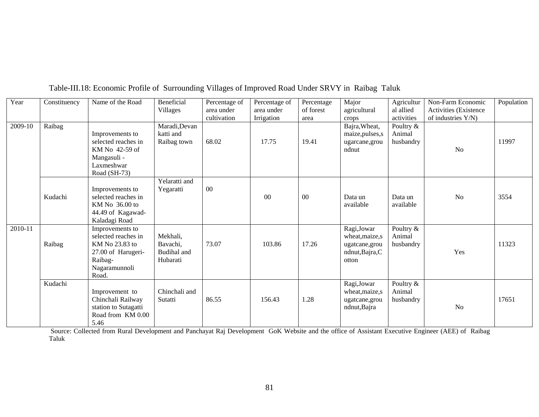| Year    | Constituency | Name of the Road                                                                                                    | Beneficial<br>Villages                          | Percentage of<br>area under<br>cultivation | Percentage of<br>area under<br>Irrigation | Percentage<br>of forest<br>area | Major<br>agricultural<br>crops                                               | Agricultur<br>al allied<br>activities | Non-Farm Economic<br><b>Activities</b> (Existence)<br>of industries $Y/N$ ) | Population |
|---------|--------------|---------------------------------------------------------------------------------------------------------------------|-------------------------------------------------|--------------------------------------------|-------------------------------------------|---------------------------------|------------------------------------------------------------------------------|---------------------------------------|-----------------------------------------------------------------------------|------------|
| 2009-10 | Raibag       | Improvements to<br>selected reaches in<br>KM No 42-59 of<br>Mangasuli -<br>Laxmeshwar<br>Road (SH-73)               | Maradi, Devan<br>katti and<br>Raibag town       | 68.02                                      | 17.75                                     | 19.41                           | Bajra, Wheat,<br>maize, pulses, s<br>ugarcane, grou<br>ndnut                 | Poultry &<br>Animal<br>husbandry      | N <sub>o</sub>                                                              | 11997      |
|         | Kudachi      | Improvements to<br>selected reaches in<br>KM No 36.00 to<br>44.49 of Kagawad-<br>Kaladagi Road                      | Yelaratti and<br>Yegaratti                      | 00                                         | $00\,$                                    | $00\,$                          | Data un<br>available                                                         | Data un<br>available                  | N <sub>o</sub>                                                              | 3554       |
| 2010-11 | Raibag       | Improvements to<br>selected reaches in<br>KM No 23.83 to<br>27.00 of Harugeri-<br>Raibag-<br>Nagaramunnoli<br>Road. | Mekhali,<br>Bavachi,<br>Budihal and<br>Hubarati | 73.07                                      | 103.86                                    | 17.26                           | Ragi, Jowar<br>wheat, maize, s<br>ugatcane, grou<br>ndnut, Bajra, C<br>otton | Poultry &<br>Animal<br>husbandry      | Yes                                                                         | 11323      |
|         | Kudachi      | Improvement to<br>Chinchali Railway<br>station to Sutagatti<br>Road from KM 0.00<br>5.46                            | Chinchali and<br>Sutatti                        | 86.55                                      | 156.43                                    | 1.28                            | Ragi, Jowar<br>wheat, maize, s<br>ugatcane, grou<br>ndnut, Bajra             | Poultry &<br>Animal<br>husbandry      | N <sub>o</sub>                                                              | 17651      |

Table-III.18: Economic Profile of Surrounding Villages of Improved Road Under SRVY in Raibag Taluk

 Source: Collected from Rural Development and Panchayat Raj Development GoK Website and the office of Assistant Executive Engineer (AEE) of Raibag Taluk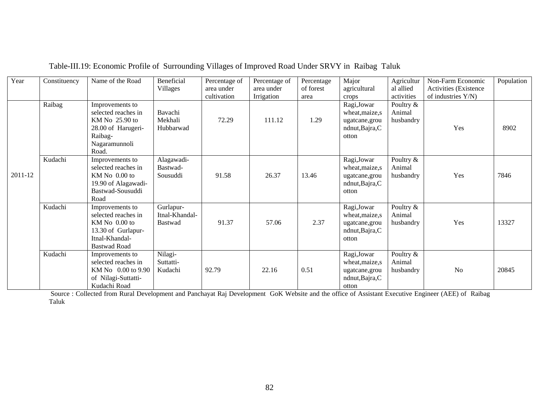| Year    | Constituency | Name of the Road                                                                                                           | Beneficial<br>Villages                        | Percentage of<br>area under | Percentage of<br>area under | Percentage<br>of forest | Major<br>agricultural                                                        | Agricultur<br>al allied            | Non-Farm Economic<br>Activities (Existence | Population |
|---------|--------------|----------------------------------------------------------------------------------------------------------------------------|-----------------------------------------------|-----------------------------|-----------------------------|-------------------------|------------------------------------------------------------------------------|------------------------------------|--------------------------------------------|------------|
|         |              |                                                                                                                            |                                               | cultivation                 | Irrigation                  | area                    | crops                                                                        | activities                         | of industries Y/N)                         |            |
|         | Raibag       | Improvements to<br>selected reaches in<br>KM No 25.90 to<br>28.00 of Harugeri-<br>Raibag-<br>Nagaramunnoli<br>Road.        | Bavachi<br>Mekhali<br>Hubbarwad               | 72.29                       | 111.12                      | 1.29                    | Ragi, Jowar<br>wheat, maize, s<br>ugatcane, grou<br>ndnut, Bajra, C<br>otton | Poultry &<br>Animal<br>husbandry   | Yes                                        | 8902       |
| 2011-12 | Kudachi      | Improvements to<br>selected reaches in<br>KM No 0.00 to<br>19.90 of Alagawadi-<br>Bastwad-Sousuddi<br>Road                 | Alagawadi-<br>Bastwad-<br>Sousuddi            | 91.58                       | 26.37                       | 13.46                   | Ragi, Jowar<br>wheat, maize, s<br>ugatcane, grou<br>ndnut, Bajra, C<br>otton | Poultry &<br>Animal<br>husbandry   | Yes                                        | 7846       |
|         | Kudachi      | Improvements to<br>selected reaches in<br>$KM$ No $0.00$ to<br>13.30 of Gurlapur-<br>Itnal-Khandal-<br><b>Bastwad Road</b> | Gurlapur-<br>Itnal-Khandal-<br><b>Bastwad</b> | 91.37                       | 57.06                       | 2.37                    | Ragi, Jowar<br>wheat, maize, s<br>ugatcane, grou<br>ndnut, Bajra, C<br>otton | Poultry $&$<br>Animal<br>husbandry | Yes                                        | 13327      |
|         | Kudachi      | Improvements to<br>selected reaches in<br>KM No 0.00 to 9.90<br>of Nilagi-Suttatti-<br>Kudachi Road                        | Nilagi-<br>Suttatti-<br>Kudachi               | 92.79                       | 22.16                       | 0.51                    | Ragi, Jowar<br>wheat, maize, s<br>ugatcane, grou<br>ndnut, Bajra, C<br>otton | Poultry &<br>Animal<br>husbandry   | N <sub>o</sub>                             | 20845      |

### Table-III.19: Economic Profile of Surrounding Villages of Improved Road Under SRVY in Raibag Taluk

 Source : Collected from Rural Development and Panchayat Raj Development GoK Website and the office of Assistant Executive Engineer (AEE) of Raibag Taluk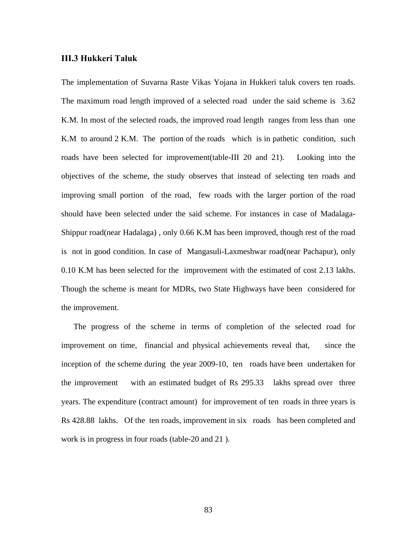#### **III.3 Hukkeri Taluk**

The implementation of Suvarna Raste Vikas Yojana in Hukkeri taluk covers ten roads. The maximum road length improved of a selected road under the said scheme is 3.62 K.M. In most of the selected roads, the improved road length ranges from less than one K.M to around 2 K.M. The portion of the roads which is in pathetic condition, such roads have been selected for improvement(table-III 20 and 21). Looking into the objectives of the scheme, the study observes that instead of selecting ten roads and improving small portion of the road, few roads with the larger portion of the road should have been selected under the said scheme. For instances in case of Madalaga-Shippur road(near Hadalaga) , only 0.66 K.M has been improved, though rest of the road is not in good condition. In case of Mangasuli-Laxmeshwar road(near Pachapur), only 0.10 K.M has been selected for the improvement with the estimated of cost 2.13 lakhs. Though the scheme is meant for MDRs, two State Highways have been considered for the improvement.

 The progress of the scheme in terms of completion of the selected road for improvement on time, financial and physical achievements reveal that, since the inception of the scheme during the year 2009-10, ten roads have been undertaken for the improvement with an estimated budget of Rs 295.33 lakhs spread over three years. The expenditure (contract amount) for improvement of ten roads in three years is Rs 428.88 lakhs. Of the ten roads, improvement in six roads has been completed and work is in progress in four roads (table-20 and 21 ).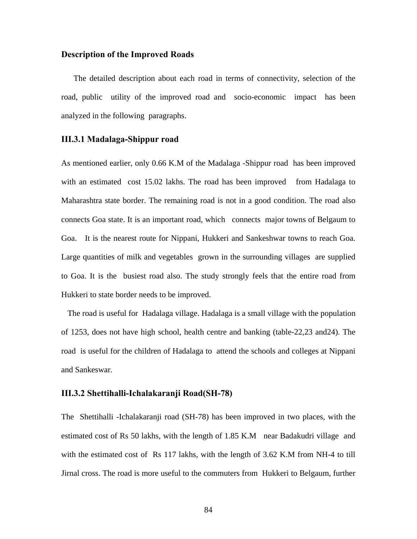#### **Description of the Improved Roads**

The detailed description about each road in terms of connectivity, selection of the road, public utility of the improved road and socio-economic impact has been analyzed in the following paragraphs.

#### **III.3.1 Madalaga-Shippur road**

As mentioned earlier, only 0.66 K.M of the Madalaga -Shippur road has been improved with an estimated cost 15.02 lakhs. The road has been improved from Hadalaga to Maharashtra state border. The remaining road is not in a good condition. The road also connects Goa state. It is an important road, which connects major towns of Belgaum to Goa. It is the nearest route for Nippani, Hukkeri and Sankeshwar towns to reach Goa. Large quantities of milk and vegetables grown in the surrounding villages are supplied to Goa. It is the busiest road also. The study strongly feels that the entire road from Hukkeri to state border needs to be improved.

 The road is useful for Hadalaga village. Hadalaga is a small village with the population of 1253, does not have high school, health centre and banking (table-22,23 and24). The road is useful for the children of Hadalaga to attend the schools and colleges at Nippani and Sankeswar.

### **III.3.2 Shettihalli-Ichalakaranji Road(SH-78)**

The Shettihalli -Ichalakaranji road (SH-78) has been improved in two places, with the estimated cost of Rs 50 lakhs, with the length of 1.85 K.M near Badakudri village and with the estimated cost of Rs 117 lakhs, with the length of 3.62 K.M from NH-4 to till Jirnal cross. The road is more useful to the commuters from Hukkeri to Belgaum, further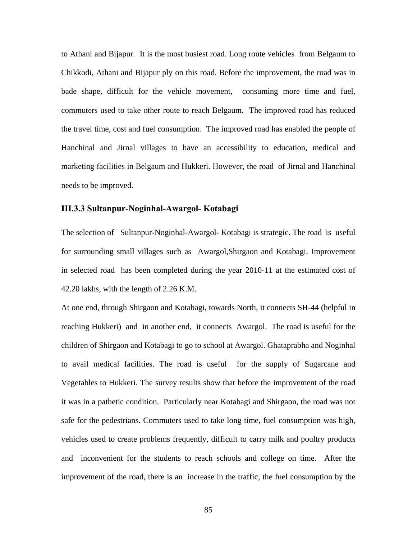to Athani and Bijapur. It is the most busiest road. Long route vehicles from Belgaum to Chikkodi, Athani and Bijapur ply on this road. Before the improvement, the road was in bade shape, difficult for the vehicle movement, consuming more time and fuel, commuters used to take other route to reach Belgaum. The improved road has reduced the travel time, cost and fuel consumption. The improved road has enabled the people of Hanchinal and Jirnal villages to have an accessibility to education, medical and marketing facilities in Belgaum and Hukkeri. However, the road of Jirnal and Hanchinal needs to be improved.

#### **III.3.3 Sultanpur-Noginhal-Awargol- Kotabagi**

The selection of Sultanpur-Noginhal-Awargol- Kotabagi is strategic. The road is useful for surrounding small villages such as Awargol,Shirgaon and Kotabagi. Improvement in selected road has been completed during the year 2010-11 at the estimated cost of 42.20 lakhs, with the length of 2.26 K.M.

At one end, through Shirgaon and Kotabagi, towards North, it connects SH-44 (helpful in reaching Hukkeri) and in another end, it connects Awargol. The road is useful for the children of Shirgaon and Kotabagi to go to school at Awargol. Ghataprabha and Noginhal to avail medical facilities. The road is useful for the supply of Sugarcane and Vegetables to Hukkeri. The survey results show that before the improvement of the road it was in a pathetic condition. Particularly near Kotabagi and Shirgaon, the road was not safe for the pedestrians. Commuters used to take long time, fuel consumption was high, vehicles used to create problems frequently, difficult to carry milk and poultry products and inconvenient for the students to reach schools and college on time. After the improvement of the road, there is an increase in the traffic, the fuel consumption by the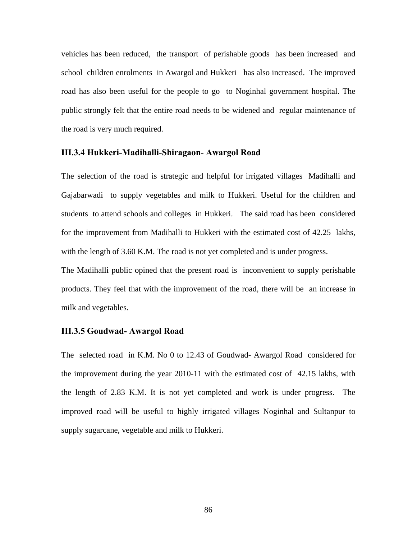vehicles has been reduced, the transport of perishable goods has been increased and school children enrolments in Awargol and Hukkeri has also increased. The improved road has also been useful for the people to go to Noginhal government hospital. The public strongly felt that the entire road needs to be widened and regular maintenance of the road is very much required.

#### **III.3.4 Hukkeri-Madihalli-Shiragaon- Awargol Road**

The selection of the road is strategic and helpful for irrigated villages Madihalli and Gajabarwadi to supply vegetables and milk to Hukkeri. Useful for the children and students to attend schools and colleges in Hukkeri. The said road has been considered for the improvement from Madihalli to Hukkeri with the estimated cost of 42.25 lakhs, with the length of 3.60 K.M. The road is not yet completed and is under progress.

The Madihalli public opined that the present road is inconvenient to supply perishable products. They feel that with the improvement of the road, there will be an increase in milk and vegetables.

#### **III.3.5 Goudwad- Awargol Road**

The selected road in K.M. No 0 to 12.43 of Goudwad- Awargol Road considered for the improvement during the year 2010-11 with the estimated cost of 42.15 lakhs, with the length of 2.83 K.M. It is not yet completed and work is under progress. The improved road will be useful to highly irrigated villages Noginhal and Sultanpur to supply sugarcane, vegetable and milk to Hukkeri.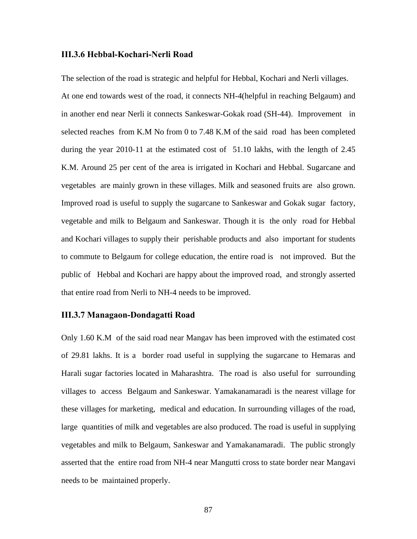#### **III.3.6 Hebbal-Kochari-Nerli Road**

The selection of the road is strategic and helpful for Hebbal, Kochari and Nerli villages. At one end towards west of the road, it connects NH-4(helpful in reaching Belgaum) and in another end near Nerli it connects Sankeswar-Gokak road (SH-44). Improvement in selected reaches from K.M No from 0 to 7.48 K.M of the said road has been completed during the year 2010-11 at the estimated cost of 51.10 lakhs, with the length of 2.45 K.M. Around 25 per cent of the area is irrigated in Kochari and Hebbal. Sugarcane and vegetables are mainly grown in these villages. Milk and seasoned fruits are also grown. Improved road is useful to supply the sugarcane to Sankeswar and Gokak sugar factory, vegetable and milk to Belgaum and Sankeswar. Though it is the only road for Hebbal and Kochari villages to supply their perishable products and also important for students to commute to Belgaum for college education, the entire road is not improved. But the public of Hebbal and Kochari are happy about the improved road, and strongly asserted that entire road from Nerli to NH-4 needs to be improved.

#### **III.3.7 Managaon-Dondagatti Road**

Only 1.60 K.M of the said road near Mangav has been improved with the estimated cost of 29.81 lakhs. It is a border road useful in supplying the sugarcane to Hemaras and Harali sugar factories located in Maharashtra. The road is also useful for surrounding villages to access Belgaum and Sankeswar. Yamakanamaradi is the nearest village for these villages for marketing, medical and education. In surrounding villages of the road, large quantities of milk and vegetables are also produced. The road is useful in supplying vegetables and milk to Belgaum, Sankeswar and Yamakanamaradi. The public strongly asserted that the entire road from NH-4 near Mangutti cross to state border near Mangavi needs to be maintained properly.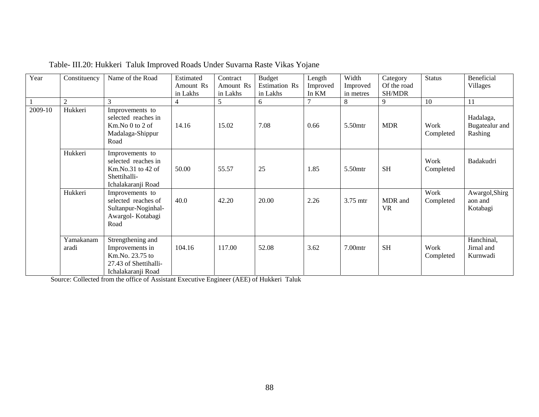| Year    | Constituency       | Name of the Road                                                                                       | Estimated      | Contract  | <b>Budget</b> | Length   | Width      | Category             | <b>Status</b>     | <b>Beneficial</b>                      |
|---------|--------------------|--------------------------------------------------------------------------------------------------------|----------------|-----------|---------------|----------|------------|----------------------|-------------------|----------------------------------------|
|         |                    |                                                                                                        | Amount Rs      | Amount Rs | Estimation Rs | Improved | Improved   | Of the road          |                   | Villages                               |
|         |                    |                                                                                                        | in Lakhs       | in Lakhs  | in Lakhs      | In KM    | in metres  | <b>SH/MDR</b>        |                   |                                        |
|         | $\overline{2}$     | 3                                                                                                      | $\overline{4}$ | 5         | 6             |          | 8          | 9                    | 10                | 11                                     |
| 2009-10 | Hukkeri            | Improvements to<br>selected reaches in<br>Km.No 0 to 2 of<br>Madalaga-Shippur<br>Road                  | 14.16          | 15.02     | 7.08          | 0.66     | 5.50mtr    | <b>MDR</b>           | Work<br>Completed | Hadalaga,<br>Bugatealur and<br>Rashing |
|         | Hukkeri            | Improvements to<br>selected reaches in<br>$Km.No.31$ to 42 of<br>Shettihalli-<br>Ichalakaranji Road    | 50.00          | 55.57     | 25            | 1.85     | 5.50mtr    | <b>SH</b>            | Work<br>Completed | Badakudri                              |
|         | Hukkeri            | Improvements to<br>selected reaches of<br>Sultanpur-Noginhal-<br>Awargol- Kotabagi<br>Road             | 40.0           | 42.20     | 20.00         | 2.26     | 3.75 mtr   | MDR and<br><b>VR</b> | Work<br>Completed | Awargol, Shirg<br>aon and<br>Kotabagi  |
|         | Yamakanam<br>aradi | Strengthening and<br>Improvements in<br>Km.No. 23.75 to<br>27.43 of Shettihalli-<br>Ichalakaranji Road | 104.16         | 117.00    | 52.08         | 3.62     | $7.00$ mtr | <b>SH</b>            | Work<br>Completed | Hanchinal,<br>Jirnal and<br>Kurnwadi   |

|  | Table- III.20: Hukkeri Taluk Improved Roads Under Suvarna Raste Vikas Yojane |  |  |
|--|------------------------------------------------------------------------------|--|--|
|--|------------------------------------------------------------------------------|--|--|

Source: Collected from the office of Assistant Executive Engineer (AEE) of Hukkeri Taluk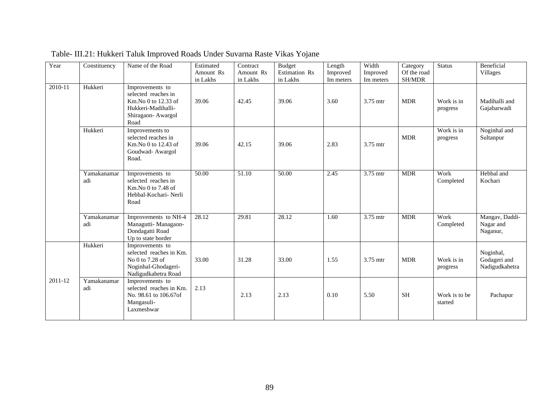| Year    | Constituency       | Name of the Road                                                                                                  | Estimated             | Contract              | <b>Budget</b>             | Length                | Width                 | Category              | <b>Status</b>            | Beneficial                                  |
|---------|--------------------|-------------------------------------------------------------------------------------------------------------------|-----------------------|-----------------------|---------------------------|-----------------------|-----------------------|-----------------------|--------------------------|---------------------------------------------|
|         |                    |                                                                                                                   | Amount Rs<br>in Lakhs | Amount Rs<br>in Lakhs | Estimation Rs<br>in Lakhs | Improved<br>Im meters | Improved<br>Im meters | Of the road<br>SH/MDR |                          | Villages                                    |
| 2010-11 | Hukkeri            | Improvements to<br>selected reaches in<br>Km.No 0 to 12.33 of<br>Hukkeri-Madihalli-<br>Shiragaon- Awargol<br>Road | 39.06                 | 42.45                 | 39.06                     | 3.60                  | 3.75 mtr              | <b>MDR</b>            | Work is in<br>progress   | Madihalli and<br>Gajabarwadi                |
|         | Hukkeri            | Improvements to<br>selected reaches in<br>Km.No 0 to 12.43 of<br>Goudwad- Awargol<br>Road.                        | 39.06                 | 42.15                 | 39.06                     | 2.83                  | 3.75 mtr              | <b>MDR</b>            | Work is in<br>progress   | Noginhal and<br>Sultanpur                   |
|         | Yamakanamar<br>adi | Improvements to<br>selected reaches in<br>Km.No 0 to 7.48 of<br>Hebbal-Kochari- Nerli<br>Road                     | 50.00                 | $\overline{51.10}$    | 50.00                     | 2.45                  | 3.75 mtr              | <b>MDR</b>            | Work<br>Completed        | Hebbal and<br>Kochari                       |
|         | Yamakanamar<br>adi | Improvements to NH-4<br>Managutti- Managaon-<br>Dondagatti Road<br>Up to state border                             | 28.12                 | 29.81                 | 28.12                     | 1.60                  | 3.75 mtr              | <b>MDR</b>            | Work<br>Completed        | Mangav, Daddi-<br>Nagar and<br>Naganur,     |
|         | Hukkeri            | Improvements to<br>selected reaches in Km.<br>No 0 to 7.28 of<br>Noginhal-Ghodageri-<br>Nadigudkahetra Road       | 33.00                 | 31.28                 | 33.00                     | 1.55                  | 3.75 mtr              | <b>MDR</b>            | Work is in<br>progress   | Noginhal,<br>Godageri and<br>Nadigudkahetra |
| 2011-12 | Yamakanamar<br>adi | Improvements to<br>selected reaches in Km.<br>No. 98.61 to 106.67of<br>Mangasuli-<br>Laxmeshwar                   | 2.13                  | 2.13                  | 2.13                      | 0.10                  | 5.50                  | <b>SH</b>             | Work is to be<br>started | Pachapur                                    |

Table- III.21: Hukkeri Taluk Improved Roads Under Suvarna Raste Vikas Yojane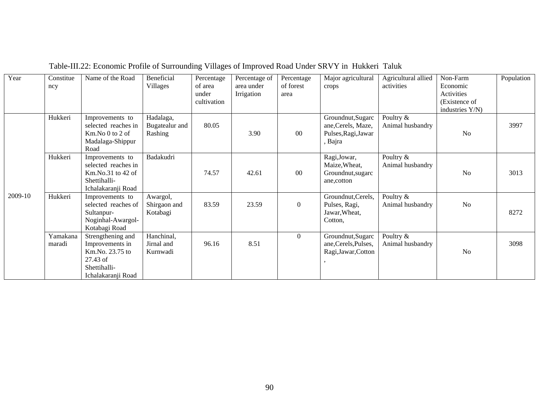| Year    | Constitue | Name of the Road    | Beneficial     | Percentage  | Percentage of | Percentage       | Major agricultural   | Agricultural allied | Non-Farm        | Population |
|---------|-----------|---------------------|----------------|-------------|---------------|------------------|----------------------|---------------------|-----------------|------------|
|         | ncy       |                     | Villages       | of area     | area under    | of forest        | crops                | activities          | Economic        |            |
|         |           |                     |                | under       | Irrigation    | area             |                      |                     | Activities      |            |
|         |           |                     |                | cultivation |               |                  |                      |                     | (Existence of   |            |
|         |           |                     |                |             |               |                  |                      |                     | industries Y/N) |            |
|         | Hukkeri   | Improvements to     | Hadalaga,      |             |               |                  | Groundnut, Sugarc    | Poultry &           |                 |            |
|         |           | selected reaches in | Bugatealur and | 80.05       |               |                  | ane, Cerels, Maze,   | Animal husbandry    |                 | 3997       |
|         |           | $Km$ . No 0 to 2 of | Rashing        |             | 3.90          | 00               | Pulses, Ragi, Jawar  |                     | N <sub>o</sub>  |            |
|         |           | Madalaga-Shippur    |                |             |               |                  | , Bajra              |                     |                 |            |
|         |           | Road                |                |             |               |                  |                      |                     |                 |            |
|         | Hukkeri   | Improvements to     | Badakudri      |             |               |                  | Ragi, Jowar,         | Poultry $\&$        |                 |            |
|         |           | selected reaches in |                |             |               |                  | Maize, Wheat,        | Animal husbandry    |                 |            |
|         |           | $Km.No.31$ to 42 of |                | 74.57       | 42.61         | 00               | Groundnut, sugarc    |                     | N <sub>o</sub>  | 3013       |
|         |           | Shettihalli-        |                |             |               |                  | ane, cotton          |                     |                 |            |
|         |           | Ichalakaranji Road  |                |             |               |                  |                      |                     |                 |            |
| 2009-10 | Hukkeri   | Improvements to     | Awargol,       |             |               |                  | Groundnut, Cerels,   | Poultry &           |                 |            |
|         |           | selected reaches of | Shirgaon and   | 83.59       | 23.59         | $\boldsymbol{0}$ | Pulses, Ragi,        | Animal husbandry    | N <sub>0</sub>  |            |
|         |           | Sultanpur-          | Kotabagi       |             |               |                  | Jawar, Wheat,        |                     |                 | 8272       |
|         |           | Noginhal-Awargol-   |                |             |               |                  | Cotton.              |                     |                 |            |
|         |           | Kotabagi Road       |                |             |               |                  |                      |                     |                 |            |
|         | Yamakana  | Strengthening and   | Hanchinal,     |             |               | $\boldsymbol{0}$ | Groundnut, Sugarc    | Poultry &           |                 |            |
|         | maradi    | Improvements in     | Jirnal and     | 96.16       | 8.51          |                  | ane, Cerels, Pulses, | Animal husbandry    |                 | 3098       |
|         |           | Km.No. 23.75 to     | Kurnwadi       |             |               |                  | Ragi, Jawar, Cotton  |                     | N <sub>o</sub>  |            |
|         |           | 27.43 of            |                |             |               |                  |                      |                     |                 |            |
|         |           | Shettihalli-        |                |             |               |                  |                      |                     |                 |            |
|         |           | Ichalakaranji Road  |                |             |               |                  |                      |                     |                 |            |

# Table-III.22: Economic Profile of Surrounding Villages of Improved Road Under SRVY in Hukkeri Taluk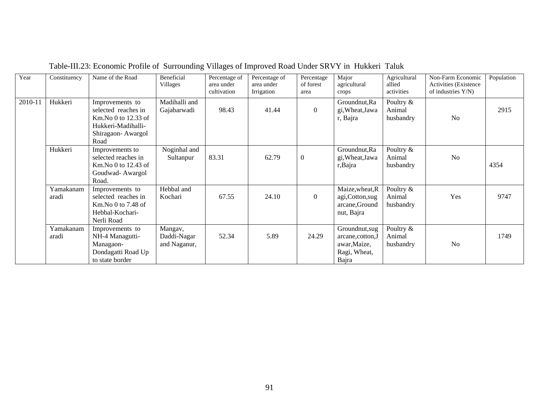| Year    | Constituency       | Name of the Road                                                                                                     | Beneficial<br>Villages                 | Percentage of<br>area under<br>cultivation | Percentage of<br>area under<br>Irrigation | Percentage<br>of forest<br>area | Major<br>agricultural<br>crops                                               | Agricultural<br>allied<br>activities | Non-Farm Economic<br><b>Activities</b> (Existence)<br>of industries Y/N) | Population |
|---------|--------------------|----------------------------------------------------------------------------------------------------------------------|----------------------------------------|--------------------------------------------|-------------------------------------------|---------------------------------|------------------------------------------------------------------------------|--------------------------------------|--------------------------------------------------------------------------|------------|
| 2010-11 | Hukkeri            | Improvements to<br>selected reaches in<br>$Km$ . No 0 to 12.33 of<br>Hukkeri-Madihalli-<br>Shiragaon-Awargol<br>Road | Madihalli and<br>Gajabarwadi           | 98.43                                      | 41.44                                     | $\mathbf{0}$                    | Groundnut, Ra<br>gi, Wheat, Jawa<br>r, Bajra                                 | Poultry &<br>Animal<br>husbandry     | N <sub>0</sub>                                                           | 2915       |
|         | Hukkeri            | Improvements to<br>selected reaches in<br>Km. No 0 to 12.43 of<br>Goudwad-Awargol<br>Road.                           | Noginhal and<br>Sultanpur              | 83.31                                      | 62.79                                     | $\boldsymbol{0}$                | Groundnut, Ra<br>gi, Wheat, Jawa<br>r, Bajra                                 | Poultry &<br>Animal<br>husbandry     | N <sub>o</sub>                                                           | 4354       |
|         | Yamakanam<br>aradi | Improvements to<br>selected reaches in<br>$Km$ . No 0 to 7.48 of<br>Hebbal-Kochari-<br>Nerli Road                    | Hebbal and<br>Kochari                  | 67.55                                      | 24.10                                     | $\Omega$                        | Maize, wheat, R<br>agi, Cotton, sug<br>arcane, Ground<br>nut, Bajra          | Poultry &<br>Animal<br>husbandry     | Yes                                                                      | 9747       |
|         | Yamakanam<br>aradi | Improvements to<br>NH-4 Managutti-<br>Managaon-<br>Dondagatti Road Up<br>to state border                             | Mangav,<br>Daddi-Nagar<br>and Naganur, | 52.34                                      | 5.89                                      | 24.29                           | Groundnut, sug<br>arcane, cotton, J<br>awar, Maize,<br>Ragi, Wheat,<br>Bajra | Poultry &<br>Animal<br>husbandry     | N <sub>o</sub>                                                           | 1749       |

# Table-III.23: Economic Profile of Surrounding Villages of Improved Road Under SRVY in Hukkeri Taluk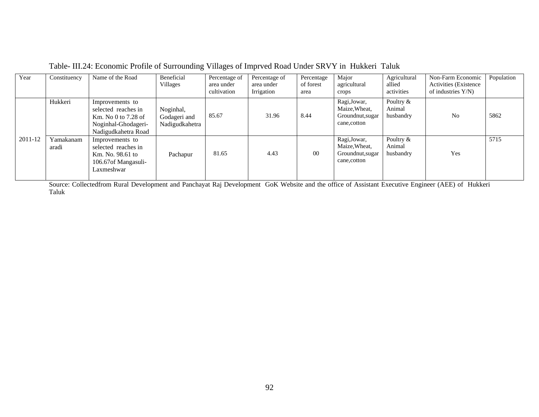| Year    | Constituency       | Name of the Road                                                                                            | Beneficial<br>Villages                      | Percentage of<br>area under<br>cultivation | Percentage of<br>area under<br>Irrigation | Percentage<br>of forest<br>area | Major<br>agricultural<br>crops                                    | Agricultural<br>allied<br>activities | Non-Farm Economic<br><b>Activities</b> (Existence)<br>of industries $Y/N$ ) | Population |
|---------|--------------------|-------------------------------------------------------------------------------------------------------------|---------------------------------------------|--------------------------------------------|-------------------------------------------|---------------------------------|-------------------------------------------------------------------|--------------------------------------|-----------------------------------------------------------------------------|------------|
|         | Hukkeri            | Improvements to<br>selected reaches in<br>Km. No 0 to 7.28 of<br>Noginhal-Ghodageri-<br>Nadigudkahetra Road | Noginhal,<br>Godageri and<br>Nadigudkahetra | 85.67                                      | 31.96                                     | 8.44                            | Ragi, Jowar,<br>Maize, Wheat,<br>Groundnut, sugar<br>cane, cotton | Poultry &<br>Animal<br>husbandry     | N <sub>o</sub>                                                              | 5862       |
| 2011-12 | Yamakanam<br>aradi | Improvements to<br>selected reaches in<br>Km. No. 98.61 to<br>106.67 of Mangasuli-<br>Laxmeshwar            | Pachapur                                    | 81.65                                      | 4.43                                      | $00\,$                          | Ragi, Jowar,<br>Maize, Wheat,<br>Groundnut, sugar<br>cane, cotton | Poultry &<br>Animal<br>husbandry     | Yes                                                                         | 5715       |

Table- III.24: Economic Profile of Surrounding Villages of Imprved Road Under SRVY in Hukkeri Taluk

Source: Collectedfrom Rural Development and Panchayat Raj Development GoK Website and the office of Assistant Executive Engineer (AEE) of Hukkeri Taluk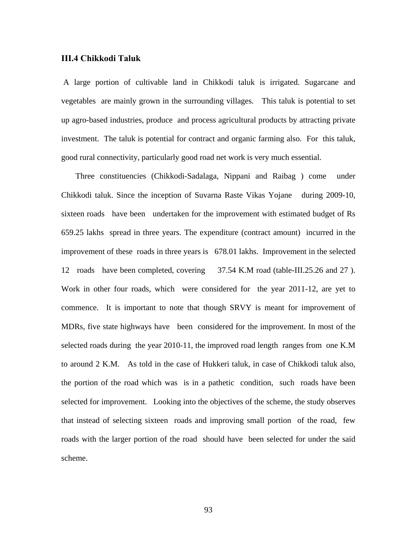#### **III.4 Chikkodi Taluk**

 A large portion of cultivable land in Chikkodi taluk is irrigated. Sugarcane and vegetables are mainly grown in the surrounding villages. This taluk is potential to set up agro-based industries, produce and process agricultural products by attracting private investment. The taluk is potential for contract and organic farming also. For this taluk, good rural connectivity, particularly good road net work is very much essential.

 Three constituencies (Chikkodi-Sadalaga, Nippani and Raibag ) come under Chikkodi taluk. Since the inception of Suvarna Raste Vikas Yojane during 2009-10, sixteen roads have been undertaken for the improvement with estimated budget of Rs 659.25 lakhs spread in three years. The expenditure (contract amount) incurred in the improvement of these roads in three years is 678.01 lakhs. Improvement in the selected 12 roads have been completed, covering 37.54 K.M road (table-III.25.26 and 27 ). Work in other four roads, which were considered for the year 2011-12, are yet to commence. It is important to note that though SRVY is meant for improvement of MDRs, five state highways have been considered for the improvement. In most of the selected roads during the year 2010-11, the improved road length ranges from one K.M to around 2 K.M. As told in the case of Hukkeri taluk, in case of Chikkodi taluk also, the portion of the road which was is in a pathetic condition, such roads have been selected for improvement. Looking into the objectives of the scheme, the study observes that instead of selecting sixteen roads and improving small portion of the road, few roads with the larger portion of the road should have been selected for under the said scheme.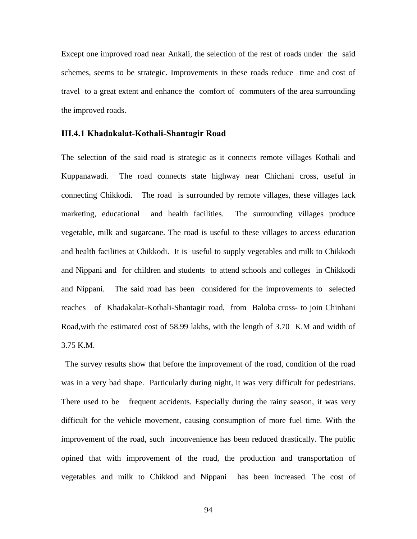Except one improved road near Ankali, the selection of the rest of roads under the said schemes, seems to be strategic. Improvements in these roads reduce time and cost of travel to a great extent and enhance the comfort of commuters of the area surrounding the improved roads.

#### **III.4.1 Khadakalat-Kothali-Shantagir Road**

The selection of the said road is strategic as it connects remote villages Kothali and Kuppanawadi. The road connects state highway near Chichani cross, useful in connecting Chikkodi. The road is surrounded by remote villages, these villages lack marketing, educational and health facilities. The surrounding villages produce vegetable, milk and sugarcane. The road is useful to these villages to access education and health facilities at Chikkodi. It is useful to supply vegetables and milk to Chikkodi and Nippani and for children and students to attend schools and colleges in Chikkodi and Nippani. The said road has been considered for the improvements to selected reaches of Khadakalat-Kothali-Shantagir road, from Baloba cross- to join Chinhani Road,with the estimated cost of 58.99 lakhs, with the length of 3.70 K.M and width of 3.75 K.M.

 The survey results show that before the improvement of the road, condition of the road was in a very bad shape. Particularly during night, it was very difficult for pedestrians. There used to be frequent accidents. Especially during the rainy season, it was very difficult for the vehicle movement, causing consumption of more fuel time. With the improvement of the road, such inconvenience has been reduced drastically. The public opined that with improvement of the road, the production and transportation of vegetables and milk to Chikkod and Nippani has been increased. The cost of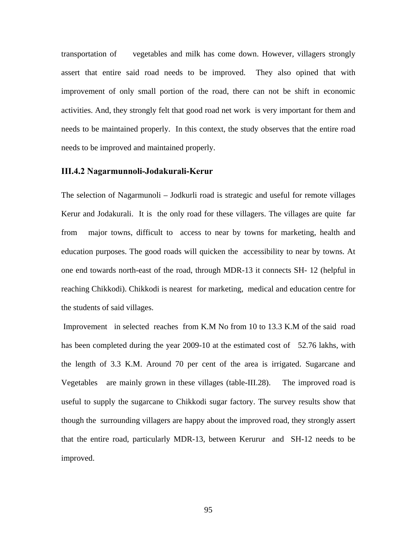transportation of vegetables and milk has come down. However, villagers strongly assert that entire said road needs to be improved. They also opined that with improvement of only small portion of the road, there can not be shift in economic activities. And, they strongly felt that good road net work is very important for them and needs to be maintained properly. In this context, the study observes that the entire road needs to be improved and maintained properly.

#### **III.4.2 Nagarmunnoli-Jodakurali-Kerur**

The selection of Nagarmunoli – Jodkurli road is strategic and useful for remote villages Kerur and Jodakurali. It is the only road for these villagers. The villages are quite far from major towns, difficult to access to near by towns for marketing, health and education purposes. The good roads will quicken the accessibility to near by towns. At one end towards north-east of the road, through MDR-13 it connects SH- 12 (helpful in reaching Chikkodi). Chikkodi is nearest for marketing, medical and education centre for the students of said villages.

 Improvement in selected reaches from K.M No from 10 to 13.3 K.M of the said road has been completed during the year 2009-10 at the estimated cost of 52.76 lakhs, with the length of 3.3 K.M. Around 70 per cent of the area is irrigated. Sugarcane and Vegetables are mainly grown in these villages (table-III.28). The improved road is useful to supply the sugarcane to Chikkodi sugar factory. The survey results show that though the surrounding villagers are happy about the improved road, they strongly assert that the entire road, particularly MDR-13, between Kerurur and SH-12 needs to be improved.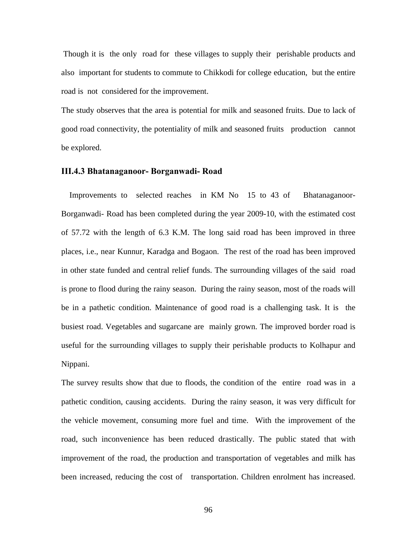Though it is the only road for these villages to supply their perishable products and also important for students to commute to Chikkodi for college education, but the entire road is not considered for the improvement.

The study observes that the area is potential for milk and seasoned fruits. Due to lack of good road connectivity, the potentiality of milk and seasoned fruits production cannot be explored.

#### **III.4.3 Bhatanaganoor- Borganwadi- Road**

 Improvements to selected reaches in KM No 15 to 43 of Bhatanaganoor-Borganwadi- Road has been completed during the year 2009-10, with the estimated cost of 57.72 with the length of 6.3 K.M. The long said road has been improved in three places, i.e., near Kunnur, Karadga and Bogaon. The rest of the road has been improved in other state funded and central relief funds. The surrounding villages of the said road is prone to flood during the rainy season. During the rainy season, most of the roads will be in a pathetic condition. Maintenance of good road is a challenging task. It is the busiest road. Vegetables and sugarcane are mainly grown. The improved border road is useful for the surrounding villages to supply their perishable products to Kolhapur and Nippani.

The survey results show that due to floods, the condition of the entire road was in a pathetic condition, causing accidents. During the rainy season, it was very difficult for the vehicle movement, consuming more fuel and time. With the improvement of the road, such inconvenience has been reduced drastically. The public stated that with improvement of the road, the production and transportation of vegetables and milk has been increased, reducing the cost of transportation. Children enrolment has increased.

96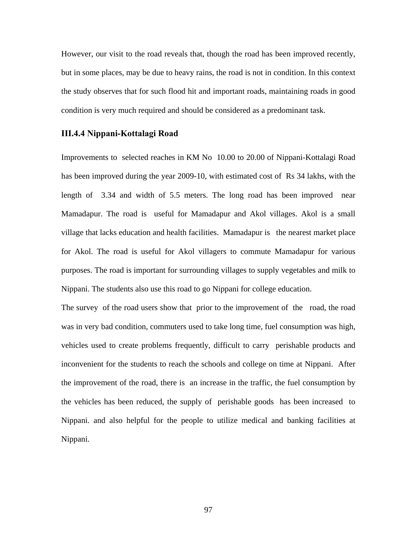However, our visit to the road reveals that, though the road has been improved recently, but in some places, may be due to heavy rains, the road is not in condition. In this context the study observes that for such flood hit and important roads, maintaining roads in good condition is very much required and should be considered as a predominant task.

#### **III.4.4 Nippani-Kottalagi Road**

Improvements to selected reaches in KM No 10.00 to 20.00 of Nippani-Kottalagi Road has been improved during the year 2009-10, with estimated cost of Rs 34 lakhs, with the length of 3.34 and width of 5.5 meters. The long road has been improved near Mamadapur. The road is useful for Mamadapur and Akol villages. Akol is a small village that lacks education and health facilities. Mamadapur is the nearest market place for Akol. The road is useful for Akol villagers to commute Mamadapur for various purposes. The road is important for surrounding villages to supply vegetables and milk to Nippani. The students also use this road to go Nippani for college education.

The survey of the road users show that prior to the improvement of the road, the road was in very bad condition, commuters used to take long time, fuel consumption was high, vehicles used to create problems frequently, difficult to carry perishable products and inconvenient for the students to reach the schools and college on time at Nippani. After the improvement of the road, there is an increase in the traffic, the fuel consumption by the vehicles has been reduced, the supply of perishable goods has been increased to Nippani. and also helpful for the people to utilize medical and banking facilities at Nippani.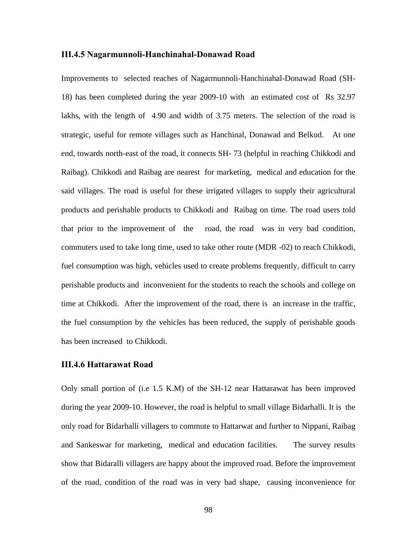#### **III.4.5 Nagarmunnoli-Hanchinahal-Donawad Road**

Improvements to selected reaches of Nagarmunnoli-Hanchinahal-Donawad Road (SH-18) has been completed during the year 2009-10 with an estimated cost of Rs 32.97 lakhs, with the length of 4.90 and width of 3.75 meters. The selection of the road is strategic, useful for remote villages such as Hanchinal, Donawad and Belkud. At one end, towards north-east of the road, it connects SH- 73 (helpful in reaching Chikkodi and Raibag). Chikkodi and Raibag are nearest for marketing, medical and education for the said villages. The road is useful for these irrigated villages to supply their agricultural products and perishable products to Chikkodi and Raibag on time. The road users told that prior to the improvement of the road, the road was in very bad condition, commuters used to take long time, used to take other route (MDR -02) to reach Chikkodi, fuel consumption was high, vehicles used to create problems frequently, difficult to carry perishable products and inconvenient for the students to reach the schools and college on time at Chikkodi. After the improvement of the road, there is an increase in the traffic, the fuel consumption by the vehicles has been reduced, the supply of perishable goods has been increased to Chikkodi.

#### **III.4.6 Hattarawat Road**

Only small portion of (i.e 1.5 K.M) of the SH-12 near Hattarawat has been improved during the year 2009-10. However, the road is helpful to small village Bidarhalli. It is the only road for Bidarhalli villagers to commute to Hattarwat and further to Nippani, Raibag and Sankeswar for marketing, medical and education facilities. The survey results show that Bidaralli villagers are happy about the improved road. Before the improvement of the road, condition of the road was in very bad shape, causing inconvenience for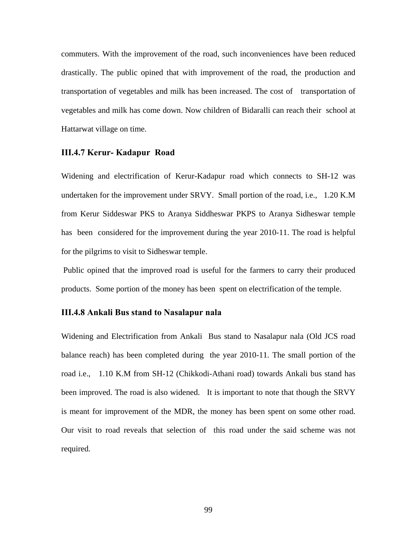commuters. With the improvement of the road, such inconveniences have been reduced drastically. The public opined that with improvement of the road, the production and transportation of vegetables and milk has been increased. The cost of transportation of vegetables and milk has come down. Now children of Bidaralli can reach their school at Hattarwat village on time.

#### **III.4.7 Kerur- Kadapur Road**

Widening and electrification of Kerur-Kadapur road which connects to SH-12 was undertaken for the improvement under SRVY. Small portion of the road, i.e., 1.20 K.M from Kerur Siddeswar PKS to Aranya Siddheswar PKPS to Aranya Sidheswar temple has been considered for the improvement during the year 2010-11. The road is helpful for the pilgrims to visit to Sidheswar temple.

 Public opined that the improved road is useful for the farmers to carry their produced products. Some portion of the money has been spent on electrification of the temple.

#### **III.4.8 Ankali Bus stand to Nasalapur nala**

Widening and Electrification from Ankali Bus stand to Nasalapur nala (Old JCS road balance reach) has been completed during the year 2010-11. The small portion of the road i.e., 1.10 K.M from SH-12 (Chikkodi-Athani road) towards Ankali bus stand has been improved. The road is also widened. It is important to note that though the SRVY is meant for improvement of the MDR, the money has been spent on some other road. Our visit to road reveals that selection of this road under the said scheme was not required.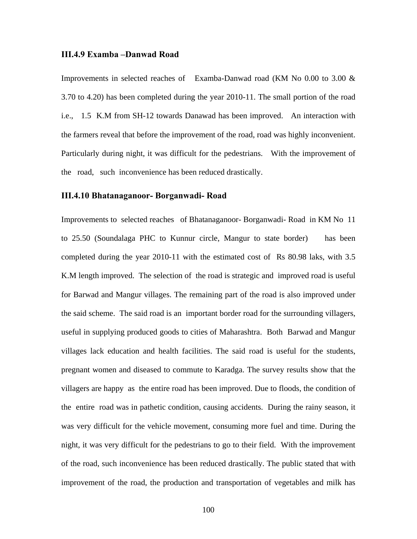#### **III.4.9 Examba –Danwad Road**

Improvements in selected reaches of Examba-Danwad road (KM No 0.00 to 3.00 & 3.70 to 4.20) has been completed during the year 2010-11. The small portion of the road i.e., 1.5 K.M from SH-12 towards Danawad has been improved. An interaction with the farmers reveal that before the improvement of the road, road was highly inconvenient. Particularly during night, it was difficult for the pedestrians. With the improvement of the road, such inconvenience has been reduced drastically.

### **III.4.10 Bhatanaganoor- Borganwadi- Road**

Improvements to selected reaches of Bhatanaganoor- Borganwadi- Road in KM No 11 to 25.50 (Soundalaga PHC to Kunnur circle, Mangur to state border) has been completed during the year 2010-11 with the estimated cost of Rs 80.98 laks, with 3.5 K.M length improved. The selection of the road is strategic and improved road is useful for Barwad and Mangur villages. The remaining part of the road is also improved under the said scheme. The said road is an important border road for the surrounding villagers, useful in supplying produced goods to cities of Maharashtra. Both Barwad and Mangur villages lack education and health facilities. The said road is useful for the students, pregnant women and diseased to commute to Karadga. The survey results show that the villagers are happy as the entire road has been improved. Due to floods, the condition of the entire road was in pathetic condition, causing accidents. During the rainy season, it was very difficult for the vehicle movement, consuming more fuel and time. During the night, it was very difficult for the pedestrians to go to their field. With the improvement of the road, such inconvenience has been reduced drastically. The public stated that with improvement of the road, the production and transportation of vegetables and milk has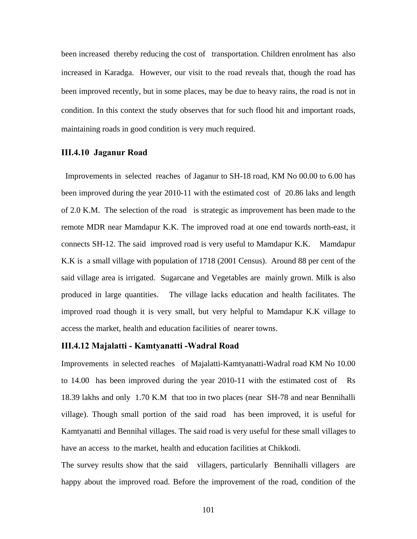been increased thereby reducing the cost of transportation. Children enrolment has also increased in Karadga. However, our visit to the road reveals that, though the road has been improved recently, but in some places, may be due to heavy rains, the road is not in condition. In this context the study observes that for such flood hit and important roads, maintaining roads in good condition is very much required.

#### **III.4.10 Jaganur Road**

 Improvements in selected reaches of Jaganur to SH-18 road, KM No 00.00 to 6.00 has been improved during the year 2010-11 with the estimated cost of 20.86 laks and length of 2.0 K.M. The selection of the road is strategic as improvement has been made to the remote MDR near Mamdapur K.K. The improved road at one end towards north-east, it connects SH-12. The said improved road is very useful to Mamdapur K.K. Mamdapur K.K is a small village with population of 1718 (2001 Census). Around 88 per cent of the said village area is irrigated. Sugarcane and Vegetables are mainly grown. Milk is also produced in large quantities. The village lacks education and health facilitates. The improved road though it is very small, but very helpful to Mamdapur K.K village to access the market, health and education facilities of nearer towns.

#### **III.4.12 Majalatti - Kamtyanatti -Wadral Road**

Improvements in selected reaches of Majalatti-Kamtyanatti-Wadral road KM No 10.00 to 14.00 has been improved during the year 2010-11 with the estimated cost of Rs 18.39 lakhs and only 1.70 K.M that too in two places (near SH-78 and near Bennihalli village). Though small portion of the said road has been improved, it is useful for Kamtyanatti and Bennihal villages. The said road is very useful for these small villages to have an access to the market, health and education facilities at Chikkodi.

The survey results show that the said villagers, particularly Bennihalli villagers are happy about the improved road. Before the improvement of the road, condition of the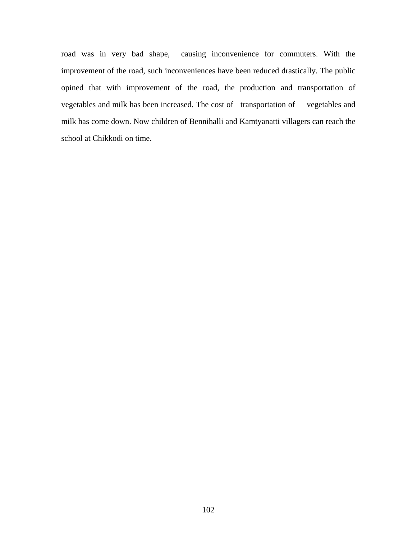road was in very bad shape, causing inconvenience for commuters. With the improvement of the road, such inconveniences have been reduced drastically. The public opined that with improvement of the road, the production and transportation of vegetables and milk has been increased. The cost of transportation of vegetables and milk has come down. Now children of Bennihalli and Kamtyanatti villagers can reach the school at Chikkodi on time.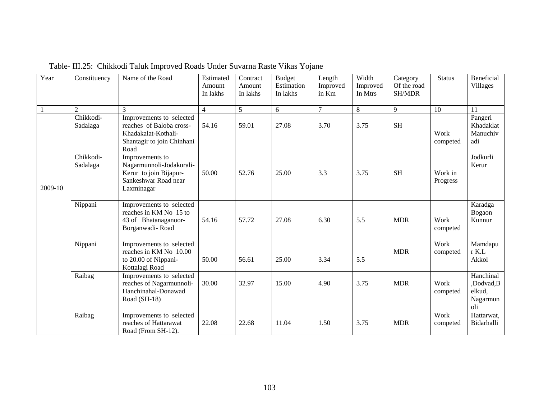| Year         | Constituency          | Name of the Road                                                                                                  | Estimated<br>Amount<br>In lakhs | Contract<br>Amount<br>In lakhs | <b>Budget</b><br>Estimation<br>In lakhs | Length<br>Improved<br>in Km | Width<br>Improved<br>In Mtrs | Category<br>Of the road<br>SH/MDR | <b>Status</b>       | Beneficial<br>Villages                              |
|--------------|-----------------------|-------------------------------------------------------------------------------------------------------------------|---------------------------------|--------------------------------|-----------------------------------------|-----------------------------|------------------------------|-----------------------------------|---------------------|-----------------------------------------------------|
| $\mathbf{1}$ | 2                     | 3                                                                                                                 | $\overline{4}$                  | 5                              | 6                                       | $\overline{7}$              | 8                            | 9                                 | 10                  | 11                                                  |
|              | Chikkodi-<br>Sadalaga | Improvements to selected<br>reaches of Baloba cross-<br>Khadakalat-Kothali-<br>Shantagir to join Chinhani<br>Road | 54.16                           | 59.01                          | 27.08                                   | 3.70                        | 3.75                         | <b>SH</b>                         | Work<br>competed    | Pangeri<br>Khadaklat<br>Manuchiv<br>adi             |
| 2009-10      | Chikkodi-<br>Sadalaga | Improvements to<br>Nagarmunnoli-Jodakurali-<br>Kerur to join Bijapur-<br>Sankeshwar Road near<br>Laxminagar       | 50.00                           | 52.76                          | 25.00                                   | 3.3                         | 3.75                         | <b>SH</b>                         | Work in<br>Progress | Jodkurli<br>Kerur                                   |
|              | Nippani               | Improvements to selected<br>reaches in KM No 15 to<br>43 of Bhatanaganoor-<br>Borganwadi-Road                     | 54.16                           | 57.72                          | 27.08                                   | 6.30                        | 5.5                          | <b>MDR</b>                        | Work<br>competed    | Karadga<br>Bogaon<br>Kunnur                         |
|              | Nippani               | Improvements to selected<br>reaches in KM No 10.00<br>to 20.00 of Nippani-<br>Kottalagi Road                      | 50.00                           | 56.61                          | 25.00                                   | 3.34                        | 5.5                          | <b>MDR</b>                        | Work<br>competed    | Mamdapu<br>$r$ K.L<br>Akkol                         |
|              | Raibag                | Improvements to selected<br>reaches of Nagarmunnoli-<br>Hanchinahal-Donawad<br>Road (SH-18)                       | 30.00                           | 32.97                          | 15.00                                   | 4.90                        | 3.75                         | <b>MDR</b>                        | Work<br>competed    | Hanchinal<br>,Dodvad,B<br>elkud.<br>Nagarmun<br>oli |
|              | Raibag                | Improvements to selected<br>reaches of Hattarawat<br>Road (From SH-12).                                           | 22.08                           | 22.68                          | 11.04                                   | 1.50                        | 3.75                         | <b>MDR</b>                        | Work<br>competed    | Hattarwat,<br>Bidarhalli                            |

Table- III.25: Chikkodi Taluk Improved Roads Under Suvarna Raste Vikas Yojane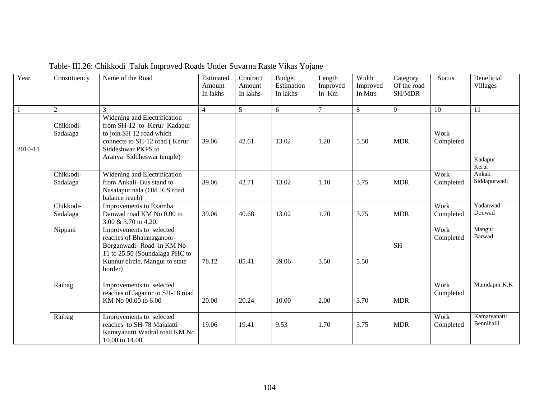| Year           | Constituency          | Name of the Road                                                                                                                                                            | Estimated<br>Amount<br>In lakhs | Contract<br>Amount<br>In lakhs | <b>Budget</b><br>Estimation<br>In lakhs | Length<br>Improved<br>In Km | Width<br>Improved<br>In Mtrs | Category<br>Of the road<br>SH/MDR | <b>Status</b>     | Beneficial<br>Villages     |
|----------------|-----------------------|-----------------------------------------------------------------------------------------------------------------------------------------------------------------------------|---------------------------------|--------------------------------|-----------------------------------------|-----------------------------|------------------------------|-----------------------------------|-------------------|----------------------------|
| $\overline{1}$ | $\overline{2}$        | 3                                                                                                                                                                           | $\overline{4}$                  | 5                              | 6                                       | $\overline{7}$              | $8\phantom{.}$               | 9                                 | 10                | 11                         |
| 2010-11        | Chikkodi-<br>Sadalaga | Widening and Electrification<br>from SH-12 to Kerur Kadapur<br>to join SH 12 road which<br>connects to SH-12 road (Kerur<br>Siddeshwar PKPS to<br>Aranya Siddheswar temple) | 39.06                           | 42.61                          | 13.02                                   | 1.20                        | 5.50                         | <b>MDR</b>                        | Work<br>Completed | Kadapur<br>Kerur           |
|                | Chikkodi-<br>Sadalaga | Widening and Electrification<br>from Ankali Bus stand to<br>Nasalapur nala (Old JCS road<br>balance reach)                                                                  | 39.06                           | 42.71                          | 13.02                                   | 1.10                        | 3.75                         | <b>MDR</b>                        | Work<br>Completed | Ankali<br>Siddapurwadi     |
|                | Chikkodi-<br>Sadalaga | Improvements to Examba<br>Danwad road KM No 0.00 to<br>3.00 & 3.70 to 4.20.                                                                                                 | 39.06                           | 40.68                          | 13.02                                   | 1.70                        | 3.75                         | <b>MDR</b>                        | Work<br>Completed | Yadanwad<br>Donwad         |
|                | Nippani               | Improvements to selected<br>reaches of Bhatanaganoor-<br>Borganwadi-Road in KM No<br>11 to 25.50 (Soundalaga PHC to<br>Kunnur circle, Mangur to state<br>border)            | 78.12                           | 85.41                          | 39.06                                   | 3.50                        | 5.50                         | <b>SH</b>                         | Work<br>Completed | Mangur<br>Barwad           |
|                | Raibag                | Improvements to selected<br>reaches of Jaganur to SH-18 road<br>KM No 00.00 to 6.00                                                                                         | 20.00                           | 20.24                          | 10.00                                   | 2.00                        | 3.70                         | <b>MDR</b>                        | Work<br>Completed | Mamdapur K.K               |
|                | Raibag                | Improvements to selected<br>reaches to SH-78 Majalatti<br>Kamtyanatti Wadral road KM No<br>10.00 to 14.00                                                                   | 19.06                           | 19.41                          | 9.53                                    | 1.70                        | 3.75                         | <b>MDR</b>                        | Work<br>Completed | Kamatyanatti<br>Bennihalli |

Table- III.26: Chikkodi Taluk Improved Roads Under Suvarna Raste Vikas Yojane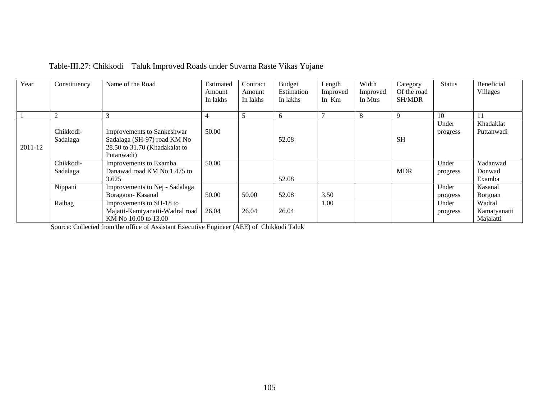| Year    | Constituency   | Name of the Road                  | Estimated | Contract | <b>Budget</b> | Length   | Width    | Category      | <b>Status</b> | Beneficial   |
|---------|----------------|-----------------------------------|-----------|----------|---------------|----------|----------|---------------|---------------|--------------|
|         |                |                                   | Amount    | Amount   | Estimation    | Improved | Improved | Of the road   |               | Villages     |
|         |                |                                   | In lakhs  | In lakhs | In lakhs      | In Km    | In Mtrs  | <b>SH/MDR</b> |               |              |
|         |                |                                   |           |          |               |          |          |               |               |              |
|         | $\overline{c}$ |                                   |           |          | 6             |          | 8        | 9             | 10            | 11           |
|         |                |                                   |           |          |               |          |          |               | Under         | Khadaklat    |
|         | Chikkodi-      | <b>Improvements to Sankeshwar</b> | 50.00     |          |               |          |          |               | progress      | Puttanwadi   |
|         | Sadalaga       | Sadalaga (SH-97) road KM No       |           |          | 52.08         |          |          | <b>SH</b>     |               |              |
| 2011-12 |                | 28.50 to 31.70 (Khadakalat to     |           |          |               |          |          |               |               |              |
|         |                | Putanwadi)                        |           |          |               |          |          |               |               |              |
|         | Chikkodi-      | Improvements to Examba            | 50.00     |          |               |          |          |               | Under         | Yadanwad     |
|         | Sadalaga       | Danawad road KM No 1.475 to       |           |          |               |          |          | <b>MDR</b>    | progress      | Donwad       |
|         |                | 3.625                             |           |          | 52.08         |          |          |               |               | Examba       |
|         | Nippani        | Improvements to Nej - Sadalaga    |           |          |               |          |          |               | Under         | Kasanal      |
|         |                | Boragaon-Kasanal                  | 50.00     | 50.00    | 52.08         | 3.50     |          |               | progress      | Borgoan      |
|         | Raibag         | Improvements to SH-18 to          |           |          |               | 1.00     |          |               | Under         | Wadral       |
|         |                | Majatti-Kamtyanatti-Wadral road   | 26.04     | 26.04    | 26.04         |          |          |               | progress      | Kamatyanatti |
|         |                | KM No 10.00 to 13.00              |           |          |               |          |          |               |               | Majalatti    |

## Table-III.27: Chikkodi Taluk Improved Roads under Suvarna Raste Vikas Yojane

Source: Collected from the office of Assistant Executive Engineer (AEE) of Chikkodi Taluk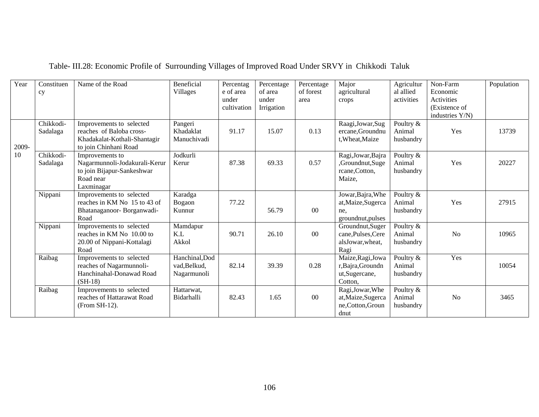| Year  | Constituen<br>cy      | Name of the Road                                                                                              | Beneficial<br>Villages                        | Percentag<br>e of area<br>under<br>cultivation | Percentage<br>of area<br>under<br>Irrigation | Percentage<br>of forest<br>area | Major<br>agricultural<br>crops                                      | Agricultur<br>al allied<br>activities | Non-Farm<br>Economic<br>Activities<br>(Existence of<br>industries Y/N) | Population |
|-------|-----------------------|---------------------------------------------------------------------------------------------------------------|-----------------------------------------------|------------------------------------------------|----------------------------------------------|---------------------------------|---------------------------------------------------------------------|---------------------------------------|------------------------------------------------------------------------|------------|
| 2009- | Chikkodi-<br>Sadalaga | Improvements to selected<br>reaches of Baloba cross-<br>Khadakalat-Kothali-Shantagir<br>to join Chinhani Road | Pangeri<br>Khadaklat<br>Manuchivadi           | 91.17                                          | 15.07                                        | 0.13                            | Raagi, Jowar, Sug<br>ercane, Groundnu<br>t, Wheat, Maize            | Poultry &<br>Animal<br>husbandry      | Yes                                                                    | 13739      |
| 10    | Chikkodi-<br>Sadalaga | Improvements to<br>Nagarmunnoli-Jodakurali-Kerur<br>to join Bijapur-Sankeshwar<br>Road near<br>Laxminagar     | Jodkurli<br>Kerur                             | 87.38                                          | 69.33                                        | 0.57                            | Ragi, Jowar, Bajra<br>,Groundnut,Suge<br>rcane, Cotton,<br>Maize,   | Poultry &<br>Animal<br>husbandry      | Yes                                                                    | 20227      |
|       | Nippani               | Improvements to selected<br>reaches in KM No 15 to 43 of<br>Bhatanaganoor-Borganwadi-<br>Road                 | Karadga<br>Bogaon<br>Kunnur                   | 77.22                                          | 56.79                                        | $00\,$                          | Jowar, Bajra, Whe<br>at, Maize, Sugerca<br>ne.<br>groundnut, pulses | Poultry &<br>Animal<br>husbandry      | Yes                                                                    | 27915      |
|       | Nippani               | Improvements to selected<br>reaches in KM No. 10.00 to<br>20.00 of Nippani-Kottalagi<br>Road                  | Mamdapur<br>K.L<br>Akkol                      | 90.71                                          | 26.10                                        | 00                              | Groundnut, Suger<br>cane, Pulses, Cere<br>alsJowar, wheat,<br>Ragi  | Poultry &<br>Animal<br>husbandry      | N <sub>o</sub>                                                         | 10965      |
|       | Raibag                | Improvements to selected<br>reaches of Nagarmunnoli-<br>Hanchinahal-Donawad Road<br>$(SH-18)$                 | Hanchinal, Dod<br>vad, Belkud,<br>Nagarmunoli | 82.14                                          | 39.39                                        | 0.28                            | Maize, Ragi, Jowa<br>r, Bajra, Groundn<br>ut, Sugercane,<br>Cotton, | Poultry &<br>Animal<br>husbandry      | Yes                                                                    | 10054      |
|       | Raibag                | Improvements to selected<br>reaches of Hattarawat Road<br>(From SH-12).                                       | Hattarwat,<br>Bidarhalli                      | 82.43                                          | 1.65                                         | $00\,$                          | Ragi, Jowar, Whe<br>at, Maize, Sugerca<br>ne,Cotton,Groun<br>dnut   | Poultry &<br>Animal<br>husbandry      | N <sub>o</sub>                                                         | 3465       |

# Table- III.28: Economic Profile of Surrounding Villages of Improved Road Under SRVY in Chikkodi Taluk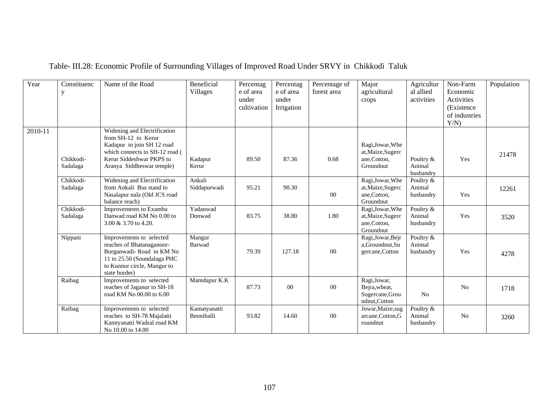| Year    | Constituenc<br>у      | Name of the Road                                                                                                                                                             | Beneficial<br><b>Villages</b> | Percentag<br>e of area<br>under<br>cultivation | Percentag<br>e of area<br>under<br>Irrigation | Percentage of<br>forest area | Major<br>agricultural<br>crops                                     | Agricultur<br>al allied<br>activities | Non-Farm<br>Economic<br>Activities<br>(Existence<br>of industries<br>Y/N | Population |
|---------|-----------------------|------------------------------------------------------------------------------------------------------------------------------------------------------------------------------|-------------------------------|------------------------------------------------|-----------------------------------------------|------------------------------|--------------------------------------------------------------------|---------------------------------------|--------------------------------------------------------------------------|------------|
| 2010-11 | Chikkodi-<br>Sadalaga | Widening and Electrification<br>from SH-12 to Kerur<br>Kadapur to join SH 12 road<br>which connects to SH-12 road (<br>Kerur Siddeshwar PKPS to<br>Aranya Siddheswar temple) | Kadapur<br>Kerur              | 89.50                                          | 87.36                                         | 0.68                         | Ragi, Jowar, Whe<br>at, Maize, Sugerc<br>ane, Cotton,<br>Groundnut | Poultry &<br>Animal<br>husbandry      | Yes                                                                      | 21478      |
|         | Chikkodi-<br>Sadalaga | Widening and Electrification<br>from Ankali Bus stand to<br>Nasalapur nala (Old JCS road<br>balance reach)                                                                   | Ankali<br>Siddapurwadi        | 95.21                                          | 90.30                                         | $00\,$                       | Ragi, Jowar, Whe<br>at, Maize, Sugerc<br>ane,Cotton,<br>Groundnut  | Poultry &<br>Animal<br>husbandry      | Yes                                                                      | 12261      |
|         | Chikkodi-<br>Sadalaga | Improvements to Examba<br>Danwad road KM No 0.00 to<br>3.00 & 3.70 to 4.20.                                                                                                  | Yadanwad<br>Donwad            | 83.75                                          | 38.80                                         | 1.80                         | Ragi, Jowar, Whe<br>at, Maize, Sugerc<br>ane,Cotton,<br>Groundnut  | Poultry &<br>Animal<br>husbandry      | Yes                                                                      | 3520       |
|         | Nippani               | Improvements to selected<br>reaches of Bhatanaganoor-<br>Borganwadi-Road in KM No<br>11 to 25.50 (Soundalaga PHC<br>to Kunnur circle, Mangur to<br>state border)             | Mangur<br>Barwad              | 79.39                                          | 127.18                                        | $00\,$                       | Ragi, Jowar, Bejr<br>a, Groundnut, Su<br>gercane, Cotton           | Poultry &<br>Animal<br>husbandry      | Yes                                                                      | 4278       |
|         | Raibag                | Improvements to selected<br>reaches of Jaganur to SH-18<br>road KM No 00.00 to 6.00                                                                                          | Mamdapur K.K                  | 87.73                                          | 00                                            | $00\,$                       | Ragi, Jowar,<br>Bejra, wheat,<br>Sugercane, Grou<br>ndnut, Cotton  | N <sub>o</sub>                        | N <sub>o</sub>                                                           | 1718       |
|         | Raibag                | Improvements to selected<br>reaches to SH-78 Majalatti<br>Kamtyanatti Wadral road KM<br>No 10.00 to 14.00                                                                    | Kamatyanatti<br>Bennihalli    | 93.82                                          | 14.60                                         | $00\,$                       | Jowar, Maize, sug<br>arcane, Cotton, G<br>roundnut                 | Poultry &<br>Animal<br>husbandry      | No                                                                       | 3260       |

# Table- III.28: Economic Profile of Surrounding Villages of Improved Road Under SRVY in Chikkodi Taluk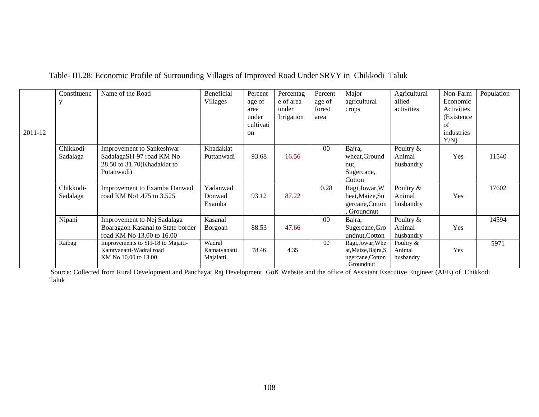|         | Constituenc          | Name of the Road                  | Beneficial   | Percent   | Percentag  | Percent        | Major               | Agricultural | Non-Farm   | Population |
|---------|----------------------|-----------------------------------|--------------|-----------|------------|----------------|---------------------|--------------|------------|------------|
|         |                      |                                   | Villages     | age of    | e of area  | age of         | agricultural        | allied       | Economic   |            |
|         |                      |                                   |              | area      | under      | forest         | crops               | activities   | Activities |            |
|         |                      |                                   |              | under     | Irrigation | area           |                     |              | (Existence |            |
|         |                      |                                   |              | cultivati |            |                |                     |              | of         |            |
| 2011-12 |                      |                                   |              | on        |            |                |                     |              | industries |            |
|         |                      |                                   |              |           |            |                |                     |              | Y/N        |            |
|         | Chikkodi-            | <b>Improvement to Sankeshwar</b>  | Khadaklat    |           |            | $00\,$         | Bajra,              | Poultry &    |            |            |
|         | Sadalaga             | SadalagaSH-97 road KM No          | Puttanwadi   | 93.68     | 16.56      |                | wheat, Ground       | Animal       | Yes        | 11540      |
|         |                      | 28.50 to 31.70(Khadaklat to       |              |           |            |                | nut,                | husbandry    |            |            |
|         |                      | Putanwadi)                        |              |           |            |                | Sugercane,          |              |            |            |
|         |                      |                                   |              |           |            |                | Cotton              |              |            |            |
|         | Chikkodi-            | Improvement to Examba Danwad      | Yadanwad     |           |            | 0.28           | Ragi, Jowar, W      | Poultry &    |            | 17602      |
|         | Sadalaga             | road KM No1.475 to 3.525          | Donwad       | 93.12     | 87.22      |                | heat, Maize, Su     | Animal       | Yes        |            |
|         |                      |                                   | Examba       |           |            |                | gercane, Cotton     | husbandry    |            |            |
|         |                      |                                   |              |           |            |                | Groundnut           |              |            |            |
|         | Nipani               | Improvement to Nej Sadalaga       | Kasanal      |           |            | 0 <sup>0</sup> | Bajra,              | Poultry &    |            | 14594      |
|         |                      | Boaragaon Kasanal to State border | Borgoan      | 88.53     | 47.66      |                | Sugercane, Gro      | Animal       | Yes        |            |
|         |                      | road KM No 13.00 to 16.00         |              |           |            |                | undnut, Cotton      | husbandry    |            |            |
|         | $\overline{R}$ aibag | Improvements to SH-18 to Majatti- | Wadral       |           |            | 00             | Ragi, Jowar, Whe    | Poultry $&$  |            | 5971       |
|         |                      | Kamtyanatti-Wadral road           | Kamatyanatti | 78.46     | 4.35       |                | at, Maize, Bajra, S | Animal       | Yes        |            |
|         |                      | KM No 10.00 to 13.00              | Majalatti    |           |            |                | ugercane, Cotton    | husbandry    |            |            |
|         |                      |                                   |              |           |            |                | Groundnut           |              |            |            |

## Table- III.28: Economic Profile of Surrounding Villages of Improved Road Under SRVY in Chikkodi Taluk

 Source: Collected from Rural Development and Panchayat Raj Development GoK Website and the office of Assistant Executive Engineer (AEE) of Chikkodi Taluk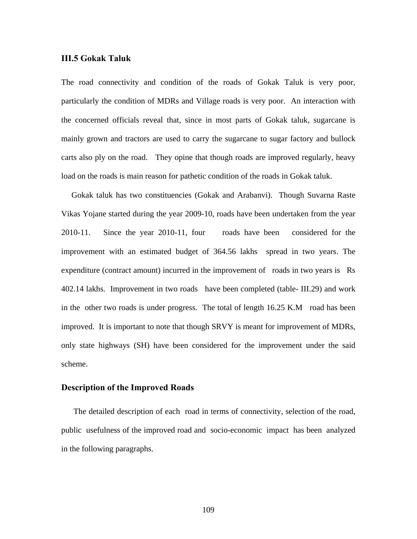#### **III.5 Gokak Taluk**

The road connectivity and condition of the roads of Gokak Taluk is very poor, particularly the condition of MDRs and Village roads is very poor. An interaction with the concerned officials reveal that, since in most parts of Gokak taluk, sugarcane is mainly grown and tractors are used to carry the sugarcane to sugar factory and bullock carts also ply on the road. They opine that though roads are improved regularly, heavy load on the roads is main reason for pathetic condition of the roads in Gokak taluk.

 Gokak taluk has two constituencies (Gokak and Arabanvi). Though Suvarna Raste Vikas Yojane started during the year 2009-10, roads have been undertaken from the year 2010-11. Since the year 2010-11, four roads have been considered for the improvement with an estimated budget of 364.56 lakhs spread in two years. The expenditure (contract amount) incurred in the improvement of roads in two years is Rs 402.14 lakhs. Improvement in two roads have been completed (table- III.29) and work in the other two roads is under progress. The total of length 16.25 K.M road has been improved. It is important to note that though SRVY is meant for improvement of MDRs, only state highways (SH) have been considered for the improvement under the said scheme.

#### **Description of the Improved Roads**

The detailed description of each road in terms of connectivity, selection of the road, public usefulness of the improved road and socio-economic impact has been analyzed in the following paragraphs.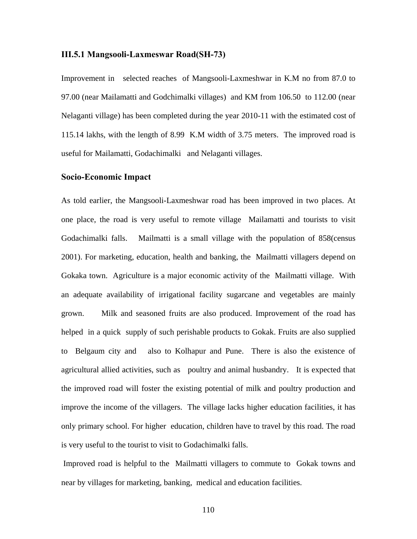#### **III.5.1 Mangsooli-Laxmeswar Road(SH-73)**

Improvement in selected reaches of Mangsooli-Laxmeshwar in K.M no from 87.0 to 97.00 (near Mailamatti and Godchimalki villages) and KM from 106.50 to 112.00 (near Nelaganti village) has been completed during the year 2010-11 with the estimated cost of 115.14 lakhs, with the length of 8.99 K.M width of 3.75 meters. The improved road is useful for Mailamatti, Godachimalki and Nelaganti villages.

#### **Socio-Economic Impact**

As told earlier, the Mangsooli-Laxmeshwar road has been improved in two places. At one place, the road is very useful to remote village Mailamatti and tourists to visit Godachimalki falls. Mailmatti is a small village with the population of 858(census 2001). For marketing, education, health and banking, the Mailmatti villagers depend on Gokaka town. Agriculture is a major economic activity of the Mailmatti village. With an adequate availability of irrigational facility sugarcane and vegetables are mainly grown. Milk and seasoned fruits are also produced. Improvement of the road has helped in a quick supply of such perishable products to Gokak. Fruits are also supplied to Belgaum city and also to Kolhapur and Pune. There is also the existence of agricultural allied activities, such as poultry and animal husbandry. It is expected that the improved road will foster the existing potential of milk and poultry production and improve the income of the villagers. The village lacks higher education facilities, it has only primary school. For higher education, children have to travel by this road. The road is very useful to the tourist to visit to Godachimalki falls.

 Improved road is helpful to the Mailmatti villagers to commute to Gokak towns and near by villages for marketing, banking, medical and education facilities.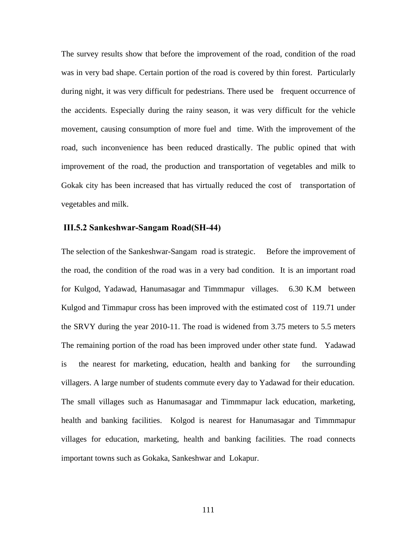The survey results show that before the improvement of the road, condition of the road was in very bad shape. Certain portion of the road is covered by thin forest. Particularly during night, it was very difficult for pedestrians. There used be frequent occurrence of the accidents. Especially during the rainy season, it was very difficult for the vehicle movement, causing consumption of more fuel and time. With the improvement of the road, such inconvenience has been reduced drastically. The public opined that with improvement of the road, the production and transportation of vegetables and milk to Gokak city has been increased that has virtually reduced the cost of transportation of vegetables and milk.

#### **III.5.2 Sankeshwar-Sangam Road(SH-44)**

The selection of the Sankeshwar-Sangam road is strategic. Before the improvement of the road, the condition of the road was in a very bad condition. It is an important road for Kulgod, Yadawad, Hanumasagar and Timmmapur villages. 6.30 K.M between Kulgod and Timmapur cross has been improved with the estimated cost of 119.71 under the SRVY during the year 2010-11. The road is widened from 3.75 meters to 5.5 meters The remaining portion of the road has been improved under other state fund. Yadawad is the nearest for marketing, education, health and banking for the surrounding villagers. A large number of students commute every day to Yadawad for their education. The small villages such as Hanumasagar and Timmmapur lack education, marketing, health and banking facilities. Kolgod is nearest for Hanumasagar and Timmmapur villages for education, marketing, health and banking facilities. The road connects important towns such as Gokaka, Sankeshwar and Lokapur.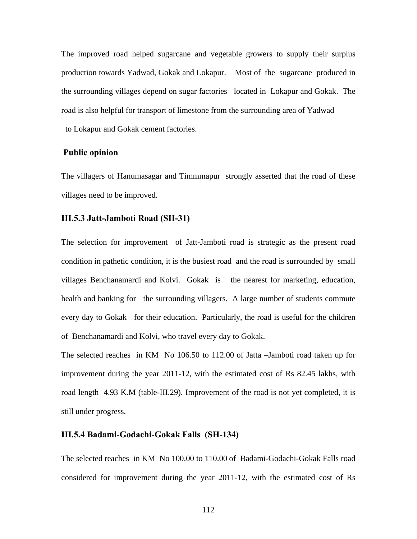The improved road helped sugarcane and vegetable growers to supply their surplus production towards Yadwad, Gokak and Lokapur. Most of the sugarcane produced in the surrounding villages depend on sugar factories located in Lokapur and Gokak. The road is also helpful for transport of limestone from the surrounding area of Yadwad to Lokapur and Gokak cement factories.

#### **Public opinion**

The villagers of Hanumasagar and Timmmapur strongly asserted that the road of these villages need to be improved.

#### **III.5.3 Jatt-Jamboti Road (SH-31)**

The selection for improvement of Jatt-Jamboti road is strategic as the present road condition in pathetic condition, it is the busiest road and the road is surrounded by small villages Benchanamardi and Kolvi. Gokak is the nearest for marketing, education, health and banking for the surrounding villagers. A large number of students commute every day to Gokak for their education. Particularly, the road is useful for the children of Benchanamardi and Kolvi, who travel every day to Gokak.

The selected reaches in KM No 106.50 to 112.00 of Jatta –Jamboti road taken up for improvement during the year 2011-12, with the estimated cost of Rs 82.45 lakhs, with road length 4.93 K.M (table-III.29). Improvement of the road is not yet completed, it is still under progress.

#### **III.5.4 Badami-Godachi-Gokak Falls (SH-134)**

The selected reaches in KM No 100.00 to 110.00 of Badami-Godachi-Gokak Falls road considered for improvement during the year 2011-12, with the estimated cost of Rs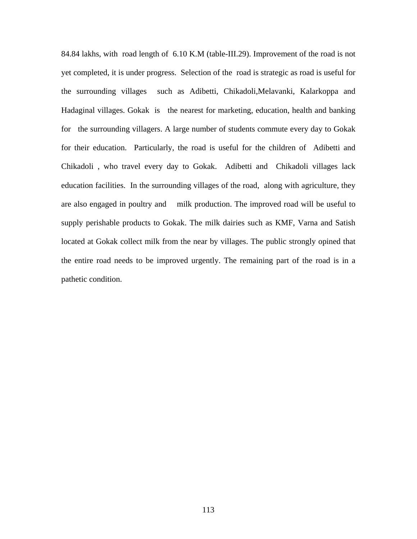84.84 lakhs, with road length of 6.10 K.M (table-III.29). Improvement of the road is not yet completed, it is under progress. Selection of the road is strategic as road is useful for the surrounding villages such as Adibetti, Chikadoli,Melavanki, Kalarkoppa and Hadaginal villages. Gokak is the nearest for marketing, education, health and banking for the surrounding villagers. A large number of students commute every day to Gokak for their education. Particularly, the road is useful for the children of Adibetti and Chikadoli , who travel every day to Gokak. Adibetti and Chikadoli villages lack education facilities. In the surrounding villages of the road, along with agriculture, they are also engaged in poultry and milk production. The improved road will be useful to supply perishable products to Gokak. The milk dairies such as KMF, Varna and Satish located at Gokak collect milk from the near by villages. The public strongly opined that the entire road needs to be improved urgently. The remaining part of the road is in a pathetic condition.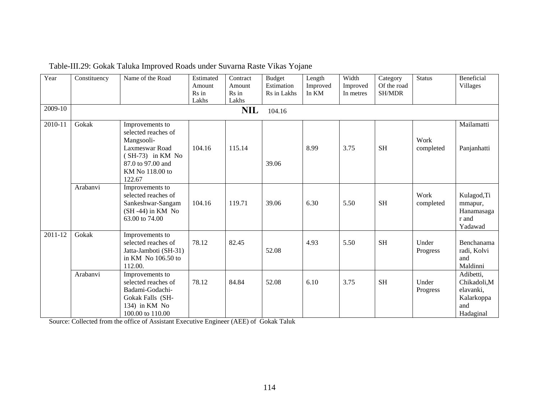| Year    | Constituency | Name of the Road                                                                                                                               | Estimated<br>Amount<br>Rs in<br>Lakhs | Contract<br>Amount<br>Rs in<br>Lakhs | <b>Budget</b><br>Estimation<br>Rs in Lakhs | Length<br>Improved<br>In KM | Width<br>Improved<br>In metres | Category<br>Of the road<br><b>SH/MDR</b> | <b>Status</b>     | Beneficial<br><b>Villages</b>                                           |
|---------|--------------|------------------------------------------------------------------------------------------------------------------------------------------------|---------------------------------------|--------------------------------------|--------------------------------------------|-----------------------------|--------------------------------|------------------------------------------|-------------------|-------------------------------------------------------------------------|
| 2009-10 |              |                                                                                                                                                |                                       | <b>NIL</b>                           | 104.16                                     |                             |                                |                                          |                   |                                                                         |
| 2010-11 | Gokak        | Improvements to<br>selected reaches of<br>Mangsooli-<br>Laxmeswar Road<br>$(SH-73)$ in KM No<br>87.0 to 97.00 and<br>KM No 118.00 to<br>122.67 | 104.16                                | 115.14                               | 39.06                                      | 8.99                        | 3.75                           | <b>SH</b>                                | Work<br>completed | Mailamatti<br>Panjanhatti                                               |
|         | Arabanvi     | Improvements to<br>selected reaches of<br>Sankeshwar-Sangam<br>$(SH -44)$ in KM No<br>63.00 to 74.00                                           | 104.16                                | 119.71                               | 39.06                                      | 6.30                        | 5.50                           | <b>SH</b>                                | Work<br>completed | Kulagod, Ti<br>mmapur,<br>Hanamasaga<br>r and<br>Yadawad                |
| 2011-12 | Gokak        | Improvements to<br>selected reaches of<br>Jatta-Jamboti (SH-31)<br>in KM No 106.50 to<br>112.00.                                               | 78.12                                 | 82.45                                | 52.08                                      | 4.93                        | 5.50                           | <b>SH</b>                                | Under<br>Progress | Benchanama<br>radi, Kolvi<br>and<br>Maldinni                            |
|         | Arabanvi     | Improvements to<br>selected reaches of<br>Badami-Godachi-<br>Gokak Falls (SH-<br>134) in KM No<br>100.00 to 110.00                             | 78.12                                 | 84.84                                | 52.08                                      | 6.10                        | 3.75                           | <b>SH</b>                                | Under<br>Progress | Adibetti,<br>Chikadoli,M<br>elavanki,<br>Kalarkoppa<br>and<br>Hadaginal |

Table-III.29: Gokak Taluka Improved Roads under Suvarna Raste Vikas Yojane

Source: Collected from the office of Assistant Executive Engineer (AEE) of Gokak Taluk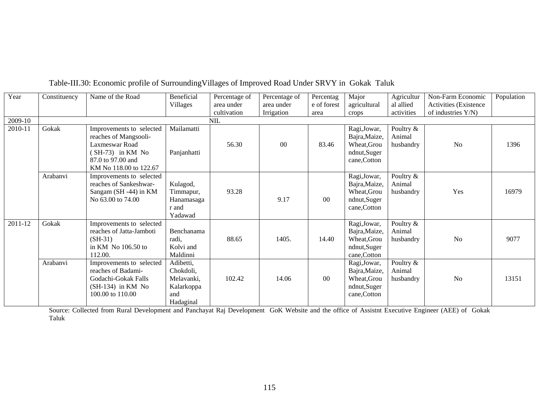| Year    | Constituency | Name of the Road                                                                                                                         | Beneficial                                                             | Percentage of | Percentage of | Percentag   | Major                                                                        | Agricultur                       | Non-Farm Economic     | Population |
|---------|--------------|------------------------------------------------------------------------------------------------------------------------------------------|------------------------------------------------------------------------|---------------|---------------|-------------|------------------------------------------------------------------------------|----------------------------------|-----------------------|------------|
|         |              |                                                                                                                                          | Villages                                                               | area under    | area under    | e of forest | agricultural                                                                 | al allied                        | Activities (Existence |            |
|         |              |                                                                                                                                          |                                                                        | cultivation   | Irrigation    | area        | crops                                                                        | activities                       | of industries Y/N)    |            |
| 2009-10 |              |                                                                                                                                          |                                                                        | NIL           |               |             |                                                                              |                                  |                       |            |
| 2010-11 | Gokak        | Improvements to selected<br>reaches of Mangsooli-<br>Laxmeswar Road<br>$(SH-73)$ in KM No<br>87.0 to 97.00 and<br>KM No 118.00 to 122.67 | Mailamatti<br>Panjanhatti                                              | 56.30         | 00            | 83.46       | Ragi, Jowar,<br>Bajra, Maize,<br>Wheat, Grou<br>ndnut, Suger<br>cane, Cotton | Poultry &<br>Animal<br>husbandry | N <sub>0</sub>        | 1396       |
|         | Arabanvi     | Improvements to selected<br>reaches of Sankeshwar-<br>Sangam (SH -44) in KM<br>No 63.00 to 74.00                                         | Kulagod,<br>Timmapur,<br>Hanamasaga<br>r and<br>Yadawad                | 93.28         | 9.17          | $00\,$      | Ragi, Jowar,<br>Bajra, Maize,<br>Wheat, Grou<br>ndnut,Suger<br>cane, Cotton  | Poultry &<br>Animal<br>husbandry | Yes                   | 16979      |
| 2011-12 | Gokak        | Improvements to selected<br>reaches of Jatta-Jamboti<br>$(SH-31)$<br>in KM No 106.50 to<br>112.00.                                       | Benchanama<br>radi,<br>Kolvi and<br>Maldinni                           | 88.65         | 1405.         | 14.40       | Ragi, Jowar,<br>Bajra, Maize,<br>Wheat, Grou<br>ndnut,Suger<br>cane, Cotton  | Poultry &<br>Animal<br>husbandry | No                    | 9077       |
|         | Arabanvi     | Improvements to selected<br>reaches of Badami-<br>Godachi-Gokak Falls<br>$(SH-134)$ in KM No<br>100.00 to 110.00                         | Adibetti,<br>Chokdoli,<br>Melavanki.<br>Kalarkoppa<br>and<br>Hadaginal | 102.42        | 14.06         | $00\,$      | Ragi, Jowar,<br>Bajra, Maize,<br>Wheat, Grou<br>ndnut, Suger<br>cane, Cotton | Poultry &<br>Animal<br>husbandry | No                    | 13151      |

## Table-III.30: Economic profile of SurroundingVillages of Improved Road Under SRVY in Gokak Taluk

Source: Collected from Rural Development and Panchayat Raj Development GoK Website and the office of Assistnt Executive Engineer (AEE) of Gokak Taluk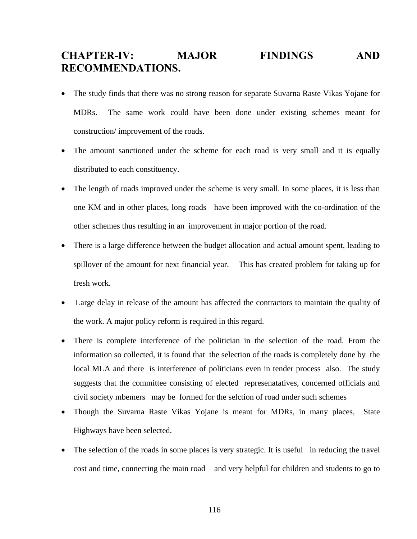# **CHAPTER-IV: MAJOR FINDINGS AND RECOMMENDATIONS.**

- The study finds that there was no strong reason for separate Suvarna Raste Vikas Yojane for MDRs. The same work could have been done under existing schemes meant for construction/ improvement of the roads.
- The amount sanctioned under the scheme for each road is very small and it is equally distributed to each constituency.
- The length of roads improved under the scheme is very small. In some places, it is less than one KM and in other places, long roads have been improved with the co-ordination of the other schemes thus resulting in an improvement in major portion of the road.
- There is a large difference between the budget allocation and actual amount spent, leading to spillover of the amount for next financial year. This has created problem for taking up for fresh work.
- Large delay in release of the amount has affected the contractors to maintain the quality of the work. A major policy reform is required in this regard.
- There is complete interference of the politician in the selection of the road. From the information so collected, it is found that the selection of the roads is completely done by the local MLA and there is interference of politicians even in tender process also. The study suggests that the committee consisting of elected represenatatives, concerned officials and civil society mbemers may be formed for the selction of road under such schemes
- Though the Suvarna Raste Vikas Yojane is meant for MDRs, in many places, State Highways have been selected.
- The selection of the roads in some places is very strategic. It is useful in reducing the travel cost and time, connecting the main road and very helpful for children and students to go to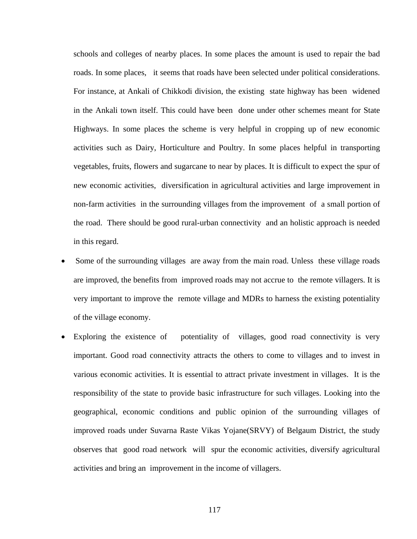schools and colleges of nearby places. In some places the amount is used to repair the bad roads. In some places, it seems that roads have been selected under political considerations. For instance, at Ankali of Chikkodi division, the existing state highway has been widened in the Ankali town itself. This could have been done under other schemes meant for State Highways. In some places the scheme is very helpful in cropping up of new economic activities such as Dairy, Horticulture and Poultry. In some places helpful in transporting vegetables, fruits, flowers and sugarcane to near by places. It is difficult to expect the spur of new economic activities, diversification in agricultural activities and large improvement in non-farm activities in the surrounding villages from the improvement of a small portion of the road. There should be good rural-urban connectivity and an holistic approach is needed in this regard.

- Some of the surrounding villages are away from the main road. Unless these village roads are improved, the benefits from improved roads may not accrue to the remote villagers. It is very important to improve the remote village and MDRs to harness the existing potentiality of the village economy.
- Exploring the existence of potentiality of villages, good road connectivity is very important. Good road connectivity attracts the others to come to villages and to invest in various economic activities. It is essential to attract private investment in villages. It is the responsibility of the state to provide basic infrastructure for such villages. Looking into the geographical, economic conditions and public opinion of the surrounding villages of improved roads under Suvarna Raste Vikas Yojane(SRVY) of Belgaum District, the study observes that good road network will spur the economic activities, diversify agricultural activities and bring an improvement in the income of villagers.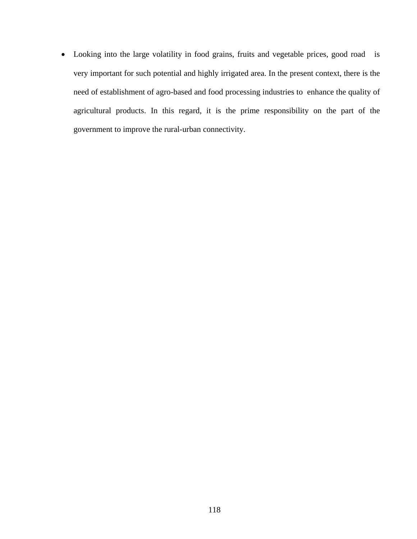Looking into the large volatility in food grains, fruits and vegetable prices, good road is very important for such potential and highly irrigated area. In the present context, there is the need of establishment of agro-based and food processing industries to enhance the quality of agricultural products. In this regard, it is the prime responsibility on the part of the government to improve the rural-urban connectivity.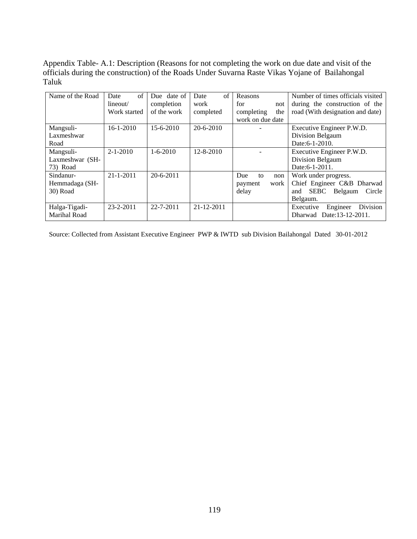Appendix Table- A.1: Description (Reasons for not completing the work on due date and visit of the officials during the construction) of the Roads Under Suvarna Raste Vikas Yojane of Bailahongal Taluk

| Name of the Road | of<br>Date      | Due date of     | $\sigma$ f<br>Date | Reasons           | Number of times officials visited       |
|------------------|-----------------|-----------------|--------------------|-------------------|-----------------------------------------|
|                  | lineout/        | completion      | work               | for<br>not        | during the construction of the          |
|                  | Work started    | of the work     | completed          | completing<br>the | road (With designation and date)        |
|                  |                 |                 |                    | work on due date  |                                         |
| Mangsuli-        | $16 - 1 - 2010$ | $15 - 6 - 2010$ | $20 - 6 - 2010$    |                   | Executive Engineer P.W.D.               |
| Laxmeshwar       |                 |                 |                    |                   | Division Belgaum                        |
| Road             |                 |                 |                    |                   | Date: 6-1-2010.                         |
| Mangsuli-        | $2 - 1 - 2010$  | $1 - 6 - 2010$  | 12-8-2010          |                   | Executive Engineer P.W.D.               |
| Laxmeshwar (SH-  |                 |                 |                    |                   | Division Belgaum                        |
| 73) Road         |                 |                 |                    |                   | Date: 6-1-2011.                         |
| Sindanur-        | $21 - 1 - 2011$ | $20 - 6 - 2011$ |                    | Due<br>to<br>non  | Work under progress.                    |
| Hemmadaga (SH-   |                 |                 |                    | work<br>payment   | Chief Engineer C&B Dharwad              |
| 30) Road         |                 |                 |                    | delay             | <b>SEBC</b><br>Belgaum<br>Circle<br>and |
|                  |                 |                 |                    |                   | Belgaum.                                |
| Halga-Tigadi-    | $23 - 2 - 2011$ | $22 - 7 - 2011$ | $21 - 12 - 2011$   |                   | Division<br>Engineer<br>Executive       |
| Marihal Road     |                 |                 |                    |                   | Dharwad Date:13-12-2011.                |

Source: Collected from Assistant Executive Engineer PWP & IWTD sub Division Bailahongal Dated 30-01-2012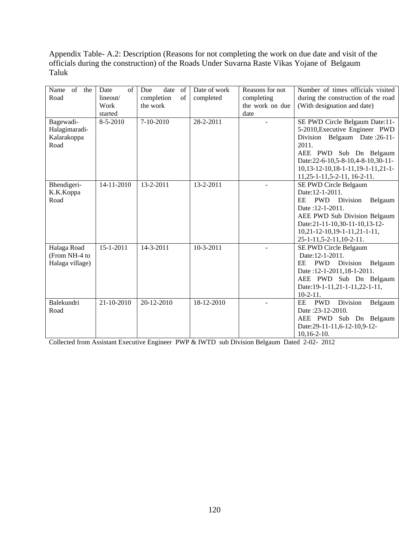Appendix Table- A.2: Description (Reasons for not completing the work on due date and visit of the officials during the construction) of the Roads Under Suvarna Raste Vikas Yojane of Belgaum Taluk

| Name of the<br>Road                               | of<br>Date<br>lineout/<br>Work<br>started | Due<br>date<br>of<br>completion<br>of<br>the work | Date of work<br>completed | Reasons for not<br>completing<br>the work on due<br>date | Number of times officials visited<br>during the construction of the road<br>(With designation and date)                                                                                                                                          |
|---------------------------------------------------|-------------------------------------------|---------------------------------------------------|---------------------------|----------------------------------------------------------|--------------------------------------------------------------------------------------------------------------------------------------------------------------------------------------------------------------------------------------------------|
| Bagewadi-<br>Halagimaradi-<br>Kalarakoppa<br>Road | 8-5-2010                                  | 7-10-2010                                         | 28-2-2011                 |                                                          | SE PWD Circle Belgaum Date:11-<br>5-2010, Executive Engineer PWD<br>Division Belgaum Date: 26-11-<br>2011.<br>AEE PWD Sub Dn Belgaum<br>Date:22-6-10,5-8-10,4-8-10,30-11-<br>$10,13-12-10,18-1-11,19-1-11,21-1-$<br>$11,25-1-11,5-2-11,16-2-11.$ |
| Bhendigeri-<br>K.K.Koppa<br>Road                  | 14-11-2010                                | 13-2-2011                                         | 13-2-2011                 |                                                          | SE PWD Circle Belgaum<br>Date: 12-1-2011.<br>PWD Division<br>EE<br>Belgaum<br>Date: 12-1-2011.<br>AEE PWD Sub Division Belgaum<br>Date:21-11-10,30-11-10,13-12-<br>$10,21-12-10,19-1-11,21-1-11,$<br>25-1-11, 5-2-11, 10-2-11.                   |
| Halaga Road<br>(From NH-4 to<br>Halaga village)   | $15 - 1 - 2011$                           | 14-3-2011                                         | $10-3-2011$               |                                                          | SE PWD Circle Belgaum<br>Date:12-1-2011.<br>EE PWD Division<br>Belgaum<br>Date: 12-1-2011, 18-1-2011.<br>AEE PWD Sub Dn Belgaum<br>Date:19-1-11,21-1-11,22-1-11,<br>$10-2-11$ .                                                                  |
| Balekundri<br>Road                                | 21-10-2010                                | $20 - 12 - 2010$                                  | 18-12-2010                |                                                          | Division<br><b>PWD</b><br>EE<br>Belgaum<br>Date: 23-12-2010.<br>AEE PWD Sub Dn Belgaum<br>Date:29-11-11,6-12-10,9-12-<br>$10,16-2-10.$                                                                                                           |

Collected from Assistant Executive Engineer PWP & IWTD sub Division Belgaum Dated 2-02- 2012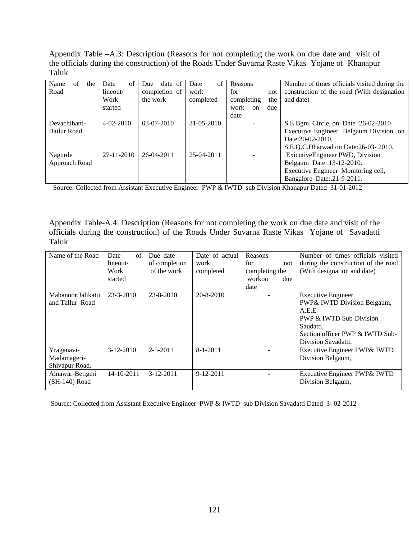Appendix Table –A.3: Description (Reasons for not completing the work on due date and visit of the officials during the construction) of the Roads Under Suvarna Raste Vikas Yojane of Khanapur Taluk

| of<br>Name<br>the<br>Road    | Date<br>of<br>lineout/<br>Work<br>started | date of<br>Due<br>completion of<br>the work | $\sigma$ f<br>Date<br>work<br>completed | Reasons<br>for<br>not<br>the<br>completing<br>work<br>due<br>$_{\rm on}$<br>date | Number of times officials visited during the<br>construction of the road (With designation)<br>and date)                                   |
|------------------------------|-------------------------------------------|---------------------------------------------|-----------------------------------------|----------------------------------------------------------------------------------|--------------------------------------------------------------------------------------------------------------------------------------------|
| Devachihatti-<br>Bailur Road | $4-02-2010$                               | $03-07-2010$                                | $31 - 05 - 2010$                        |                                                                                  | S.E.Bgm. Circle, on Date :26-02-2010<br>Executive Engineer Belgaum Division on<br>Date: 20-02-2010.<br>S.E.Q.C.Dharwad on Date:26-03-2010. |
| Nagurde<br>Approach Road     | 27-11-2010                                | $26-04-2011$                                | $25-04-2011$                            |                                                                                  | ExicutiveEngineer PWD, Division<br>Belgaum Date: 13-12-2010.<br>Executive Engineer Monitoring cell,<br>Bangalore Date: 21-9-2011.          |

Source: Collected from Assistant Executive Engineer PWP & IWTD sub Division Khanapur Dated 31-01-2012

Appendix Table-A.4: Description (Reasons for not completing the work on due date and visit of the officials during the construction) of the Roads Under Suvarna Raste Vikas Yojane of Savadatti Taluk

| Name of the Road                            | $\sigma$ f<br>Date<br>lineout/<br>Work<br>started | Due date<br>of completion<br>of the work | Date of actual<br>work<br>completed | Reasons<br>for<br>not<br>completing the<br>workon<br>due<br>date | Number of times officials visited<br>during the construction of the road<br>(With designation and date)                                                             |
|---------------------------------------------|---------------------------------------------------|------------------------------------------|-------------------------------------|------------------------------------------------------------------|---------------------------------------------------------------------------------------------------------------------------------------------------------------------|
| Mabanoor, Jalikatti<br>and Tallur Road      | 23-3-2010                                         | 23-8-2010                                | 20-8-2010                           |                                                                  | <b>Executive Engineer</b><br>PWP& IWTD Division Belgaum,<br>A.E.E<br>PWP & IWTD Sub-Division<br>Saudatti,<br>Section officer PWP & IWTD Sub-<br>Division Savadatti, |
| Yraganavi-<br>Madamageri-<br>Shivapur Road. | $3-12-2010$                                       | $2 - 5 - 2011$                           | $8 - 1 - 2011$                      |                                                                  | Executive Engineer PWP& IWTD<br>Division Belgaum,                                                                                                                   |
| Alnawar-Betigeri<br>(SH-140) Road           | 14-10-2011                                        | $3-12-2011$                              | $9-12-2011$                         |                                                                  | Executive Engineer PWP& IWTD<br>Division Belgaum,                                                                                                                   |

Source: Collected from Assistant Executive Engineer PWP & IWTD sub Division Savadatti Dated 3- 02-2012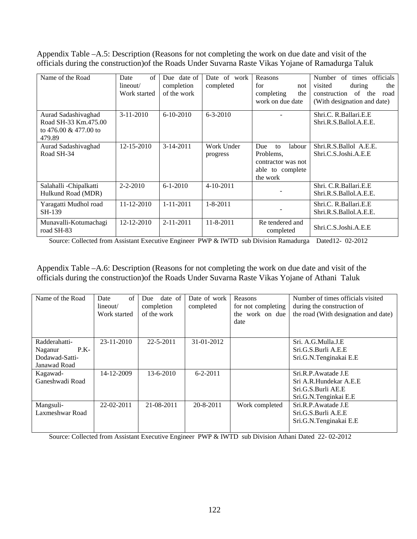Appendix Table –A.5: Description (Reasons for not completing the work on due date and visit of the officials during the construction)of the Roads Under Suvarna Raste Vikas Yojane of Ramadurga Taluk

| Name of the Road                                                                  | of<br>Date<br>lineout/<br>Work started | Due date of<br>completion<br>of the work | of work<br>Date<br>completed | Reasons<br>for<br>not<br>completing<br>the<br>work on due date                         | officials<br>Number<br>of<br>times<br>visited<br>during<br>the<br>construction of the<br>road<br>(With designation and date) |
|-----------------------------------------------------------------------------------|----------------------------------------|------------------------------------------|------------------------------|----------------------------------------------------------------------------------------|------------------------------------------------------------------------------------------------------------------------------|
| Aurad Sadashiyaghad<br>Road SH-33 Km.475.00<br>to $476.00 \& 477.00$ to<br>479.89 | $3 - 11 - 2010$                        | $6-10-2010$                              | $6 - 3 - 2010$               |                                                                                        | Shri.C. R.Ballari.E.E<br>Shri.R.S.Ballol.A.E.E.                                                                              |
| Aurad Sadashivaghad<br>Road SH-34                                                 | $12 - 15 - 2010$                       | $3-14-2011$                              | Work Under<br>progress       | labour<br>Due<br>to<br>Problems.<br>contractor was not<br>able to complete<br>the work | Shri.R.S.Ballol A.E.E.<br>Shri.C.S.Joshi.A.E.E                                                                               |
| Salahalli -Chipalkatti<br>Hulkund Road (MDR)                                      | $2 - 2 - 2010$                         | $6 - 1 - 2010$                           | $4 - 10 - 2011$              |                                                                                        | Shri. C.R.Ballari.E.E<br>Shri.R.S.Ballol.A.E.E.                                                                              |
| Yaragatti Mudhol road<br>SH-139                                                   | 11-12-2010                             | $1 - 11 - 2011$                          | $1 - 8 - 2011$               |                                                                                        | Shri.C. R.Ballari.E.E<br>Shri.R.S.Ballol.A.E.E.                                                                              |
| Munavalli-Kotumachagi<br>road SH-83                                               | 12-12-2010                             | $2 - 11 - 2011$                          | 11-8-2011                    | Re tendered and<br>completed                                                           | Shri.C.S.Joshi.A.E.E                                                                                                         |

Source: Collected from Assistant Executive Engineer PWP & IWTD sub Division Ramadurga Dated12- 02-2012

Appendix Table –A.6: Description (Reasons for not completing the work on due date and visit of the officials during the construction)of the Roads Under Suvarna Raste Vikas Yojane of Athani Taluk

| Name of the Road                                                     | $\sigma$ f<br>Date<br>lineout/<br>Work started | date of<br>Due -<br>completion<br>of the work | Date of work<br>completed | Reasons<br>for not completing<br>the work on due<br>date | Number of times officials visited<br>during the construction of<br>the road (With designation and date) |
|----------------------------------------------------------------------|------------------------------------------------|-----------------------------------------------|---------------------------|----------------------------------------------------------|---------------------------------------------------------------------------------------------------------|
| Radderahatti-<br>$P.K-$<br>Naganur<br>Dodawad-Satti-<br>Janawad Road | $23 - 11 - 2010$                               | $22 - 5 - 2011$                               | 31-01-2012                |                                                          | Sri. A.G.Mulla.J.E<br>Sri.G.S.Burli A.E.E<br>Sri.G.N.Tenginakai E.E                                     |
| Kagawad-<br>Ganeshwadi Road                                          | 14-12-2009                                     | 13-6-2010                                     | $6 - 2 - 2011$            |                                                          | Sri.R.P.Awatade J.E<br>Sri A.R.Hundekar A.E.E<br>Sri.G.S.Burli AE.E<br>Sri.G.N.Tenginkai E.E            |
| Mangsuli-<br>Laxmeshwar Road                                         | 22-02-2011                                     | 21-08-2011                                    | $20 - 8 - 2011$           | Work completed                                           | Sri.R.P.Awatade J.E<br>Sri.G.S.Burli A.E.E<br>Sri.G.N.Tenginakai E.E                                    |

Source: Collected from Assistant Executive Engineer PWP & IWTD sub Division Athani Dated 22- 02-2012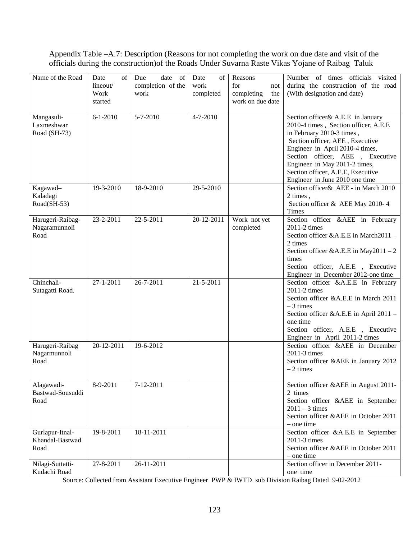## Appendix Table –A.7: Description (Reasons for not completing the work on due date and visit of the officials during the construction)of the Roads Under Suvarna Raste Vikas Yojane of Raibag Taluk

| Name of the Road                           | Date<br>of<br>lineout/<br>Work<br>started | date of<br>Due<br>completion of the<br>work | Date<br>of<br>work<br>completed | Reasons<br>for<br>not<br>completing<br>the<br>work on due date | Number of times officials visited<br>during the construction of the road<br>(With designation and date)                                                                                                                                                                                                                  |
|--------------------------------------------|-------------------------------------------|---------------------------------------------|---------------------------------|----------------------------------------------------------------|--------------------------------------------------------------------------------------------------------------------------------------------------------------------------------------------------------------------------------------------------------------------------------------------------------------------------|
| Mangasuli-<br>Laxmeshwar<br>Road (SH-73)   | $6 - 1 - 2010$                            | 5-7-2010                                    | 4-7-2010                        |                                                                | Section officer & A.E.E in January<br>2010-4 times, Section officer, A.E.E<br>in February 2010-3 times,<br>Section officer, AEE, Executive<br>Engineer in April 2010-4 times,<br>Section officer, AEE, Executive<br>Engineer in May 2011-2 times,<br>Section officer, A.E.E, Executive<br>Engineer in June 2010 one time |
| Kagawad-<br>Kaladagi<br>Road(SH-53)        | 19-3-2010                                 | 18-9-2010                                   | 29-5-2010                       |                                                                | Section officer& AEE - in March 2010<br>2 times,<br>Section officer & AEE May 2010-4<br><b>Times</b>                                                                                                                                                                                                                     |
| Harugeri-Raibag-<br>Nagaramunnoli<br>Road  | 23-2-2011                                 | 22-5-2011                                   | 20-12-2011                      | Work not yet<br>completed                                      | Section officer &AEE in February<br>2011-2 times<br>Section officer &A.E.E in March2011 -<br>2 times<br>Section officer &A.E.E in May2011 - 2<br>times<br>Section officer, A.E.E , Executive<br>Engineer in December 2012-one time                                                                                       |
| Chinchali-<br>Sutagatti Road.              | 27-1-2011                                 | 26-7-2011                                   | 21-5-2011                       |                                                                | Section officer &A.E.E in February<br>2011-2 times<br>Section officer &A.E.E in March 2011<br>$-3$ times<br>Section officer &A.E.E in April 2011 -<br>one time<br>Section officer, A.E.E , Executive<br>Engineer in April 2011-2 times                                                                                   |
| Harugeri-Raibag<br>Nagarmunnoli<br>Road    | 20-12-2011                                | 19-6-2012                                   |                                 |                                                                | Section officer &AEE in December<br>2011-3 times<br>Section officer &AEE in January 2012<br>$-2$ times                                                                                                                                                                                                                   |
| Alagawadi-<br>Bastwad-Sousuddi<br>Road     | 8-9-2011                                  | 7-12-2011                                   |                                 |                                                                | Section officer &AEE in August 2011-<br>2 times<br>Section officer &AEE in September<br>$2011 - 3$ times<br>Section officer &AEE in October 2011<br>$-$ one time                                                                                                                                                         |
| Gurlapur-Itnal-<br>Khandal-Bastwad<br>Road | 19-8-2011                                 | 18-11-2011                                  |                                 |                                                                | Section officer &A.E.E in September<br>2011-3 times<br>Section officer &AEE in October 2011<br>$-$ one time                                                                                                                                                                                                              |
| Nilagi-Suttatti-<br>Kudachi Road           | 27-8-2011                                 | 26-11-2011                                  |                                 |                                                                | Section officer in December 2011-<br>one time                                                                                                                                                                                                                                                                            |

Source: Collected from Assistant Executive Engineer PWP & IWTD sub Division Raibag Dated 9-02-2012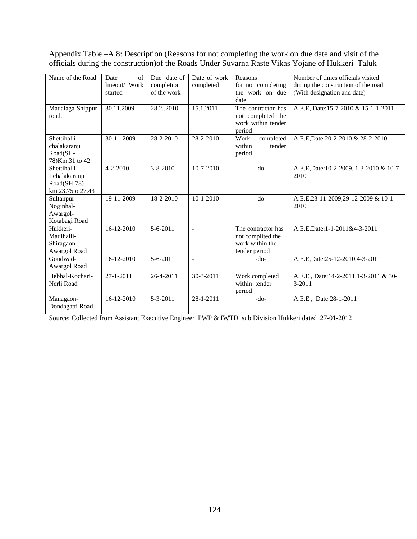Appendix Table –A.8: Description (Reasons for not completing the work on due date and visit of the officials during the construction)of the Roads Under Suvarna Raste Vikas Yojane of Hukkeri Taluk

| Name of the Road                                                  | of<br>Date<br>lineout/ Work<br>started | Due date of<br>completion<br>of the work | Date of work<br>completed | Reasons<br>for not completing<br>the work on due<br>date                    | Number of times officials visited<br>during the construction of the road<br>(With designation and date) |
|-------------------------------------------------------------------|----------------------------------------|------------------------------------------|---------------------------|-----------------------------------------------------------------------------|---------------------------------------------------------------------------------------------------------|
| Madalaga-Shippur<br>road.                                         | 30.11.2009                             | 28.22010                                 | 15.1.2011                 | The contractor has<br>not completed the<br>work within tender<br>period     | A.E.E, Date:15-7-2010 & 15-1-1-2011                                                                     |
| Shettihalli-<br>chalakaranji<br>Road(SH-<br>78) Km.31 to 42       | 30-11-2009                             | 28-2-2010                                | $28 - 2 - 2010$           | Work<br>completed<br>within<br>tender<br>period                             | A.E.E, Date: 20-2-2010 & 28-2-2010                                                                      |
| Shettihalli-<br>Iichalakaranji<br>Road(SH-78)<br>km.23.75to 27.43 | $4 - 2 - 2010$                         | $3 - 8 - 2010$                           | $10 - 7 - 2010$           | $-do-$                                                                      | A.E.E, Date: 10-2-2009, 1-3-2010 & 10-7-<br>2010                                                        |
| Sultanpur-<br>Noginhal-<br>Awargol-<br>Kotabagi Road              | 19-11-2009                             | 18-2-2010                                | $10-1-2010$               | $-do-$                                                                      | A.E.E.23-11-2009,29-12-2009 & 10-1-<br>2010                                                             |
| Hukkeri-<br>Madihalli-<br>Shiragaon-<br>Awargol Road              | $16 - 12 - 2010$                       | $5 - 6 - 2011$                           | $\sim$                    | The contractor has<br>not complited the<br>work within the<br>tender period | A.E.E, Date: 1-1-2011& 4-3-2011                                                                         |
| Goudwad-<br>Awargol Road                                          | 16-12-2010                             | 5-6-2011                                 | $\sim$                    | $-do-$                                                                      | A.E.E, Date: 25-12-2010, 4-3-2011                                                                       |
| Hebbal-Kochari-<br>Nerli Road                                     | $27 - 1 - 2011$                        | 26-4-2011                                | 30-3-2011                 | Work completed<br>within tender<br>period                                   | A.E.E, Date:14-2-2011,1-3-2011 & 30-<br>$3 - 2011$                                                      |
| Managaon-<br>Dondagatti Road                                      | $16 - 12 - 2010$                       | $5 - 3 - 2011$                           | $28 - 1 - 2011$           | $-do-$                                                                      | A.E.E, Date:28-1-2011                                                                                   |

Source: Collected from Assistant Executive Engineer PWP & IWTD sub Division Hukkeri dated 27-01-2012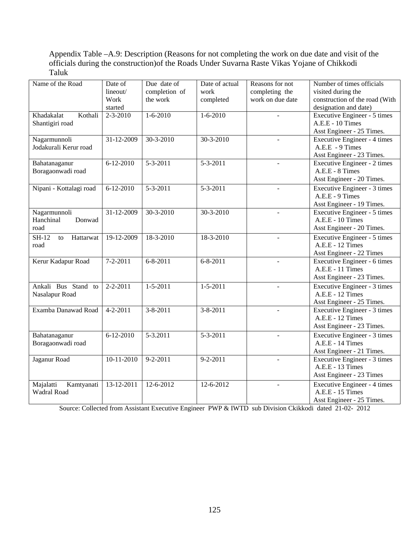## Appendix Table –A.9: Description (Reasons for not completing the work on due date and visit of the officials during the construction)of the Roads Under Suvarna Raste Vikas Yojane of Chikkodi Taluk

| Name of the Road                            | Date of<br>lineout/<br>Work<br>started | Due date of<br>completion of<br>the work | Date of actual<br>work<br>completed | Reasons for not<br>completing the<br>work on due date | Number of times officials<br>visited during the<br>construction of the road (With<br>designation and date) |
|---------------------------------------------|----------------------------------------|------------------------------------------|-------------------------------------|-------------------------------------------------------|------------------------------------------------------------------------------------------------------------|
| Kothali<br>Khadakalat<br>Shantigiri road    | $2 - 3 - 2010$                         | $1 - 6 - 2010$                           | $1 - 6 - 2010$                      |                                                       | Executive Engineer - 5 times<br>A.E.E - 10 Times<br>Asst Engineer - 25 Times.                              |
| Nagarmunnoli<br>Jodakurali Kerur road       | 31-12-2009                             | 30-3-2010                                | 30-3-2010                           |                                                       | Executive Engineer - 4 times<br>A.E.E - 9 Times<br>Asst Engineer - 23 Times.                               |
| Bahatanaganur<br>Boragaonwadi road          | $6 - 12 - 2010$                        | 5-3-2011                                 | $5 - 3 - 2011$                      | $\overline{a}$                                        | Executive Engineer - 2 times<br>A.E.E - 8 Times<br>Asst Engineer - 20 Times.                               |
| Nipani - Kottalagi road                     | $6 - 12 - 2010$                        | $5 - 3 - 2011$                           | 5-3-2011                            | L.                                                    | Executive Engineer - 3 times<br>A.E.E - 9 Times<br>Asst Engineer - 19 Times.                               |
| Nagarmunnoli<br>Donwad<br>Hanchinal<br>road | 31-12-2009                             | 30-3-2010                                | 30-3-2010                           |                                                       | Executive Engineer - 5 times<br>A.E.E - 10 Times<br>Asst Engineer - 20 Times.                              |
| $SH-12$<br>Hattarwat<br>to<br>road          | 19-12-2009                             | 18-3-2010                                | 18-3-2010                           | $\overline{a}$                                        | Executive Engineer - 5 times<br>A.E.E - 12 Times<br>Asst Engineer - 22 Times                               |
| Kerur Kadapur Road                          | $7 - 2 - 2011$                         | $6 - 8 - 2011$                           | $6 - 8 - 2011$                      |                                                       | Executive Engineer - 6 times<br>A.E.E - 11 Times<br>Asst Engineer - 23 Times.                              |
| Ankali Bus Stand to<br>Nasalapur Road       | $2 - 2 - 2011$                         | $1 - 5 - 2011$                           | $1 - 5 - 2011$                      |                                                       | Executive Engineer - 3 times<br>A.E.E - 12 Times<br>Asst Engineer - 25 Times.                              |
| Examba Danawad Road                         | $4 - 2 - 2011$                         | $3 - 8 - 2011$                           | $3 - 8 - 2011$                      |                                                       | Executive Engineer - 3 times<br>A.E.E - 12 Times<br>Asst Engineer - 23 Times.                              |
| Bahatanaganur<br>Boragaonwadi road          | $6 - 12 - 2010$                        | 5-3.2011                                 | $5 - 3 - 2011$                      |                                                       | Executive Engineer - 3 times<br>A.E.E - 14 Times<br>Asst Engineer - 21 Times.                              |
| Jaganur Road                                | $10-11-2010$                           | $9 - 2 - 2011$                           | $9 - 2 - 2011$                      |                                                       | Executive Engineer - 3 times<br>A.E.E - 13 Times<br>Asst Engineer - 23 Times                               |
| Majalatti<br>Kamtyanati<br>Wadral Road      | 13-12-2011                             | 12-6-2012                                | 12-6-2012                           |                                                       | Executive Engineer - 4 times<br>A.E.E - 15 Times<br>Asst Engineer - 25 Times.                              |

Source: Collected from Assistant Executive Engineer PWP & IWTD sub Division Ckikkodi dated 21-02- 2012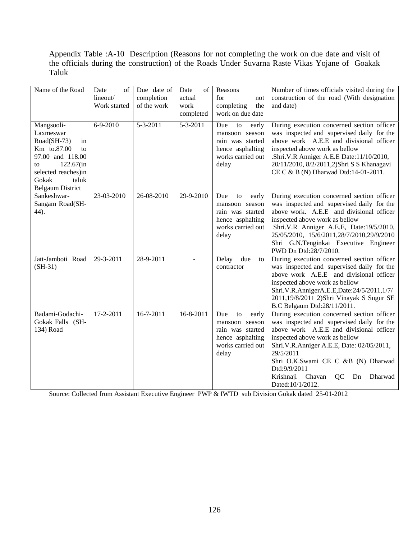Appendix Table :A-10 Description (Reasons for not completing the work on due date and visit of the officials during the construction) of the Roads Under Suvarna Raste Vikas Yojane of Goakak Taluk

| Name of the Road                                                                                                                                                             | Date<br>of<br>lineout/<br>Work started | Due date of<br>completion<br>of the work | Date<br>of<br>actual<br>work<br>completed | Reasons<br>for<br>not<br>completing<br>the<br>work on due date                                             | Number of times officials visited during the<br>construction of the road (With designation<br>and date)                                                                                                                                                                                                                                              |
|------------------------------------------------------------------------------------------------------------------------------------------------------------------------------|----------------------------------------|------------------------------------------|-------------------------------------------|------------------------------------------------------------------------------------------------------------|------------------------------------------------------------------------------------------------------------------------------------------------------------------------------------------------------------------------------------------------------------------------------------------------------------------------------------------------------|
| Mangsooli-<br>Laxmeswar<br>Road(SH-73)<br>in<br>Km to.87.00<br>to<br>97.00 and 118.00<br>122.67(in<br>to<br>selected reaches)in<br>Gokak<br>taluk<br><b>Belgaum District</b> | 6-9-2010                               | 5-3-2011                                 | 5-3-2011                                  | Due<br>to<br>early<br>mansoon season<br>rain was started<br>hence asphalting<br>works carried out<br>delay | During execution concerned section officer<br>was inspected and supervised daily for the<br>above work A.E.E and divisional officer<br>inspected above work as bellow<br>.Shri.V.R Anniger A.E.E Date:11/10/2010,<br>20/11/2010, 8/2/2011,2)Shri S S Khanagavi<br>CE C & B (N) Dharwad Dtd:14-01-2011.                                               |
| Sankeshwar-<br>Sangam Road(SH-<br>44).                                                                                                                                       | 23-03-2010                             | 26-08-2010                               | 29-9-2010                                 | Due<br>early<br>to<br>mansoon season<br>rain was started<br>hence asphalting<br>works carried out<br>delay | During execution concerned section officer<br>was inspected and supervised daily for the<br>above work. A.E.E and divisional officer<br>inspected above work as bellow<br>Shri.V.R Anniger A.E.E, Date:19/5/2010,<br>25/05/2010, 15/6/2011,28/7/2010,29/9/2010<br>Shri G.N.Tenginkai Executive Engineer<br>PWD Dn Dtd:28/7/2010.                     |
| Jatt-Jamboti Road<br>$(SH-31)$                                                                                                                                               | 29-3-2011                              | 28-9-2011                                |                                           | Delay<br>due<br>to<br>contractor                                                                           | During execution concerned section officer<br>was inspected and supervised daily for the<br>above work A.E.E and divisional officer<br>inspected above work as bellow<br>Shri.V.R.AnnigerA.E.E,Date:24/5/2011,1/7/<br>2011,19/8/2011 2)Shri Vinayak S Sugur SE<br>B.C Belgaum Dtd:28/11/2011.                                                        |
| Badami-Godachi-<br>Gokak Falls (SH-<br>134) Road                                                                                                                             | 17-2-2011                              | 16-7-2011                                | 16-8-2011                                 | Due<br>to<br>early<br>mansoon season<br>rain was started<br>hence asphalting<br>works carried out<br>delay | During execution concerned section officer<br>was inspected and supervised daily for the<br>above work A.E.E and divisional officer<br>inspected above work as bellow<br>Shri.V.R.Anniger A.E.E, Date: 02/05/2011,<br>29/5/2011<br>Shri O.K.Swami CE C &B (N) Dharwad<br>Dtd:9/9/2011<br>Krishnaji Chavan<br>QC<br>Dn<br>Dharwad<br>Dated:10/1/2012. |

Source: Collected from Assistant Executive Engineer PWP & IWTD sub Division Gokak dated 25-01-2012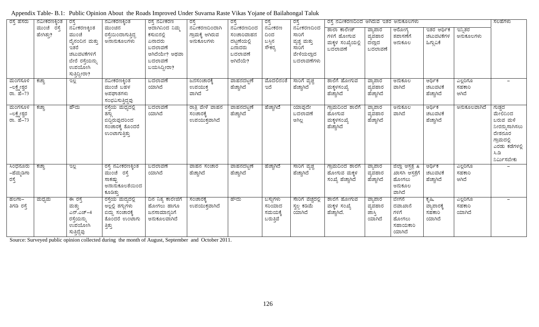| ರಸ್ತೆ ಹೆಸರು                          | ನವೀಕರಣಕ್ಕಿಂತ              | ರಸ್ತೆ                                                                                                         | ನವೀಕರಣಕ್ಕಿಂತ                                                                           | ರಸ್ತೆ ನವೀಕರಣ                                                                                  | ರಸ್ತೆ                                          | ರಸ್ತೆ                                                                    | ರಸ್ತೆ                                      | ರಸ್ತೆ                                                                      | ರಸ್ತೆ ನವೀಕರಣದಿಂದ ಆಗಿರುವ ಇತರ ಅನುಕೂಲಗಳು                      |                                         |                                                                    |                                          |                              | ಸಲಹೆಗಳು                                                                                                            |
|--------------------------------------|---------------------------|---------------------------------------------------------------------------------------------------------------|----------------------------------------------------------------------------------------|-----------------------------------------------------------------------------------------------|------------------------------------------------|--------------------------------------------------------------------------|--------------------------------------------|----------------------------------------------------------------------------|------------------------------------------------------------|-----------------------------------------|--------------------------------------------------------------------|------------------------------------------|------------------------------|--------------------------------------------------------------------------------------------------------------------|
|                                      | ಮುಂಚೆ<br>ರಸೆ<br>ಹೇಗಿತ್ತು? | ನವೀಕರಣಕ್ಕಿಂತ<br>ಮುಂಚೆ<br>ದೈನಂದಿನ ಮತ್ತು<br>ಇತರೆ<br>ಚಟುವಟಿಕೆಗಳಿಗೆ<br>ಬೇರೆ ರಸ್ತೆಯನ್ನು<br>ಉಪಯೋಗಿ<br>ಸುತ್ತಿದ್ದೀರಾ? | ಮುಂಚಿನ<br>ರಸ್ತೆಯಿಂದಾಗುತ್ತಿದ್ದ<br>ಅನಾನುಕೂಲಗಳು                                           | ಆದಾಗಿನಿಂದ ನಿಮ್ಮ<br>ಕಸುಬಿನಲ್ಲಿ<br>ಏನಾದರು<br>ಬದಲಾವಣೆ<br>ಆಗಿದೆಯೇ? ಅಥವಾ<br>ಬದಲಾವಣೆ<br>ಬಯಸಿದ್ದೀರಾ? | ನವೀಕರಣದಿಂದಾಗಿ<br>ಗ್ರಾಮಕ್ಕೆ ಆಗಿರುವ<br>ಅನುಕೂಲಗಳು | ನವೀಕರಣದಿಂದ<br>ಸಂಚಾರಿವಾಹನ<br>ದಟ್ಟಣೆಯಲ್ಲಿ<br>ಏನಾದರು<br>ಬದಲಾವಣೆ<br>ಆಗಿದೆಯೆ? | ನವೀಕರಣ<br>ದಿಂದ<br>ಬಸ್ಸಿನ<br>ಸೌಕರ್          | ನವೀಕರಣದಿಂದ<br>ಸಾರಿಗೆ<br>ವ್ಯಚ್ಚ ಮತ್ತು<br>ಸಾರಿಗೆ<br>ವೇಳೆಯಲ್ಲಾದ<br>ಬದಲಾವಣೆಗಳು | ಶಾಲಾ ಕಾಲೇಜ್<br>ಗಳಿಗೆ ಹೋಗುವ<br>ಮಕ್ಕಳ ಸಂಖ್ಯೆಯಲ್ಲಿ<br>ಬದಲಾವಣೆ | ವ್ಯಾಪಾರ<br>ವ್ಯವಹಾರ<br>ದಲ್ಲಾದ<br>ಬದಲಾವಣೆ | ಆರೋಗ್ಯ<br>ತಪಾಸಣೆಗೆ<br>ಅನುಕೂಲ                                       | ಇತರ ಆರ್ಥಿಕ<br>ಚಟುವಟಿಕೆಗಳ<br>ಹಿಗ್ಗುವಿಕೆ   | ಇನ್ಸಿತರ<br>ಅನುಕೂಲಗಳು         |                                                                                                                    |
| ಮಂಗಸೂಳಿ<br>–ಲಕ್ಷ್ಮೇಶ್ವರ<br>ರಾ. ಹೆ-73 | ಕಚ್ಚಾ                     | <sub>3</sub> e                                                                                                | ನವೀಕರಣಕ್ಕಿಂತ<br>ಮುಂಚೆ ಬಹಳ<br>ಅಪಘಾತಗಳು<br>ಸಂಭವಿಸುತ್ತಿದ್ದವು                              | ಬದಲಾವಣೆ<br>ಯಾಗಿದೆ                                                                             | ಜನಸಂಚಾರಕೆ,<br>ಉಪಯುಕ್ತ<br>ವಾಗಿದೆ                | ವಾಹನದಟಣೆ<br>ಹೆಚ್ಚಾಗಿದೆ                                                   | ಮೊದಲಿನಂತೆ<br>ಇದೆ                           | ಸಾರಿಗೆ ವ್ಯಚ್ಚ<br>ಹೆಚ್ಚಾಗಿದೆ                                                | ಶಾಲೆಗೆ ಹೋಗುವ<br>ಮಕ್ಕಳಸಂಖ್ಯೆ<br>ಹೆಚ್ಚಾಗಿದೆ                  | ವ್ಯಾಪಾರ<br>ವ್ಯವಹಾರ<br>ಹೆಚ್ಚಾಗಿದೆ        | ಅನುಕೂಲ<br>ವಾಗಿದೆ                                                   | ಆರ್ಥಿಕ<br>ಚಟುವಟಿಕೆ<br>ಹೆಚ್ಚಾಗಿದೆ         | ಎಲ್ಲರಿಗೂ<br>ಸಹಕಾರಿ<br>ಆಗಿದೆ  |                                                                                                                    |
| ಮಂಗಸೂಳಿ<br>–ಲಕ್ಷ್ಮೇಶ್ವರ<br>ರಾ. ಹೆ-73 | ಕಚ್ಚಾ                     | ಹೌದು                                                                                                          | ರಸ್ತೆಯ ಮಧ್ಯದಲ್ಲಿ<br>ತಗ್ಗು<br>ಬಿದ್ದಿರುವುದರಿಂದ<br>ಸಂಚಾರಕ್ಕೆ ತೊಂದರೆ<br>ಉಂಟಾಗುತ್ತಿತ್ತು     | ಬದಲಾವಣೆ<br>ಯಾಗಿದೆ                                                                             | ರಾತ್ರಿ ವೇಳೆ ವಾಹನ<br>ಸಂಚಾರಕೆ,<br>ಉಪಯುಕ್ತವಾಗಿದೆ  | ವಾಹನದಟಣೆ<br>ಹೆಚ್ಚಾಗಿದೆ                                                   | ಹೆಚ್ಚಾಗಿದೆ                                 | ಯಾವುದೇ<br>ಬದಲಾವಣೆ<br>ಆಗಿಲ್ಲ                                                | ಗ್ರಾಮದಿಂದ ಶಾಲೆಗೆ<br>ಹೋಗುವ<br>ಮಕ್ಕಳಸಂಖ್ಯೆ<br>ಹೆಚ್ಚಾಗಿದೆ     | ವ್ಯಾಪಾರ<br>ವ್ಯವಹಾರ<br>ಹೆಚ್ಚಾಗಿದೆ        | ಅನುಕೂಲ<br>ವಾಗಿದೆ                                                   | ಆರ್ಥಿಕ<br>ಚಟುವಟಿಕೆ<br>ಹೆಚ್ಚಾಗಿದೆ         | ಅನುಕೂಲವಾಗಿದೆ                 | ಗುಡ್ಡದ<br>ಮೇಲಿನಿಂದ<br>ಬರುವ ಮಳೆ<br>ನೀರನ್ನುಸಾಗಿಸಲು<br>ದೇಶನೂರ<br>ಗ್ರಾಮದಲ್ಲಿ<br>ಎರಡು ಕಡೆಗಳಲ್ಲಿ<br>ಸಿ.ಡಿ<br>ನಿರ್ಮಿಸಬೇಕು |
| ಸಿಂಧನೂರು<br>–ಹೆಮ್ಮಡಿಗಾ<br>ರಸ್ತೆ      | ಕಚ್ಚಾ                     | ಇಲ್ಲ                                                                                                          | ರಸ್ತೆ ನವೀಕರಣಕ್ಕಿಂತ<br>ಮುಂಚೆ ರಸ್ತೆ<br>ಸಾಕಷ್ಟು<br>ಅನಾನುಕೂಲತೆಯಿಂದ<br>ಕೂಡಿತ್ತು             | ಬದಲಾವಣೆ<br>ಯಾಗಿದೆ                                                                             | ವಾಹನ ಸಂಚಾರ<br>ಹೆಚ್ಚಾಗಿದೆ                       | <u>ವಾಹನದಟ್</u> ಟಣೆ<br>ಹೆಚ್ಚಾಗಿದೆ                                         | ಹೆಚ್ಚಾಗಿದೆ                                 | ಸಾರಿಗೆ ವ್ಯಚ್ಚ<br>ಹೆಚ್ಚಾಗಿದೆ                                                | ಗ್ರಾಮದಿಂದ ಶಾಲೆಗೆ<br>ಹೋಗುವ ಮಕ್ಕಳ<br>ಸಂಖ್ಯೆ ಹೆಚ್ಚಾಗಿದೆ       | ವ್ಯಾಪಾರ<br>ವ್ಯವಹಾರ<br>ಹೆಚ್ಚಾಗಿದೆ        | ಜಿಲ್ಲಾ ಆಸ್ಪತ್ರೆ &<br>ಖಾಸಗಿ ಆಸ್ಪತ್ರೆಗೆ<br>ಹೋಗಲು<br>ಅನುಕೂಲ<br>ವಾಗಿದೆ | ಆರ್ಥಿಕ<br>ಚಟುವಟಿಕೆ<br>ಹೆಚ್ಚಾಗಿದೆ         | ಎಲ್ಲರಿಗೂ<br>ಸಹಕಾರಿ<br>ಆಗಿದೆ  |                                                                                                                    |
| ಹಲಗಾ–<br>ತಿಗಡಿ ರಸ್ತೆ                 | ಮಧ್ಯಮ                     | ಈ ರಸೆ<br>ಮತ್ತು<br>ಎನ್.ಎಚ್–4<br>ರಸ್ತೆಯನ್ನು<br>ಉಪಯೋಗಿ<br>ಸುತ್ತಿದ್ದೆವು                                           | ರಸ್ತೆಯ ಮದ್ಯದಲ್ಲಿ<br>ಅಲ್ಲಲ್ಲಿ ತಗ್ಗುಗಳು<br>ಬಿದ್ದು ಸಂಚಾರಕ್ಕೆ<br>ತೊಂದರೆ ಉಂಟಾಗು<br>ತ್ತಿತ್ತು | ದಿನ ನಿತ್ಯ ಕಾಲೇಜಿಗೆ<br>ಹೋಗಲು ಹಾಗೂ<br>ಜನಸಾಮಾನ್ಯರಿಗೆ<br>ಅನುಕೂಲವಾಗಿದೆ                             | ಸಂಚಾರಕೆ,<br>ಉಪಯುಕ್ತವಾಗಿದೆ                      | ಹೌದು                                                                     | ಬಸ್ಸುಗಳು<br>ಸರಿಯಾದ<br>ಸಮಯಕ್ಕೆ<br>ಬರುತ್ತಿವೆ | ಸಾರಿಗೆ ವೆಚ್ಚದಲ್ಲಿ<br>ಸ್ವಲ್ಪ ಕಡಿಮೆ<br>ಯಾಗಿದೆ                                | ಶಾಲೆಗೆ ಹೋಗುವ<br>ಮಕ್ಕಳ ಸಂಖ್ಯೆ<br>ಹೆಚ್ಚಾಗಿದೆ.                | ವ್ಯಾಪಾರ<br>ವ್ಯವಹಾರ<br>ಜಾಸ್ತಿ<br>ಯಾಗಿದೆ  | ಬೇಗನೆ<br>ದವಾಖಾನೆ<br>ಗಳಿಗೆ<br>ಹೋಗಲು<br>ಸಹಾಯಕಾರಿ<br>ಯಾಗಿದೆ           | ಕೃಷಿ,<br>ವ್ಯಾಪಾರಕ್ಕೆ<br>ಸಹಕಾರಿ<br>ಯಾಗಿದೆ | ಎಲ್ಲರಿಗೂ<br>ಸಹಕಾರಿ<br>ಯಾಗಿದೆ |                                                                                                                    |

| Appendix Table- B.1: Public Opinion About the Roads Improved Under Suvarna Raste Vikas Yojane of Bailahongal Taluk |  |  |  |
|--------------------------------------------------------------------------------------------------------------------|--|--|--|
|                                                                                                                    |  |  |  |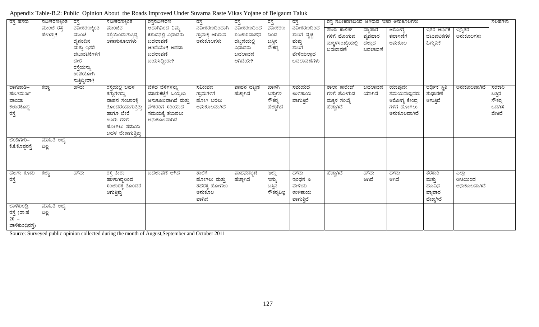| ರಸ್ತೆ ಹೆಸರು                                                | ನವೀಕರಣಕ್ಕಿಂತ                | ನವೀಕರಣಕ್ಕಿಂತ<br>ರಸ್ತೆನವೀಕರಣ<br>ರಸ್ತೆ ನವೀಕರಣದಿಂದ ಆಗಿರುವ ಇತರ ಅನುಕೂಲಗಳು<br>ರಸ್ತೆ<br>ರಸ್ತೆ<br>ರಸ್ತೆ<br>ರಸ್ತೆ<br>ರಸ್ತೆ |                                                                                                                                            |                                                                                                                          |                                                            |                                                                          |                                          |                                                                            | ಸಲಹೆಗಳು                                                   |                                         |                                                                       |                                                   |                                   |                                               |
|------------------------------------------------------------|-----------------------------|-------------------------------------------------------------------------------------------------------------------|--------------------------------------------------------------------------------------------------------------------------------------------|--------------------------------------------------------------------------------------------------------------------------|------------------------------------------------------------|--------------------------------------------------------------------------|------------------------------------------|----------------------------------------------------------------------------|-----------------------------------------------------------|-----------------------------------------|-----------------------------------------------------------------------|---------------------------------------------------|-----------------------------------|-----------------------------------------------|
|                                                            | ಮುಂಚೆ ರಸ್ತೆ<br>ಹೇಗಿತ್ತು?    | ನವೀಕರಣಕ್ಕಿಂತ<br>ಮುಂಚೆ<br>ದೈನಂದಿನ<br>ಮತ್ತು ಇತರೆ<br>ಚಟುವಟಿಕೆಗಳಿಗೆ<br>ಬೇರೆ<br>ರಸ್ತೆಯನ್ನು<br>ಉಪಯೋಗಿ<br>ಸುತ್ತಿದ್ದೀರಾ?  | ಮುಂಚಿನ<br>ರಸ್ತೆಯಿಂದಾಗುತ್ತಿದ್ದ<br>ಅನಾನುಕೂಲಗಳು                                                                                               | ಆದಾಗಿನಿಂದ ನಿಮ್ಮ<br>ಕಸುಬಿನಲ್ಲಿ ಏನಾದರು<br>ಬದಲಾವಣೆ<br>ಆಗಿದೆಯೇ? ಅಥವಾ<br>ಬದಲಾವಣೆ<br>ಬಯಸಿದ್ದೀರಾ?                               | ನವೀಕರಣದಿಂದಾಗಿ<br>ಗ್ರಾಮಕ್ಕೆ ಆಗಿರುವ<br>ಅನುಕೂಲಗಳು             | ನವೀಕರಣದಿಂದ<br>ಸಂಚಾರಿವಾಹನ<br>ದಟ್ಟಣೆಯಲ್ಲಿ<br>ಏನಾದರು<br>ಬದಲಾವಣೆ<br>ಆಗಿದೆಯೆ? | ನವೀಕರಣ<br>ದಿಂದ<br>ಬಸ್ಸಿನ<br>ಸೌಕರ್        | ನವೀಕರಣದಿಂದ<br>ಸಾರಿಗೆ ವ್ಯಚ್ಛ<br>ಮತ್ತು<br>ಸಾರಿಗೆ<br>ವೇಳೆಯಲ್ಲಾದ<br>ಬದಲಾವಣೆಗಳು | ಶಾಲಾ ಕಾಲೆಜ್<br>ಗಳಿಗೆ ಹೋಗುವ<br>ಮಕ್ಕಳಸಂಖ್ಯೆಯಲ್ಲಿ<br>ಬದಲಾವಣೆ | ವ್ಯಾಪಾರ<br>ವ್ಯವಹಾರ<br>ದಲ್ಲಾದ<br>ಬದಲಾವಣೆ | ಆರೋಗ್ಯ<br>ತಪಾಸಣೆಗೆ<br>ಅನುಕೂಲ                                          | ಇತರ ಆರ್ಥಿಕ<br>ಚಟುವಟಿಕೆಗಳ<br>ಹಿಗ್ಗುವಿಕೆ            | ಇನ್ನಿತರ<br>ಅನುಕೂಲಗಳು              |                                               |
| ಬಾಗೆವಾಡಿ–<br>ಹಲಗಿಮರ್ಡಿ<br>ವಾಯಾ<br>ಕಲಾರಕೊಪ್ಪ<br>ರಸ್ತೆ       | ಕಚ್ಚಾ                       | ಹೌದು                                                                                                              | <u>ರಸ್ತೆಯಲ್ಲಿ ಬಹಳ</u><br>ತಗ್ಗುಗಳಿದ್ದು<br>ವಾಹನ ಸಂಚಾರಕ್ಕೆ<br>ತೊಂದರೆಯಾಗುತ್ತಿತ್ತು<br>ಹಾಗೂ ಬೇರೆ<br>ಊರು ಗಳಿಗೆ<br>ಹೋಗಲು ಸಮಯ<br>ಬಹಳ ಬೇಕಾಗುತ್ತಿತ್ತು | <u>ಬೆಳೆದ ಬೆಳೆಗಳನ್ನು</u><br>ಮಾರುಕಟ್ಟೆಗೆ ಒಯ್ಯಲು<br>ಅನುಕೂಲವಾಗಿದೆ ಮತ್ತು<br>ನೌಕರರಿಗೆ ಸರಿಯಾದ<br>ಸಮಯಕ್ಕೆ ತಲುಪಲು<br>ಅನುಕೂಲವಾಗಿದೆ | ಸಮೀಪದ<br>ಗ್ರಾಮಗಳಿಗೆ<br>ಹೋಗಿ ಬರಲು<br>ಅನುಕೂಲವಾಗಿದೆ           | ವಾಹನ ದಟ್ಟಣೆ<br>ಹೆಚ್ಚಾಗಿದೆ                                                | ಖಾಸಗಿ<br>ಬಸ್ಸುಗಳ<br>ಸೌಕರ್ರ<br>ಹೆಚ್ಚಾಗಿದೆ | ಸಮಯದ<br>ಉಳಿತಾಯ<br>ವಾಗುತ್ತಿದೆ                                               | ಶಾಲಾ ಕಾಲೇಜ್<br>ಗಳಿಗೆ ಹೋಗುವ<br>ಮಕ್ಕಳ ಸಂಖ್ಯೆ<br>ಹೆಚ್ಚಾಗಿದೆ  | ಬದಲಾವಣೆ<br>ಯಾಗಿದೆ                       | ಯಾವುದೇ<br>ಸಮಯದಲ್ಲಾದರು<br>ಆರೋಗ್ಯ ಕೇಂದ್ರ<br>ಗಳಿಗೆ ಹೋಗಲು<br>ಅನುಕೂಲವಾಗಿದೆ | <del>ಆರ್ಥಿಕ</del> ಸ್ಥಿತಿ<br>ಸುಧಾರಣೆ<br>ಆಗುತ್ತಿದೆ  | ಅನುಕೂಲವಾಗಿದೆ                      | ಸರಕಾರಿ<br>ಬಸ್ಸಿನ<br>ಸೌಕರ್ರ<br>ಒದಗಿಸ<br>ಬೇಕಿದೆ |
| ಬೆಂಡಿಗೇರಿ–<br>ಕೆ.ಕೆ.ಕೊಪ್ಪರಸ್ತೆ                             | ಮಾಹಿತಿ ಲಭ್ಯ<br>ವಿಲ್ಲ        |                                                                                                                   |                                                                                                                                            |                                                                                                                          |                                                            |                                                                          |                                          |                                                                            |                                                           |                                         |                                                                       |                                                   |                                   |                                               |
| ಹಲಗಾ ಕೂಡು<br>ರಸ್ತೆ                                         | ಕಚ್ಚಾ                       | ಹೌದು                                                                                                              | ರಸ್ತೆ ತೀರಾ<br>ಹಾಳಾಗಿದ್ದರಿಂದ<br>ಸಂಚಾರಕ್ಕೆ ತೊಂದರೆ<br>ಆಗುತ್ತಿತ್ತು                                                                             | ಬದಲಾವಣೆ ಆಗಿದೆ                                                                                                            | ಶಾಲೆಗೆ<br>ಹೋಗಲು ಮತ್ತು<br>ಶಹರಕ್ಕೆ ಹೋಗಲು<br>ಅನುಕೂಲ<br>ವಾಗಿದೆ | ವಾಹನದಟ್ಟಣೆ<br>ಹೆಚ್ಚಾಗಿದೆ                                                 | ಇಲ್ಲಾ<br>ಇನ್ನು<br>ಬಸ್ಸಿನ<br>ಸೌಕರ್ಯವಿಲ್ಲ  | ಹೌದು<br>ಇಂಧನ $\&$<br>ವೇಳೆಯ<br>ಉಳಿತಾಯ<br>ವಾಗುತ್ತಿದೆ                         | ಹೆಚ್ಚಾಗಿದೆ                                                | ಹೌದು<br>ಆಗಿದೆ                           | ಹೌದು<br>ಆಗಿದೆ                                                         | ತರಕಾರಿ<br>ಮತ್ತು<br>ಹೂವಿನ<br>ವ್ಯಾಪಾರ<br>ಹೆಚ್ಚಾಗಿದೆ | ಎಲ್ಲಾ<br>ರೀತಿಯಿಂದ<br>ಅನುಕೂಲವಾಗಿದೆ |                                               |
| ಬಾಳೆಕುಂದ್ರಿ<br>ರಸ್ತೆ (ರಾ.ಹೆ<br>$20 -$<br>ಬಾಳೆಕುಂದ್ರಿರಸ್ತೆ) | <u>ಮಾಹಿತಿ ಲಭ್ಯ</u><br>ವಿಲ್ಲ |                                                                                                                   |                                                                                                                                            |                                                                                                                          |                                                            |                                                                          |                                          |                                                                            |                                                           |                                         |                                                                       |                                                   |                                   |                                               |

Appendix Table-B.2: Public Opinion About the Roads Improved Under Suvarna Raste Vikas Yojane of Belgaum Taluk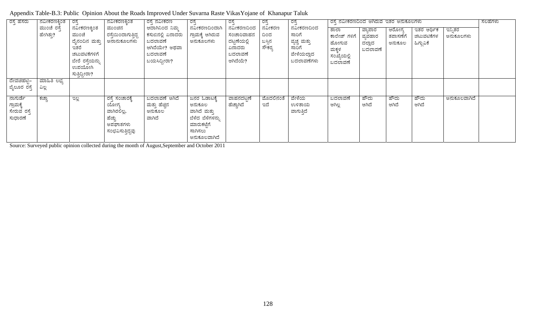| ರಸ್ತೆ ಹೆಸರು                                     | ನವೀಕರಣಕ್ರಿಂತ<br>ಮುಂಚೆ ರಸ್ತೆ<br>ಹೇಗಿತ್ತು? | ರಸ್ತೆ<br>ನವೀಕರಣಕ್ಕಿಂತ<br>ಮುಂಚೆ<br>ದೈನಂದಿನ ಮತ್ತು<br>ಇತರೆ<br>ಚಟುವಟಿಕೆಗಳಿಗೆ<br>ಬೇರೆ ರಸ್ತೆಯನ್ನು<br>ಉಪಯೋಗಿ<br>ಸುತ್ತಿದ್ದೀರಾ? | ನವೀಕರಣಕ್ಕಿಂತ<br>ಮುಂಚಿನ<br>ರಸ್ತೆಯಿಂದಾಗುತ್ತಿದ್ದ<br>ಅನಾನುಕೂಲಗಳು                      | ರಸ್ತೆ ನವೀಕರಣ<br>ಆದಾಗಿನಿಂದ ನಿಮ್ಮ<br>ಕಸುಬಿನಲ್ಲಿ ಏನಾದರು<br>ಬದಲಾವಣೆ<br>ಆಗಿದೆಯೇ? ಅಥವಾ<br>ಬದಲಾವಣೆ<br>ಬಯಸಿದ್ದೀರಾ? | ರಸ್ತೆ<br>ನವೀಕರಣದಿಂದಾಗಿ<br>ಗ್ರಾಮಕ್ಕೆ ಆಗಿರುವ<br>ಅನುಕೂಲಗಳು                                              | ರಸ್ತೆ<br>ನವೀಕರಣದಿಂದ<br>ಸಂಚಾರಿವಾಹನ<br>ದಟ್ಟಣೆಯಲ್ಲಿ<br>ಏನಾದರು<br>ಬದಲಾವಣೆ<br>ಆಗಿದೆಯೆ? | ರಸ್ತೆ<br>ನವೀಕರಣ<br>ದಿಂದ<br>ಬಸ್ಗಿನ<br>ಸೌಕರ್ತ | ರಸ್ತೆ<br>ನವೀಕರಣದಿಂದ<br>ಸಾರಿಗೆ<br>ವ್ಯಚ್ಚ ಮತ್ತು<br>ಸಾರಿಗೆ<br>ವೇಳೆಯಲ್ಲಾದ<br>ಬದಲಾವಣೆಗಳು | ರಸ್ತೆ ನವೀಕರಣದಿಂದ ಆಗಿರುವ ಇತರ ಅನುಕೂಲಗಳು<br>ಶಾಲಾ<br>ಕಾಲೇಜ್ ಗಳಿಗೆ<br>ಹೋಗುವ<br>ಮಕ್ಕಳ<br>ಸಂಖ್ಯೆಯಲ್ಲಿ<br>ಬದಲಾವಣೆ | ವ್ಯಾಪಾರ<br>ವ್ನವಹಾರ<br>ದಲ್ಲಾದ<br>ಬದಲಾವಣೆ | ಆರೋಗ್ಯ<br>ತಪಾಸಣೆಗೆ<br>ಅನುಕೂಲ | ಇತರ ಆರ್ಥಿಕ<br>ಚಟುವಟಿಕೆಗಳ<br>ಹಿಗ್ಗುವಿಕೆ | ಇನ್ಸಿತರ<br>ಅನುಕೂಲಗಳು | ಸಲಹೆಗಳು |
|-------------------------------------------------|------------------------------------------|------------------------------------------------------------------------------------------------------------------------|-----------------------------------------------------------------------------------|------------------------------------------------------------------------------------------------------------|------------------------------------------------------------------------------------------------------|-----------------------------------------------------------------------------------|---------------------------------------------|-------------------------------------------------------------------------------------|-----------------------------------------------------------------------------------------------------------|-----------------------------------------|------------------------------|----------------------------------------|----------------------|---------|
| _ದೇವಚಿಹಟ್ಟಿ–<br>ಬೈಲೂರ ರಸ್ತೆ                     | <u>ಮಾಹಿತಿ ಲಭ್ಯ</u><br>ವಿಲ್ಲ              |                                                                                                                        |                                                                                   |                                                                                                            |                                                                                                      |                                                                                   |                                             |                                                                                     |                                                                                                           |                                         |                              |                                        |                      |         |
| ನಾಗುರ್ಡೆ<br>ಗ್ರಾಮಕ್ಕೆ<br>ಸೇರುವ ರಸ್ತೆ<br>ಸುಧಾರಣೆ | ಕಚ್ಚಾ                                    | ಇಲ್ಲ                                                                                                                   | ರಸ್ತೆ ಸಂಚಾರಕ್ಕೆ<br>ಯೋಗ್ಯ<br>ವಾಗಿರಲಿಲ್ಲ,<br>ಹೆಚ್ಚು<br>ಅಪಘಾತಗಳು<br>ಸಂಭವಿಸುತ್ತಿದ್ದವು | ಬದಲಾವಣೆ ಆಗಿದೆ<br>ಮತ್ತು ಹೆಚ್ಚಿನ<br>ಅನುಕೂಲ<br>ವಾಗಿದೆ                                                         | ಜನರ ಓಡಾಟಕ್ಕೆ<br>ಅನುಕೂಲ<br>ವಾಗಿದೆ ಮತ್ತು<br>ಬೆಳೆದ ಬೆಳೆಗಳನ್ನು<br>ಮಾರುಕಟ್ಟೆಗೆ<br>ಸಾಗಿಸಲು<br>ಅನುಕೂಲವಾಗಿದೆ | ವಾಹನದಟ್ಷಣೆ<br>ಹೆಚ್ಚಾಗಿದೆ                                                          | ಮೊದಲಿನಂತೆ<br>ಇದೆ                            | ವೇಳೆಯ<br>ಉಳಿತಾಯ<br>ವಾಗುತ್ತಿದೆ                                                       | ಬದಲಾವಣೆ<br>ಆಗಿಲ್ಲ                                                                                         | ಹೌದು<br>ಆಗಿದೆ                           | ಹೌದು<br>ಆಗಿದೆ                | ಹೌದು<br>ಆಗಿದೆ                          | ಅನುಕೂಲವಾಗಿದೆ         |         |

Appendix Table-B.3: Public Opinion About the Roads Improved Under Suvarna Raste VikasYojane of Khanapur Taluk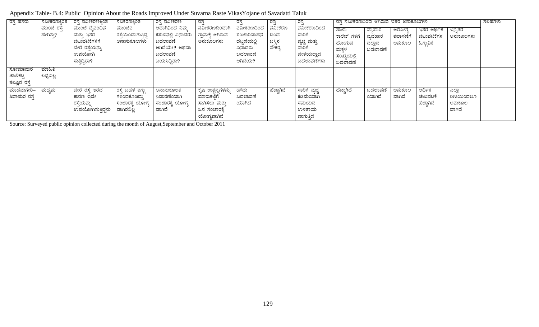| ರಸ್ತೆ ಹೆಸರು  | ನವೀಕರಣಕಿ,೦ತ | ರಸೆ ನವೀಕರಣಕಿಂತ    | ನವಿಕರಣಕಿಂತ          | ರಸೆ ನವೀಕರಣ        | ರಸೆ                | ರಸೆ         | ರಸೆ        | ರಸ್ತೆ         | ರಸೆ ನವೀಕರಣದಿಂದ ಆಗಿರುವ ಇತರ ಅನುಕೂಲಗಳು |         |          |            |            | ಸಲಹೆಗಳು |
|--------------|-------------|-------------------|---------------------|-------------------|--------------------|-------------|------------|---------------|-------------------------------------|---------|----------|------------|------------|---------|
|              | ಮುಂಚೆ ರಸ್ತೆ | ಮುಂಚೆ ದೈನಂದಿನ     | ಮುಂಚಿನ              | ಆದಾಗಿನಿಂದ ನಿಮ್ಮ   | ನವೀಕರಣದಿಂದಾಗಿ      | ನವೀಕರಣದಿಂದ  | ನವೀಕರಣ     | ನವೀಕರಣದಿಂದ    | ಶಾಲಾ                                | ವ್ಯಾಪಾರ | ಆರೋಗ್ತ   | ಇತರ ಆರ್ಥಿಕ | ಇನ್ಸಿತರ    |         |
|              | ಹೇಗಿತ್ತು?   | ಮತ್ತು ಇತರೆ        | ರಸ್ತೆಯಿಂದಾಗುತ್ತಿದ್ದ | ಕಸುಬಿನಲ್ಲಿ ಏನಾದರು | ಗ್ರಾಮಕ್ಕೆ ಆಗಿರುವ   | ಸಂಚಾರಿವಾಹನ  | ದಿಂದ       | ಸಾರಿಗೆ        | ಕಾಲೆಜ್ ಗಳಿಗೆ                        | ವ್ಯವಹಾರ | ತಪಾಸಣೆಗೆ | ಚಟುವಟಿಕೆಗಳ | ಅನುಕೂಲಗಳು  |         |
|              |             | ಚಟುವಟಿಕೆಗಳಿಗೆ     | ಅನಾನುಕೂಲಗಳು         | ಬದಲಾವಣೆ           | ಅನುಕೂಲಗಳು          | ದಟ್ಟಣೆಯಲ್ಲಿ | ಬಸ್ಸಿನ     | ವ್ಯಚ್ಚ ಮತ್ತು  | ಹೋಗುವ                               | ದಲ್ಲಾದ  | ಅನುಕೂಲ   | ಹಿಗ್ಗುವಿಕೆ |            |         |
|              |             | ಬೇರೆ ರಸ್ತೆಯನ್ನು   |                     | ಆಗಿದೆಯೇ? ಅಥವಾ     |                    | ಏನಾದರು      | ಸೌಕರ್ತ     | ಸಾರಿಗೆ        |                                     | ಬದಲಾವಣೆ |          |            |            |         |
|              |             | ಉಪಯೋಗಿ            |                     | ಬದಲಾವಣೆ           |                    | ಬದಲಾವಣೆ     |            | ವೇಳೆಯಲ್ಲಾದ    | ಮಕ್ಕಳ<br>ಸಂಖ್ಯೆಯಲ್ಲಿ                |         |          |            |            |         |
|              |             | ಸುತ್ತಿದ್ದಿರಾ?     |                     | ಬಯಸಿದ್ದಿರಾ?       |                    | ಆಗಿದೆಯೆ?    |            | ಬದಲಾವಣೆಗಳು    |                                     |         |          |            |            |         |
|              |             |                   |                     |                   |                    |             |            |               | ಬದಲಾವಣೆ                             |         |          |            |            |         |
| ಸೋಮಾಮರ       | ಮಾಹಿತಿ      |                   |                     |                   |                    |             |            |               |                                     |         |          |            |            |         |
| ಜಾಲಿಕಟ್ಟಿ    | ಲಭ್ಯವಿಲ್ಲ   |                   |                     |                   |                    |             |            |               |                                     |         |          |            |            |         |
| ತಲ್ಲೂರ ರಸ್ತೆ |             |                   |                     |                   |                    |             |            |               |                                     |         |          |            |            |         |
| ಮಾಡಮಗೇರಿ–    | ಮಧ್ಯಮ       | ಬೇರೆ ರಸೆ ಇರದ      | ರಸ್ತೆ ಬಹಳ ತಗ್ಗು     | ಅನಾನುಕೂಲತೆ        | ್ಯಷಿ ಉತ್ಪನ್ನಗಳನ್ನು | ಹೌದು        | ಹೆಚ್ಚಾಗಿದೆ | ಸಾರಿಗೆ ವ್ಯಚ್ಛ | ಹೆಚ್ಚಾಗಿದೆ                          | ಬದಲಾವಣೆ | ಅನುಕೂಲ   | ಆರ್ಥಿಕ     | ಎಲ್ಲಾ      |         |
| ಶಿವಾಮರ ರಸ್ತೆ |             | ಕಾರಣ ಇದೇ          | ಗಳಿಂದಕೂಡಿದ್ದು       | ನಿವಾರಣೆಯಾಗಿ       | ಮಾರುಕಟೆಗೆ          | ಬದಲಾವಣೆ     |            | ಕಡಿಮೆಯಾಗಿ     |                                     | ಯಾಗಿದೆ  | ವಾಗಿದೆ   | ಚಟುವಟಿಕೆ   | ರೀತಿಯಿಂದಲೂ |         |
|              |             | ರಸ್ತೆಯನ್ನು        | ಸಂಚಾರಕ್ಕೆ ಯೋಗ್ಯ     | ಸಂಚಾರಕೆ, ಯೋಗ್ಯ    | ಸಾಗಿಸಲು ಮತು        | ಯಾಗಿದೆ      |            | ಸಮಯದ          |                                     |         |          | ಹೆಚ್ಚಾಗಿದೆ | ಅನುಕೂಲ     |         |
|              |             | ಉಪಯೋಗಿಸುತ್ತಿದ್ದರು | ವಾಗಿರಲಿಲ            | ವಾಗಿದೆ            | ಜನ ಸಂಚಾರಕ್ಕೆ       |             |            | ಉಳಿತಾಯ        |                                     |         |          |            | ವಾಗಿದೆ     |         |
|              |             |                   |                     |                   | ಯೋಗ್ಯವಾಗಿದೆ        |             |            | ವಾಗುತ್ತಿದೆ    |                                     |         |          |            |            |         |

Appendix Table- B.4: Public Opinion About the Roads Improved Under Suvarna Raste VikasYojane of Savadatti Taluk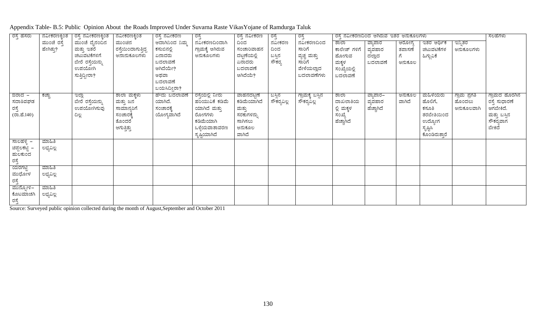| ರಸ್ತೆ ಹೆಸರು          | ನವೀಕರಣಕ್ಕಿಂತ | ರಸ್ತೆ ನವೀಕರಣಕ್ಕಿಂತ | ನವೀಕರಣಕ್ಕಿಂತ        | ರಸ್ತೆ ನವೀಕರಣ    | ರಸ್ತೆ            | ರಸ್ತೆ ನವೀಕರಣ | ರಸ್ತೆ            | ರಸ್ತೆ            | ರಸ್ತೆ ನವೀಕರಣದಿಂದ ಆಗಿರುವ ಇತರ ಅನುಕೂಲಗಳು |            |        |               | ಸಲಹೆಗಳು             |               |
|----------------------|--------------|--------------------|---------------------|-----------------|------------------|--------------|------------------|------------------|---------------------------------------|------------|--------|---------------|---------------------|---------------|
|                      | ಮುಂಚೆ ರಸ್ತೆ  | ಮುಂಚೆ ದೈನಂದಿನ      | ಮುಂಚಿನ              | ಆದಾಗಿನಿಂದ ನಿಮ್ಮ | ನವೀಕರಣದಿಂದಾಗಿ    | ದಿಂದ         | ನವೀಕರಣ           | ನವೀಕರಣದಿಂದ       | ಶಾಲಾ                                  | ವ್ಯಾಪಾರ    | ಆರೋಗ್ಯ | ಇತರ ಆರ್ಥಿಕ    | ಇನ್ನಿತರ             |               |
|                      | ಹೇಗಿತ್ತು?    | ಮತ್ತು ಇತರೆ         | ರಸ್ತೆಯಿಂದಾಗುತ್ತಿದ್ದ | ಕಸುಬಿನಲ್ಲಿ      | ಗ್ರಾಮಕ್ಕೆ ಆಗಿರುವ | ಸಂಚಾರಿವಾಹನ   | ದಿಂದ             | ಸಾರಿಗೆ           | ಕಾಲೇಜ್ ಗಳಿಗೆ                          | ವ್ಯವಹಾರ    | ತಪಾಸಣೆ | ಚಟುವಟಿಕೆಗಳ    | ಅನುಕೂಲಗಳು           |               |
|                      |              | ಚಟುವಟಿಕೆಗಳಿಗೆ      | ಅನಾನುಕೂಲಗಳು         | ಏನಾದರು          | ಅನುಕೂಲಗಳು        | ದಟ್ಟಣೆಯಲ್ಲಿ  |                  | ವ್ಯಚ್ಚ ಮತ್ತು     | ಹೋಗುವ                                 | ದಲ್ಲಾದ     | ಗೆ     | ಹಿಗ್ಗುವಿಕೆ    |                     |               |
|                      |              | ಬೇರೆ ರಸ್ತೆಯನ್ನು    |                     | ಬದಲಾವಣೆ         |                  | ಏನಾದರು       | ಬಸ್ಸಿನ<br>ಸೌಕರ್ರ | ಸಾರಿಗೆ           | ಮಕ್ಕಳ                                 | ಬದಲಾವಣೆ    | ಅನುಕೂಲ |               |                     |               |
|                      |              | ಉಪಯೋಗಿ             |                     | ಆಗಿದೆಯೇ?        |                  | ಬದಲಾವಣೆ      |                  | ವೇಳೆಯಲ್ಲಾದ       | ಸಂಖ್ಯೆಯಲ್ಲಿ                           |            |        |               |                     |               |
|                      |              | ಸುತ್ತಿದ್ದೀರಾ?      |                     | ಅಥವಾ            |                  | ಆಗಿದೆಯೆ?     |                  | ಬದಲಾವಣೆಗಳು       | ಬದಲಾವಣೆ                               |            |        |               |                     |               |
|                      |              |                    |                     | ಬದಲಾವಣೆ         |                  |              |                  |                  |                                       |            |        |               |                     |               |
|                      |              |                    |                     | ಬಯಸಿದ್ದೀರಾ?     |                  |              |                  |                  |                                       |            |        |               |                     |               |
| <u>ಔರಾದ –</u>        | ಕಚ್ಚಾ        | ಇಲ್ಲಾ              | ಶಾಲಾ ಮಕ್ಕಳು         | ಹೌದು ಬದಲಾವಣೆ    | ರಸ್ತೆಯಲ್ಲಿ ನೀರು  | ವಾಹನದಟ್ಟಣೆ   | ಬಸ್ಸಿನ           | ಗ್ರಾಮಕ್ಕೆ ಬಸ್ಸಿನ | ಶಾಲಾ                                  | ವ್ಯಾಪಾರ–   | ಅನುಕೂಲ | ಮಹಿಳೆಯರು      | <u>ಗ್ರಾಮ ಪ್ರಗತಿ</u> | ಗ್ರಾಮದ ಹೊರಗಿನ |
| ಸದಾಶಿವಘಡ             |              | ಬೇರೆ ರಸ್ತೆಯನ್ನು    | ಮತ್ತು ಜನ            | ಯಾಗಿದೆ.         | ಹರಿಯುವಿಕೆ ಕಡಿಮೆ  | ಕಡಿಮೆಯಾಗಿದೆ  | ಸೌಕರ್ಯವಿಲ್ಲ      | ಸೌಕರ್ಯವಿಲ್ಲ      | ದಾಖಲಾತಿಯ                              | ವ್ಯವಹಾರ    | ವಾಗಿದೆ | ಹೊಲಿಗೆ,       | ಹೊಂದಲು              | ರಸ್ತೆ ಸುಧಾರಣೆ |
|                      |              | ಉಪಯೋಗಿಸುವು         | ಸಾಮಾನ್ಯರಿಗೆ         | ಸಂಚಾರಕ್ಕೆ       | ಯಾಗಿದೆ ಮತ್ತು     | ಮತ್ತು        |                  |                  | ಲ್ಲಿ ಮಕ್ಕಳ                            | ಹೆಚ್ಚಾಗಿದೆ |        | ಕಸೂತಿ         | ಅನುಕೂಲವಾಗಿ          | ಆಗಬೇಕಿದೆ.     |
| ರಸ್ತೆ<br>(ರಾ.ಹೆ.140) |              | ದಿಲ್ಲ              | ಸಂಚಾರಕ್ಕೆ           | ಯೋಗ್ಯವಾಗಿದೆ     | ರೋಗಗಳು           | ಸರಕುಗಳನ್ನು   |                  |                  | ಸಂಖ್ಯೆ                                |            |        | ತರಬೇತಿಯಿಂದ    |                     | ಮತ್ತು ಬಸ್ಸಿನ  |
|                      |              |                    | ತೊಂದರೆ              |                 | ಕಡಿಮೆಯಾಗಿ        | ಸಾಗಿಸಲು      |                  |                  | ಹೆಚ್ಚಾಗಿದೆ                            |            |        | ಉದ್ಯೋಗ        |                     | ಸೌಕರ್ಧವಾಗ     |
|                      |              |                    | ಆಗುತ್ತಿತ್ತು         |                 | ಒಳ್ಳೆಯವಾತಾವರಣ    | ಅನುಕೂಲ       |                  |                  |                                       |            |        | ಸೃಷ್ಟಿಸಿ      |                     | ಬೇಕಿದೆ        |
|                      |              |                    |                     |                 | ಸೃಷ್ಷಿಯಾಗಿದೆ     | ವಾಗಿದೆ       |                  |                  |                                       |            |        | ಕೊಂಡಿರುತ್ತಾರೆ |                     |               |
| <u>ಸಾಲಹಳ್ಳಿ –</u>    | ಮಾಹಿತಿ       |                    |                     |                 |                  |              |                  |                  |                                       |            |        |               |                     |               |
| ಚಿಪ್ಪಲಕಟ್ಟಿ          | ಲಭ್ಯವಿಲ್ಲ    |                    |                     |                 |                  |              |                  |                  |                                       |            |        |               |                     |               |
| ಹುಲಕುಂದ              |              |                    |                     |                 |                  |              |                  |                  |                                       |            |        |               |                     |               |
| ರಸ್ತೆ<br>ಯರಗಟ್ಟಿ     |              |                    |                     |                 |                  |              |                  |                  |                                       |            |        |               |                     |               |
|                      | ಮಾಹಿತಿ       |                    |                     |                 |                  |              |                  |                  |                                       |            |        |               |                     |               |
| ಮುಧೋಳ                | ಲಭ್ಯವಿಲ್ಲ    |                    |                     |                 |                  |              |                  |                  |                                       |            |        |               |                     |               |
| ರಸ್ತೆ                |              |                    |                     |                 |                  |              |                  |                  |                                       |            |        |               |                     |               |
| ಮಾನ್ನೋಳಿ–            | ಮಾಹಿತಿ       |                    |                     |                 |                  |              |                  |                  |                                       |            |        |               |                     |               |
| ಕೊಟಮಾಚಗಿ             | ಲಭ್ಯವಿಲ್ಲ    |                    |                     |                 |                  |              |                  |                  |                                       |            |        |               |                     |               |
| ರಸ್ತೆ                |              |                    |                     |                 |                  |              |                  |                  |                                       |            |        |               |                     |               |

Appendix Table- B.5: Public Opinion About the Roads Improved Under Suvarna Raste VikasYojane of Ramdurga Taluk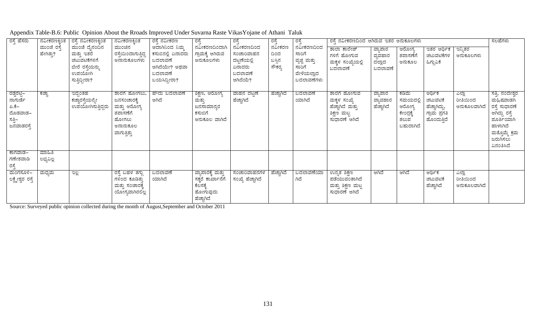| Appendix Table-B.6: Public Opinion About the Rroads Improved Under Suvarna Raste Vikas Yojane of Athani Taluk |  |
|---------------------------------------------------------------------------------------------------------------|--|
|---------------------------------------------------------------------------------------------------------------|--|

| ರಸ್ತೆ ಹೆಸರು                                                          | ನವೀಕರಣಕ್ಕಿಂತ             | ರಸ್ತೆ ನವೀಕರಣಕ್ಕಿಂತ                                                                         | ನವೀಕರಣಕ್ಕಿಂತ                                                                                  | ರಸ್ತೆ ನವೀಕರಣ                                                                               | ರಸ್ತೆ                                                                        | ರಸ್ತೆ                                                                    | ರಸ್ತೆ                             | ರಸ್ತೆ                                                                      | ರಸ್ತೆ ನವೀಕರಣದಿಂದ ಆಗಿರುವ ಇತರ ಅನುಕೂಲಗಳು                                            |                                         |                                                                |                                                                    |                                   | ಸಲಹೆಗಳು                                                                                                                                     |
|----------------------------------------------------------------------|--------------------------|--------------------------------------------------------------------------------------------|-----------------------------------------------------------------------------------------------|--------------------------------------------------------------------------------------------|------------------------------------------------------------------------------|--------------------------------------------------------------------------|-----------------------------------|----------------------------------------------------------------------------|----------------------------------------------------------------------------------|-----------------------------------------|----------------------------------------------------------------|--------------------------------------------------------------------|-----------------------------------|---------------------------------------------------------------------------------------------------------------------------------------------|
|                                                                      | ಮುಂಚೆ ರಸ್ತೆ<br>ಹೇಗಿತ್ತು? | ಮುಂಚೆ ದೈನಂದಿನ<br>ಮತ್ತು ಇತರೆ<br>ಚಟುವಟಿಕೆಗಳಿಗೆ<br>ಬೇರೆ ರಸ್ತೆಯನ್ನು<br>ಉಪಯೋಗಿ<br>ಸುತ್ತಿದ್ದೀರಾ? | ಮುಂಚಿನ<br>ರಸ್ತೆಯಿಂದಾಗುತ್ತಿದ್ದ<br>ಅನಾನುಕೂಲಗಳು                                                  | ಆದಾಗಿನಿಂದ ನಿಮ್ಮ<br>ಕಸುಬಿನಲ್ಲಿ ಏನಾದರು<br>ಬದಲಾವಣೆ<br>ಆಗಿದೆಯೇ? ಅಥವಾ<br>ಬದಲಾವಣೆ<br>ಬಯಸಿದ್ದೀರಾ? | ನವೀಕರಣದಿಂದಾಗಿ<br>ಗ್ರಾಮಕ್ಕೆ ಆಗಿರುವ<br>ಅನುಕೂಲಗಳು                               | ನವೀಕರಣದಿಂದ<br>ಸಂಚಾರಿವಾಹನ<br>ದಟ್ಟಣೆಯಲ್ಲಿ<br>ಏನಾದರು<br>ಬದಲಾವಣೆ<br>ಆಗಿದೆಯೆ? | ನವೀಕರಣ<br>ದಿಂದ<br>ಬಸ್ಸಿನ<br>ಸೌಕರ್ | ನವೀಕರಣದಿಂದ<br>ಸಾರಿಗೆ<br>ವ್ಯಚ್ಚ ಮತ್ತು<br>ಸಾರಿಗೆ<br>ವೇಳೆಯಲ್ಲಾದ<br>ಬದಲಾವಣೆಗಳು | ಶಾಲಾ ಕಾಲೇಜ್<br>ಗಳಿಗೆ ಹೋಗುವ<br>ಮಕ್ಕಳ ಸಂಖ್ಯೆಯಲ್ಲಿ<br>ಬದಲಾವಣೆ                       | ವ್ಯಾಪಾರ<br>ವ್ಯವಹಾರ<br>ದಲ್ಲಾದ<br>ಬದಲಾವಣೆ | ಆರೋಗ್ಯ<br>ತಪಾಸಣೆಗೆ<br>ಅನುಕೂಲ                                   | <u>ಇತರ ಆರ್</u> ಥಿಕ<br>ಚಟುವಟಿಕೆಗಳ<br>ಹಿಗ್ಗುವಿಕೆ                     | ಇನ್ನಿತರ<br>ಅನುಕೂಲಗಳು              |                                                                                                                                             |
| ರಡ್ಡೆರಟ್ಟಿ–<br>ನಾಗುರ್ಡೆ<br>ಪಿ.ಕೆ–<br>ದೊಡವಾಡ–<br>ಸತ್ತಿ–<br>ಜನವಾಡರಸ್ತೆ | ಕಚ್ಚಾ                    | ಇದ್ದಂತಹ<br>ಕಚ್ಚಾರಸ್ತೆಯನ್ನೇ<br>ಉಪಯೋಗಿಸುತ್ತಿದ್ದರು                                            | ಶಾಲೆಗೆ ಹೋಗಲು,<br>ಜನಸಂಚಾರಕ್ಕೆ<br>ಮತ್ತು ಆರೋಗ್ಯ<br>ತಪಾಸಣೆಗೆ<br>ಹೋಗಲು<br>ಅನಾನುಕೂಲ<br>ವಾಗುತ್ತಿತ್ತು | ಹೌದು ಬದಲಾವಣೆ<br>ಆಗಿದೆ                                                                      | <u>ಶಿಕ್ಷಣ, ಆರೋಗ್ಯ</u><br>ಮತ್ತು<br>ಜನಸಾಮಾನ್ಯರ<br>ಕಸುಬಿಗೆ<br>ಅನುಕೂಲ ವಾಗಿದೆ     | ವಾಹನ ದಟ್ಟಣೆ<br>ಹೆಚ್ಚಾಗಿದೆ                                                | ಹೆಚ್ಚಾಗಿದೆ                        | ಬದಲಾವಣೆ<br>ಯಾಗಿದೆ                                                          | ಶಾಲೆಗೆ ಹೋಗುವ<br>ಮಕ್ಕಳ ಸಂಖ್ಯೆ<br>ಹೆಚ್ಚಾಗಿದೆ ಮತ್ತು<br>ಶಿಕ್ಷಣ ಮಟ್ಟ<br>ಸುಧಾರಣೆ ಆಗಿದೆ | ವ್ಯಾಪಾರ<br>ವ್ಯಾವಹಾರ<br>ಹೆಚ್ಚಾಗಿದೆ       | ಕಡಿಮೆ<br>ಸಮಯದಲ್ಲಿ<br>ಆರೋಗ್ಯ<br>ಕೇಂದ್ರಕ್ಕೆ<br>ತಲುಪ<br>ಬಹುದಾಗಿದೆ | ಆರ್ಥಿಕ<br>ಚಟುವಟಿಕೆ<br>ಹೆಚ್ಚಾಗಿದ್ದು,<br>ಗ್ರಾಮ ಪ್ರಗತಿ<br>ಹೊಂದುತ್ತಿದೆ | ಎಲ್ಲಾ<br>ರೀತಿಯಿಂದ<br>ಅನುಕೂಲವಾಗಿದೆ | <u>ಸತ್ತಿ, ನಂದೇಶ್ವರ</u><br>ಮಹಿಷವಾಡಗಿ<br>ರಸ್ತೆ ಸುಧಾರಣೆ<br>ಆಗಿದ್ದು ರಸ್ತೆ<br>ಪೂರ್ತಿಯಾಗಿ<br>ಹಾಳಾಗಿದೆ<br>ಮತ್ತೊಮ್ಮೆ ಕ್ರಮ<br>ಜರುಗಿಸಲು<br>ವಿನಂತಿಸಿದೆ |
| ಕಾಗವಾಡ–                                                              | ಮಾಹಿತಿ                   |                                                                                            |                                                                                               |                                                                                            |                                                                              |                                                                          |                                   |                                                                            |                                                                                  |                                         |                                                                |                                                                    |                                   |                                                                                                                                             |
| ಗಣೇಶವಾಡಿ<br>ರಸ್ತೆ                                                    | ಲಭ್ಯವಿಲ್ಲ                |                                                                                            |                                                                                               |                                                                                            |                                                                              |                                                                          |                                   |                                                                            |                                                                                  |                                         |                                                                |                                                                    |                                   |                                                                                                                                             |
| ಮಂಗಸೂಳಿ–<br>ಲಕ್ಷ್ಮೇಶ್ವರ ರಸ್ತೆ                                        | ಮಧ್ಯಮ                    | ಇಲ್ಲ                                                                                       | <u>ರಸ್ತೆ ಬಹಳ ತಗ್ಗು</u><br>ಗಳಿಂದ ಕೂಡಿತ್ತು<br>ಮತ್ತು ಸಂಚಾರಕ್ಕೆ<br>ಯೋಗ್ಯವಾಗಿರಲಿಲ್ಲ                | ಬದಲಾವಣೆ<br>ಯಾಗಿದೆ                                                                          | ವ್ಯಾಪಾರಕ್ಕೆ ಮತ್ತು<br>ಸಕ್ಕರೆ ಕಾರ್ಖಾನೆಗೆ<br>ಕೆಲಸಕ್ಕೆ<br>ಹೋಗುವುದು<br>ಹೆಚ್ಚಾಗಿದೆ | ಸಂಚಾರಿವಾಹನಗಳ<br>ಸಂಖ್ಯೆ ಹೆಚ್ಚಾಗಿದೆ                                        | ಹೆಚ್ಚಾಗಿದೆ                        | ಬದಲಾವಣೆಯಾ<br>ಗಿದೆ                                                          | ಉನ್ನತ ಶಿಕ್ಷಣ<br>ಪಡೆಯುವಂತಾಗಿದೆ<br>ಮತ್ತು ಶಿಕ್ಷಣ ಮಟ್ಟ<br>ಸುಧಾರಣೆ ಆಗಿದೆ              | ಆಗಿದೆ                                   | ಆಗಿದೆ                                                          | ಆರ್ಥಿಕ<br>ಚಟುವಟಿಕೆ<br>ಹೆಚ್ಚಾಗಿದೆ                                   | ಎಲ್ಲಾ<br>ರೀತಿಯಿಂದ<br>ಅನುಕೂಲವಾಗಿದೆ |                                                                                                                                             |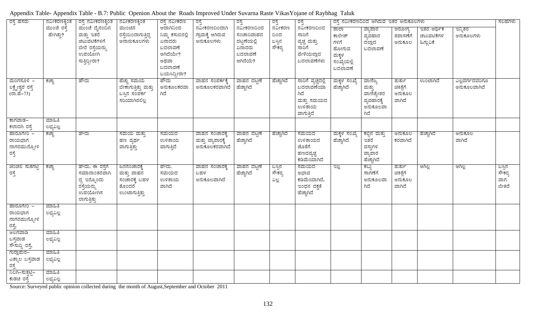| ರಸ್ತೆ ಹೆಸರು<br>ರಸ್ತೆ<br>ನವೀಕರಣಕ್ಕಿಂತ<br><u>ರಸ್ತೆ ನವೀಕರಣಕ್ಕಿಂತ</u><br>ನವೀಕರಣಕ್ಕಿಂತ<br>ರಸ್ತೆ ನವೀಕರಣ<br>ರಸ್ತೆ<br>ರಸ್ತೆ |                        |                                                                                            |                                                                        |                                                                                                  |                                                      | ರಸ್ತೆ<br>ನವೀಕರಣದಿಂದ                                                      |                                   | ರಸ್ತೆ ನವೀಕರಣದಿಂದ ಆಗಿರುವ ಇತರ ಅನುಕೂಲಗಳು                                         |                                                                     |                                                                   |                                          | ಸಲಹೆಗಳು                                |                                |                                   |
|---------------------------------------------------------------------------------------------------------------------|------------------------|--------------------------------------------------------------------------------------------|------------------------------------------------------------------------|--------------------------------------------------------------------------------------------------|------------------------------------------------------|--------------------------------------------------------------------------|-----------------------------------|-------------------------------------------------------------------------------|---------------------------------------------------------------------|-------------------------------------------------------------------|------------------------------------------|----------------------------------------|--------------------------------|-----------------------------------|
|                                                                                                                     | ಮುಂಚೆ ರಸೆ<br>ಹೇಗಿತ್ತು? | ಮುಂಚೆ ದೈನಂದಿನ<br>ಮತ್ತು ಇತರೆ<br>ಚಟುವಟಿಕೆಗಳಿಗೆ<br>ಬೇರೆ ರಸ್ತೆಯನ್ನು<br>ಉಪಯೋಗಿ<br>ಸುತ್ತಿದ್ದೀರಾ? | ಮುಂಚಿನ<br>ರಸ್ತೆಯಿಂದಾಗುತ್ತಿದ್ದ<br>ಅನಾನುಕೂಲಗಳು                           | ಆದಾಗಿನಿಂದ<br>ನಿಮ್ಮ ಕಸುಬಿನಲ್ಲಿ<br>ಏನಾದರು<br>ಬದಲಾವಣೆ<br>ಆಗಿದೆಯೇ?<br>ಅಥವಾ<br>ಬದಲಾವಣೆ<br>ಬಯಸಿದ್ದೀರಾ? | ನವೀಕರಣದಿಂದಾಗಿ<br>ಗ್ರಾಮಕ್ಕೆ ಆಗಿರುವ<br>ಅನುಕೂಲಗಳು       | ನವೀಕರಣದಿಂದ<br>ಸಂಚಾರಿವಾಹನ<br>ದಟ್ಟಣೆಯಲ್ಲಿ<br>ಏನಾದರು<br>ಬದಲಾವಣೆ<br>ಆಗಿದೆಯೆ? | ನವೀಕರಣ<br>ದಿಂದ<br>ಬಸ್ಸಿನ<br>ಸೌಕರ್ | ಸಾರಿಗೆ<br>ವ್ಯಚ್ಚ ಮತ್ತು<br>ಸಾರಿಗೆ<br>ವೇಳೆಯಲ್ಲಾದ<br>ಬದಲಾವಣೆಗಳು                  | ಶಾಲಾ<br>ಕಾಲೇಜ್<br>ಗಳಿಗೆ<br>ಹೋಗುವ<br>ಮಕ್ಕಳ<br>ಸಂಖ್ಯೆಯಲ್ಲಿ<br>ಬದಲಾವಣೆ | ವ್ಯಾಪಾರ<br>ವ್ಯವಹಾರ<br>ದಲ್ಲಾದ<br>ಬದಲಾವಣೆ                           | ಆರೋಗ್ಯ<br>ತಪಾಸಣೆಗೆ<br>ಅನುಕೂಲ             | ಇತರ ಆರ್ಥಿಕ<br>ಚಟುವಟಿಕೆಗಳ<br>ಹಿಗ್ಗುವಿಕೆ | ಇನ್ನಿತರ<br>ಅನುಕೂಲಗಳು           |                                   |
| ಮಂಗಸೂಳಿ –<br>ಲಕ್ಷ್ಮೇಶ್ವರ ರಸ್ತೆ<br>$(\overline{\infty}.\overline{\vec{\infty}} - 73)$                                | ಕಚ್ಚಾ                  | ಹೌದು                                                                                       | ಹೆಚ್ಚು ಸಮಯ<br>ಬೇಕಾಗುತ್ತಿತ್ತು ಮತ್ತು<br>ಬಸ್ಸಿನ ಸಂಪರ್ಕ<br>ಸರಿಯಾಗಿರಲಿಲ್ಲ   | ಹೌದು<br>ಅನುಕೂಲಕರವಾ<br>ಗಿದೆ                                                                       | ವಾಹನ ಸಂಪರ್ಕಕೆ,<br>ಅನುಕೂಲಕರವಾಗಿದೆ                     | ವಾಹನ ದಟ್ಟಣೆ<br>ಹೆಚ್ಚಾಗಿದೆ                                                | ಹೆಚ್ಚಾಗಿದೆ                        | ಸಾರಿಗೆ ವ್ಯಚ್ಚದಲ್ಲಿ<br>ಬದಲಾವಣೆಯಾ<br>ಗಿದೆ<br>ಮತ್ತು ಸಮಯದ<br>ಉಳಿತಾಯ<br>ವಾಗುತ್ತಿದೆ | ಮಕ್ಕಳ ಸಂಖ್ಯೆ<br>ಹೆಚ್ಚಾಗಿದೆ                                          | ವಾಣಿಜ್ಯ<br>ಮತ್ತು<br>ವಾಣಿಜ್ಯೇತರ<br>ವ್ಯವಹಾರಕ್ಕೆ<br>ಅನುಕೂಲವಾ<br>ಗಿದೆ | ತುರ್ತು<br>ಚಿಕಿತ್ತೆಗೆ<br>ಅನುಕೂಲ<br>ವಾಗಿದೆ | ಉಂಟಾಗಿದೆ                               | ಎಲ್ಲವರ್ಗದವರಿಗೂ<br>ಅನುಕೂಲವಾಗಿದೆ |                                   |
| ಕಾಗವಾಡ–<br>ಕಲಾದಗಿ ರಸ್ತೆ                                                                                             | ಮಾಹಿತಿ<br>ಲಭ್ಯವಿಲ್ಲ    |                                                                                            |                                                                        |                                                                                                  |                                                      |                                                                          |                                   |                                                                               |                                                                     |                                                                   |                                          |                                        |                                |                                   |
| <u>ಹಾರೂಗೇರಿ –</u><br>ರಾಯಭಾಗ<br>ನಾಗರಮುನ್ಶೋಳಿ<br>ರಸ್ತೆ                                                                | ಕಚ್ಚಾ                  | ಹೌದು                                                                                       | ಸಮಯ ಮತ್ತು<br>ಹಣ ವ್ಯರ್ಥ<br>ವಾಗುತ್ತಿತ್ತು                                 | ಸಮಯದ<br>ಉಳಿತಾಯ<br>ವಾಗುತ್ತಿದೆ                                                                     | ವಾಹನ ಸಂಚಾರಕೆ,<br>ಮತ್ತು ವ್ಯಾಪಾರಕ್ಕೆ<br>ಅನುಕೂಲಕರವಾಗಿದೆ | ವಾಹನ ದಟ್ಟಣೆ<br>ಹೆಚ್ಚಾಗಿದೆ                                                | ಹೆಚ್ಚಾಗಿದೆ                        | ಸಮಯದ<br>ಉಳಿತಾಯದ<br>ಜೊತೆಗೆ<br>ಹಣದವ್ಯಚ್ಚ<br>ಕಡಿಮೆಯಾಗಿದೆ                         | <u>ಮಕ್ಕಳ ಸಂಖ್ಯೆ</u><br>ಹೆಚ್ಚಾಗಿದೆ                                   | ಕಬ್ಬಿನ ಮತ್ತು<br>ಇತರೆ<br>ವಸ್ತುಗಳ<br>ವ್ಯಾಪಾರ<br>ಹೆಚ್ಚಾಗಿದೆ          | ಅನುಕೂಲ<br>ಕರವಾಗಿದೆ                       | ಹೆಚ್ಚಾಗಿದೆ                             | ಅನುಕೂಲ<br>ವಾಗಿದೆ               |                                   |
| ಚಿಂಚಲಿ ಸುತಗಟ್ಟಿ<br>ರಸ್ತೆ                                                                                            | ಕಚ್ಚಾ                  | ಹೌದು, ಈ ರಸ್ತೆಗೆ<br>ಸಮಾನಾಂತರವಾಗಿ<br>ದ್ದ ಇನ್ನೊಂದು<br>ರಸ್ತೆಯನ್ನು<br>ಉಪಯೋಗಿಸ<br>ಲಾಗುತ್ತಿತ್ತು   | ಜನಸಂಚಾರಕ್ಕೆ<br>ಮತ್ತು ವಾಹನ<br>ಸಂಚಾರಕ್ಕೆ ಬಹಳ<br>ತೊಂದರೆ<br>ಉಂಟಾಗುತ್ತಿತ್ತು | ಹೌದು.<br>ಸಮಯದ<br>ಉಳಿತಾಯ<br>ವಾಗಿದೆ                                                                | ವಾಹನ ಸಂಚಾರಕ್ಕೆ<br>ಬಹಳ<br>ಅನುಕೂಲವಾಗಿದೆ                | ವಾಹನ ದಟ್ಟಣೆ<br>ಹೆಚ್ಚಾಗಿದೆ                                                | ಬಸ್ಸಿನ<br>ಸೌಕರ್<br>ವಿಲ್ಲ          | ಸಮಯದ<br>ಅಭಾವ<br>ಕಡಿಮೆಯಾಗಿದೆ,<br>ಇಂಧನ ದಕ್ಷತೆ<br>ಹೆಚ್ಚಾಗಿದೆ                     | 2g                                                                  | ಕಬ್ಬು<br>ಸಾಗಣೆಗೆ<br>ಅನುಕೂಲವಾ<br>ಗಿದೆ                              | ತುರ್ತು<br>ಚಿಕಿತೆಗೆ<br>ಅನುಕೂಲ<br>ವಾಗಿದೆ   | ಆಗಿಲ್ಲ                                 | ಡಿಗಿದ                          | ಬಸ್ಸಿನ<br>ಸೌಕರ್ರ<br>ವಾಗ<br>ಬೇಕಿದೆ |
| ಹಾರೂಗೇರಿ –                                                                                                          | ಮಾಹಿತಿ                 |                                                                                            |                                                                        |                                                                                                  |                                                      |                                                                          |                                   |                                                                               |                                                                     |                                                                   |                                          |                                        |                                |                                   |
| ರಾಯಭಾಗ<br>ನಾಗರಮುನ್ಶೋಳಿ<br>ರಸ್ತೆ.                                                                                    | ಲಭ್ಯವಿಲ್ಲ              |                                                                                            |                                                                        |                                                                                                  |                                                      |                                                                          |                                   |                                                                               |                                                                     |                                                                   |                                          |                                        |                                |                                   |
| ಅಲಗವಾಡಿ                                                                                                             | ಮಾಹಿತಿ                 |                                                                                            |                                                                        |                                                                                                  |                                                      |                                                                          |                                   |                                                                               |                                                                     |                                                                   |                                          |                                        |                                |                                   |
| ಬಸ್ತವಾಡ<br>ಸೌಸುದ್ದಿ ರಸ್ತೆ.                                                                                          | ಲಭ್ಯವಿಲ್ಲ              |                                                                                            |                                                                        |                                                                                                  |                                                      |                                                                          |                                   |                                                                               |                                                                     |                                                                   |                                          |                                        |                                |                                   |
| ಗುರ್ಾಮರ–                                                                                                            | ಮಾಹಿತಿ                 |                                                                                            |                                                                        |                                                                                                  |                                                      |                                                                          |                                   |                                                                               |                                                                     |                                                                   |                                          |                                        |                                |                                   |
| ಎತ್ನಾಲ ಬಸ್ತವಾಡ<br>ರಸ್ತೆ                                                                                             | ಲಭ್ಯವಿಲ್ಲ              |                                                                                            |                                                                        |                                                                                                  |                                                      |                                                                          |                                   |                                                                               |                                                                     |                                                                   |                                          |                                        |                                |                                   |
| <u>ನಿಲಗಿ–ಸುತ್ತಟ್ಟ–</u>                                                                                              | ಮಾಹಿತಿ                 |                                                                                            |                                                                        |                                                                                                  |                                                      |                                                                          |                                   |                                                                               |                                                                     |                                                                   |                                          |                                        |                                |                                   |
| ಕುಡಚಿ ರಸ್ತೆ                                                                                                         | ಲಭ್ಯವಿಲ್ಲ              |                                                                                            |                                                                        |                                                                                                  |                                                      |                                                                          |                                   |                                                                               |                                                                     |                                                                   |                                          |                                        |                                |                                   |

|  | Appendix Table-Appendix Table - B.7: Public Openion About the Roads Improved Under Suvarna Raste Vikas Yojane of Raybhag Taluk |  |
|--|--------------------------------------------------------------------------------------------------------------------------------|--|
|  |                                                                                                                                |  |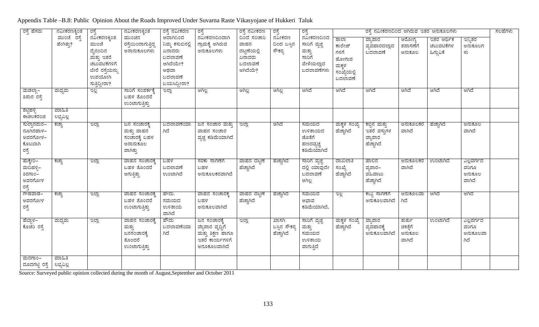Appendix Table –B.8: Public Opinion About the Roads Improved Under Suvarna Raste Vikasyojane of Hukkeri Taluk

| ರಸ್ತೆ ಹೆಸರು             | ನವೀಕರಣಕ್ಕಿಂತ | ರಸ್ತೆ                       | ನವೀಕರಣಕ್ಕಿಂತ            | ರಸ್ತೆ ನವೀಕರಣ      | ರಸ್ತೆ              | ರಸ್ತೆ ನವೀಕರಣ          | ರಸ್ತೆ              | ರಸ್ತೆ           |              | ರಸ್ತೆ ನವೀಕರಣದಿಂದ ಆಗಿರುವ ಇತರ ಅನುಕೂಲಗಳು |          |            |           | ಸಲಹೆಗಳು |
|-------------------------|--------------|-----------------------------|-------------------------|-------------------|--------------------|-----------------------|--------------------|-----------------|--------------|---------------------------------------|----------|------------|-----------|---------|
|                         | ಮುಂಚೆ ರಸೆ    | ನವೀಕರಣಕ್ಕಿಂತ<br>ಮುಂಚೆ       | ಮುಂಚಿನ                  | ಆದಾಗಿನಿಂದ         | ನವೀಕರಣದಿಂದಾಗಿ      | ದಿಂದ ಸಂಚಾರಿ           | ನವೀಕರಣ             | ನವೀಕರಣದಿಂದ      | ಶಾಲಾ         | ವ್ಯಾಪಾರ                               | ಆರೋಗ್ಯ   | ಇತರ ಆರ್ಥಿಕ | ಇನ್ನಿತರ   |         |
|                         | ಹೇಗಿತ್ತು?    |                             | ರಸ್ತೆಯಿಂದಾಗುತ್ತಿದ್ದ     | ನಿಮ್ಮ ಕಸುಬಿನಲ್ಲಿ  | ಗ್ರಾಮಕ್ಕೆ ಆಗಿರುವ   | ವಾಹನ                  | ದಿಂದ ಬಸಿನ<br>ಸೌಕರ್ | ಸಾರಿಗೆ ವೃಚ್ಚ    | ಕಾಲೇಜ್       | ವ್ಯವಹಾರದಲ್ಲಾದ                         | ತಪಾಸಣೆಗೆ | ಚಟುವಟಿಕೆಗಳ | ಅನುಕೂಲಗ   |         |
|                         |              | ದೈನಂದಿನ                     | ಅನಾನುಕೂಲಗಳು             | ಏನಾದರು<br>ಬದಲಾವಣೆ | ಅನುಕೂಲಗಳು          | ದಟ್ಟಣೆಯಲ್ಲಿ<br>ಏನಾದರು |                    | ಮತ್ತು<br>ಸಾರಿಗೆ | ಗಳಿಗೆ        | ಬದಲಾವಣೆ                               | ಅನುಕೂಲ   | ಹಿಗ್ಗುವಿಕೆ | ಳು        |         |
|                         |              | ಮತ್ತು ಇತರೆ<br>ಚಟುವಟಿಕೆಗಳಿಗೆ |                         | ಆಗಿದೆಯೇ?          |                    | ಬದಲಾವಣೆ               |                    | ವೇಳೆಯಲ್ಲಾದ      | ಹೋಗುವ        |                                       |          |            |           |         |
|                         |              |                             |                         | ಅಥವಾ              |                    | ಆಗಿದೆಯೆ?              |                    | ಬದಲಾವಣೆಗಳು      | ಮಕ್ಕಳ        |                                       |          |            |           |         |
|                         |              | ಬೇರೆ ರಸ್ತೆಯನ್ನು<br>ಉಪಯೋಗಿ   |                         | ಬದಲಾವಣೆ           |                    |                       |                    |                 | ಸಂಖ್ಯೆಯಲ್ಲಿ  |                                       |          |            |           |         |
|                         |              |                             |                         | ಬಯಸಿದ್ದೀರಾ?       |                    |                       |                    |                 | ಬದಲಾವಣೆ      |                                       |          |            |           |         |
| <u>ಮಡರ್</u> ಲಾ          | ಮಧ್ಯಮ        | ಸುತ್ತಿದ್ದೀರಾ?<br>ಇಲ್ಲ       | ಸಾರಿಗೆ ಸಂಪರ್ಕಕೆ,        | ಇಲ್ಲಾ             | ಆಗಿಲ್ಲ             | ಆಗಿಲ್ಲ                | ಆಗಿಲ್ಲ             | ಆಗಿದೆ           | ಆಗಿದೆ        | ಆಗಿದೆ                                 | ಆಗಿದೆ    | ಆಗಿದೆ      | ಆಗಿದೆ     |         |
| ಶಿಮರ ರಸ್ತೆ              |              |                             | ಬಹಳ ತೊಂದರೆ              |                   |                    |                       |                    |                 |              |                                       |          |            |           |         |
|                         |              |                             | ಉಂಟಾಗುತ್ತಿತ್ತು          |                   |                    |                       |                    |                 |              |                                       |          |            |           |         |
|                         | ಮಾಹಿತಿ       |                             |                         |                   |                    |                       |                    |                 |              |                                       |          |            |           |         |
| ಶೆಟ್ಟಿಹಳ್ಳಿ<br>ಈಚಲಕರಂಜಿ | ಲಭ್ಯವಿಲ್ಲ    |                             |                         |                   |                    |                       |                    |                 |              |                                       |          |            |           |         |
| <u>ಸುಲ್ತಾನಮರ–</u>       | ಕಚ್ಚಾ        | ಇಲ್ಲಾ                       | ಜನ ಸಂಚಾರಕೆ,             | ಬದಲಾವಣೆಯಾ         | ಜನ ಸಂಚಾರ ಮತ್ತು     | ಇಲ್ಲಾ                 | ಆಗಿದೆ              | ಸಮಯದ            | ಮಕ್ಕಳ ಸಂಖ್ಯೆ | ಕಬ್ಬಿನ ಮತ್ತು                          | ಅನುಕೂಲಕರ | ಹೆಚ್ಚಾಗಿದೆ | ಅನುಕೂಲ    |         |
| ನೂಗಿನಹಾಳ–               |              |                             | ಮತ್ತು ವಾಹನ <sup>್</sup> | ಗಿದೆ              | ವಾಹನ ಸಂಚಾರ         |                       |                    | ಉಳಿತಾಯದ         | ಹೆಚ್ಚಾಗಿದೆ   | ಇತರೆ ವಸುಗಳ                            | ವಾಗಿದೆ   |            | ವಾಗಿದೆ    |         |
| ಅವರಗೋಳ–                 |              |                             | ಸಂಚಾರಕ್ಕೆ ಬಹಳ           |                   | ವ್ಯಚ್ಚ ಕಡಿಮೆಯಾಗಿದೆ |                       |                    | ಜೊತೆಗೆ          |              | ವ್ಯಾಪಾರ                               |          |            |           |         |
| ಕೊಟಬಾಗಿ                 |              |                             | ಅನಾನುಕೂಲ                |                   |                    |                       |                    | ಹಣದವ್ಯಚ್ಚ       |              | ಹೆಚ್ಚಾಗಿದೆ                            |          |            |           |         |
| ರಸ್ತೆ                   |              |                             | ವಾಗಿತ್ತು                |                   |                    |                       |                    | ಕಡಿಮೆಯಾಗಿದೆ     |              |                                       |          |            |           |         |
| ಹುಕ್ಕೇರಿ–               | ಕಚ್ಚಾ        | ಇಲ್ಲಾ                       | ವಾಹನ ಸಂಚಾರಕೆ,           | ಬಹಳ               | ಸರಕು ಸಾಗಣೆಗೆ       | ವಾಹನ ದಟ್ಟಣೆ           | ಹೆಚ್ಚಾಗಿದೆ         | ಸಾರಿಗೆ ವ್ಯಚ್ಚ   | ದಾಖಲಾತಿ      | ಹಾಲಿನ                                 | ಅನುಕೂಲಕರ | ಉಂಟಾಗಿದೆ   | ಎಲ್ಲವರ್ಗದ |         |
| ಮದಿಹಳ್ಳಿ–               |              |                             | ಬಹಳ ತೊಂದರೆ              | ಬದಲಾವಣೆ           | ಬಹಳ                | ಹೆಚ್ಚಾಗಿದೆ            |                    | ದಲ್ಲಿ ಯಾವುದೇ    | ಸಂಖ್ಯೆ       | ವ್ಯಪಾರ–                               | ವಾಗಿದೆ   |            | ವರಿಗೂ     |         |
| ತಿರಗಾಂ–                 |              |                             | ಆಗುತ್ತಿತ್ತು             | ಉಂಟಾಗಿದೆ          | ಅನುಕೂಲಕರವಾಗಿದೆ     |                       |                    | ಬದಲಾವಣೆ         | ಹೆಚ್ಚಾಗಿದೆ   | ವಹಿವಾಟು                               |          |            | ಅನುಕೂಲ    |         |
| ಅವರಗೋಳ                  |              |                             |                         |                   |                    |                       |                    | ಆಗಿಲ್ಲ          |              | ಹೆಚ್ಚಾಗಿದೆ                            |          |            | ವಾಗಿದೆ    |         |
| ರಸ್ತೆ                   |              |                             |                         |                   |                    |                       |                    |                 |              |                                       |          |            |           |         |
| ಗೌಡವಾಡ–                 | ಕಚ್ಚಾ        | ಇಲ್ಲಾ                       | ವಾಹನ ಸಂಚಾರಕೆ,           | ಹೌದು.             | ವಾಹನ ಸಂಚಾರಕೆ,      | <u>ವಾಹನ ದಟ್ಟಣೆ</u>    | ಹೆಚ್ಚಾಗಿದೆ         | ಸಮಯದ            | ಇಲ್ಲ         | ಕಬ್ಬು ಸಾಗಣೆಗೆ                         | ಅನುಕೂಲವಾ | ಆಗಿದೆ      | ಆಗಿದೆ     |         |
| ಅವರಗೋಳ                  |              |                             | ಬಹಳ ತೊಂದರೆ              | ಸಮಯದ              | ಬಹಳ                | ಹೆಚ್ಚಾಗಿದೆ            |                    | ಅಭಾವ            |              | ಅನುಕೂಲವಾಗಿದೆ                          | ಗಿದೆ     |            |           |         |
| ರಸ್ತೆ                   |              |                             | ಉಂಟಾಗುತ್ತಿತ್ತು          | ಉಳಿತಾಯ            | ಅನುಕೂಲವಾಗಿದೆ       |                       |                    | ಕಡಿಮೆಯಾಗಿದೆ.    |              |                                       |          |            |           |         |
|                         |              |                             |                         | ವಾಗಿದೆ            |                    |                       |                    |                 |              |                                       |          |            |           |         |
| ಹೆಬ್ಬಾಳ–                | ಮಧ್ಯಮ        | ಇಲ್ಲಾ                       | ವಾಹನ ಸಂಚಾರಕ್ಕೆ          | ಹೌದು              | ಜನ ಸಂಚಾರಕ್ಕೆ       | ಇಲ್ಲಾ                 | ಖಾಸಗಿ              | ಸಾರಿಗೆ ವ್ಯಜ್ಞ   | ಮಕ್ಕಳ ಸಂಖ್ಯೆ | ವ್ಯಾಪಾರ                               | ತುರ್ತು   | ಉಂಟಾಗಿದೆ   | ಎಲ್ಲವರ್ಗದ |         |
| ಕೊಚರಿ ರಸ್ತೆ             |              |                             | ಮತ್ತು                   | ಬದಲಾವಣೆಯಾ         | ವ್ಯಾಪಾರ ವೃದ್ಧಿಗೆ   |                       | ಬಸ್ಸಿನ ಸೌಕರ್ರ್ಗ    | ಮತ್ತು           | ಹೆಚ್ಚಾಗಿದೆ   | ವ್ಯವಹಾರಕ್ಕೆ                           | ಚಿಕಿತೆಗೆ |            | ವರಿಗೂ     |         |
|                         |              |                             | ಜನಸಂಚಾರಕ್ಕೆ             | ಗಿದೆ              | ಮತ್ತು ಶಿಕ್ಷಣ ಹಾಗೂ  |                       | ಹೆಚ್ಚಾಗಿದೆ         | ಸಮಯದ            |              | ಅನುಕೂಲವಾಗಿದೆ                          | ಅನುಕೂಲ   |            | ಅನುಕೂಲವಾ  |         |
|                         |              |                             | ತೊಂದರೆ                  |                   | ಇತರೆ ಕಾರ್ಯಗಳಿಗೆ    |                       |                    | ಉಳಿತಾಯ          |              |                                       | ವಾಗಿದೆ   |            | ಗಿದೆ      |         |
|                         |              |                             | ಉಂಟಾಗುತ್ತಿತ್ತು          |                   | ಅನೂಕೂಲವಾಗಿದೆ       |                       |                    | ವಾಗುತ್ತಿದೆ      |              |                                       |          |            |           |         |
| ಮನಗಾಂ–                  | ಮಾಹಿತಿ       |                             |                         |                   |                    |                       |                    |                 |              |                                       |          |            |           |         |
| ದೂದಗಟ್ಟಿ ರಸ್ತೆ          | ಲಭ್ಯವಿಲ್ಲ    |                             |                         |                   |                    |                       |                    |                 |              |                                       |          |            |           |         |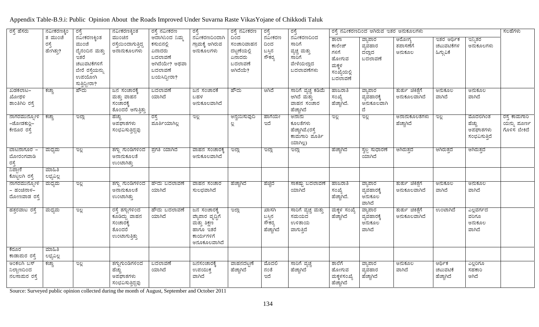# Appendix Table-B.9.i: Public Opinion About the Roads Improved Under Suvarna Raste VikasYojane of Chikkodi Taluk

| ರಸ್ತೆ ಹೆಸರು                                                  | ನವೀಕರಣಕ್ಕಿಂ                   | ರಸ್ತೆ                                                                                                         | ನವೀಕರಣಕ್ಕಿಂತ                                                               | ರಸ್ತೆ ನವೀಕರಣ                                                                                  | ರಸ್ತೆ                                                                                     | ರಸ್ತೆ ನವೀಕರಣ                                                       | ರಸ್ತೆ                                   | ರಸ್ತೆ<br>ನವೀಕರಣದಿಂದ                                                  | ರಸ್ತೆ ನವೀಕರಣದಿಂದ ಆಗಿರುವ ಇತರ ಅನುಕೂಲಗಳು                               |                                            | ಸಲಹೆಗಳು                             |                                        |                                                  |                                              |
|--------------------------------------------------------------|-------------------------------|---------------------------------------------------------------------------------------------------------------|----------------------------------------------------------------------------|-----------------------------------------------------------------------------------------------|-------------------------------------------------------------------------------------------|--------------------------------------------------------------------|-----------------------------------------|----------------------------------------------------------------------|---------------------------------------------------------------------|--------------------------------------------|-------------------------------------|----------------------------------------|--------------------------------------------------|----------------------------------------------|
|                                                              | ತ ಮುಂಚೆ<br>ರಸ್ತೆ<br>ಹೇಗಿತ್ತು? | ನವೀಕರಣಕ್ಕಿಂತ<br>ಮುಂಚೆ<br>ದೈನಂದಿನ ಮತ್ತು<br>ಇತರೆ<br>ಚಟುವಟಿಕೆಗಳಿಗೆ<br>ಬೇರೆ ರಸ್ತೆಯನ್ನು<br>ಉಪಯೋಗಿ<br>ಸುತ್ತಿದ್ದೀರಾ? | ಮುಂಚಿನ<br>ರಸೆಯಿಂದಾಗುತ್ತಿದ್ದ<br>ಅನಾನುಕೂಲಗಳು                                 | ಆದಾಗಿನಿಂದ ನಿಮ್ಮ<br>ಕಸುಬಿನಲ್ಲಿ<br>ಏನಾದರು<br>ಬದಲಾವಣೆ<br>ಆಗಿದೆಯೇ? ಅಥವಾ<br>ಬದಲಾವಣೆ<br>ಬಯಸಿದ್ದೀರಾ? | ನವೀಕರಣದಿಂದಾಗಿ<br>ಗ್ರಾಮಕ್ಕೆ ಆಗಿರುವ<br>ಅನುಕೂಲಗಳು                                            | ದಿಂದ<br>ಸಂಚಾರಿವಾಹನ<br>ದಟ್ಟಣೆಯಲ್ಲಿ<br>ಏನಾದರು<br>ಬದಲಾವಣೆ<br>ಆಗಿದೆಯೆ? | ನವೀಕರಣ<br>ದಿಂದ<br>ಬಸ್ಸಿನ<br>ಸೌಕರ್       | ಸಾರಿಗೆ<br>ವ್ಯಚ್ಚ ಮತ್ತು<br>ಸಾರಿಗೆ<br>ವೇಳೆಯಲ್ಲಾದ<br>ಬದಲಾವಣೆಗಳು         | ಶಾಲಾ<br>ಕಾಲೇಜ್<br>ಗಳಿಗೆ<br>ಹೋಗುವ<br>ಮಕ್ಕಳ<br>ಸಂಖ್ಯೆಯಲ್ಲಿ<br>ಬದಲಾವಣೆ | ವ್ಯಾಪಾರ<br>ವ್ಯವಹಾರ<br>ದಲ್ಲಾದ<br>ಬದಲಾವಣೆ    | ಆರೋಗ್ಯ<br>ತಪಾಸಣೆಗೆ<br>ಅನುಕೂಲ        | ಇತರ ಆರ್ಥಿಕ<br>ಚಟುವಟಿಕೆಗಳ<br>ಹಿಗ್ಗುವಿಕೆ | ಇನ್ನಿತರ<br>ಅನುಕೂಲಗಳು                             |                                              |
| ಖಡಕಲಾಟ–<br>ಖೋಥಳಿ<br>ಶಾಂತಿಗಿರಿ ರಸ್ತೆ                          | ಕಚ್ಚಾ                         | ಹೌದು                                                                                                          | ಜನ ಸಂಚಾರಕ್ಕೆ<br>ಮತ್ತು ವಾಹನ<br>ಸಂಚಾರಕ್ಕೆ<br>ತೊಂದರೆ ಆಗುತ್ತಿತ್ತು              | ಬದಲಾವಣೆ<br>ಯಾಗಿದೆ                                                                             | ಜನ ಸಂಚಾರಕೆ<br>ಬಹಳ<br>ಅನುಕೂಲವಾಗಿದೆ                                                         | ಹೌದು                                                               | ಆಗಿದೆ                                   | ಸಾರಿಗೆ ವ್ಯಚ್ಚ ಕಡಿಮೆ<br>ಆಗಿದೆ ಮತ್ತು<br>ವಾಹನ ಸಂಚಾರ<br>ಹೆಚ್ಚಾಗಿದೆ       | ಹಾಜರಾತಿ<br>ಸಂಖ್ಯೆ<br>ಹೆಚ್ಚಾಗಿದೆ.                                    | ವ್ಯಾಪಾರ<br>ವ್ಯವಹಾರಕ್ಕೆ<br>ಅನುಕೂಲವಾಗಿ<br>ದೆ | ತುರ್ತು ಚಿಕಿತೆಗೆ<br>ಅನುಕೂಲವಾಗಿದೆ     | ಅನುಕೂಲ<br>ವಾಗಿದೆ                       | ಅನುಕೂಲ<br>ವಾಗಿದೆ                                 |                                              |
| ನಾಗರಮುನ್ಯೋಳಿ<br>–ಜೋಡಕುರ್ತಿ–<br>ಕೇರೂರ ರಸ್ತೆ                   | ಕಚ್ಚಾ                         | ಇಲ್ಲಾ                                                                                                         | ಹೆಚ್ಚು<br>ಅಪಘಾತಗಳು<br>ಸಂಭವಿಸುತ್ತಿದ್ದವು                                     | ಝ್ತೆ<br>ಪೂರ್ತಿಯಾಗಿಲ್ಲ                                                                         | ag                                                                                        | <u>ಅನ್ವಯಿಸುವುದಿ</u><br>ಲ್ಲ                                         | ಹಾಗೆಯೇ<br>ಇದೆ                           | ಅನಾನು<br>ಕೂಲತೆಗಳು<br>ಹೆಚ್ಚಾಗಿವೆ.(ರಸ್ತೆ<br>ಕಾಮಗಾರಿ ಮೂರ್ತಿ<br>ಯಾಗಿಲ್ಲ) | 2g                                                                  | ಇಲ್ಲಿ                                      | <u> ಅನಾನುಕೂಲತೆಗಳು</u><br>ಹೆಚ್ಚಾಗಿದೆ | ಇಲ್ಲಿ                                  | ಮೊದಲಿಗಿಂತ<br>ಹೆಚ್ಚು<br>ಅಪಘಾತಗಳು<br>ಸಂಭವಿಸುತ್ತಿದೆ | ರಸ್ತೆ ಕಾಮಗಾರಿ<br>ಯನ್ನು ಮೂರ್ಣ<br>ಗೊಳಿಸ ಬೇಕಿದೆ |
| ಬಾಟನಾಗೂರ –<br>ಬೋರಂಗವಾಡಿ<br>ರಸ್ತೆ<br>ನಿಪ್ರಾಣಿ                 | ಮಧ್ಯಮ<br>ಮಾಹಿತಿ               | ಇಲ್ಲಿ                                                                                                         | ತಗ್ಗು ಗುಂಡಿಗಳಿಂದ<br>ಅನಾನುಕೂಲತೆ<br>ಉಂಟಾಗಿತ್ತು                               | ್ಪಪಗತಿ ಯಾಗಿದೆ                                                                                 | ವಾಹನ ಸಂಚಾರಕ್ಕೆ<br>ಅನುಕೂಲವಾಗಿದೆ                                                            | ಇಲ್ಲಾ                                                              | ಇಲ್ಲಾ                                   | ಇಲ್ಲಾ                                                                | ಹೆಚ್ಚಾಗಿದೆ                                                          | <u>ಸ್ವಲ್ಪ ಸುಧಾರಣೆ</u><br>ಯಾಗಿದೆ            | ಆಗಿರುತ್ತದೆ                          | ಆಗಿರುತ್ತದೆ                             | ಆಗಿರುತ್ತದೆ                                       |                                              |
| ಕೊಟ್ಟಲಗಿ ರಸ್ತೆ<br>ನಾಗರಮುನ್ಯೋಳಿ<br>– ಹಂಚಿನಾಳ–<br>ದೋಣವಾಡ ರಸ್ತೆ | ಲಭ್ಯವಿಲ್ಲ<br>ಮಧ್ಯಮ            | ಇಲ್ಲ                                                                                                          | ತಗ್ಗು ಗುಂಡಿಗಳಿಂದ<br>ಅನಾನುಕೂಲತೆ<br>ಉಂಟಾಗಿತ್ತು                               | ಹೌದು ಬದಲಾವಣೆ<br>ಯಾಗಿದೆ                                                                        | ವಾಹನ ಸಂಚಾರ<br>ಸುಲಭವಾಗಿದೆ                                                                  | ಹೆಚ್ಚಾಗಿದೆ                                                         | ಹೆಚ್ಚಿದೆ                                | <u>ಸಾಕಷ್ಟು ಬದಲಾವಣೆ</u><br>ಯಾಗಿದೆ                                     | ಹಾಜರಾತಿ<br>ಸಂಖ್ಯೆ<br>ಹೆಚ್ಚಾಗಿದೆ.                                    | ವ್ಯಾಪಾರ<br>ವ್ಯವಹಾರಕ್ಕೆ<br>ಅನುಕೂಲ<br>ವಾಗಿದೆ | ತುರ್ತು ಚಿಕಿತೆಗೆ<br>ಅನುಕೂಲವಾಗಿದೆ     | ಅನುಕೂಲ<br>ವಾಗಿದೆ                       | ಅನುಕೂಲ<br>ವಾಗಿದೆ                                 |                                              |
| ಹತ್ತರವಾಟ ರಸ್ತೆ                                               | ಮಧ್ಯಮ                         | ಇಲ್ಲ                                                                                                          | ರಸ್ತೆ ತಗ್ಗುಗಳಿಂದ<br>ಕೂಡಿದ್ದು ವಾಹನ<br>ಸಂಚಾರಕ್ಕೆ<br>ತೊಂದರೆ<br>ಉಂಟಾಗುತ್ತಿತ್ತು | ಹೌದು ಬದಲಾವಣೆ<br>ಯಾಗಿದೆ                                                                        | ಜನ ಸಂಚಾರಕೆ<br>ವ್ಯಾಪಾರ ವೃದ್ಧಿಗೆ<br>ಮತ್ತು ಶಿಕ್ಷಣ<br>ಹಾಗೂ ಇತರೆ<br>ಕಾರ್ಯಗಳಿಗೆ<br>ಅನೂಕೂಲವಾಗಿದೆ | ಇಲ್ಲಾ                                                              | ಖಾಸಗಿ<br>ಬಸ್ಸಿನ<br>ಸೌಕರ್ತ<br>ಹೆಚ್ಚಾಗಿದೆ | ಸಾರಿಗೆ ವ್ಯಚ್ಚ ಮತ್ತು<br>ಸಮಯದ<br>ಉಳಿತಾಯ<br>ವಾಗುತ್ತಿದೆ                  | ಮಕ್ಕಳ ಸಂಖ್ಯೆ<br>ಹೆಚ್ಚಾಗಿದೆ                                          | ವ್ಯಾಪಾರ<br>ವ್ಯವಹಾರಕ್ಕೆ<br>ಅನುಕೂಲ<br>ವಾಗಿದೆ | ತುರ್ತು ಚಿಕಿತೆಗೆ<br>ಅನುಕೂಲವಾಗಿದೆ     | ಉಂಟಾಗಿದೆ                               | ಎಲ್ಲವರ್ಗದ<br>ವರಿಗೂ<br>ಅನುಕೂಲ<br>ವಾಗಿದೆ           |                                              |
| ಕೆರೂರ<br>ಕಾಡಾಮರ ರಸ್ತೆ                                        | ಮಾಹಿತಿ<br>ಲಭ್ಯವಿಲ್ಲ           |                                                                                                               |                                                                            |                                                                                               |                                                                                           |                                                                    |                                         |                                                                      |                                                                     |                                            |                                     |                                        |                                                  |                                              |
| ಅಂಕಲಗಿ ಬಸ್<br>ನಿಲ್ದಾಣದಿಂದ<br>ನಲಸಾಮರ ರಸ್ತೆ                    | ಕಚ್ಚಾ                         | $\frac{3}{2}$                                                                                                 | ತಗ್ಗುಗುಂಡಿಗಳಿಂದ<br>ಹೆಚ್ಚು<br>ಅಪಘಾತಗಳು<br>ಸಂಭವಿಸುತ್ತಿದ್ದವು                  | ಬದಲಾವಣೆ<br>ಯಾಗಿದೆ                                                                             | ಜನಸಂಚಾರಕೆ,<br>ಉಪಯುಕ್ತ<br>ವಾಗಿದೆ                                                           | ವಾಹನದಟ್ಟಣೆ<br>ಹೆಚ್ಚಾಗಿದೆ                                           | ಮೊದಲಿ<br>ನಂತೆ<br>ಇದೆ                    | ಸಾರಿಗೆ ವ್ಯಚ್ಛ<br>ಹೆಚ್ಚಾಗಿದೆ                                          | ಶಾಲೆಗೆ<br>ಹೋಗುವ<br>ಮಕ್ಕಳಸಂಖ್ಯೆ<br>ಹೆಚ್ಚಾಗಿದೆ                        | ವ್ಯಾಪಾರ<br>ವ್ಯವಹಾರ<br>ಹೆಚ್ಚಾಗಿದೆ           | ಅನುಕೂಲ<br>ವಾಗಿದೆ                    | ಆರ್ಥಿಕ<br>ಚಟುವಟಿಕೆ<br>ಹೆಚ್ಚಾಗಿದೆ       | ಎಲ್ಲರಿಗೂ<br>ಸಹಕಾರಿ<br>ಆಗಿದೆ                      |                                              |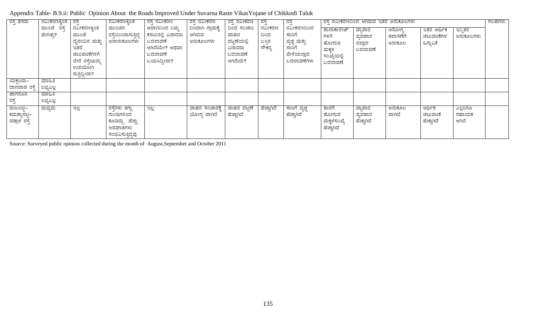| ರಸ್ತೆ ಹೆಸರು                              | ನವೀಕರಣಕ್ಕಿಂತ   ರಸ್ತೆ<br>ಮುಂಚೆ ರಸ್ತೆ<br>ಹೇಗಿತ್ತು? | ನವೀಕರಣಕ್ತಿಂತ<br>ಮುಂಚೆ<br>ದೈನಂದಿನ ಮತ್ತು<br>ಇತರೆ<br>ಚಟುವಟಿಕೆಗಳಿಗೆ<br>ಬೇರೆ ರಸ್ತೆಯನ್ನು<br>ಉಪಯೋಗಿ<br>ಸುತ್ತಿದ್ದೀರಾ? | ನವೀಕರಣಕ್ಕಿಂತ<br>ಮುಂಚಿನ<br>ರಸ್ತೆಯಿಂದಾಗುತ್ತಿದ್ದ<br>ಅನಾನುಕೂಲಗಳು                    | ರಸ್ತೆ ನವೀಕರಣ<br>ಆದಾಗಿನಿಂದ ನಿಮ್ಮ<br>ಕಸುಬಿನಲ್ಲಿ ಏನಾದರು<br>ಬದಲಾವಣೆ<br>ಆಗಿದೆಯೇ? ಅಥವಾ<br>ಬದಲಾವಣೆ<br>ಬಯಸಿದ್ದೀರಾ? | ರಸ್ತೆ ನವೀಕರಣ<br>ದಿಂದಾಗಿ ಗ್ರಾಮಕ್ಕೆ<br>ಆಗಿರುವ<br>ಅನುಕೂಲಗಳು | ' ರಸ್ತೆ ನವೀಕರಣ<br>ದಿಂದ ಸಂಚಾರಿ<br>ವಾಹನ<br>ದಟ್ಟಣೆಯಲ್ಲಿ<br>ಏನಾದರು<br>ಬದಲಾವಣೆ<br>ಆಗಿದೆಯೆ? | ರಸೆ<br>ನವೀಕರಣ<br>ದಿಂದ<br>ಬಸ್ಸಿನ<br>ಸೌಕರ್ತ | ರಸ್ತೆ<br>ನವೀಕರಣದಿಂದ<br>ಸಾರಿಗೆ<br>ವ್ಯಚ್ಚ ಮತ್ತು<br>ಸಾರಿಗೆ<br>ವೇಳೆಯಲ್ಲಾದ<br>ಬದಲಾವಣೆಗಳು | ಶಾಲಾಕಾಲೇಜ್<br>ಗಳಿಗೆ<br>ಹೋಗುವ<br>ಮಕ್ಕಳ<br>ಸಂಖ್ಯೆಯಲ್ಲಿ<br>ಬದಲಾವಣೆ | ರಸ್ತೆ ನವೀಕರಣದಿಂದ ಆಗಿರುವ ಇತರ ಅನುಕೂಲಗಳು<br>ವ್ಯಾಪಾರ<br>ವ್ಯವಹಾರ<br>ದಲ್ಲಾದ<br>ಬದಲಾವಣೆ | ಆರೋಗ್ತ<br>ತಪಾಸಣೆಗೆ<br>ಅನುಕೂಲ | ಇತರ ಆರ್ಥಿಕ<br>ಚಟುವಟಿಕೆಗಳ<br>ಹಿಗ್ಗುವಿಕೆ | ಇನ್ತಿತರ<br>ಅನುಕೂಲಗಳು       | ಸಲಹೆಗಳು |
|------------------------------------------|--------------------------------------------------|---------------------------------------------------------------------------------------------------------------|---------------------------------------------------------------------------------|------------------------------------------------------------------------------------------------------------|----------------------------------------------------------|---------------------------------------------------------------------------------------|-------------------------------------------|-------------------------------------------------------------------------------------|-----------------------------------------------------------------|----------------------------------------------------------------------------------|------------------------------|----------------------------------------|----------------------------|---------|
| ಯಕಂಬಾ–<br>ದಾನವಾಡ ರಸ್ತೆ                   | ಮಾಹಿತಿ<br>ಲಭ್ಯವಿಲ್ಲ                              |                                                                                                               |                                                                                 |                                                                                                            |                                                          |                                                                                       |                                           |                                                                                     |                                                                 |                                                                                  |                              |                                        |                            |         |
| ಜಾಗನೂರ                                   | ಮಾಹಿತಿ                                           |                                                                                                               |                                                                                 |                                                                                                            |                                                          |                                                                                       |                                           |                                                                                     |                                                                 |                                                                                  |                              |                                        |                            |         |
| ರಸ್ತೆ                                    | ಲಭ್ಯವಿಲ್ಲ                                        |                                                                                                               |                                                                                 |                                                                                                            |                                                          |                                                                                       |                                           |                                                                                     |                                                                 |                                                                                  |                              |                                        |                            |         |
| ಮಜಲಟ್ಟಿ–<br>ಕಮತ್ಯಾನಟ್ಟಿ–<br>ವಡ್ರಾಳ ರಸ್ತೆ | ಮಧ್ಯಮ                                            | ಇಲ್ಲ                                                                                                          | ರಸ್ತೆಗಳು ತಗ್ಗು<br>ಗುಂಡಿಗಳಿಂದ<br>ಕೂಡಿದ್ದು ಹೆಚ್ಚು<br>ಅಪಘಾತಗಳು<br>ಸಂಭವಿಸುತ್ತಿದ್ದವು | ಇಲ್ಲ                                                                                                       | ವಾಹನ ಸಂಚಾರಕ್ಕೆ<br>ಯೋಗ್ಯ ವಾಗಿದೆ                           | ವಾಹನ ದಟ್ಟಣೆ<br>ಹೆಚ್ಚಾಗಿದೆ                                                             | ಹೆಚ್ಚಾಗಿದೆ                                | ಸಾರಿಗೆ ವ್ಯಚ್ಚ<br>ಹೆಚ್ಚಾಗಿದೆ                                                         | ಶಾಲೆಗೆ<br>ಹೋಗುವ<br>ಮಕ್ಕಳಸಂಖ್ಯೆ<br>ಹೆಚ್ಚಾಗಿದೆ                    | ವ್ಯಾಪಾರ<br>ವ್ಯವಹಾರ<br>ಹೆಚ್ಚಾಗಿದೆ                                                 | ಅನುಕೂಲ<br>ವಾಗಿದೆ             | ಆರ್ಥಿಕ<br>ಚಟುವಟಿಕೆ<br>ಹೆಚ್ಚಾಗಿದೆ       | ಎಲ್ಲರಿಗೂ<br>ಸಹಾಯಕ<br>ಆಗಿದೆ |         |

Appendix Table- B.9.ii: Public Opinion About the Roads Improved Under Suvarna Raste VikasYojane of Chikkodi Taluk